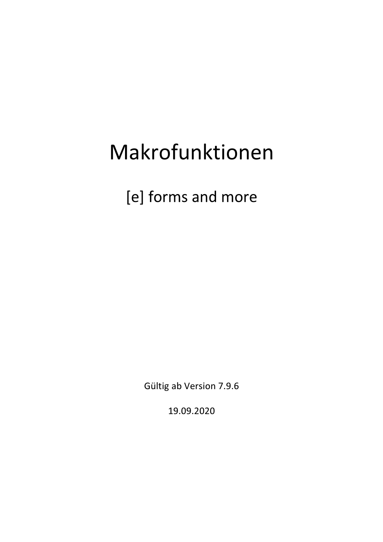# Makrofunktionen

[e] forms and more

Gültig ab Version 7.9.6

19.09.2020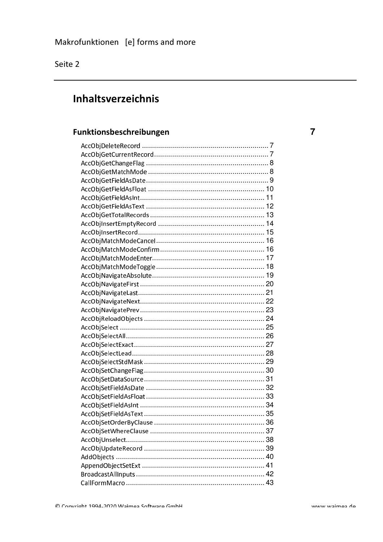## Inhaltsverzeichnis

#### Funktionsbeschreibungen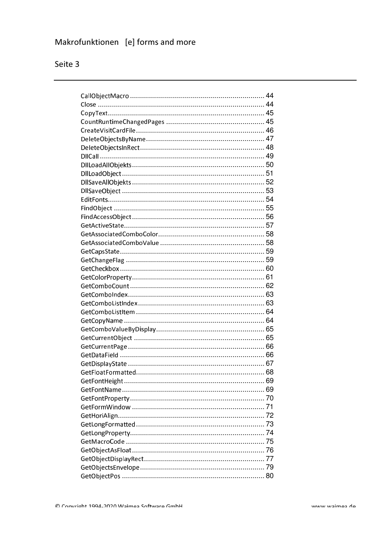## Makrofunktionen [e] forms and more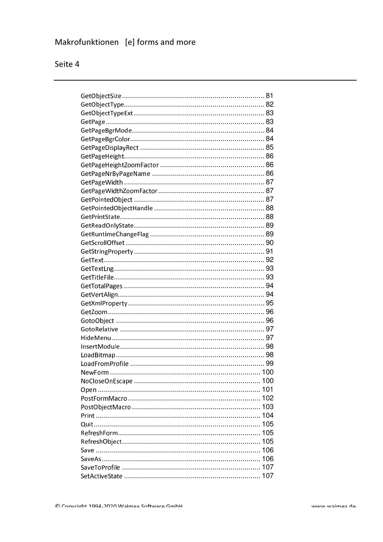## Makrofunktionen [e] forms and more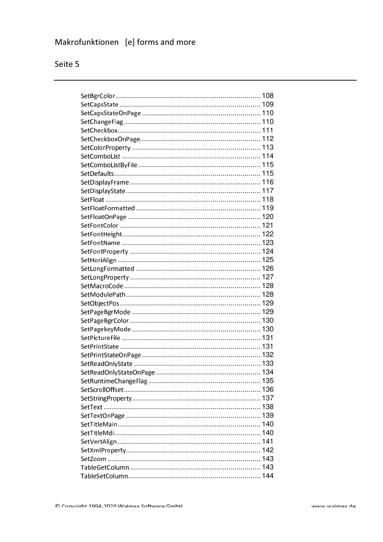## Makrofunktionen [e] forms and more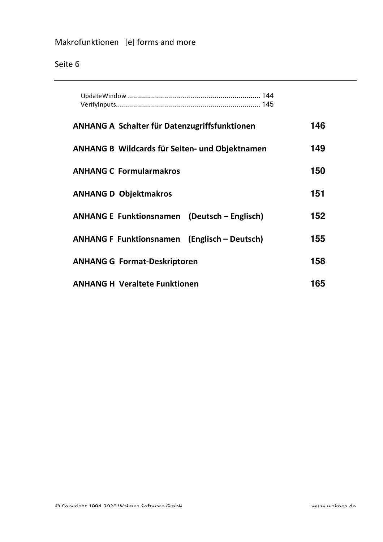| <b>ANHANG A Schalter für Datenzugriffsfunktionen</b>  | 146 |
|-------------------------------------------------------|-----|
| <b>ANHANG B Wildcards für Seiten- und Objektnamen</b> | 149 |
| <b>ANHANG C Formularmakros</b>                        | 150 |
| <b>ANHANG D Objektmakros</b>                          | 151 |
| <b>ANHANG E Funktionsnamen (Deutsch – Englisch)</b>   | 152 |
| <b>ANHANG F Funktionsnamen (Englisch – Deutsch)</b>   | 155 |
| <b>ANHANG G Format-Deskriptoren</b>                   | 158 |
| <b>ANHANG H Veraltete Funktionen</b>                  | 165 |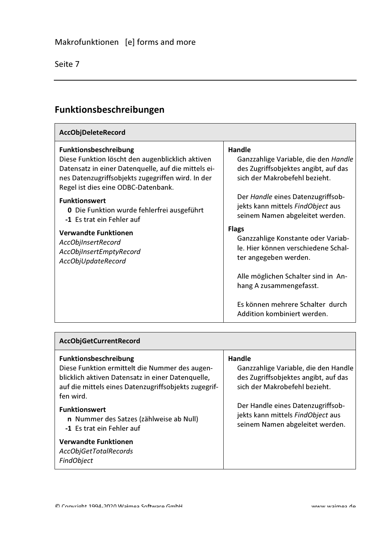$\Gamma$ 

### Funktionsbeschreibungen

| <b>AccObjDeleteRecord</b>                                                                                                                                                                                                           |                                                                                                                         |
|-------------------------------------------------------------------------------------------------------------------------------------------------------------------------------------------------------------------------------------|-------------------------------------------------------------------------------------------------------------------------|
| <b>Funktionsbeschreibung</b><br>Diese Funktion löscht den augenblicklich aktiven<br>Datensatz in einer Datenquelle, auf die mittels ei-<br>nes Datenzugriffsobjekts zugegriffen wird. In der<br>Regel ist dies eine ODBC-Datenbank. | Handle<br>Ganzzahlige Variable, die den Handle<br>des Zugriffsobjektes angibt, auf das<br>sich der Makrobefehl bezieht. |
| <b>Funktionswert</b><br><b>0</b> Die Funktion wurde fehlerfrei ausgeführt<br>-1 Es trat ein Fehler auf                                                                                                                              | Der Handle eines Datenzugriffsob-<br>jekts kann mittels FindObject aus<br>seinem Namen abgeleitet werden.               |
| <b>Verwandte Funktionen</b><br>AccObjInsertRecord<br>AccObilnsertEmptyRecord<br>AccObjUpdateRecord                                                                                                                                  | <b>Flags</b><br>Ganzzahlige Konstante oder Variab-<br>le. Hier können verschiedene Schal-<br>ter angegeben werden.      |
|                                                                                                                                                                                                                                     | Alle möglichen Schalter sind in An-<br>hang A zusammengefasst.                                                          |
|                                                                                                                                                                                                                                     | Es können mehrere Schalter durch<br>Addition kombiniert werden.                                                         |

| <b>AccObjGetCurrentRecord</b>                                                                                                                                                                                                                                                                            |                                                                                                                                                                                                                                      |  |
|----------------------------------------------------------------------------------------------------------------------------------------------------------------------------------------------------------------------------------------------------------------------------------------------------------|--------------------------------------------------------------------------------------------------------------------------------------------------------------------------------------------------------------------------------------|--|
| <b>Funktionsbeschreibung</b><br>Diese Funktion ermittelt die Nummer des augen-<br>blicklich aktiven Datensatz in einer Datenquelle,<br>auf die mittels eines Datenzugriffsobjekts zugegrif-<br>fen wird.<br><b>Funktionswert</b><br>n Nummer des Satzes (zählweise ab Null)<br>-1 Es trat ein Fehler auf | Handle<br>Ganzzahlige Variable, die den Handle<br>des Zugriffsobjektes angibt, auf das<br>sich der Makrobefehl bezieht.<br>Der Handle eines Datenzugriffsob-<br>jekts kann mittels FindObject aus<br>seinem Namen abgeleitet werden. |  |
| <b>Verwandte Funktionen</b><br>AccObjGetTotalRecords<br><b>FindObject</b>                                                                                                                                                                                                                                |                                                                                                                                                                                                                                      |  |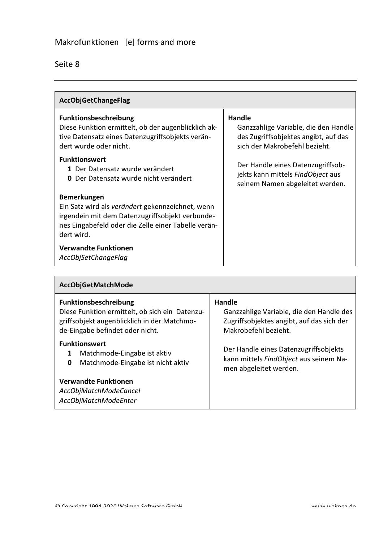| <b>AccObjGetChangeFlag</b>                                                                                                                                                                     |                                                                                                                         |  |
|------------------------------------------------------------------------------------------------------------------------------------------------------------------------------------------------|-------------------------------------------------------------------------------------------------------------------------|--|
| <b>Funktionsbeschreibung</b><br>Diese Funktion ermittelt, ob der augenblicklich ak-<br>tive Datensatz eines Datenzugriffsobjekts verän-<br>dert wurde oder nicht.                              | Handle<br>Ganzzahlige Variable, die den Handle<br>des Zugriffsobjektes angibt, auf das<br>sich der Makrobefehl bezieht. |  |
| <b>Funktionswert</b><br>1 Der Datensatz wurde verändert<br>Der Datensatz wurde nicht verändert<br>0                                                                                            | Der Handle eines Datenzugriffsob-<br>jekts kann mittels FindObject aus<br>seinem Namen abgeleitet werden.               |  |
| <b>Bemerkungen</b><br>Ein Satz wird als verändert gekennzeichnet, wenn<br>irgendein mit dem Datenzugriffsobjekt verbunde-<br>nes Eingabefeld oder die Zelle einer Tabelle verän-<br>dert wird. |                                                                                                                         |  |
| <b>Verwandte Funktionen</b><br>AccObjSetChangeFlag                                                                                                                                             |                                                                                                                         |  |

| AccObjGetMatchMode                                                                                                                                               |                                                                                                                         |  |
|------------------------------------------------------------------------------------------------------------------------------------------------------------------|-------------------------------------------------------------------------------------------------------------------------|--|
| <b>Funktionsbeschreibung</b><br>Diese Funktion ermittelt, ob sich ein Datenzu-<br>griffsobjekt augenblicklich in der Matchmo-<br>de-Eingabe befindet oder nicht. | Handle<br>Ganzzahlige Variable, die den Handle des<br>Zugriffsobjektes angibt, auf das sich der<br>Makrobefehl bezieht. |  |
| <b>Funktionswert</b><br>Matchmode-Eingabe ist aktiv<br>1<br>Matchmode-Eingabe ist nicht aktiv<br>$\bf{0}$                                                        | Der Handle eines Datenzugriffsobjekts<br>kann mittels FindObject aus seinem Na-<br>men abgeleitet werden.               |  |
| Verwandte Funktionen<br>AccObjMatchModeCancel<br>AccObjMatchModeEnter                                                                                            |                                                                                                                         |  |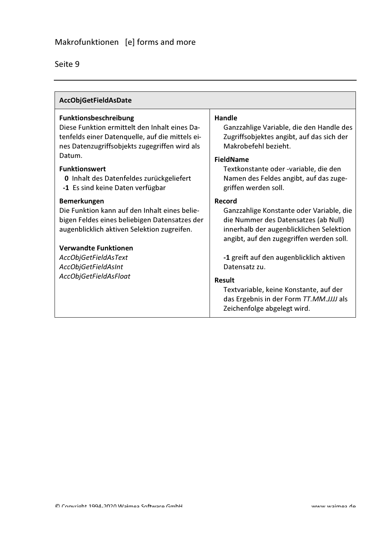| AccObjGetFieldAsDate                                                                                                                                                       |                                                                                                                                                                                                |
|----------------------------------------------------------------------------------------------------------------------------------------------------------------------------|------------------------------------------------------------------------------------------------------------------------------------------------------------------------------------------------|
| Funktionsbeschreibung<br>Diese Funktion ermittelt den Inhalt eines Da-<br>tenfelds einer Datenquelle, auf die mittels ei-<br>nes Datenzugriffsobjekts zugegriffen wird als | <b>Handle</b><br>Ganzzahlige Variable, die den Handle des<br>Zugriffsobjektes angibt, auf das sich der<br>Makrobefehl bezieht.                                                                 |
| Datum.<br><b>Funktionswert</b><br>0 Inhalt des Datenfeldes zurückgeliefert<br>-1 Es sind keine Daten verfügbar                                                             | <b>FieldName</b><br>Textkonstante oder -variable, die den<br>Namen des Feldes angibt, auf das zuge-<br>griffen werden soll.                                                                    |
| <b>Bemerkungen</b><br>Die Funktion kann auf den Inhalt eines belie-<br>bigen Feldes eines beliebigen Datensatzes der<br>augenblicklich aktiven Selektion zugreifen.        | Record<br>Ganzzahlige Konstante oder Variable, die<br>die Nummer des Datensatzes (ab Null)<br>innerhalb der augenblicklichen Selektion<br>angibt, auf den zugegriffen werden soll.             |
| <b>Verwandte Funktionen</b><br>AccObjGetFieldAsText<br>AccObjGetFieldAsInt<br>AccObjGetFieldAsFloat                                                                        | -1 greift auf den augenblicklich aktiven<br>Datensatz zu.<br><b>Result</b><br>Textvariable, keine Konstante, auf der<br>das Ergebnis in der Form TT.MM.JJJJ als<br>Zeichenfolge abgelegt wird. |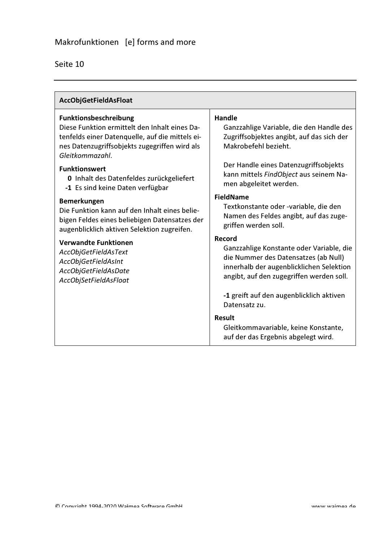| AccObjGetFieldAsFloat                                                                                                                                                                         |                                                                                                                                                                                    |
|-----------------------------------------------------------------------------------------------------------------------------------------------------------------------------------------------|------------------------------------------------------------------------------------------------------------------------------------------------------------------------------------|
| Funktionsbeschreibung<br>Diese Funktion ermittelt den Inhalt eines Da-<br>tenfelds einer Datenquelle, auf die mittels ei-<br>nes Datenzugriffsobjekts zugegriffen wird als<br>Gleitkommazahl. | <b>Handle</b><br>Ganzzahlige Variable, die den Handle des<br>Zugriffsobjektes angibt, auf das sich der<br>Makrobefehl bezieht.                                                     |
| <b>Funktionswert</b><br>0 Inhalt des Datenfeldes zurückgeliefert<br>-1 Es sind keine Daten verfügbar                                                                                          | Der Handle eines Datenzugriffsobjekts<br>kann mittels FindObject aus seinem Na-<br>men abgeleitet werden.                                                                          |
| <b>Bemerkungen</b><br>Die Funktion kann auf den Inhalt eines belie-<br>bigen Feldes eines beliebigen Datensatzes der<br>augenblicklich aktiven Selektion zugreifen.                           | <b>FieldName</b><br>Textkonstante oder -variable, die den<br>Namen des Feldes angibt, auf das zuge-<br>griffen werden soll.                                                        |
| <b>Verwandte Funktionen</b><br>AccObjGetFieldAsText<br>AccObjGetFieldAsInt<br>AccObjGetFieldAsDate<br>AccObjSetFieldAsFloat                                                                   | Record<br>Ganzzahlige Konstante oder Variable, die<br>die Nummer des Datensatzes (ab Null)<br>innerhalb der augenblicklichen Selektion<br>angibt, auf den zugegriffen werden soll. |
|                                                                                                                                                                                               | -1 greift auf den augenblicklich aktiven<br>Datensatz zu.                                                                                                                          |
|                                                                                                                                                                                               | <b>Result</b><br>Gleitkommavariable, keine Konstante,<br>auf der das Ergebnis abgelegt wird.                                                                                       |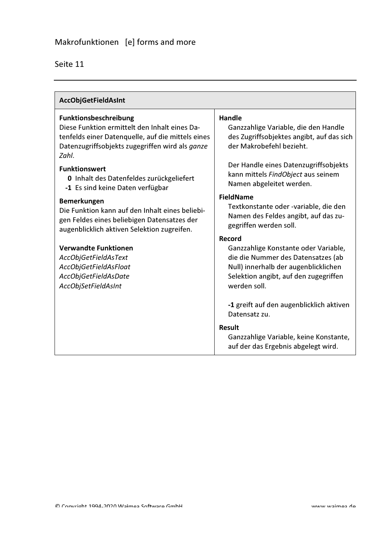| <b>AccObjGetFieldAsInt</b>                                                                                                                                                                                                                                                                             |                                                                                                                                                                                                                                           |
|--------------------------------------------------------------------------------------------------------------------------------------------------------------------------------------------------------------------------------------------------------------------------------------------------------|-------------------------------------------------------------------------------------------------------------------------------------------------------------------------------------------------------------------------------------------|
| <b>Funktionsbeschreibung</b><br>Diese Funktion ermittelt den Inhalt eines Da-<br>tenfelds einer Datenquelle, auf die mittels eines<br>Datenzugriffsobjekts zugegriffen wird als ganze<br>Zahl.<br><b>Funktionswert</b><br>0 Inhalt des Datenfeldes zurückgeliefert<br>-1 Es sind keine Daten verfügbar | <b>Handle</b><br>Ganzzahlige Variable, die den Handle<br>des Zugriffsobjektes angibt, auf das sich<br>der Makrobefehl bezieht.<br>Der Handle eines Datenzugriffsobjekts<br>kann mittels FindObject aus seinem<br>Namen abgeleitet werden. |
| <b>Bemerkungen</b><br>Die Funktion kann auf den Inhalt eines beliebi-<br>gen Feldes eines beliebigen Datensatzes der<br>augenblicklich aktiven Selektion zugreifen.                                                                                                                                    | <b>FieldName</b><br>Textkonstante oder -variable, die den<br>Namen des Feldes angibt, auf das zu-<br>gegriffen werden soll.                                                                                                               |
| <b>Verwandte Funktionen</b><br>AccObjGetFieldAsText<br>AccObjGetFieldAsFloat<br>AccObjGetFieldAsDate<br>AccObjSetFieldAsInt                                                                                                                                                                            | Record<br>Ganzzahlige Konstante oder Variable,<br>die die Nummer des Datensatzes (ab<br>Null) innerhalb der augenblicklichen<br>Selektion angibt, auf den zugegriffen<br>werden soll.                                                     |
|                                                                                                                                                                                                                                                                                                        | -1 greift auf den augenblicklich aktiven<br>Datensatz zu.<br><b>Result</b>                                                                                                                                                                |
|                                                                                                                                                                                                                                                                                                        | Ganzzahlige Variable, keine Konstante,<br>auf der das Ergebnis abgelegt wird.                                                                                                                                                             |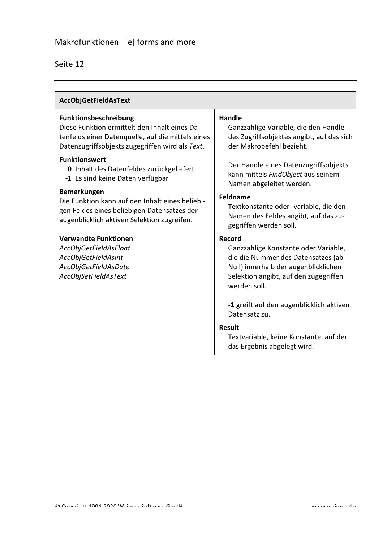| AccObjGetFieldAsText                                                                                                                                                                  |                                                                                                                                                                                              |
|---------------------------------------------------------------------------------------------------------------------------------------------------------------------------------------|----------------------------------------------------------------------------------------------------------------------------------------------------------------------------------------------|
| <b>Funktionsbeschreibung</b><br>Diese Funktion ermittelt den Inhalt eines Da-<br>tenfelds einer Datenquelle, auf die mittels eines<br>Datenzugriffsobjekts zugegriffen wird als Text. | <b>Handle</b><br>Ganzzahlige Variable, die den Handle<br>des Zugriffsobjektes angibt, auf das sich<br>der Makrobefehl bezieht.                                                               |
| <b>Funktionswert</b><br>0 Inhalt des Datenfeldes zurückgeliefert<br>-1 Es sind keine Daten verfügbar                                                                                  | Der Handle eines Datenzugriffsobjekts<br>kann mittels FindObject aus seinem<br>Namen abgeleitet werden.                                                                                      |
| Bemerkungen<br>Die Funktion kann auf den Inhalt eines beliebi-<br>gen Feldes eines beliebigen Datensatzes der<br>augenblicklich aktiven Selektion zugreifen.                          | <b>Feldname</b><br>Textkonstante oder -variable, die den<br>Namen des Feldes angibt, auf das zu-<br>gegriffen werden soll.                                                                   |
| <b>Verwandte Funktionen</b><br>AccObjGetFieldAsFloat<br>AccObjGetFieldAsInt<br>AccObjGetFieldAsDate<br>AccObjSetFieldAsText                                                           | <b>Record</b><br>Ganzzahlige Konstante oder Variable,<br>die die Nummer des Datensatzes (ab<br>Null) innerhalb der augenblicklichen<br>Selektion angibt, auf den zugegriffen<br>werden soll. |
|                                                                                                                                                                                       | -1 greift auf den augenblicklich aktiven<br>Datensatz zu.                                                                                                                                    |
|                                                                                                                                                                                       | <b>Result</b><br>Textvariable, keine Konstante, auf der<br>das Ergebnis abgelegt wird.                                                                                                       |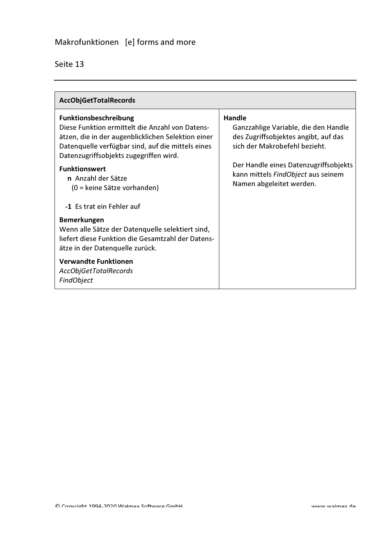| <b>AccObjGetTotalRecords</b>                                                                                                                                                                                                  |                                                                                                                                |
|-------------------------------------------------------------------------------------------------------------------------------------------------------------------------------------------------------------------------------|--------------------------------------------------------------------------------------------------------------------------------|
| Funktionsbeschreibung<br>Diese Funktion ermittelt die Anzahl von Datens-<br>ätzen, die in der augenblicklichen Selektion einer<br>Datenquelle verfügbar sind, auf die mittels eines<br>Datenzugriffsobjekts zugegriffen wird. | <b>Handle</b><br>Ganzzahlige Variable, die den Handle<br>des Zugriffsobjektes angibt, auf das<br>sich der Makrobefehl bezieht. |
| <b>Funktionswert</b><br>n Anzahl der Sätze<br>(0 = keine Sätze vorhanden)                                                                                                                                                     | Der Handle eines Datenzugriffsobjekts<br>kann mittels FindObject aus seinem<br>Namen abgeleitet werden.                        |
| -1 Es trat ein Fehler auf<br><b>Bemerkungen</b><br>Wenn alle Sätze der Datenquelle selektiert sind,<br>liefert diese Funktion die Gesamtzahl der Datens-<br>ätze in der Datenquelle zurück.                                   |                                                                                                                                |
| <b>Verwandte Funktionen</b><br>AccObjGetTotalRecords<br><b>FindObject</b>                                                                                                                                                     |                                                                                                                                |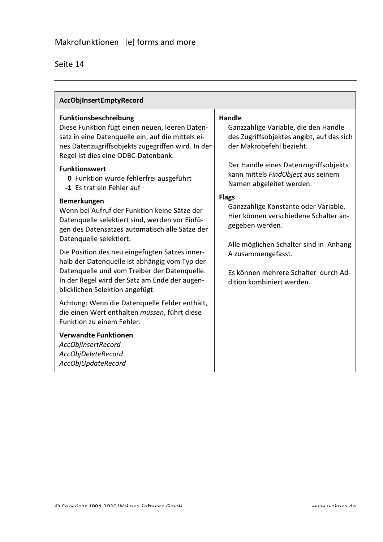| AccObjInsertEmptyRecord                                                                                                                                                                                                         |                                                                                                                                |
|---------------------------------------------------------------------------------------------------------------------------------------------------------------------------------------------------------------------------------|--------------------------------------------------------------------------------------------------------------------------------|
| <b>Funktionsbeschreibung</b><br>Diese Funktion fügt einen neuen, leeren Daten-<br>satz in eine Datenquelle ein, auf die mittels ei-<br>nes Datenzugriffsobjekts zugegriffen wird. In der<br>Regel ist dies eine ODBC-Datenbank. | <b>Handle</b><br>Ganzzahlige Variable, die den Handle<br>des Zugriffsobjektes angibt, auf das sich<br>der Makrobefehl bezieht. |
| <b>Funktionswert</b><br>0 Funktion wurde fehlerfrei ausgeführt<br>-1 Es trat ein Fehler auf                                                                                                                                     | Der Handle eines Datenzugriffsobjekts<br>kann mittels FindObject aus seinem<br>Namen abgeleitet werden.                        |
| <b>Bemerkungen</b><br>Wenn bei Aufruf der Funktion keine Sätze der<br>Datenquelle selektiert sind, werden vor Einfü-<br>gen des Datensatzes automatisch alle Sätze der<br>Datenquelle selektiert.                               | <b>Flags</b><br>Ganzzahlige Konstante oder Variable.<br>Hier können verschiedene Schalter an-<br>gegeben werden.               |
| Die Position des neu eingefügten Satzes inner-<br>halb der Datenquelle ist abhängig vom Typ der                                                                                                                                 | Alle möglichen Schalter sind in Anhang<br>A zusammengefasst.                                                                   |
| Datenquelle und vom Treiber der Datenquelle.<br>In der Regel wird der Satz am Ende der augen-<br>blicklichen Selektion angefügt.                                                                                                | Es können mehrere Schalter durch Ad-<br>dition kombiniert werden.                                                              |
| Achtung: Wenn die Datenquelle Felder enthält,<br>die einen Wert enthalten müssen, führt diese<br>Funktion zu einem Fehler.                                                                                                      |                                                                                                                                |
| <b>Verwandte Funktionen</b><br>AccObjInsertRecord<br>AccObjDeleteRecord<br>AccObjUpdateRecord                                                                                                                                   |                                                                                                                                |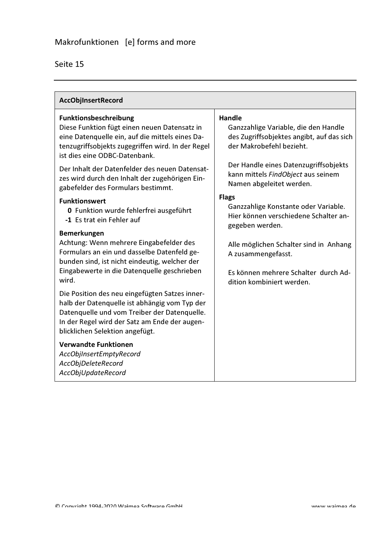| AccObjInsertRecord                                                                                                                                                                                                                  |                                                                                                                                   |
|-------------------------------------------------------------------------------------------------------------------------------------------------------------------------------------------------------------------------------------|-----------------------------------------------------------------------------------------------------------------------------------|
| Funktionsbeschreibung<br>Diese Funktion fügt einen neuen Datensatz in<br>eine Datenquelle ein, auf die mittels eines Da-<br>tenzugriffsobjekts zugegriffen wird. In der Regel<br>ist dies eine ODBC-Datenbank.                      | <b>Handle</b><br>Ganzzahlige Variable, die den Handle<br>des Zugriffsobjektes angibt, auf das sich<br>der Makrobefehl bezieht.    |
| Der Inhalt der Datenfelder des neuen Datensat-<br>zes wird durch den Inhalt der zugehörigen Ein-<br>gabefelder des Formulars bestimmt.                                                                                              | Der Handle eines Datenzugriffsobjekts<br>kann mittels FindObject aus seinem<br>Namen abgeleitet werden.                           |
| <b>Funktionswert</b><br>0 Funktion wurde fehlerfrei ausgeführt<br>-1 Es trat ein Fehler auf                                                                                                                                         | <b>Flags</b><br>Ganzzahlige Konstante oder Variable.<br>Hier können verschiedene Schalter an-<br>gegeben werden.                  |
| <b>Bemerkungen</b><br>Achtung: Wenn mehrere Eingabefelder des<br>Formulars an ein und dasselbe Datenfeld ge-<br>bunden sind, ist nicht eindeutig, welcher der<br>Eingabewerte in die Datenquelle geschrieben<br>wird.               | Alle möglichen Schalter sind in Anhang<br>A zusammengefasst.<br>Es können mehrere Schalter durch Ad-<br>dition kombiniert werden. |
| Die Position des neu eingefügten Satzes inner-<br>halb der Datenquelle ist abhängig vom Typ der<br>Datenquelle und vom Treiber der Datenquelle.<br>In der Regel wird der Satz am Ende der augen-<br>blicklichen Selektion angefügt. |                                                                                                                                   |
| <b>Verwandte Funktionen</b><br>AccObjInsertEmptyRecord<br>AccObjDeleteRecord<br>AccObjUpdateRecord                                                                                                                                  |                                                                                                                                   |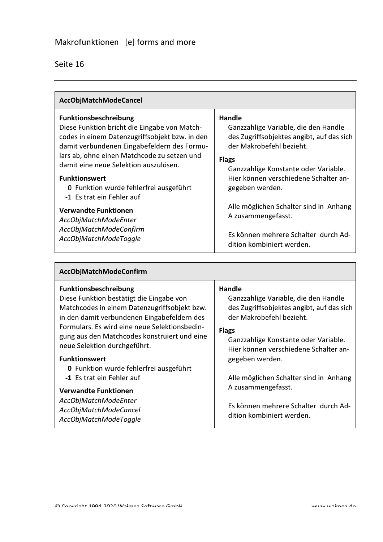| AccObjMatchModeCancel                                                                                                                                                                                                                                                                                                                                                                                                                                                          |                                                                                                                                                                                                                                                                                                                                                                                  |
|--------------------------------------------------------------------------------------------------------------------------------------------------------------------------------------------------------------------------------------------------------------------------------------------------------------------------------------------------------------------------------------------------------------------------------------------------------------------------------|----------------------------------------------------------------------------------------------------------------------------------------------------------------------------------------------------------------------------------------------------------------------------------------------------------------------------------------------------------------------------------|
| <b>Funktionsbeschreibung</b><br>Diese Funktion bricht die Eingabe von Match-<br>codes in einem Datenzugriffsobjekt bzw. in den<br>damit verbundenen Eingabefeldern des Formu-<br>lars ab, ohne einen Matchcode zu setzen und<br>damit eine neue Selektion auszulösen.<br><b>Funktionswert</b><br>0 Funktion wurde fehlerfrei ausgeführt<br>-1 Es trat ein Fehler auf<br><b>Verwandte Funktionen</b><br>AccObjMatchModeEnter<br>AccObjMatchModeConfirm<br>AccObjMatchModeToggle | Handle<br>Ganzzahlige Variable, die den Handle<br>des Zugriffsobjektes angibt, auf das sich<br>der Makrobefehl bezieht.<br><b>Flags</b><br>Ganzzahlige Konstante oder Variable.<br>Hier können verschiedene Schalter an-<br>gegeben werden.<br>Alle möglichen Schalter sind in Anhang<br>A zusammengefasst.<br>Es können mehrere Schalter durch Ad-<br>dition kombiniert werden. |

| AccObjMatchModeConfirm                                                                                                                                                                                                                                                   |                                                                                                                                                                                        |
|--------------------------------------------------------------------------------------------------------------------------------------------------------------------------------------------------------------------------------------------------------------------------|----------------------------------------------------------------------------------------------------------------------------------------------------------------------------------------|
| <b>Funktionsbeschreibung</b><br>Diese Funktion bestätigt die Eingabe von<br>Matchcodes in einem Datenzugriffsobjekt bzw.<br>in den damit verbundenen Eingabefeldern des<br>Formulars. Es wird eine neue Selektionsbedin-<br>gung aus den Matchcodes konstruiert und eine | <b>Handle</b><br>Ganzzahlige Variable, die den Handle<br>des Zugriffsobjektes angibt, auf das sich<br>der Makrobefehl bezieht.<br><b>Flags</b><br>Ganzzahlige Konstante oder Variable. |
| neue Selektion durchgeführt.<br><b>Funktionswert</b><br>0 Funktion wurde fehlerfrei ausgeführt<br>-1 Es trat ein Fehler auf                                                                                                                                              | Hier können verschiedene Schalter an-<br>gegeben werden.<br>Alle möglichen Schalter sind in Anhang                                                                                     |
| <b>Verwandte Funktionen</b><br>AccObjMatchModeEnter<br>AccObjMatchModeCancel<br>AccObjMatchModeToggle                                                                                                                                                                    | A zusammengefasst.<br>Es können mehrere Schalter durch Ad-<br>dition kombiniert werden.                                                                                                |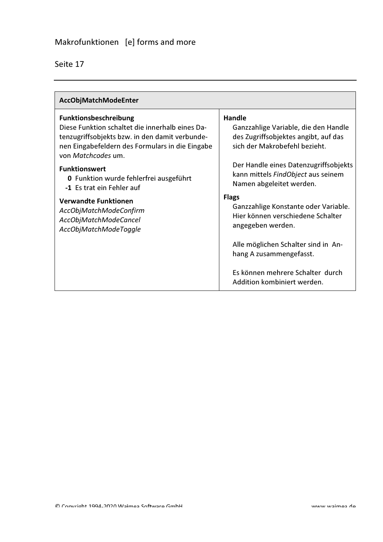| AccObjMatchModeEnter                                                                                                                                                                                |                                                                                                                                |
|-----------------------------------------------------------------------------------------------------------------------------------------------------------------------------------------------------|--------------------------------------------------------------------------------------------------------------------------------|
| Funktionsbeschreibung<br>Diese Funktion schaltet die innerhalb eines Da-<br>tenzugriffsobjekts bzw. in den damit verbunde-<br>nen Eingabefeldern des Formulars in die Eingabe<br>von Matchcodes um. | <b>Handle</b><br>Ganzzahlige Variable, die den Handle<br>des Zugriffsobjektes angibt, auf das<br>sich der Makrobefehl bezieht. |
| <b>Funktionswert</b><br>0 Funktion wurde fehlerfrei ausgeführt<br>-1 Es trat ein Fehler auf                                                                                                         | Der Handle eines Datenzugriffsobjekts<br>kann mittels FindObject aus seinem<br>Namen abgeleitet werden.                        |
| <b>Verwandte Funktionen</b><br>AccObjMatchModeConfirm<br>AccObjMatchModeCancel<br>AccObjMatchModeToggle                                                                                             | <b>Flags</b><br>Ganzzahlige Konstante oder Variable.<br>Hier können verschiedene Schalter<br>angegeben werden.                 |
|                                                                                                                                                                                                     | Alle möglichen Schalter sind in An-<br>hang A zusammengefasst.                                                                 |
|                                                                                                                                                                                                     | Es können mehrere Schalter durch<br>Addition kombiniert werden.                                                                |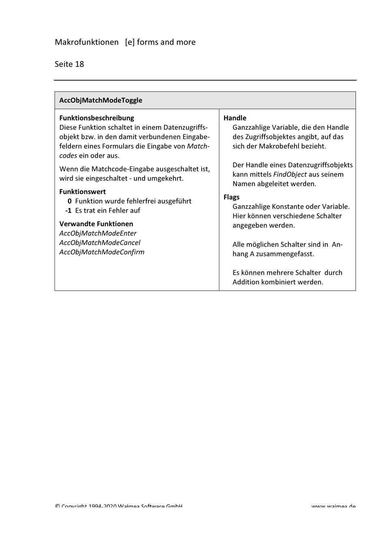| AccObjMatchModeToggle                                                                                                                                                                              |                                                                                                                                |
|----------------------------------------------------------------------------------------------------------------------------------------------------------------------------------------------------|--------------------------------------------------------------------------------------------------------------------------------|
| Funktionsbeschreibung<br>Diese Funktion schaltet in einem Datenzugriffs-<br>objekt bzw. in den damit verbundenen Eingabe-<br>feldern eines Formulars die Eingabe von Match-<br>codes ein oder aus. | <b>Handle</b><br>Ganzzahlige Variable, die den Handle<br>des Zugriffsobjektes angibt, auf das<br>sich der Makrobefehl bezieht. |
| Wenn die Matchcode-Eingabe ausgeschaltet ist,<br>wird sie eingeschaltet - und umgekehrt.                                                                                                           | Der Handle eines Datenzugriffsobjekts<br>kann mittels FindObject aus seinem<br>Namen abgeleitet werden.                        |
| <b>Funktionswert</b><br>0 Funktion wurde fehlerfrei ausgeführt<br>-1 Es trat ein Fehler auf                                                                                                        | <b>Flags</b><br>Ganzzahlige Konstante oder Variable.<br>Hier können verschiedene Schalter                                      |
| <b>Verwandte Funktionen</b><br>AccObjMatchModeEnter<br>AccObjMatchModeCancel                                                                                                                       | angegeben werden.<br>Alle möglichen Schalter sind in An-                                                                       |
| AccObjMatchModeConfirm                                                                                                                                                                             | hang A zusammengefasst.                                                                                                        |
|                                                                                                                                                                                                    | Es können mehrere Schalter durch<br>Addition kombiniert werden.                                                                |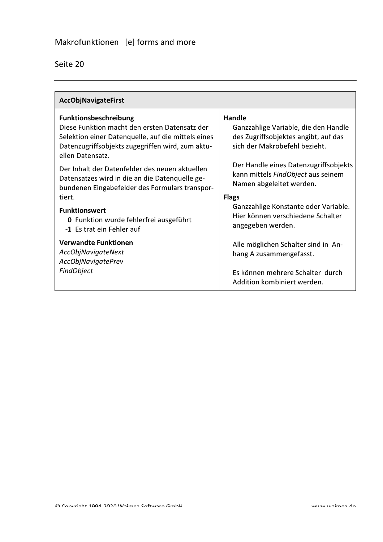| Seite 20 |
|----------|
|----------|

| AccObjNavigateFirst                                                                                                                                                                                  |                                                                                                                                |
|------------------------------------------------------------------------------------------------------------------------------------------------------------------------------------------------------|--------------------------------------------------------------------------------------------------------------------------------|
| Funktionsbeschreibung<br>Diese Funktion macht den ersten Datensatz der<br>Selektion einer Datenquelle, auf die mittels eines<br>Datenzugriffsobjekts zugegriffen wird, zum aktu-<br>ellen Datensatz. | <b>Handle</b><br>Ganzzahlige Variable, die den Handle<br>des Zugriffsobjektes angibt, auf das<br>sich der Makrobefehl bezieht. |
| Der Inhalt der Datenfelder des neuen aktuellen<br>Datensatzes wird in die an die Datenquelle ge-<br>bundenen Eingabefelder des Formulars transpor-<br>tiert.                                         | Der Handle eines Datenzugriffsobjekts<br>kann mittels FindObject aus seinem<br>Namen abgeleitet werden.<br><b>Flags</b>        |
| <b>Funktionswert</b><br>0 Funktion wurde fehlerfrei ausgeführt<br>-1 Es trat ein Fehler auf                                                                                                          | Ganzzahlige Konstante oder Variable.<br>Hier können verschiedene Schalter<br>angegeben werden.                                 |
| <b>Verwandte Funktionen</b><br><b>AccObjNavigateNext</b><br><b>AccObjNavigatePrev</b>                                                                                                                | Alle möglichen Schalter sind in An-<br>hang A zusammengefasst.                                                                 |
| FindObject                                                                                                                                                                                           | Es können mehrere Schalter durch<br>Addition kombiniert werden.                                                                |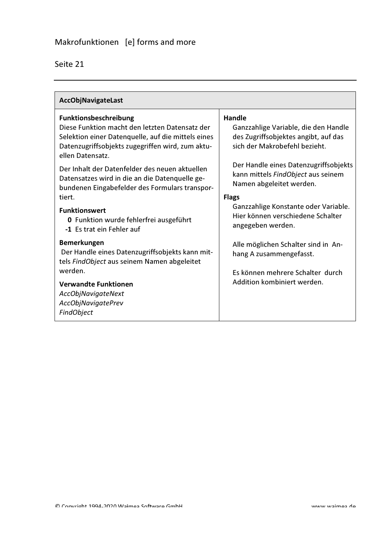| <b>AccObjNavigateLast</b>                                                                                                                                                                                                                                                                                                                                                                                                               |                                                                                                                                                                                                                                                                                                                                                             |
|-----------------------------------------------------------------------------------------------------------------------------------------------------------------------------------------------------------------------------------------------------------------------------------------------------------------------------------------------------------------------------------------------------------------------------------------|-------------------------------------------------------------------------------------------------------------------------------------------------------------------------------------------------------------------------------------------------------------------------------------------------------------------------------------------------------------|
| Funktionsbeschreibung<br>Diese Funktion macht den letzten Datensatz der<br>Selektion einer Datenquelle, auf die mittels eines<br>Datenzugriffsobjekts zugegriffen wird, zum aktu-<br>ellen Datensatz.<br>Der Inhalt der Datenfelder des neuen aktuellen<br>Datensatzes wird in die an die Datenquelle ge-<br>bundenen Eingabefelder des Formulars transpor-<br>tiert.<br><b>Funktionswert</b><br>0 Funktion wurde fehlerfrei ausgeführt | <b>Handle</b><br>Ganzzahlige Variable, die den Handle<br>des Zugriffsobjektes angibt, auf das<br>sich der Makrobefehl bezieht.<br>Der Handle eines Datenzugriffsobjekts<br>kann mittels FindObject aus seinem<br>Namen abgeleitet werden.<br><b>Flags</b><br>Ganzzahlige Konstante oder Variable.<br>Hier können verschiedene Schalter<br>angegeben werden. |
| -1 Es trat ein Fehler auf<br><b>Bemerkungen</b><br>Der Handle eines Datenzugriffsobjekts kann mit-<br>tels FindObject aus seinem Namen abgeleitet<br>werden.<br><b>Verwandte Funktionen</b><br><b>AccObjNavigateNext</b><br><b>AccObjNavigatePrev</b><br>FindObject                                                                                                                                                                     | Alle möglichen Schalter sind in An-<br>hang A zusammengefasst.<br>Es können mehrere Schalter durch<br>Addition kombiniert werden.                                                                                                                                                                                                                           |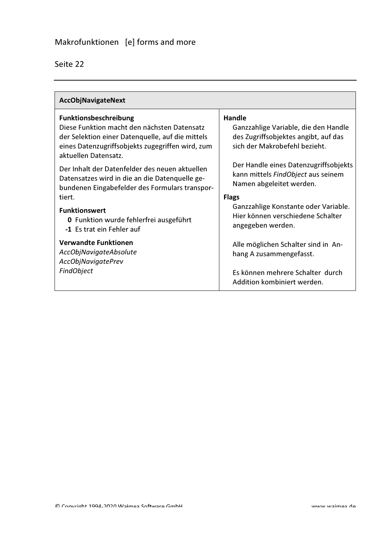| <b>AccObjNavigateNext</b>                                                                                                                                                                                   |                                                                                                                                |
|-------------------------------------------------------------------------------------------------------------------------------------------------------------------------------------------------------------|--------------------------------------------------------------------------------------------------------------------------------|
| <b>Funktionsbeschreibung</b><br>Diese Funktion macht den nächsten Datensatz<br>der Selektion einer Datenquelle, auf die mittels<br>eines Datenzugriffsobjekts zugegriffen wird, zum<br>aktuellen Datensatz. | <b>Handle</b><br>Ganzzahlige Variable, die den Handle<br>des Zugriffsobjektes angibt, auf das<br>sich der Makrobefehl bezieht. |
| Der Inhalt der Datenfelder des neuen aktuellen<br>Datensatzes wird in die an die Datenquelle ge-<br>bundenen Eingabefelder des Formulars transpor-<br>tiert.                                                | Der Handle eines Datenzugriffsobjekts<br>kann mittels FindObject aus seinem<br>Namen abgeleitet werden.<br><b>Flags</b>        |
| <b>Funktionswert</b><br>0 Funktion wurde fehlerfrei ausgeführt<br>-1 Es trat ein Fehler auf                                                                                                                 | Ganzzahlige Konstante oder Variable.<br>Hier können verschiedene Schalter<br>angegeben werden.                                 |
| <b>Verwandte Funktionen</b><br>AccObjNavigateAbsolute<br><b>AccObjNavigatePrev</b>                                                                                                                          | Alle möglichen Schalter sind in An-<br>hang A zusammengefasst.                                                                 |
| FindObject                                                                                                                                                                                                  | Es können mehrere Schalter durch<br>Addition kombiniert werden.                                                                |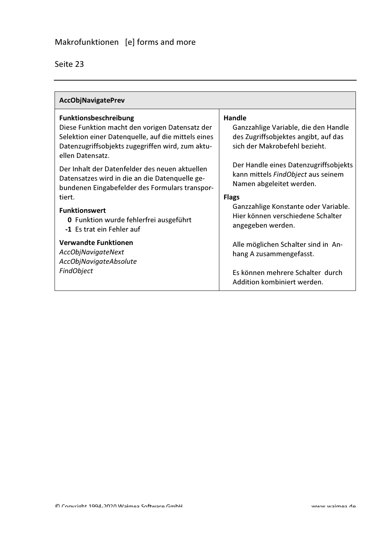| <b>AccObjNavigatePrev</b>                                                                                                                                                                                    |                                                                                                                                |
|--------------------------------------------------------------------------------------------------------------------------------------------------------------------------------------------------------------|--------------------------------------------------------------------------------------------------------------------------------|
| <b>Funktionsbeschreibung</b><br>Diese Funktion macht den vorigen Datensatz der<br>Selektion einer Datenquelle, auf die mittels eines<br>Datenzugriffsobjekts zugegriffen wird, zum aktu-<br>ellen Datensatz. | <b>Handle</b><br>Ganzzahlige Variable, die den Handle<br>des Zugriffsobjektes angibt, auf das<br>sich der Makrobefehl bezieht. |
| Der Inhalt der Datenfelder des neuen aktuellen<br>Datensatzes wird in die an die Datenquelle ge-<br>bundenen Eingabefelder des Formulars transpor-<br>tiert.                                                 | Der Handle eines Datenzugriffsobjekts<br>kann mittels FindObject aus seinem<br>Namen abgeleitet werden.<br><b>Flags</b>        |
| <b>Funktionswert</b><br>0 Funktion wurde fehlerfrei ausgeführt<br>-1 Es trat ein Fehler auf                                                                                                                  | Ganzzahlige Konstante oder Variable.<br>Hier können verschiedene Schalter<br>angegeben werden.                                 |
| <b>Verwandte Funktionen</b><br><b>AccObjNavigateNext</b><br>AccObjNavigateAbsolute                                                                                                                           | Alle möglichen Schalter sind in An-<br>hang A zusammengefasst.                                                                 |
| <b>FindObject</b>                                                                                                                                                                                            | Es können mehrere Schalter durch<br>Addition kombiniert werden.                                                                |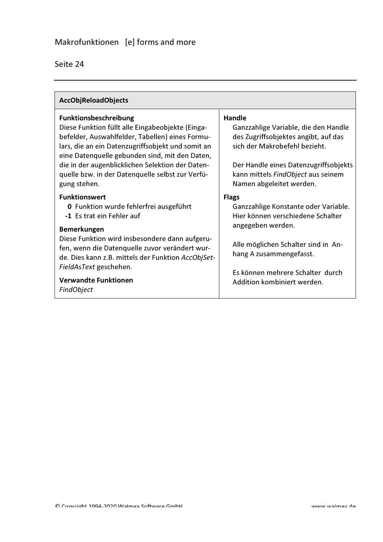| <b>AccObjReloadObjects</b>                                                                                                                                                                                                                                                                                                                                         |                                                                                                                                                                                                                                                     |
|--------------------------------------------------------------------------------------------------------------------------------------------------------------------------------------------------------------------------------------------------------------------------------------------------------------------------------------------------------------------|-----------------------------------------------------------------------------------------------------------------------------------------------------------------------------------------------------------------------------------------------------|
| <b>Funktionsbeschreibung</b><br>Diese Funktion füllt alle Eingabeobjekte (Einga-<br>befelder, Auswahlfelder, Tabellen) eines Formu-<br>lars, die an ein Datenzugriffsobjekt und somit an<br>eine Datenquelle gebunden sind, mit den Daten,<br>die in der augenblicklichen Selektion der Daten-<br>quelle bzw. in der Datenquelle selbst zur Verfü-<br>gung stehen. | <b>Handle</b><br>Ganzzahlige Variable, die den Handle<br>des Zugriffsobjektes angibt, auf das<br>sich der Makrobefehl bezieht.<br>Der Handle eines Datenzugriffsobjekts<br>kann mittels FindObject aus seinem<br>Namen abgeleitet werden.           |
| <b>Funktionswert</b><br>0 Funktion wurde fehlerfrei ausgeführt<br>-1 Es trat ein Fehler auf<br><b>Bemerkungen</b><br>Diese Funktion wird insbesondere dann aufgeru-<br>fen, wenn die Datenquelle zuvor verändert wur-<br>de. Dies kann z.B. mittels der Funktion AccObjSet-<br>FieldAsText geschehen.<br><b>Verwandte Funktionen</b><br>FindObject                 | <b>Flags</b><br>Ganzzahlige Konstante oder Variable.<br>Hier können verschiedene Schalter<br>angegeben werden.<br>Alle möglichen Schalter sind in An-<br>hang A zusammengefasst.<br>Es können mehrere Schalter durch<br>Addition kombiniert werden. |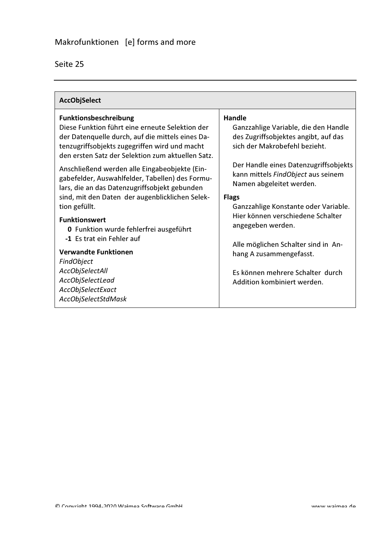| <b>AccObjSelect</b>                                                                                                                                                                                                                                                                                                                                                                                                                                                                                                                                                                                                                                          |                                                                                                                                                                                                                                                                                                                                                                                                                                                                                                  |
|--------------------------------------------------------------------------------------------------------------------------------------------------------------------------------------------------------------------------------------------------------------------------------------------------------------------------------------------------------------------------------------------------------------------------------------------------------------------------------------------------------------------------------------------------------------------------------------------------------------------------------------------------------------|--------------------------------------------------------------------------------------------------------------------------------------------------------------------------------------------------------------------------------------------------------------------------------------------------------------------------------------------------------------------------------------------------------------------------------------------------------------------------------------------------|
| <b>Funktionsbeschreibung</b><br>Diese Funktion führt eine erneute Selektion der<br>der Datenquelle durch, auf die mittels eines Da-<br>tenzugriffsobjekts zugegriffen wird und macht<br>den ersten Satz der Selektion zum aktuellen Satz.<br>Anschließend werden alle Eingabeobjekte (Ein-<br>gabefelder, Auswahlfelder, Tabellen) des Formu-<br>lars, die an das Datenzugriffsobjekt gebunden<br>sind, mit den Daten der augenblicklichen Selek-<br>tion gefüllt.<br><b>Funktionswert</b><br>0 Funktion wurde fehlerfrei ausgeführt<br>-1 Es trat ein Fehler auf<br><b>Verwandte Funktionen</b><br>FindObject<br><b>AccObjSelectAll</b><br>AccObjSelectLead | <b>Handle</b><br>Ganzzahlige Variable, die den Handle<br>des Zugriffsobjektes angibt, auf das<br>sich der Makrobefehl bezieht.<br>Der Handle eines Datenzugriffsobjekts<br>kann mittels FindObject aus seinem<br>Namen abgeleitet werden.<br><b>Flags</b><br>Ganzzahlige Konstante oder Variable.<br>Hier können verschiedene Schalter<br>angegeben werden.<br>Alle möglichen Schalter sind in An-<br>hang A zusammengefasst.<br>Es können mehrere Schalter durch<br>Addition kombiniert werden. |
| AccObjSelectExact<br>AccObjSelectStdMask                                                                                                                                                                                                                                                                                                                                                                                                                                                                                                                                                                                                                     |                                                                                                                                                                                                                                                                                                                                                                                                                                                                                                  |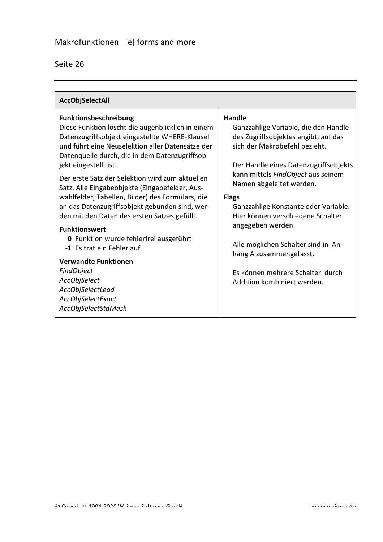| Seite | 26 |
|-------|----|
|       |    |

| <b>AccObjSelectAll</b>                                                                                                                                                                                                                                      |                                                                                                                                                                                  |
|-------------------------------------------------------------------------------------------------------------------------------------------------------------------------------------------------------------------------------------------------------------|----------------------------------------------------------------------------------------------------------------------------------------------------------------------------------|
| Funktionsbeschreibung<br>Diese Funktion löscht die augenblicklich in einem<br>Datenzugriffsobjekt eingestellte WHERE-Klausel<br>und führt eine Neuselektion aller Datensätze der<br>Datenquelle durch, die in dem Datenzugriffsob-<br>jekt eingestellt ist. | <b>Handle</b><br>Ganzzahlige Variable, die den Handle<br>des Zugriffsobjektes angibt, auf das<br>sich der Makrobefehl bezieht.<br>Der Handle eines Datenzugriffsobjekts          |
| Der erste Satz der Selektion wird zum aktuellen<br>Satz. Alle Eingabeobjekte (Eingabefelder, Aus-<br>wahlfelder, Tabellen, Bilder) des Formulars, die<br>an das Datenzugriffsobjekt gebunden sind, wer-<br>den mit den Daten des ersten Satzes gefüllt.     | kann mittels FindObject aus seinem<br>Namen abgeleitet werden.<br><b>Flags</b><br>Ganzzahlige Konstante oder Variable.<br>Hier können verschiedene Schalter<br>angegeben werden. |
| <b>Funktionswert</b><br>0 Funktion wurde fehlerfrei ausgeführt<br>-1 Es trat ein Fehler auf<br><b>Verwandte Funktionen</b>                                                                                                                                  | Alle möglichen Schalter sind in An-<br>hang A zusammengefasst.                                                                                                                   |
| FindObject<br>AccObjSelect<br>AccObjSelectLead<br>AccObjSelectExact<br>AccObjSelectStdMask                                                                                                                                                                  | Es können mehrere Schalter durch<br>Addition kombiniert werden.                                                                                                                  |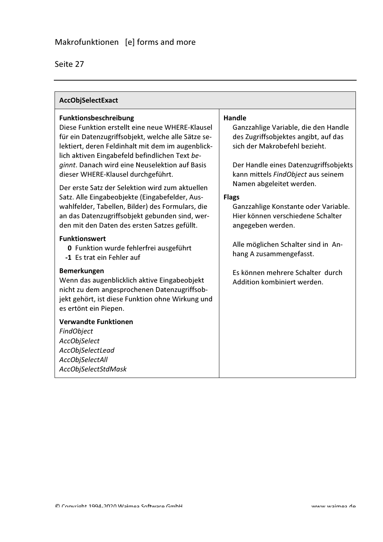| AccObjSelectExact                                                                                                                                                                                                                                                                                                                                                                                                                                                                                                                               |                                                                                                                                                                                                                                                                                                                                 |
|-------------------------------------------------------------------------------------------------------------------------------------------------------------------------------------------------------------------------------------------------------------------------------------------------------------------------------------------------------------------------------------------------------------------------------------------------------------------------------------------------------------------------------------------------|---------------------------------------------------------------------------------------------------------------------------------------------------------------------------------------------------------------------------------------------------------------------------------------------------------------------------------|
| <b>Funktionsbeschreibung</b><br>Diese Funktion erstellt eine neue WHERE-Klausel<br>für ein Datenzugriffsobjekt, welche alle Sätze se-<br>lektiert, deren Feldinhalt mit dem im augenblick-<br>lich aktiven Eingabefeld befindlichen Text be-<br>ginnt. Danach wird eine Neuselektion auf Basis<br>dieser WHERE-Klausel durchgeführt.<br>Der erste Satz der Selektion wird zum aktuellen<br>Satz. Alle Eingabeobjekte (Eingabefelder, Aus-<br>wahlfelder, Tabellen, Bilder) des Formulars, die<br>an das Datenzugriffsobjekt gebunden sind, wer- | Handle<br>Ganzzahlige Variable, die den Handle<br>des Zugriffsobjektes angibt, auf das<br>sich der Makrobefehl bezieht.<br>Der Handle eines Datenzugriffsobjekts<br>kann mittels FindObject aus seinem<br>Namen abgeleitet werden.<br><b>Flags</b><br>Ganzzahlige Konstante oder Variable.<br>Hier können verschiedene Schalter |
| den mit den Daten des ersten Satzes gefüllt.<br><b>Funktionswert</b><br>0 Funktion wurde fehlerfrei ausgeführt<br>-1 Es trat ein Fehler auf                                                                                                                                                                                                                                                                                                                                                                                                     | angegeben werden.<br>Alle möglichen Schalter sind in An-<br>hang A zusammengefasst.                                                                                                                                                                                                                                             |
| Bemerkungen<br>Wenn das augenblicklich aktive Eingabeobjekt<br>nicht zu dem angesprochenen Datenzugriffsob-<br>jekt gehört, ist diese Funktion ohne Wirkung und<br>es ertönt ein Piepen.                                                                                                                                                                                                                                                                                                                                                        | Es können mehrere Schalter durch<br>Addition kombiniert werden.                                                                                                                                                                                                                                                                 |
| <b>Verwandte Funktionen</b><br>FindObject<br><b>AccObjSelect</b><br>AccObjSelectLead<br><b>AccObjSelectAll</b><br>AccObjSelectStdMask                                                                                                                                                                                                                                                                                                                                                                                                           |                                                                                                                                                                                                                                                                                                                                 |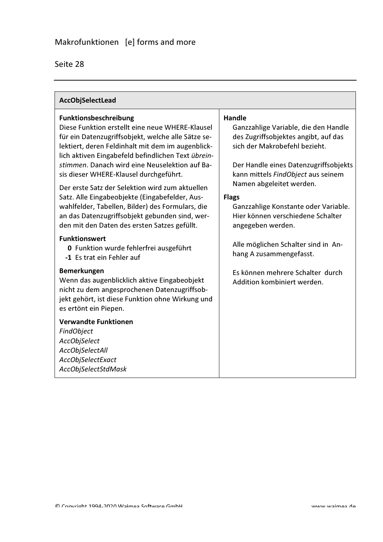| AccObjSelectLead                                                                                                                                                                                                                                                                                                                                                                                                                                                                                                                                                                                 |                                                                                                                                                                                                                                                                                                                                                             |
|--------------------------------------------------------------------------------------------------------------------------------------------------------------------------------------------------------------------------------------------------------------------------------------------------------------------------------------------------------------------------------------------------------------------------------------------------------------------------------------------------------------------------------------------------------------------------------------------------|-------------------------------------------------------------------------------------------------------------------------------------------------------------------------------------------------------------------------------------------------------------------------------------------------------------------------------------------------------------|
| Funktionsbeschreibung<br>Diese Funktion erstellt eine neue WHERE-Klausel<br>für ein Datenzugriffsobjekt, welche alle Sätze se-<br>lektiert, deren Feldinhalt mit dem im augenblick-<br>lich aktiven Eingabefeld befindlichen Text übrein-<br>stimmen. Danach wird eine Neuselektion auf Ba-<br>sis dieser WHERE-Klausel durchgeführt.<br>Der erste Satz der Selektion wird zum aktuellen<br>Satz. Alle Eingabeobjekte (Eingabefelder, Aus-<br>wahlfelder, Tabellen, Bilder) des Formulars, die<br>an das Datenzugriffsobjekt gebunden sind, wer-<br>den mit den Daten des ersten Satzes gefüllt. | <b>Handle</b><br>Ganzzahlige Variable, die den Handle<br>des Zugriffsobjektes angibt, auf das<br>sich der Makrobefehl bezieht.<br>Der Handle eines Datenzugriffsobjekts<br>kann mittels FindObject aus seinem<br>Namen abgeleitet werden.<br><b>Flags</b><br>Ganzzahlige Konstante oder Variable.<br>Hier können verschiedene Schalter<br>angegeben werden. |
| <b>Funktionswert</b><br><b>0</b> Funktion wurde fehlerfrei ausgeführt<br>-1 Es trat ein Fehler auf                                                                                                                                                                                                                                                                                                                                                                                                                                                                                               | Alle möglichen Schalter sind in An-<br>hang A zusammengefasst.                                                                                                                                                                                                                                                                                              |
| <b>Bemerkungen</b><br>Wenn das augenblicklich aktive Eingabeobjekt<br>nicht zu dem angesprochenen Datenzugriffsob-<br>jekt gehört, ist diese Funktion ohne Wirkung und<br>es ertönt ein Piepen.                                                                                                                                                                                                                                                                                                                                                                                                  | Es können mehrere Schalter durch<br>Addition kombiniert werden.                                                                                                                                                                                                                                                                                             |
| <b>Verwandte Funktionen</b><br>FindObject<br><b>AccObjSelect</b><br><b>AccObjSelectAll</b><br>AccObjSelectExact<br>AccObjSelectStdMask                                                                                                                                                                                                                                                                                                                                                                                                                                                           |                                                                                                                                                                                                                                                                                                                                                             |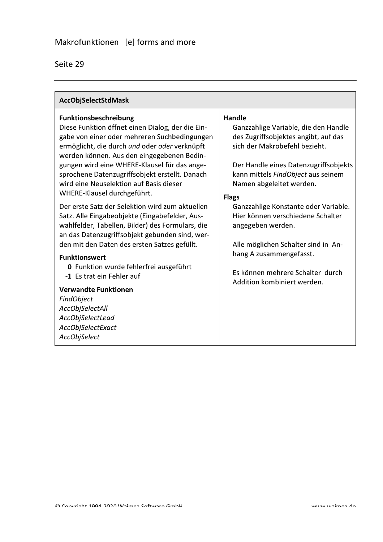| <b>Funktionsbeschreibung</b><br>Diese Funktion öffnet einen Dialog, der die Ein-<br>gabe von einer oder mehreren Suchbedingungen<br>ermöglicht, die durch und oder oder verknüpft<br>werden können. Aus den eingegebenen Bedin-<br>gungen wird eine WHERE-Klausel für das ange-<br>sprochene Datenzugriffsobjekt erstellt. Danach<br>wird eine Neuselektion auf Basis dieser<br>WHERE-Klausel durchgeführt.<br><b>Flags</b><br>Der erste Satz der Selektion wird zum aktuellen<br>Satz. Alle Eingabeobjekte (Eingabefelder, Aus-<br>wahlfelder, Tabellen, Bilder) des Formulars, die<br>an das Datenzugriffsobjekt gebunden sind, wer-<br>den mit den Daten des ersten Satzes gefüllt.<br><b>Funktionswert</b><br>0 Funktion wurde fehlerfrei ausgeführt<br>-1 Es trat ein Fehler auf<br><b>Verwandte Funktionen</b><br>FindObject<br><b>AccObjSelectAll</b><br>AccObjSelectLead<br>AccObjSelectExact<br><b>AccObjSelect</b> | <b>Handle</b><br>Ganzzahlige Variable, die den Handle<br>des Zugriffsobjektes angibt, auf das<br>sich der Makrobefehl bezieht.<br>Der Handle eines Datenzugriffsobjekts<br>kann mittels FindObject aus seinem<br>Namen abgeleitet werden.<br>Ganzzahlige Konstante oder Variable.<br>Hier können verschiedene Schalter<br>angegeben werden.<br>Alle möglichen Schalter sind in An-<br>hang A zusammengefasst.<br>Es können mehrere Schalter durch<br>Addition kombiniert werden. |
|------------------------------------------------------------------------------------------------------------------------------------------------------------------------------------------------------------------------------------------------------------------------------------------------------------------------------------------------------------------------------------------------------------------------------------------------------------------------------------------------------------------------------------------------------------------------------------------------------------------------------------------------------------------------------------------------------------------------------------------------------------------------------------------------------------------------------------------------------------------------------------------------------------------------------|----------------------------------------------------------------------------------------------------------------------------------------------------------------------------------------------------------------------------------------------------------------------------------------------------------------------------------------------------------------------------------------------------------------------------------------------------------------------------------|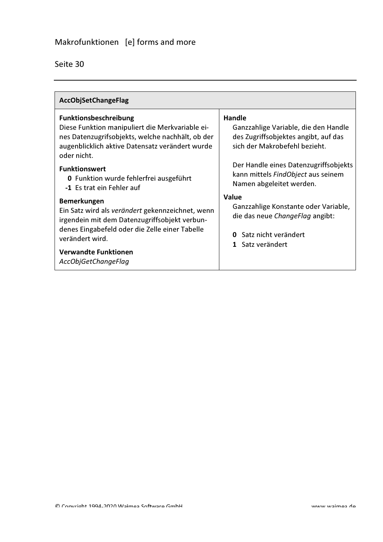| <b>AccObjSetChangeFlag</b>                                                                                                                                                                                                                         |                                                                                                                                          |
|----------------------------------------------------------------------------------------------------------------------------------------------------------------------------------------------------------------------------------------------------|------------------------------------------------------------------------------------------------------------------------------------------|
| <b>Funktionsbeschreibung</b><br>Diese Funktion manipuliert die Merkvariable ei-<br>nes Datenzugrifsobjekts, welche nachhält, ob der<br>augenblicklich aktive Datensatz verändert wurde<br>oder nicht.                                              | Handle<br>Ganzzahlige Variable, die den Handle<br>des Zugriffsobjektes angibt, auf das<br>sich der Makrobefehl bezieht.                  |
| <b>Funktionswert</b><br>0 Funktion wurde fehlerfrei ausgeführt<br>-1 Es trat ein Fehler auf                                                                                                                                                        | Der Handle eines Datenzugriffsobjekts<br>kann mittels FindObject aus seinem<br>Namen abgeleitet werden.                                  |
| <b>Bemerkungen</b><br>Ein Satz wird als verändert gekennzeichnet, wenn<br>irgendein mit dem Datenzugriffsobjekt verbun-<br>denes Eingabefeld oder die Zelle einer Tabelle<br>verändert wird.<br><b>Verwandte Funktionen</b><br>AccObjGetChangeFlag | <b>Value</b><br>Ganzzahlige Konstante oder Variable,<br>die das neue ChangeFlag angibt:<br>Satz nicht verändert<br>0<br>1 Satz verändert |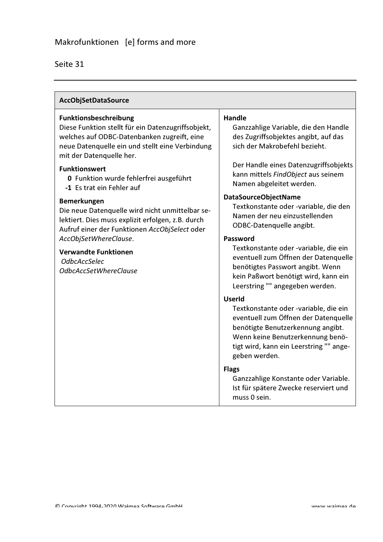| <b>AccObjSetDataSource</b>                                                                                                                                                                                                                                                                                                                                                                                                                                                                     |                                                                                                                                                                                                                                                                                                                                                                                |  |
|------------------------------------------------------------------------------------------------------------------------------------------------------------------------------------------------------------------------------------------------------------------------------------------------------------------------------------------------------------------------------------------------------------------------------------------------------------------------------------------------|--------------------------------------------------------------------------------------------------------------------------------------------------------------------------------------------------------------------------------------------------------------------------------------------------------------------------------------------------------------------------------|--|
| <b>Funktionsbeschreibung</b><br>Diese Funktion stellt für ein Datenzugriffsobjekt,<br>welches auf ODBC-Datenbanken zugreift, eine<br>neue Datenquelle ein und stellt eine Verbindung<br>mit der Datenquelle her.<br><b>Funktionswert</b><br>0 Funktion wurde fehlerfrei ausgeführt<br>-1 Es trat ein Fehler auf<br><b>Bemerkungen</b><br>Die neue Datenquelle wird nicht unmittelbar se-<br>lektiert. Dies muss explizit erfolgen, z.B. durch<br>Aufruf einer der Funktionen AccObjSelect oder | <b>Handle</b><br>Ganzzahlige Variable, die den Handle<br>des Zugriffsobjektes angibt, auf das<br>sich der Makrobefehl bezieht.<br>Der Handle eines Datenzugriffsobjekts<br>kann mittels FindObject aus seinem<br>Namen abgeleitet werden.<br><b>DataSourceObjectName</b><br>Textkonstante oder -variable, die den<br>Namen der neu einzustellenden<br>ODBC-Datenquelle angibt. |  |
| AccObjSetWhereClause.<br><b>Verwandte Funktionen</b><br><b>OdbcAccSelec</b><br>OdbcAccSetWhereClause                                                                                                                                                                                                                                                                                                                                                                                           | Password<br>Textkonstante oder -variable, die ein<br>eventuell zum Öffnen der Datenquelle<br>benötigtes Passwort angibt. Wenn<br>kein Paßwort benötigt wird, kann ein<br>Leerstring "" angegeben werden.                                                                                                                                                                       |  |
|                                                                                                                                                                                                                                                                                                                                                                                                                                                                                                | <b>UserId</b><br>Textkonstante oder -variable, die ein<br>eventuell zum Öffnen der Datenquelle<br>benötigte Benutzerkennung angibt.<br>Wenn keine Benutzerkennung benö-<br>tigt wird, kann ein Leerstring "" ange-<br>geben werden.                                                                                                                                            |  |
|                                                                                                                                                                                                                                                                                                                                                                                                                                                                                                | <b>Flags</b><br>Ganzzahlige Konstante oder Variable.<br>Ist für spätere Zwecke reserviert und<br>muss 0 sein.                                                                                                                                                                                                                                                                  |  |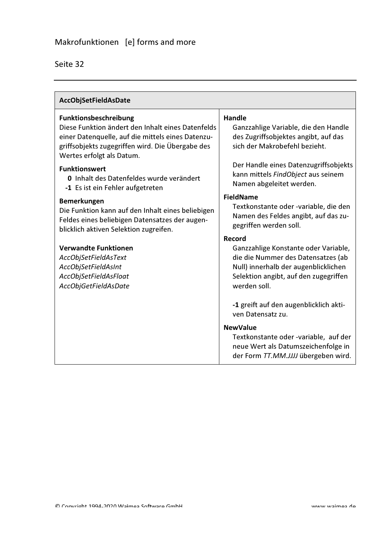| AccObjSetFieldAsDate                                                                                                                                                                                             |                                                                                                                                                                                       |
|------------------------------------------------------------------------------------------------------------------------------------------------------------------------------------------------------------------|---------------------------------------------------------------------------------------------------------------------------------------------------------------------------------------|
| Funktionsbeschreibung<br>Diese Funktion ändert den Inhalt eines Datenfelds<br>einer Datenquelle, auf die mittels eines Datenzu-<br>griffsobjekts zugegriffen wird. Die Übergabe des<br>Wertes erfolgt als Datum. | <b>Handle</b><br>Ganzzahlige Variable, die den Handle<br>des Zugriffsobjektes angibt, auf das<br>sich der Makrobefehl bezieht.                                                        |
| <b>Funktionswert</b><br>0 Inhalt des Datenfeldes wurde verändert<br>-1 Es ist ein Fehler aufgetreten                                                                                                             | Der Handle eines Datenzugriffsobjekts<br>kann mittels FindObject aus seinem<br>Namen abgeleitet werden.                                                                               |
| <b>Bemerkungen</b><br>Die Funktion kann auf den Inhalt eines beliebigen<br>Feldes eines beliebigen Datensatzes der augen-<br>blicklich aktiven Selektion zugreifen.                                              | <b>FieldName</b><br>Textkonstante oder -variable, die den<br>Namen des Feldes angibt, auf das zu-<br>gegriffen werden soll.                                                           |
| <b>Verwandte Funktionen</b><br>AccObjSetFieldAsText<br>AccObjSetFieldAsInt<br>AccObjSetFieldAsFloat<br>AccObjGetFieldAsDate                                                                                      | Record<br>Ganzzahlige Konstante oder Variable,<br>die die Nummer des Datensatzes (ab<br>Null) innerhalb der augenblicklichen<br>Selektion angibt, auf den zugegriffen<br>werden soll. |
|                                                                                                                                                                                                                  | -1 greift auf den augenblicklich akti-<br>ven Datensatz zu.                                                                                                                           |
|                                                                                                                                                                                                                  | <b>NewValue</b><br>Textkonstante oder -variable, auf der<br>neue Wert als Datumszeichenfolge in<br>der Form TT.MM.JJJJ übergeben wird.                                                |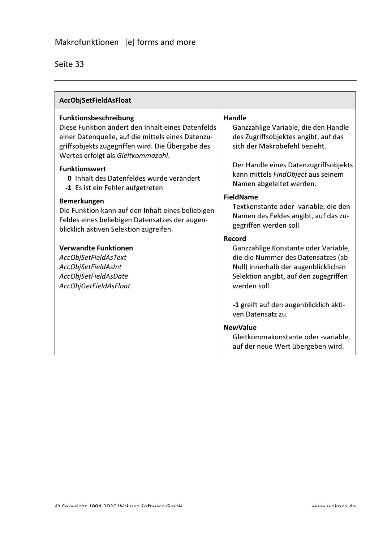| AccObjSetFieldAsFloat                                                                                                                                                                                                            |                                                                                                                                                                                       |  |
|----------------------------------------------------------------------------------------------------------------------------------------------------------------------------------------------------------------------------------|---------------------------------------------------------------------------------------------------------------------------------------------------------------------------------------|--|
| <b>Funktionsbeschreibung</b><br>Diese Funktion ändert den Inhalt eines Datenfelds<br>einer Datenquelle, auf die mittels eines Datenzu-<br>griffsobjekts zugegriffen wird. Die Übergabe des<br>Wertes erfolgt als Gleitkommazahl. | <b>Handle</b><br>Ganzzahlige Variable, die den Handle<br>des Zugriffsobjektes angibt, auf das<br>sich der Makrobefehl bezieht.                                                        |  |
| <b>Funktionswert</b><br>0 Inhalt des Datenfeldes wurde verändert<br>-1 Es ist ein Fehler aufgetreten                                                                                                                             | Der Handle eines Datenzugriffsobjekts<br>kann mittels FindObject aus seinem<br>Namen abgeleitet werden.                                                                               |  |
| Bemerkungen<br>Die Funktion kann auf den Inhalt eines beliebigen<br>Feldes eines beliebigen Datensatzes der augen-<br>blicklich aktiven Selektion zugreifen.                                                                     | <b>FieldName</b><br>Textkonstante oder -variable, die den<br>Namen des Feldes angibt, auf das zu-<br>gegriffen werden soll.                                                           |  |
| <b>Verwandte Funktionen</b><br>AccObjSetFieldAsText<br>AccObjSetFieldAsInt<br>AccObjSetFieldAsDate<br>AccObjGetFieldAsFloat                                                                                                      | Record<br>Ganzzahlige Konstante oder Variable,<br>die die Nummer des Datensatzes (ab<br>Null) innerhalb der augenblicklichen<br>Selektion angibt, auf den zugegriffen<br>werden soll. |  |
|                                                                                                                                                                                                                                  | -1 greift auf den augenblicklich akti-<br>ven Datensatz zu.                                                                                                                           |  |
|                                                                                                                                                                                                                                  | <b>NewValue</b><br>Gleitkommakonstante oder -variable,<br>auf der neue Wert übergeben wird.                                                                                           |  |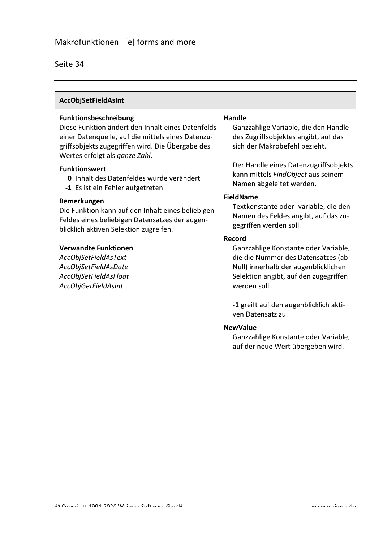| <b>AccObjSetFieldAsInt</b>                                                                                                                                                                                                   |                                                                                                                                                                                       |  |
|------------------------------------------------------------------------------------------------------------------------------------------------------------------------------------------------------------------------------|---------------------------------------------------------------------------------------------------------------------------------------------------------------------------------------|--|
| <b>Funktionsbeschreibung</b><br>Diese Funktion ändert den Inhalt eines Datenfelds<br>einer Datenquelle, auf die mittels eines Datenzu-<br>griffsobjekts zugegriffen wird. Die Übergabe des<br>Wertes erfolgt als ganze Zahl. | Handle<br>Ganzzahlige Variable, die den Handle<br>des Zugriffsobjektes angibt, auf das<br>sich der Makrobefehl bezieht.                                                               |  |
| <b>Funktionswert</b><br>0 Inhalt des Datenfeldes wurde verändert<br>-1 Es ist ein Fehler aufgetreten                                                                                                                         | Der Handle eines Datenzugriffsobjekts<br>kann mittels FindObject aus seinem<br>Namen abgeleitet werden.                                                                               |  |
| <b>Bemerkungen</b><br>Die Funktion kann auf den Inhalt eines beliebigen<br>Feldes eines beliebigen Datensatzes der augen-<br>blicklich aktiven Selektion zugreifen.                                                          | <b>FieldName</b><br>Textkonstante oder -variable, die den<br>Namen des Feldes angibt, auf das zu-<br>gegriffen werden soll.                                                           |  |
| <b>Verwandte Funktionen</b><br>AccObjSetFieldAsText<br>AccObjSetFieldAsDate<br>AccObjSetFieldAsFloat<br>AccObjGetFieldAsInt                                                                                                  | Record<br>Ganzzahlige Konstante oder Variable,<br>die die Nummer des Datensatzes (ab<br>Null) innerhalb der augenblicklichen<br>Selektion angibt, auf den zugegriffen<br>werden soll. |  |
|                                                                                                                                                                                                                              | -1 greift auf den augenblicklich akti-<br>ven Datensatz zu.                                                                                                                           |  |
|                                                                                                                                                                                                                              | <b>NewValue</b><br>Ganzzahlige Konstante oder Variable,<br>auf der neue Wert übergeben wird.                                                                                          |  |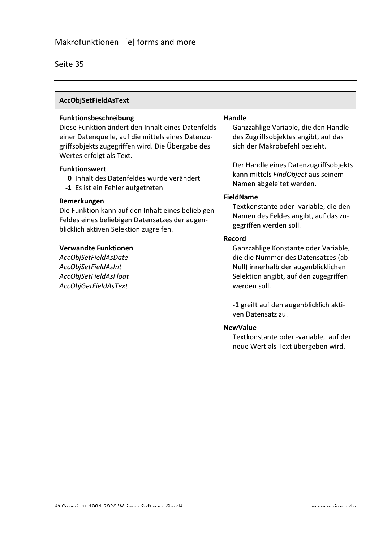| <b>AccObjSetFieldAsText</b>                                                                                                                                                                                     |                                                                                                                                                                                       |  |
|-----------------------------------------------------------------------------------------------------------------------------------------------------------------------------------------------------------------|---------------------------------------------------------------------------------------------------------------------------------------------------------------------------------------|--|
| Funktionsbeschreibung<br>Diese Funktion ändert den Inhalt eines Datenfelds<br>einer Datenquelle, auf die mittels eines Datenzu-<br>griffsobjekts zugegriffen wird. Die Übergabe des<br>Wertes erfolgt als Text. | Handle<br>Ganzzahlige Variable, die den Handle<br>des Zugriffsobjektes angibt, auf das<br>sich der Makrobefehl bezieht.                                                               |  |
| <b>Funktionswert</b><br>0 Inhalt des Datenfeldes wurde verändert<br>-1 Es ist ein Fehler aufgetreten                                                                                                            | Der Handle eines Datenzugriffsobjekts<br>kann mittels FindObject aus seinem<br>Namen abgeleitet werden.                                                                               |  |
| <b>Bemerkungen</b><br>Die Funktion kann auf den Inhalt eines beliebigen<br>Feldes eines beliebigen Datensatzes der augen-<br>blicklich aktiven Selektion zugreifen.                                             | <b>FieldName</b><br>Textkonstante oder -variable, die den<br>Namen des Feldes angibt, auf das zu-<br>gegriffen werden soll.                                                           |  |
| <b>Verwandte Funktionen</b><br>AccObjSetFieldAsDate<br>AccObjSetFieldAsInt<br>AccObjSetFieldAsFloat<br>AccObjGetFieldAsText                                                                                     | Record<br>Ganzzahlige Konstante oder Variable,<br>die die Nummer des Datensatzes (ab<br>Null) innerhalb der augenblicklichen<br>Selektion angibt, auf den zugegriffen<br>werden soll. |  |
|                                                                                                                                                                                                                 | -1 greift auf den augenblicklich akti-<br>ven Datensatz zu.                                                                                                                           |  |
|                                                                                                                                                                                                                 | <b>NewValue</b><br>Textkonstante oder -variable, auf der<br>neue Wert als Text übergeben wird.                                                                                        |  |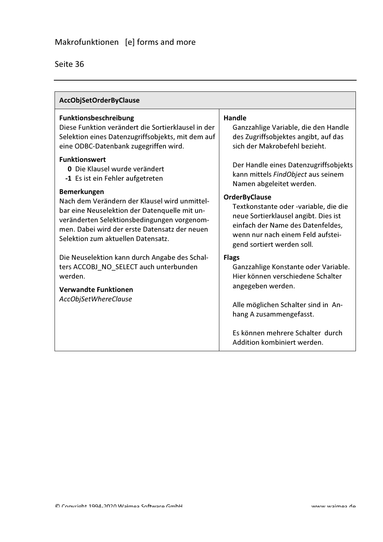| <b>AccObjSetOrderByClause</b>                                                                                                                             |                                                                                                                                                       |  |
|-----------------------------------------------------------------------------------------------------------------------------------------------------------|-------------------------------------------------------------------------------------------------------------------------------------------------------|--|
| Funktionsbeschreibung                                                                                                                                     | <b>Handle</b>                                                                                                                                         |  |
| Diese Funktion verändert die Sortierklausel in der                                                                                                        | Ganzzahlige Variable, die den Handle                                                                                                                  |  |
| Selektion eines Datenzugriffsobjekts, mit dem auf                                                                                                         | des Zugriffsobjektes angibt, auf das                                                                                                                  |  |
| eine ODBC-Datenbank zugegriffen wird.                                                                                                                     | sich der Makrobefehl bezieht.                                                                                                                         |  |
| <b>Funktionswert</b>                                                                                                                                      | Der Handle eines Datenzugriffsobjekts                                                                                                                 |  |
| 0 Die Klausel wurde verändert                                                                                                                             | kann mittels FindObject aus seinem                                                                                                                    |  |
| -1 Es ist ein Fehler aufgetreten                                                                                                                          | Namen abgeleitet werden.                                                                                                                              |  |
| <b>Bemerkungen</b>                                                                                                                                        | <b>OrderByClause</b>                                                                                                                                  |  |
| Nach dem Verändern der Klausel wird unmittel-                                                                                                             | Textkonstante oder -variable, die die                                                                                                                 |  |
| bar eine Neuselektion der Datenquelle mit un-                                                                                                             | neue Sortierklausel angibt. Dies ist                                                                                                                  |  |
| veränderten Selektionsbedingungen vorgenom-                                                                                                               | einfach der Name des Datenfeldes,                                                                                                                     |  |
| men. Dabei wird der erste Datensatz der neuen                                                                                                             | wenn nur nach einem Feld aufstei-                                                                                                                     |  |
| Selektion zum aktuellen Datensatz.                                                                                                                        | gend sortiert werden soll.                                                                                                                            |  |
| Die Neuselektion kann durch Angabe des Schal-<br>ters ACCOBJ_NO_SELECT auch unterbunden<br>werden.<br><b>Verwandte Funktionen</b><br>AccObjSetWhereClause | <b>Flags</b><br>Ganzzahlige Konstante oder Variable.<br>Hier können verschiedene Schalter<br>angegeben werden.<br>Alle möglichen Schalter sind in An- |  |
|                                                                                                                                                           | hang A zusammengefasst.<br>Es können mehrere Schalter durch<br>Addition kombiniert werden.                                                            |  |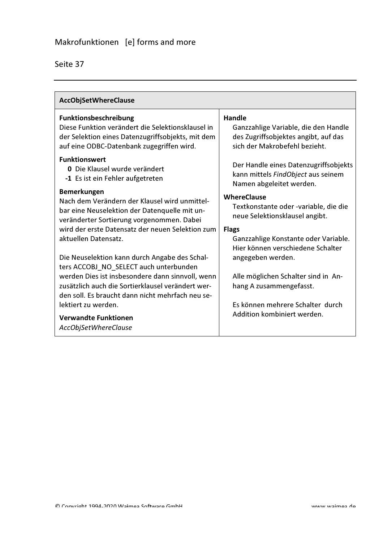| <b>AccObjSetWhereClause</b>                                                                                                                                                  |                                                                                                                                |
|------------------------------------------------------------------------------------------------------------------------------------------------------------------------------|--------------------------------------------------------------------------------------------------------------------------------|
| Funktionsbeschreibung<br>Diese Funktion verändert die Selektionsklausel in<br>der Selektion eines Datenzugriffsobjekts, mit dem<br>auf eine ODBC-Datenbank zugegriffen wird. | <b>Handle</b><br>Ganzzahlige Variable, die den Handle<br>des Zugriffsobjektes angibt, auf das<br>sich der Makrobefehl bezieht. |
| <b>Funktionswert</b><br>0 Die Klausel wurde verändert<br>-1 Es ist ein Fehler aufgetreten                                                                                    | Der Handle eines Datenzugriffsobjekts<br>kann mittels FindObject aus seinem<br>Namen abgeleitet werden.                        |
| <b>Bemerkungen</b><br>Nach dem Verändern der Klausel wird unmittel-<br>bar eine Neuselektion der Datenquelle mit un-<br>veränderter Sortierung vorgenommen. Dabei            | <b>WhereClause</b><br>Textkonstante oder -variable, die die<br>neue Selektionsklausel angibt.                                  |
| wird der erste Datensatz der neuen Selektion zum<br>aktuellen Datensatz.                                                                                                     | <b>Flags</b><br>Ganzzahlige Konstante oder Variable.<br>Hier können verschiedene Schalter                                      |
| Die Neuselektion kann durch Angabe des Schal-<br>ters ACCOBJ_NO_SELECT auch unterbunden                                                                                      | angegeben werden.                                                                                                              |
| werden Dies ist insbesondere dann sinnvoll, wenn<br>zusätzlich auch die Sortierklausel verändert wer-<br>den soll. Es braucht dann nicht mehrfach neu se-                    | Alle möglichen Schalter sind in An-<br>hang A zusammengefasst.                                                                 |
| lektiert zu werden.<br><b>Verwandte Funktionen</b><br>AccObjSetWhereClause                                                                                                   | Es können mehrere Schalter durch<br>Addition kombiniert werden.                                                                |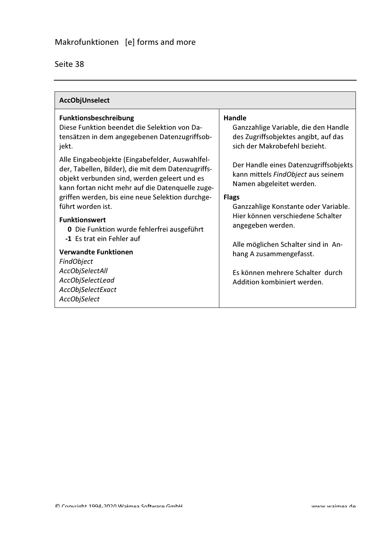| Seite 38 |  |
|----------|--|
|          |  |

| AccObjUnselect                                                                                                                                                                                                                                                                                                                                                                                                                                                                                                                                                                                                                                  |                                                                                                                                                                                                                                                                                                                                                                                                                                                                                                  |
|-------------------------------------------------------------------------------------------------------------------------------------------------------------------------------------------------------------------------------------------------------------------------------------------------------------------------------------------------------------------------------------------------------------------------------------------------------------------------------------------------------------------------------------------------------------------------------------------------------------------------------------------------|--------------------------------------------------------------------------------------------------------------------------------------------------------------------------------------------------------------------------------------------------------------------------------------------------------------------------------------------------------------------------------------------------------------------------------------------------------------------------------------------------|
| Funktionsbeschreibung<br>Diese Funktion beendet die Selektion von Da-<br>tensätzen in dem angegebenen Datenzugriffsob-<br>jekt.<br>Alle Eingabeobjekte (Eingabefelder, Auswahlfel-<br>der, Tabellen, Bilder), die mit dem Datenzugriffs-<br>objekt verbunden sind, werden geleert und es<br>kann fortan nicht mehr auf die Datenquelle zuge-<br>griffen werden, bis eine neue Selektion durchge-<br>führt worden ist.<br><b>Funktionswert</b><br><b>0</b> Die Funktion wurde fehlerfrei ausgeführt<br>-1 Es trat ein Fehler auf<br><b>Verwandte Funktionen</b><br>FindObject<br><b>AccObjSelectAll</b><br>AccObjSelectLead<br>AccObjSelectExact | <b>Handle</b><br>Ganzzahlige Variable, die den Handle<br>des Zugriffsobjektes angibt, auf das<br>sich der Makrobefehl bezieht.<br>Der Handle eines Datenzugriffsobjekts<br>kann mittels FindObject aus seinem<br>Namen abgeleitet werden.<br><b>Flags</b><br>Ganzzahlige Konstante oder Variable.<br>Hier können verschiedene Schalter<br>angegeben werden.<br>Alle möglichen Schalter sind in An-<br>hang A zusammengefasst.<br>Es können mehrere Schalter durch<br>Addition kombiniert werden. |
| AccObjSelect                                                                                                                                                                                                                                                                                                                                                                                                                                                                                                                                                                                                                                    |                                                                                                                                                                                                                                                                                                                                                                                                                                                                                                  |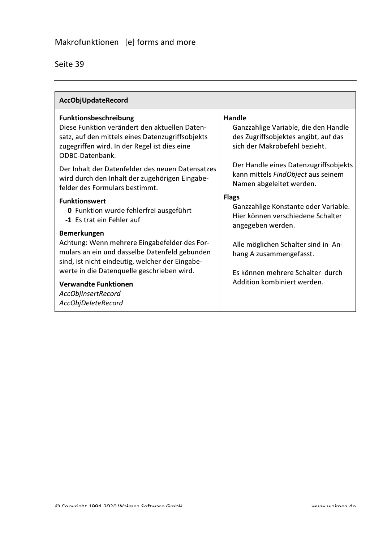|  | Seite 39 |
|--|----------|
|  |          |

| AccObjUpdateRecord                                                                                                                                                   |                                                                                                               |
|----------------------------------------------------------------------------------------------------------------------------------------------------------------------|---------------------------------------------------------------------------------------------------------------|
| Funktionsbeschreibung                                                                                                                                                | <b>Handle</b>                                                                                                 |
| Diese Funktion verändert den aktuellen Daten-<br>satz, auf den mittels eines Datenzugriffsobjekts<br>zugegriffen wird. In der Regel ist dies eine<br>ODBC-Datenbank. | Ganzzahlige Variable, die den Handle<br>des Zugriffsobjektes angibt, auf das<br>sich der Makrobefehl bezieht. |
| Der Inhalt der Datenfelder des neuen Datensatzes<br>wird durch den Inhalt der zugehörigen Eingabe-<br>felder des Formulars bestimmt.                                 | Der Handle eines Datenzugriffsobjekts<br>kann mittels FindObject aus seinem<br>Namen abgeleitet werden.       |
| <b>Funktionswert</b>                                                                                                                                                 | <b>Flags</b>                                                                                                  |
| 0 Funktion wurde fehlerfrei ausgeführt<br>-1 Es trat ein Fehler auf                                                                                                  | Ganzzahlige Konstante oder Variable.<br>Hier können verschiedene Schalter<br>angegeben werden.                |
| <b>Bemerkungen</b>                                                                                                                                                   |                                                                                                               |
| Achtung: Wenn mehrere Eingabefelder des For-<br>mulars an ein und dasselbe Datenfeld gebunden                                                                        | Alle möglichen Schalter sind in An-<br>hang A zusammengefasst.                                                |
| sind, ist nicht eindeutig, welcher der Eingabe-                                                                                                                      |                                                                                                               |
| werte in die Datenquelle geschrieben wird.                                                                                                                           | Es können mehrere Schalter durch                                                                              |
| <b>Verwandte Funktionen</b>                                                                                                                                          | Addition kombiniert werden.                                                                                   |
| AccObjInsertRecord                                                                                                                                                   |                                                                                                               |
| AccObjDeleteRecord                                                                                                                                                   |                                                                                                               |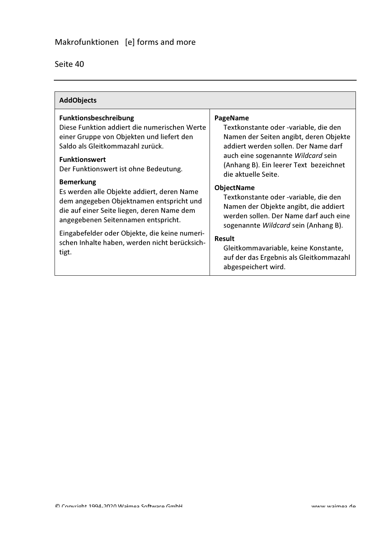| <b>AddObjects</b>                                                                                                                                                                                                                                                                                                                                                                                                                                                                                                                            |                                                                                                                                                                                                                                                                                                                                                                                                                                                                                                                                                                |  |
|----------------------------------------------------------------------------------------------------------------------------------------------------------------------------------------------------------------------------------------------------------------------------------------------------------------------------------------------------------------------------------------------------------------------------------------------------------------------------------------------------------------------------------------------|----------------------------------------------------------------------------------------------------------------------------------------------------------------------------------------------------------------------------------------------------------------------------------------------------------------------------------------------------------------------------------------------------------------------------------------------------------------------------------------------------------------------------------------------------------------|--|
| <b>Funktionsbeschreibung</b><br>Diese Funktion addiert die numerischen Werte<br>einer Gruppe von Objekten und liefert den<br>Saldo als Gleitkommazahl zurück.<br><b>Funktionswert</b><br>Der Funktionswert ist ohne Bedeutung.<br><b>Bemerkung</b><br>Es werden alle Objekte addiert, deren Name<br>dem angegeben Objektnamen entspricht und<br>die auf einer Seite liegen, deren Name dem<br>angegebenen Seitennamen entspricht.<br>Eingabefelder oder Objekte, die keine numeri-<br>schen Inhalte haben, werden nicht berücksich-<br>tigt. | PageName<br>Textkonstante oder -variable, die den<br>Namen der Seiten angibt, deren Objekte<br>addiert werden sollen. Der Name darf<br>auch eine sogenannte Wildcard sein<br>(Anhang B). Ein leerer Text bezeichnet<br>die aktuelle Seite.<br><b>ObjectName</b><br>Textkonstante oder -variable, die den<br>Namen der Objekte angibt, die addiert<br>werden sollen. Der Name darf auch eine<br>sogenannte Wildcard sein (Anhang B).<br><b>Result</b><br>Gleitkommavariable, keine Konstante,<br>auf der das Ergebnis als Gleitkommazahl<br>abgespeichert wird. |  |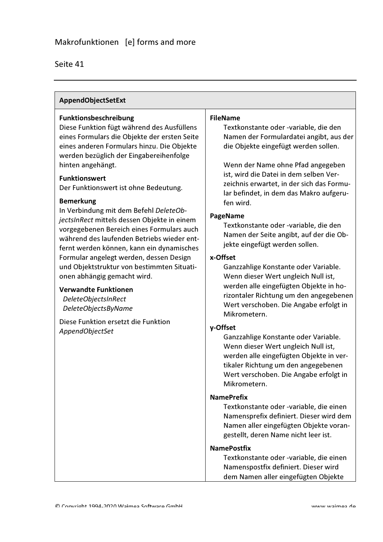#### AppendObjectSetExt

#### Funktionsbeschreibung

Diese Funktion fügt während des Ausfüllens eines Formulars die Objekte der ersten Seite eines anderen Formulars hinzu. Die Objekte werden bezüglich der Eingabereihenfolge hinten angehängt.

#### **Funktionswert**

Der Funktionswert ist ohne Bedeutung.

#### **Bemerkung**

In Verbindung mit dem Befehl DeleteObjectsInRect mittels dessen Objekte in einem vorgegebenen Bereich eines Formulars auch während des laufenden Betriebs wieder entfernt werden können, kann ein dynamisches Formular angelegt werden, dessen Design und Objektstruktur von bestimmten Situationen abhängig gemacht wird.

#### Verwandte Funktionen

**DeleteObjectsInRect** DeleteObjectsByName

Diese Funktion ersetzt die Funktion AppendObjectSet

#### **FileName**

Textkonstante oder -variable, die den Namen der Formulardatei angibt, aus der die Objekte eingefügt werden sollen.

Wenn der Name ohne Pfad angegeben ist, wird die Datei in dem selben Verzeichnis erwartet, in der sich das Formular befindet, in dem das Makro aufgerufen wird.

#### **PageName**

Textkonstante oder -variable, die den Namen der Seite angibt, auf der die Objekte eingefügt werden sollen.

#### x-Offset

Ganzzahlige Konstante oder Variable. Wenn dieser Wert ungleich Null ist, werden alle eingefügten Objekte in horizontaler Richtung um den angegebenen Wert verschoben. Die Angabe erfolgt in Mikrometern.

#### y-Offset

Ganzzahlige Konstante oder Variable. Wenn dieser Wert ungleich Null ist, werden alle eingefügten Obiekte in vertikaler Richtung um den angegebenen Wert verschoben. Die Angabe erfolgt in Mikrometern.

#### **NamePrefix**

Textkonstante oder -variable, die einen Namensprefix definiert. Dieser wird dem Namen aller eingefügten Objekte vorangestellt, deren Name nicht leer ist.

#### **NamePostfix**

Textkonstante oder -variable, die einen Namenspostfix definiert. Dieser wird dem Namen aller eingefügten Objekte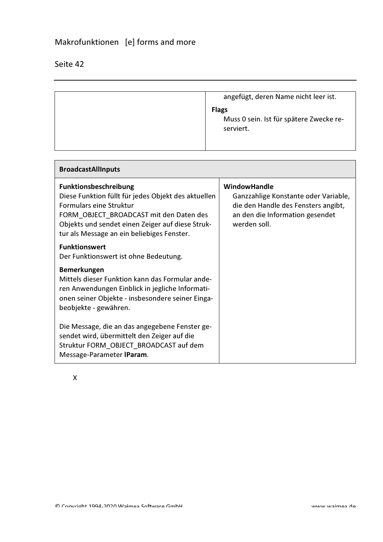## Makrofunktionen [e] forms and more

## Seite 42

 $\mathsf{r}$ 

| angefügt, deren Name nicht leer ist.                                 |
|----------------------------------------------------------------------|
| <b>Flags</b><br>Muss 0 sein. Ist für spätere Zwecke re-<br>serviert. |

| <b>BroadcastAllInputs</b>                                                                                                                                                                                                                                          |                                                                                                                                                |
|--------------------------------------------------------------------------------------------------------------------------------------------------------------------------------------------------------------------------------------------------------------------|------------------------------------------------------------------------------------------------------------------------------------------------|
| <b>Funktionsbeschreibung</b><br>Diese Funktion füllt für jedes Objekt des aktuellen<br><b>Formulars eine Struktur</b><br>FORM_OBJECT_BROADCAST mit den Daten des<br>Objekts und sendet einen Zeiger auf diese Struk-<br>tur als Message an ein beliebiges Fenster. | WindowHandle<br>Ganzzahlige Konstante oder Variable,<br>die den Handle des Fensters angibt,<br>an den die Information gesendet<br>werden soll. |
| <b>Funktionswert</b><br>Der Funktionswert ist ohne Bedeutung.                                                                                                                                                                                                      |                                                                                                                                                |
| <b>Bemerkungen</b><br>Mittels dieser Funktion kann das Formular ande-<br>ren Anwendungen Einblick in jegliche Informati-<br>onen seiner Objekte - insbesondere seiner Einga-<br>beobjekte - gewähren.                                                              |                                                                                                                                                |
| Die Message, die an das angegebene Fenster ge-<br>sendet wird, übermittelt den Zeiger auf die<br>Struktur FORM_OBJECT_BROADCAST auf dem<br>Message-Parameter IParam.                                                                                               |                                                                                                                                                |

 $\mathsf{X}$ 

 $\overline{\phantom{0}}$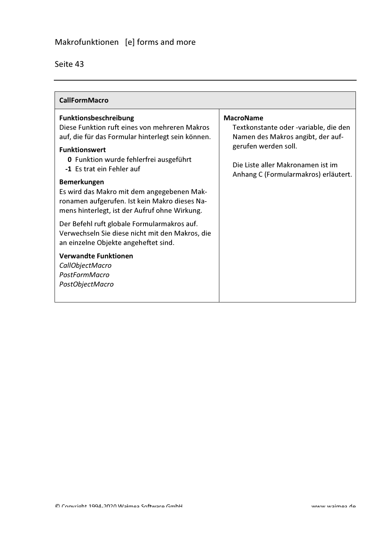| <b>CallFormMacro</b>                                                                                                                                                                                                                                                                                                                                                                                    |                                                                                                                                                                                                     |
|---------------------------------------------------------------------------------------------------------------------------------------------------------------------------------------------------------------------------------------------------------------------------------------------------------------------------------------------------------------------------------------------------------|-----------------------------------------------------------------------------------------------------------------------------------------------------------------------------------------------------|
| Funktionsbeschreibung<br>Diese Funktion ruft eines von mehreren Makros<br>auf, die für das Formular hinterlegt sein können.<br><b>Funktionswert</b><br><b>0</b> Funktion wurde fehlerfrei ausgeführt<br>-1 Es trat ein Fehler auf<br><b>Bemerkungen</b><br>Es wird das Makro mit dem angegebenen Mak-<br>ronamen aufgerufen. Ist kein Makro dieses Na-<br>mens hinterlegt, ist der Aufruf ohne Wirkung. | <b>MacroName</b><br>Textkonstante oder -variable, die den<br>Namen des Makros angibt, der auf-<br>gerufen werden soll.<br>Die Liste aller Makronamen ist im<br>Anhang C (Formularmakros) erläutert. |
| Der Befehl ruft globale Formularmakros auf.<br>Verwechseln Sie diese nicht mit den Makros, die<br>an einzelne Objekte angeheftet sind.<br><b>Verwandte Funktionen</b><br>CallObjectMacro<br>PostFormMacro<br>PostObjectMacro                                                                                                                                                                            |                                                                                                                                                                                                     |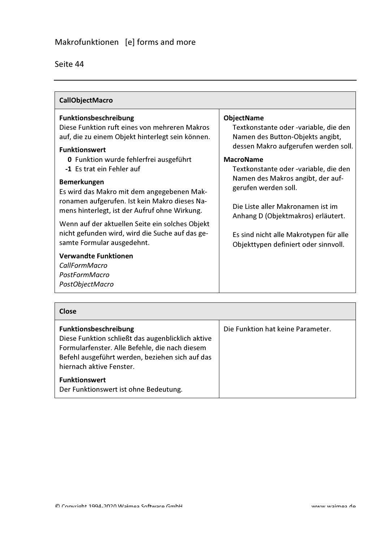| <b>CallObjectMacro</b>                                                                                                                                                                                                                                                                                                                                                                                                                                                                                                                                                                                                         |                                                                                                                                                                                                                                                                                                                                                                                                                               |
|--------------------------------------------------------------------------------------------------------------------------------------------------------------------------------------------------------------------------------------------------------------------------------------------------------------------------------------------------------------------------------------------------------------------------------------------------------------------------------------------------------------------------------------------------------------------------------------------------------------------------------|-------------------------------------------------------------------------------------------------------------------------------------------------------------------------------------------------------------------------------------------------------------------------------------------------------------------------------------------------------------------------------------------------------------------------------|
| <b>Funktionsbeschreibung</b><br>Diese Funktion ruft eines von mehreren Makros<br>auf, die zu einem Objekt hinterlegt sein können.<br><b>Funktionswert</b><br>0 Funktion wurde fehlerfrei ausgeführt<br>-1 Es trat ein Fehler auf<br><b>Bemerkungen</b><br>Es wird das Makro mit dem angegebenen Mak-<br>ronamen aufgerufen. Ist kein Makro dieses Na-<br>mens hinterlegt, ist der Aufruf ohne Wirkung.<br>Wenn auf der aktuellen Seite ein solches Objekt<br>nicht gefunden wird, wird die Suche auf das ge-<br>samte Formular ausgedehnt.<br><b>Verwandte Funktionen</b><br>CallFormMacro<br>PostFormMacro<br>PostObjectMacro | <b>ObjectName</b><br>Textkonstante oder -variable, die den<br>Namen des Button-Objekts angibt,<br>dessen Makro aufgerufen werden soll.<br><b>MacroName</b><br>Textkonstante oder -variable, die den<br>Namen des Makros angibt, der auf-<br>gerufen werden soll.<br>Die Liste aller Makronamen ist im<br>Anhang D (Objektmakros) erläutert.<br>Es sind nicht alle Makrotypen für alle<br>Objekttypen definiert oder sinnvoll. |

| Close                                                                                                                                                                                                       |                                   |
|-------------------------------------------------------------------------------------------------------------------------------------------------------------------------------------------------------------|-----------------------------------|
| Funktionsbeschreibung<br>Diese Funktion schließt das augenblicklich aktive<br>Formularfenster. Alle Befehle, die nach diesem<br>Befehl ausgeführt werden, beziehen sich auf das<br>hiernach aktive Fenster. | Die Funktion hat keine Parameter. |
| <b>Funktionswert</b><br>Der Funktionswert ist ohne Bedeutung.                                                                                                                                               |                                   |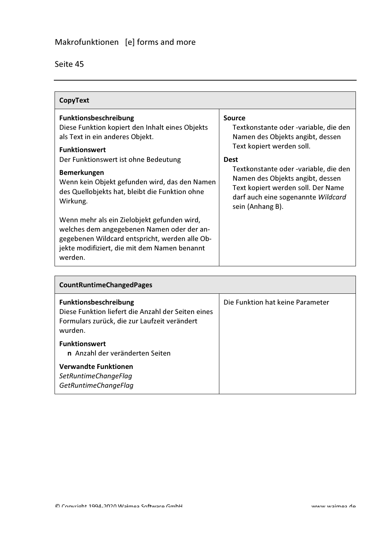| CopyText                                                                                                                                                                                                                                                                                                                |                                                                                                                                                                                                                                                                                                                     |
|-------------------------------------------------------------------------------------------------------------------------------------------------------------------------------------------------------------------------------------------------------------------------------------------------------------------------|---------------------------------------------------------------------------------------------------------------------------------------------------------------------------------------------------------------------------------------------------------------------------------------------------------------------|
| <b>Funktionsbeschreibung</b><br>Diese Funktion kopiert den Inhalt eines Objekts<br>als Text in ein anderes Objekt.<br><b>Funktionswert</b><br>Der Funktionswert ist ohne Bedeutung<br><b>Bemerkungen</b><br>Wenn kein Objekt gefunden wird, das den Namen<br>des Quellobjekts hat, bleibt die Funktion ohne<br>Wirkung. | <b>Source</b><br>Textkonstante oder -variable, die den<br>Namen des Objekts angibt, dessen<br>Text kopiert werden soll.<br><b>Dest</b><br>Textkonstante oder -variable, die den<br>Namen des Objekts angibt, dessen<br>Text kopiert werden soll. Der Name<br>darf auch eine sogenannte Wildcard<br>sein (Anhang B). |
| Wenn mehr als ein Zielobjekt gefunden wird,<br>welches dem angegebenen Namen oder der an-<br>gegebenen Wildcard entspricht, werden alle Ob-<br>jekte modifiziert, die mit dem Namen benannt<br>werden.                                                                                                                  |                                                                                                                                                                                                                                                                                                                     |

| <b>CountRuntimeChangedPages</b>                                                                                                               |                                  |  |
|-----------------------------------------------------------------------------------------------------------------------------------------------|----------------------------------|--|
| <b>Funktionsbeschreibung</b><br>Diese Funktion liefert die Anzahl der Seiten eines<br>Formulars zurück, die zur Laufzeit verändert<br>wurden. | Die Funktion hat keine Parameter |  |
| <b>Funktionswert</b><br>n Anzahl der veränderten Seiten                                                                                       |                                  |  |
| <b>Verwandte Funktionen</b><br>SetRuntimeChangeFlag<br>GetRuntimeChangeFlag                                                                   |                                  |  |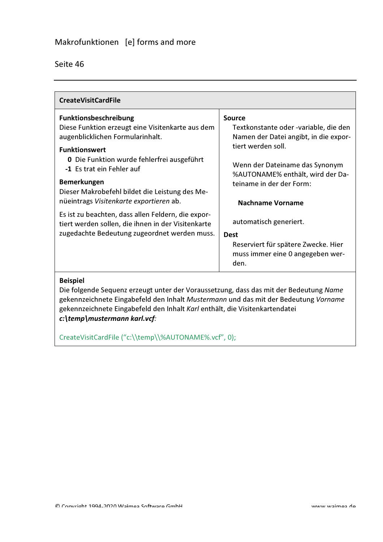| Seite 46 |
|----------|
|----------|

| <b>CreateVisitCardFile</b>                                                            |                                          |
|---------------------------------------------------------------------------------------|------------------------------------------|
| <b>Funktionsbeschreibung</b>                                                          | Source                                   |
| Diese Funktion erzeugt eine Visitenkarte aus dem                                      | Textkonstante oder -variable, die den    |
| augenblicklichen Formularinhalt.                                                      | Namen der Datei angibt, in die expor-    |
| <b>Funktionswert</b>                                                                  | tiert werden soll.                       |
| <b>0</b> Die Funktion wurde fehlerfrei ausgeführt                                     | Wenn der Dateiname das Synonym           |
| -1 Es trat ein Fehler auf                                                             | %AUTONAME% enthält, wird der Da-         |
| <b>Bemerkungen</b>                                                                    | teiname in der der Form:                 |
| Dieser Makrobefehl bildet die Leistung des Me-                                        |                                          |
| nüeintrags Visitenkarte exportieren ab.                                               | <b>Nachname Vorname</b>                  |
| Es ist zu beachten, dass allen Feldern, die expor-                                    | automatisch generiert.                   |
| tiert werden sollen, die ihnen in der Visitenkarte                                    |                                          |
| zugedachte Bedeutung zugeordnet werden muss.                                          | <b>Dest</b>                              |
|                                                                                       | Reserviert für spätere Zwecke. Hier      |
|                                                                                       | muss immer eine 0 angegeben wer-<br>den. |
|                                                                                       |                                          |
| <b>Beispiel</b>                                                                       |                                          |
| Die folgende Sequenz erzeugt unter der Voraussetzung, dass das mit der Bedeutung Name |                                          |

gekennzeichnete Eingabefeld den Inhalt Mustermann und das mit der Bedeutung Vorname gekennzeichnete Eingabefeld den Inhalt Karl enthält, die Visitenkartendatei c:\temp\mustermann karl.vcf:

CreateVisitCardFile("c:\\temp\\%AUTONAME%.vcf", 0);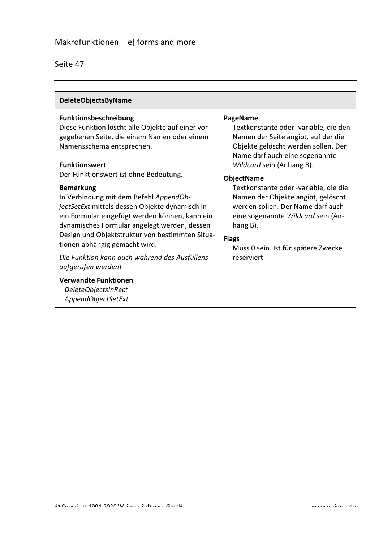| <b>DeleteObjectsByName</b>                                                                                                                                                                                                                                                                                                                                                                                                                                                                                                                                                                                                                                                              |                                                                                                                                                                                                                                                                                                                                                                                                                                                                 |
|-----------------------------------------------------------------------------------------------------------------------------------------------------------------------------------------------------------------------------------------------------------------------------------------------------------------------------------------------------------------------------------------------------------------------------------------------------------------------------------------------------------------------------------------------------------------------------------------------------------------------------------------------------------------------------------------|-----------------------------------------------------------------------------------------------------------------------------------------------------------------------------------------------------------------------------------------------------------------------------------------------------------------------------------------------------------------------------------------------------------------------------------------------------------------|
| Funktionsbeschreibung<br>Diese Funktion löscht alle Objekte auf einer vor-<br>gegebenen Seite, die einem Namen oder einem<br>Namensschema entsprechen.<br><b>Funktionswert</b><br>Der Funktionswert ist ohne Bedeutung.<br><b>Bemerkung</b><br>In Verbindung mit dem Befehl AppendOb-<br>jectSetExt mittels dessen Objekte dynamisch in<br>ein Formular eingefügt werden können, kann ein<br>dynamisches Formular angelegt werden, dessen<br>Design und Objektstruktur von bestimmten Situa-<br>tionen abhängig gemacht wird.<br>Die Funktion kann auch während des Ausfüllens<br>aufgerufen werden!<br><b>Verwandte Funktionen</b><br><b>DeleteObjectsInRect</b><br>AppendObjectSetExt | PageName<br>Textkonstante oder -variable, die den<br>Namen der Seite angibt, auf der die<br>Objekte gelöscht werden sollen. Der<br>Name darf auch eine sogenannte<br>Wildcard sein (Anhang B).<br><b>ObjectName</b><br>Textkonstante oder -variable, die die<br>Namen der Objekte angibt, gelöscht<br>werden sollen. Der Name darf auch<br>eine sogenannte Wildcard sein (An-<br>hang B).<br><b>Flags</b><br>Muss 0 sein. Ist für spätere Zwecke<br>reserviert. |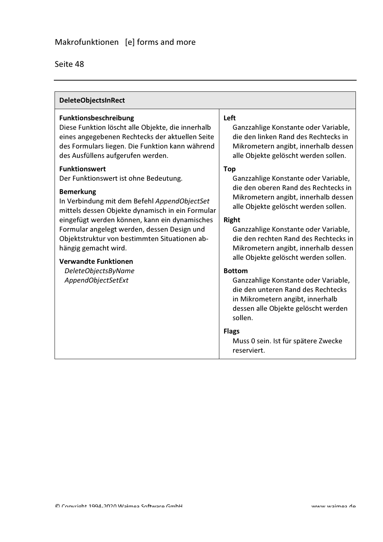| <b>DeleteObjectsInRect</b>                                                                                                                                                                                                                                                                                                                                                                                                                 |                                                                                                                                                                                                                                                                                                                                                                                                                                                                                                                                                  |
|--------------------------------------------------------------------------------------------------------------------------------------------------------------------------------------------------------------------------------------------------------------------------------------------------------------------------------------------------------------------------------------------------------------------------------------------|--------------------------------------------------------------------------------------------------------------------------------------------------------------------------------------------------------------------------------------------------------------------------------------------------------------------------------------------------------------------------------------------------------------------------------------------------------------------------------------------------------------------------------------------------|
| Funktionsbeschreibung<br>Diese Funktion löscht alle Objekte, die innerhalb<br>eines angegebenen Rechtecks der aktuellen Seite<br>des Formulars liegen. Die Funktion kann während<br>des Ausfüllens aufgerufen werden.                                                                                                                                                                                                                      | Left<br>Ganzzahlige Konstante oder Variable,<br>die den linken Rand des Rechtecks in<br>Mikrometern angibt, innerhalb dessen<br>alle Objekte gelöscht werden sollen.                                                                                                                                                                                                                                                                                                                                                                             |
| <b>Funktionswert</b><br>Der Funktionswert ist ohne Bedeutung.<br><b>Bemerkung</b><br>In Verbindung mit dem Befehl AppendObjectSet<br>mittels dessen Objekte dynamisch in ein Formular<br>eingefügt werden können, kann ein dynamisches<br>Formular angelegt werden, dessen Design und<br>Objektstruktur von bestimmten Situationen ab-<br>hängig gemacht wird.<br><b>Verwandte Funktionen</b><br>DeleteObjectsByName<br>AppendObjectSetExt | <b>Top</b><br>Ganzzahlige Konstante oder Variable,<br>die den oberen Rand des Rechtecks in<br>Mikrometern angibt, innerhalb dessen<br>alle Objekte gelöscht werden sollen.<br><b>Right</b><br>Ganzzahlige Konstante oder Variable,<br>die den rechten Rand des Rechtecks in<br>Mikrometern angibt, innerhalb dessen<br>alle Objekte gelöscht werden sollen.<br><b>Bottom</b><br>Ganzzahlige Konstante oder Variable,<br>die den unteren Rand des Rechtecks<br>in Mikrometern angibt, innerhalb<br>dessen alle Objekte gelöscht werden<br>sollen. |
|                                                                                                                                                                                                                                                                                                                                                                                                                                            | <b>Flags</b><br>Muss 0 sein. Ist für spätere Zwecke<br>reserviert.                                                                                                                                                                                                                                                                                                                                                                                                                                                                               |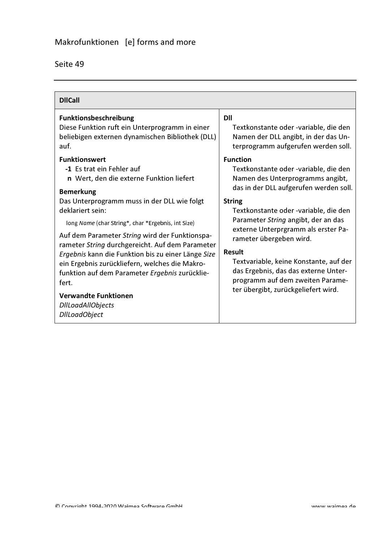| <b>DIICall</b>                                                                  |                                        |
|---------------------------------------------------------------------------------|----------------------------------------|
| Funktionsbeschreibung                                                           | <b>DII</b>                             |
| Diese Funktion ruft ein Unterprogramm in einer                                  | Textkonstante oder -variable, die den  |
| beliebigen externen dynamischen Bibliothek (DLL)                                | Namen der DLL angibt, in der das Un-   |
| auf.                                                                            | terprogramm aufgerufen werden soll.    |
| <b>Funktionswert</b>                                                            | <b>Function</b>                        |
| -1 Es trat ein Fehler auf                                                       | Textkonstante oder -variable, die den  |
| n Wert, den die externe Funktion liefert                                        | Namen des Unterprogramms angibt,       |
| <b>Bemerkung</b>                                                                | das in der DLL aufgerufen werden soll. |
| Das Unterprogramm muss in der DLL wie folgt                                     | <b>String</b>                          |
| deklariert sein:                                                                | Textkonstante oder -variable, die den  |
| long Name (char String*, char *Ergebnis, int Size)                              | Parameter String angibt, der an das    |
| Auf dem Parameter String wird der Funktionspa-                                  | externe Unterprgramm als erster Pa-    |
| rameter String durchgereicht. Auf dem Parameter                                 | rameter übergeben wird.                |
| Ergebnis kann die Funktion bis zu einer Länge Size                              | <b>Result</b>                          |
| ein Ergebnis zurückliefern, welches die Makro-                                  | Textvariable, keine Konstante, auf der |
| funktion auf dem Parameter Ergebnis zurücklie-                                  | das Ergebnis, das das externe Unter-   |
| fert.                                                                           | programm auf dem zweiten Parame-       |
| <b>Verwandte Funktionen</b><br><b>DIILoadAIIObjects</b><br><b>DIILoadObject</b> | ter übergibt, zurückgeliefert wird.    |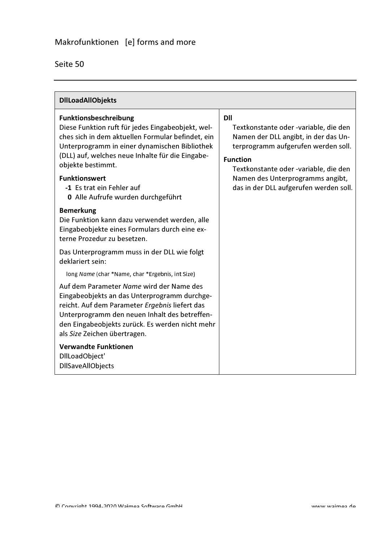| <b>DIILoadAIIObjekts</b>                                                                                                                                                                                                                                                                                                                             |                                                                                                                                                                                                                                                                              |
|------------------------------------------------------------------------------------------------------------------------------------------------------------------------------------------------------------------------------------------------------------------------------------------------------------------------------------------------------|------------------------------------------------------------------------------------------------------------------------------------------------------------------------------------------------------------------------------------------------------------------------------|
| Funktionsbeschreibung<br>Diese Funktion ruft für jedes Eingabeobjekt, wel-<br>ches sich in dem aktuellen Formular befindet, ein<br>Unterprogramm in einer dynamischen Bibliothek<br>(DLL) auf, welches neue Inhalte für die Eingabe-<br>objekte bestimmt.<br><b>Funktionswert</b><br>-1 Es trat ein Fehler auf<br>0 Alle Aufrufe wurden durchgeführt | <b>DII</b><br>Textkonstante oder -variable, die den<br>Namen der DLL angibt, in der das Un-<br>terprogramm aufgerufen werden soll.<br><b>Function</b><br>Textkonstante oder -variable, die den<br>Namen des Unterprogramms angibt,<br>das in der DLL aufgerufen werden soll. |
| <b>Bemerkung</b><br>Die Funktion kann dazu verwendet werden, alle<br>Eingabeobjekte eines Formulars durch eine ex-<br>terne Prozedur zu besetzen.<br>Das Unterprogramm muss in der DLL wie folgt                                                                                                                                                     |                                                                                                                                                                                                                                                                              |
| deklariert sein:<br>long Name (char *Name, char *Ergebnis, int Size)                                                                                                                                                                                                                                                                                 |                                                                                                                                                                                                                                                                              |
| Auf dem Parameter Name wird der Name des<br>Eingabeobjekts an das Unterprogramm durchge-<br>reicht. Auf dem Parameter Ergebnis liefert das<br>Unterprogramm den neuen Inhalt des betreffen-<br>den Eingabeobjekts zurück. Es werden nicht mehr<br>als Size Zeichen übertragen.                                                                       |                                                                                                                                                                                                                                                                              |
| <b>Verwandte Funktionen</b><br>DIILoadObject'<br><b>DIISaveAIIObjects</b>                                                                                                                                                                                                                                                                            |                                                                                                                                                                                                                                                                              |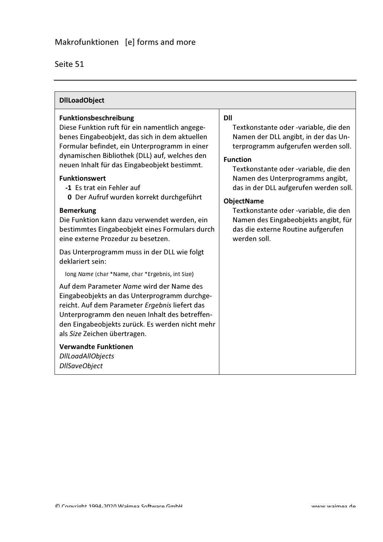| <b>DIILoadObject</b>                                                                                                                                                                                                                                                                                                               |                                                                                                                                                                                                                                        |
|------------------------------------------------------------------------------------------------------------------------------------------------------------------------------------------------------------------------------------------------------------------------------------------------------------------------------------|----------------------------------------------------------------------------------------------------------------------------------------------------------------------------------------------------------------------------------------|
| Funktionsbeschreibung<br>Diese Funktion ruft für ein namentlich angege-<br>benes Eingabeobjekt, das sich in dem aktuellen<br>Formular befindet, ein Unterprogramm in einer<br>dynamischen Bibliothek (DLL) auf, welches den<br>neuen Inhalt für das Eingabeobjekt bestimmt.                                                        | <b>DII</b><br>Textkonstante oder -variable, die den<br>Namen der DLL angibt, in der das Un-<br>terprogramm aufgerufen werden soll.<br><b>Function</b><br>Textkonstante oder -variable, die den                                         |
| <b>Funktionswert</b><br>-1 Es trat ein Fehler auf<br>0 Der Aufruf wurden korrekt durchgeführt<br><b>Bemerkung</b><br>Die Funktion kann dazu verwendet werden, ein<br>bestimmtes Eingabeobjekt eines Formulars durch<br>eine externe Prozedur zu besetzen.                                                                          | Namen des Unterprogramms angibt,<br>das in der DLL aufgerufen werden soll.<br><b>ObjectName</b><br>Textkonstante oder -variable, die den<br>Namen des Eingabeobjekts angibt, für<br>das die externe Routine aufgerufen<br>werden soll. |
| Das Unterprogramm muss in der DLL wie folgt<br>deklariert sein:                                                                                                                                                                                                                                                                    |                                                                                                                                                                                                                                        |
| long Name (char *Name, char *Ergebnis, int Size)<br>Auf dem Parameter Name wird der Name des<br>Eingabeobjekts an das Unterprogramm durchge-<br>reicht. Auf dem Parameter Ergebnis liefert das<br>Unterprogramm den neuen Inhalt des betreffen-<br>den Eingabeobjekts zurück. Es werden nicht mehr<br>als Size Zeichen übertragen. |                                                                                                                                                                                                                                        |
| <b>Verwandte Funktionen</b><br><b>DIILoadAIIObjects</b><br><b>DIISaveObject</b>                                                                                                                                                                                                                                                    |                                                                                                                                                                                                                                        |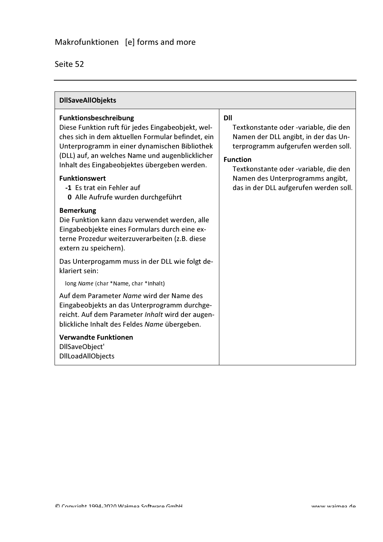| <b>DIISaveAIIObjekts</b>                                                                                                                                                                                                                                                                                                                                                       |                                                                                                                                                                                                                                                                       |
|--------------------------------------------------------------------------------------------------------------------------------------------------------------------------------------------------------------------------------------------------------------------------------------------------------------------------------------------------------------------------------|-----------------------------------------------------------------------------------------------------------------------------------------------------------------------------------------------------------------------------------------------------------------------|
| Funktionsbeschreibung<br>Diese Funktion ruft für jedes Eingabeobjekt, wel-<br>ches sich in dem aktuellen Formular befindet, ein<br>Unterprogramm in einer dynamischen Bibliothek<br>(DLL) auf, an welches Name und augenblicklicher<br>Inhalt des Eingabeobjektes übergeben werden.<br><b>Funktionswert</b><br>-1 Es trat ein Fehler auf<br>0 Alle Aufrufe wurden durchgeführt | DII<br>Textkonstante oder -variable, die den<br>Namen der DLL angibt, in der das Un-<br>terprogramm aufgerufen werden soll.<br><b>Function</b><br>Textkonstante oder -variable, die den<br>Namen des Unterprogramms angibt,<br>das in der DLL aufgerufen werden soll. |
| <b>Bemerkung</b><br>Die Funktion kann dazu verwendet werden, alle<br>Eingabeobjekte eines Formulars durch eine ex-<br>terne Prozedur weiterzuverarbeiten (z.B. diese<br>extern zu speichern).                                                                                                                                                                                  |                                                                                                                                                                                                                                                                       |
| Das Unterprogamm muss in der DLL wie folgt de-<br>klariert sein:<br>long Name (char *Name, char *Inhalt)                                                                                                                                                                                                                                                                       |                                                                                                                                                                                                                                                                       |
| Auf dem Parameter Name wird der Name des<br>Eingabeobjekts an das Unterprogramm durchge-<br>reicht. Auf dem Parameter Inhalt wird der augen-<br>blickliche Inhalt des Feldes Name übergeben.                                                                                                                                                                                   |                                                                                                                                                                                                                                                                       |
| <b>Verwandte Funktionen</b><br>DIISaveObject'<br><b>DIILoadAIIObjects</b>                                                                                                                                                                                                                                                                                                      |                                                                                                                                                                                                                                                                       |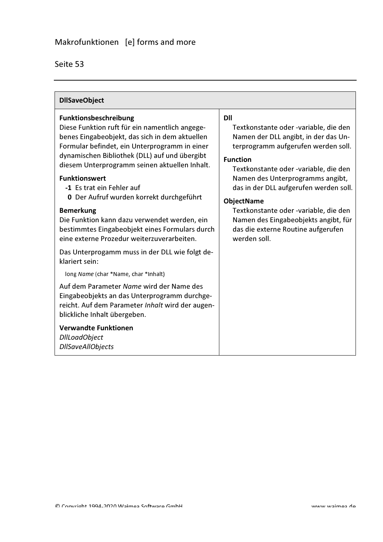| <b>DIISaveObject</b>                                                                                                                                                                                                                                                                                                                                                                                                                                                                                                                                                                                                                                                                                                                                                                                                                                                                                                                    |                                                                                                                                                                                                                                                                                                                                                                                                                                          |
|-----------------------------------------------------------------------------------------------------------------------------------------------------------------------------------------------------------------------------------------------------------------------------------------------------------------------------------------------------------------------------------------------------------------------------------------------------------------------------------------------------------------------------------------------------------------------------------------------------------------------------------------------------------------------------------------------------------------------------------------------------------------------------------------------------------------------------------------------------------------------------------------------------------------------------------------|------------------------------------------------------------------------------------------------------------------------------------------------------------------------------------------------------------------------------------------------------------------------------------------------------------------------------------------------------------------------------------------------------------------------------------------|
| <b>Funktionsbeschreibung</b><br>Diese Funktion ruft für ein namentlich angege-<br>benes Eingabeobjekt, das sich in dem aktuellen<br>Formular befindet, ein Unterprogramm in einer<br>dynamischen Bibliothek (DLL) auf und übergibt<br>diesem Unterprogramm seinen aktuellen Inhalt.<br><b>Funktionswert</b><br>-1 Es trat ein Fehler auf<br>0 Der Aufruf wurden korrekt durchgeführt<br><b>Bemerkung</b><br>Die Funktion kann dazu verwendet werden, ein<br>bestimmtes Eingabeobjekt eines Formulars durch<br>eine externe Prozedur weiterzuverarbeiten.<br>Das Unterprogamm muss in der DLL wie folgt de-<br>klariert sein:<br>long Name (char *Name, char *Inhalt)<br>Auf dem Parameter Name wird der Name des<br>Eingabeobjekts an das Unterprogramm durchge-<br>reicht. Auf dem Parameter Inhalt wird der augen-<br>blickliche Inhalt übergeben.<br><b>Verwandte Funktionen</b><br><b>DIILoadObject</b><br><b>DIISaveAIIObjects</b> | <b>DII</b><br>Textkonstante oder -variable, die den<br>Namen der DLL angibt, in der das Un-<br>terprogramm aufgerufen werden soll.<br><b>Function</b><br>Textkonstante oder -variable, die den<br>Namen des Unterprogramms angibt,<br>das in der DLL aufgerufen werden soll.<br><b>ObjectName</b><br>Textkonstante oder -variable, die den<br>Namen des Eingabeobjekts angibt, für<br>das die externe Routine aufgerufen<br>werden soll. |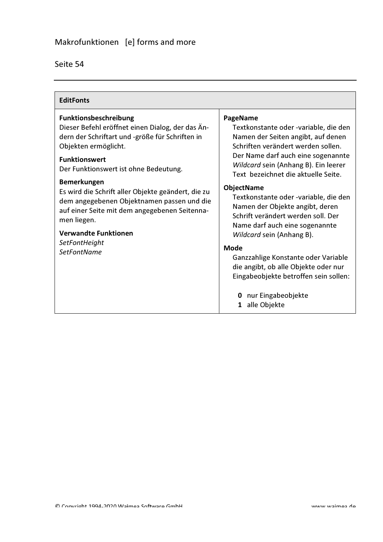| <b>EditFonts</b>                                                                                                                                                                                                      |                                                                                                                                                                                                                                                    |
|-----------------------------------------------------------------------------------------------------------------------------------------------------------------------------------------------------------------------|----------------------------------------------------------------------------------------------------------------------------------------------------------------------------------------------------------------------------------------------------|
| Funktionsbeschreibung<br>Dieser Befehl eröffnet einen Dialog, der das Än-<br>dern der Schriftart und -größe für Schriften in<br>Objekten ermöglicht.<br><b>Funktionswert</b><br>Der Funktionswert ist ohne Bedeutung. | PageName<br>Textkonstante oder -variable, die den<br>Namen der Seiten angibt, auf denen<br>Schriften verändert werden sollen.<br>Der Name darf auch eine sogenannte<br>Wildcard sein (Anhang B). Ein leerer<br>Text bezeichnet die aktuelle Seite. |
| <b>Bemerkungen</b><br>Es wird die Schrift aller Objekte geändert, die zu<br>dem angegebenen Objektnamen passen und die<br>auf einer Seite mit dem angegebenen Seitenna-<br>men liegen.<br><b>Verwandte Funktionen</b> | <b>ObjectName</b><br>Textkonstante oder -variable, die den<br>Namen der Objekte angibt, deren<br>Schrift verändert werden soll. Der<br>Name darf auch eine sogenannte<br>Wildcard sein (Anhang B).                                                 |
| SetFontHeight<br><b>SetFontName</b>                                                                                                                                                                                   | <b>Mode</b><br>Ganzzahlige Konstante oder Variable<br>die angibt, ob alle Objekte oder nur<br>Eingabeobjekte betroffen sein sollen:<br>0 nur Eingabeobjekte<br>alle Objekte<br>1                                                                   |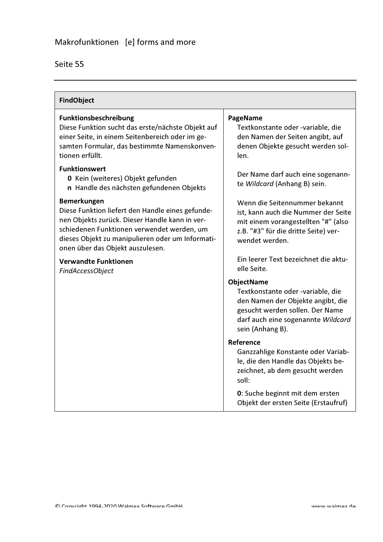| <b>FindObject</b>                                                                                                                                                                                                                                              |                                                                                                                                                                                          |
|----------------------------------------------------------------------------------------------------------------------------------------------------------------------------------------------------------------------------------------------------------------|------------------------------------------------------------------------------------------------------------------------------------------------------------------------------------------|
| Funktionsbeschreibung<br>Diese Funktion sucht das erste/nächste Objekt auf<br>einer Seite, in einem Seitenbereich oder im ge-<br>samten Formular, das bestimmte Namenskonven-<br>tionen erfüllt.                                                               | PageName<br>Textkonstante oder -variable, die<br>den Namen der Seiten angibt, auf<br>denen Objekte gesucht werden sol-<br>len.                                                           |
| <b>Funktionswert</b><br>0 Kein (weiteres) Objekt gefunden<br>n Handle des nächsten gefundenen Objekts                                                                                                                                                          | Der Name darf auch eine sogenann-<br>te Wildcard (Anhang B) sein.                                                                                                                        |
| <b>Bemerkungen</b><br>Diese Funktion liefert den Handle eines gefunde-<br>nen Objekts zurück. Dieser Handle kann in ver-<br>schiedenen Funktionen verwendet werden, um<br>dieses Objekt zu manipulieren oder um Informati-<br>onen über das Objekt auszulesen. | Wenn die Seitennummer bekannt<br>ist, kann auch die Nummer der Seite<br>mit einem vorangestellten "#" (also<br>z.B. "#3" für die dritte Seite) ver-<br>wendet werden.                    |
| <b>Verwandte Funktionen</b><br><b>FindAccessObject</b>                                                                                                                                                                                                         | Ein leerer Text bezeichnet die aktu-<br>elle Seite.                                                                                                                                      |
|                                                                                                                                                                                                                                                                | <b>ObjectName</b><br>Textkonstante oder -variable, die<br>den Namen der Objekte angibt, die<br>gesucht werden sollen. Der Name<br>darf auch eine sogenannte Wildcard<br>sein (Anhang B). |
|                                                                                                                                                                                                                                                                | Reference<br>Ganzzahlige Konstante oder Variab-<br>le, die den Handle das Objekts be-<br>zeichnet, ab dem gesucht werden<br>soll:                                                        |
|                                                                                                                                                                                                                                                                | 0: Suche beginnt mit dem ersten<br>Objekt der ersten Seite (Erstaufruf)                                                                                                                  |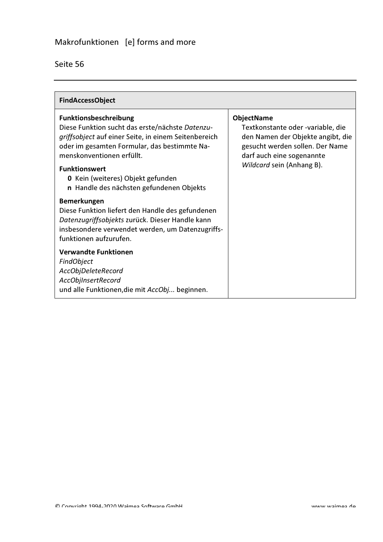| <b>FindAccessObject</b>                                                                                                                                                                                                                                                                                                                                                                                                                                                                                                                         |                                                                                                                                                                                          |
|-------------------------------------------------------------------------------------------------------------------------------------------------------------------------------------------------------------------------------------------------------------------------------------------------------------------------------------------------------------------------------------------------------------------------------------------------------------------------------------------------------------------------------------------------|------------------------------------------------------------------------------------------------------------------------------------------------------------------------------------------|
| <b>Funktionsbeschreibung</b><br>Diese Funktion sucht das erste/nächste Datenzu-<br>griffsobject auf einer Seite, in einem Seitenbereich<br>oder im gesamten Formular, das bestimmte Na-<br>menskonventionen erfüllt.<br><b>Funktionswert</b><br><b>0</b> Kein (weiteres) Objekt gefunden<br>n Handle des nächsten gefundenen Objekts<br><b>Bemerkungen</b><br>Diese Funktion liefert den Handle des gefundenen<br>Datenzugriffsobjekts zurück. Dieser Handle kann<br>insbesondere verwendet werden, um Datenzugriffs-<br>funktionen aufzurufen. | <b>ObjectName</b><br>Textkonstante oder -variable, die<br>den Namen der Objekte angibt, die<br>gesucht werden sollen. Der Name<br>darf auch eine sogenannte<br>Wildcard sein (Anhang B). |
| <b>Verwandte Funktionen</b><br>FindObject<br>AccObjDeleteRecord<br>AccObjInsertRecord<br>und alle Funktionen, die mit AccObj beginnen.                                                                                                                                                                                                                                                                                                                                                                                                          |                                                                                                                                                                                          |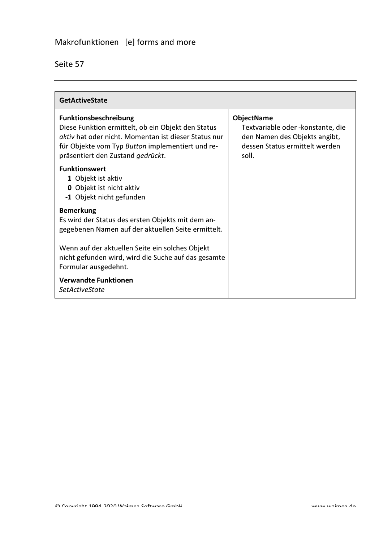| <b>GetActiveState</b>                                                                                                                                                                                                               |                                                                                                                                     |
|-------------------------------------------------------------------------------------------------------------------------------------------------------------------------------------------------------------------------------------|-------------------------------------------------------------------------------------------------------------------------------------|
| <b>Funktionsbeschreibung</b><br>Diese Funktion ermittelt, ob ein Objekt den Status<br>aktiv hat oder nicht. Momentan ist dieser Status nur<br>für Objekte vom Typ Button implementiert und re-<br>präsentiert den Zustand gedrückt. | <b>ObjectName</b><br>Textvariable oder - konstante, die<br>den Namen des Objekts angibt,<br>dessen Status ermittelt werden<br>soll. |
| <b>Funktionswert</b><br>1 Objekt ist aktiv<br><b>0</b> Objekt ist nicht aktiv<br>-1 Objekt nicht gefunden                                                                                                                           |                                                                                                                                     |
| <b>Bemerkung</b><br>Es wird der Status des ersten Objekts mit dem an-<br>gegebenen Namen auf der aktuellen Seite ermittelt.                                                                                                         |                                                                                                                                     |
| Wenn auf der aktuellen Seite ein solches Objekt<br>nicht gefunden wird, wird die Suche auf das gesamte<br>Formular ausgedehnt.                                                                                                      |                                                                                                                                     |
| <b>Verwandte Funktionen</b><br><b>SetActiveState</b>                                                                                                                                                                                |                                                                                                                                     |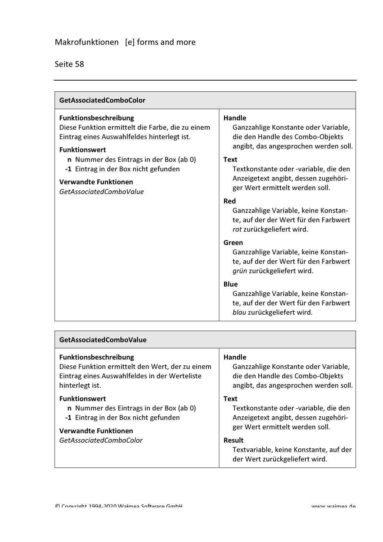| Seite 58 |  |
|----------|--|
|          |  |

| <b>GetAssociatedComboColor</b>                                                                                                                                                                                                                                                                |                                                                                                                                                                                                                                                                                                                                                                                                                                                                                                                                                                                                                                                  |
|-----------------------------------------------------------------------------------------------------------------------------------------------------------------------------------------------------------------------------------------------------------------------------------------------|--------------------------------------------------------------------------------------------------------------------------------------------------------------------------------------------------------------------------------------------------------------------------------------------------------------------------------------------------------------------------------------------------------------------------------------------------------------------------------------------------------------------------------------------------------------------------------------------------------------------------------------------------|
| Funktionsbeschreibung<br>Diese Funktion ermittelt die Farbe, die zu einem<br>Eintrag eines Auswahlfeldes hinterlegt ist.<br><b>Funktionswert</b><br>n Nummer des Eintrags in der Box (ab 0)<br>-1 Eintrag in der Box nicht gefunden<br><b>Verwandte Funktionen</b><br>GetAssociatedComboValue | <b>Handle</b><br>Ganzzahlige Konstante oder Variable,<br>die den Handle des Combo-Objekts<br>angibt, das angesprochen werden soll.<br><b>Text</b><br>Textkonstante oder -variable, die den<br>Anzeigetext angibt, dessen zugehöri-<br>ger Wert ermittelt werden soll.<br>Red<br>Ganzzahlige Variable, keine Konstan-<br>te, auf der der Wert für den Farbwert<br>rot zurückgeliefert wird.<br>Green<br>Ganzzahlige Variable, keine Konstan-<br>te, auf der der Wert für den Farbwert<br>grün zurückgeliefert wird.<br><b>Blue</b><br>Ganzzahlige Variable, keine Konstan-<br>te, auf der der Wert für den Farbwert<br>blau zurückgeliefert wird. |

| <b>GetAssociatedComboValue</b>                  |                                                                                    |
|-------------------------------------------------|------------------------------------------------------------------------------------|
| Funktionsbeschreibung                           | Handle                                                                             |
| Diese Funktion ermittelt den Wert, der zu einem | Ganzzahlige Konstante oder Variable,                                               |
| Eintrag eines Auswahlfeldes in der Werteliste   | die den Handle des Combo-Objekts                                                   |
| hinterlegt ist.                                 | angibt, das angesprochen werden soll.                                              |
| <b>Funktionswert</b>                            | <b>Text</b>                                                                        |
| n Nummer des Eintrags in der Box (ab 0)         | Textkonstante oder -variable, die den                                              |
| -1 Eintrag in der Box nicht gefunden            | Anzeigetext angibt, dessen zugehöri-                                               |
| <b>Verwandte Funktionen</b>                     | ger Wert ermittelt werden soll.                                                    |
| GetAssociatedComboColor                         | Result<br>Textvariable, keine Konstante, auf der<br>der Wert zurückgeliefert wird. |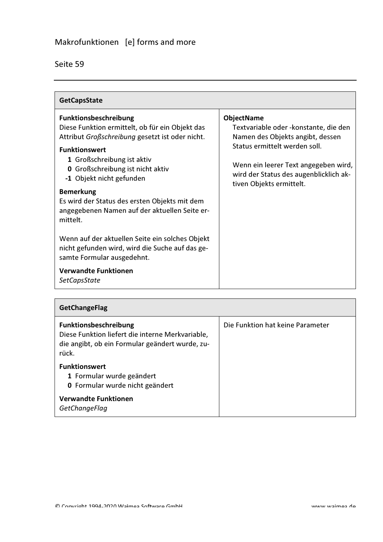| <b>GetCapsState</b>                                                                                                                                                                                                                                                                                                                                                                                                                                                                                                                                                                  |                                                                                                                                                                                                                                                |
|--------------------------------------------------------------------------------------------------------------------------------------------------------------------------------------------------------------------------------------------------------------------------------------------------------------------------------------------------------------------------------------------------------------------------------------------------------------------------------------------------------------------------------------------------------------------------------------|------------------------------------------------------------------------------------------------------------------------------------------------------------------------------------------------------------------------------------------------|
| Funktionsbeschreibung<br>Diese Funktion ermittelt, ob für ein Objekt das<br>Attribut Großschreibung gesetzt ist oder nicht.<br><b>Funktionswert</b><br>1 Großschreibung ist aktiv<br><b>0</b> Großschreibung ist nicht aktiv<br>-1 Objekt nicht gefunden<br><b>Bemerkung</b><br>Es wird der Status des ersten Objekts mit dem<br>angegebenen Namen auf der aktuellen Seite er-<br>mittelt.<br>Wenn auf der aktuellen Seite ein solches Objekt<br>nicht gefunden wird, wird die Suche auf das ge-<br>samte Formular ausgedehnt.<br><b>Verwandte Funktionen</b><br><b>SetCapsState</b> | <b>ObjectName</b><br>Textvariable oder - konstante, die den<br>Namen des Objekts angibt, dessen<br>Status ermittelt werden soll.<br>Wenn ein leerer Text angegeben wird,<br>wird der Status des augenblicklich ak-<br>tiven Objekts ermittelt. |

| <b>GetChangeFlag</b>                                                                                                                  |                                  |
|---------------------------------------------------------------------------------------------------------------------------------------|----------------------------------|
| Funktionsbeschreibung<br>Diese Funktion liefert die interne Merkvariable,<br>die angibt, ob ein Formular geändert wurde, zu-<br>rück. | Die Funktion hat keine Parameter |
| <b>Funktionswert</b><br>1 Formular wurde geändert<br>0 Formular wurde nicht geändert                                                  |                                  |
| Verwandte Funktionen<br>GetChangeFlag                                                                                                 |                                  |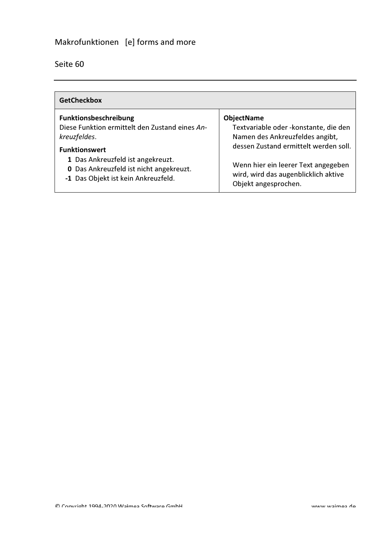# Makrofunktionen [e] forms and more

| <b>GetCheckbox</b>                             |                                       |
|------------------------------------------------|---------------------------------------|
| <b>Funktionsbeschreibung</b>                   | <b>ObjectName</b>                     |
| Diese Funktion ermittelt den Zustand eines An- | Textvariable oder -konstante, die den |
| kreuzfeldes.                                   | Namen des Ankreuzfeldes angibt,       |
| <b>Funktionswert</b>                           | dessen Zustand ermittelt werden soll. |
| 1 Das Ankreuzfeld ist angekreuzt.              | Wenn hier ein leerer Text angegeben   |
| <b>0</b> Das Ankreuzfeld ist nicht angekreuzt. | wird, wird das augenblicklich aktive  |
| -1 Das Objekt ist kein Ankreuzfeld.            | Objekt angesprochen.                  |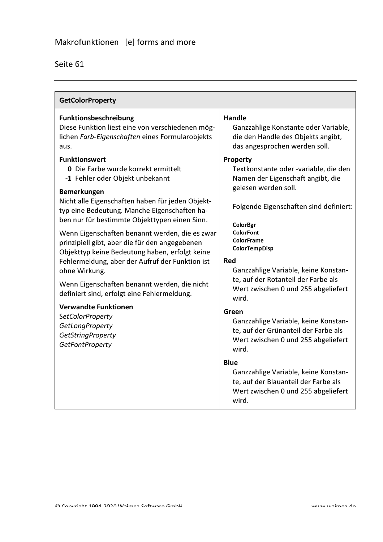| <b>GetColorProperty</b>                                                                                                                                                                                                |                                                                                                                                             |
|------------------------------------------------------------------------------------------------------------------------------------------------------------------------------------------------------------------------|---------------------------------------------------------------------------------------------------------------------------------------------|
| <b>Funktionsbeschreibung</b><br>Diese Funktion liest eine von verschiedenen mög-<br>lichen Farb-Eigenschaften eines Formularobjekts<br>aus.<br><b>Funktionswert</b>                                                    | Handle<br>Ganzzahlige Konstante oder Variable,<br>die den Handle des Objekts angibt,<br>das angesprochen werden soll.<br>Property           |
| <b>0</b> Die Farbe wurde korrekt ermittelt<br>-1 Fehler oder Objekt unbekannt<br>Bemerkungen                                                                                                                           | Textkonstante oder -variable, die den<br>Namen der Eigenschaft angibt, die<br>gelesen werden soll.                                          |
| Nicht alle Eigenschaften haben für jeden Objekt-<br>typ eine Bedeutung. Manche Eigenschaften ha-<br>ben nur für bestimmte Objekttypen einen Sinn.                                                                      | Folgende Eigenschaften sind definiert:                                                                                                      |
| Wenn Eigenschaften benannt werden, die es zwar<br>prinzipiell gibt, aber die für den angegebenen<br>Objekttyp keine Bedeutung haben, erfolgt keine<br>Fehlermeldung, aber der Aufruf der Funktion ist<br>ohne Wirkung. | <b>ColorBgr</b><br><b>ColorFont</b><br><b>ColorFrame</b><br><b>ColorTempDisp</b><br>Red<br>Ganzzahlige Variable, keine Konstan-             |
| Wenn Eigenschaften benannt werden, die nicht<br>definiert sind, erfolgt eine Fehlermeldung.                                                                                                                            | te, auf der Rotanteil der Farbe als<br>Wert zwischen 0 und 255 abgeliefert<br>wird.                                                         |
| <b>Verwandte Funktionen</b><br><b>SetColorProperty</b><br>GetLongProperty<br><b>GetStringProperty</b><br><b>GetFontProperty</b>                                                                                        | Green<br>Ganzzahlige Variable, keine Konstan-<br>te, auf der Grünanteil der Farbe als<br>Wert zwischen 0 und 255 abgeliefert<br>wird.       |
|                                                                                                                                                                                                                        | <b>Blue</b><br>Ganzzahlige Variable, keine Konstan-<br>te, auf der Blauanteil der Farbe als<br>Wert zwischen 0 und 255 abgeliefert<br>wird. |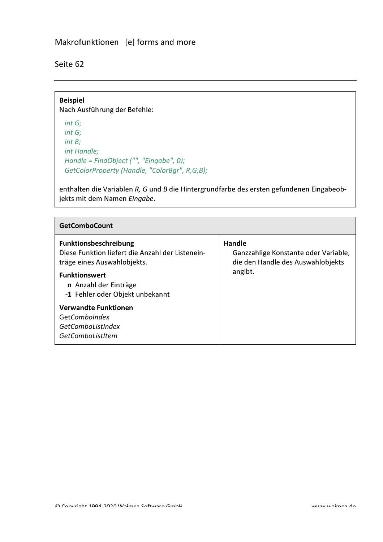## Makrofunktionen [e] forms and more

Seite 62

**Beispiel** Nach Ausführung der Befehle:  $int G;$  $int G;$  $int B;$ int Handle; Handle = FindObject ("", "Eingabe", 0); GetColorProperty (Handle, "ColorBgr", R,G,B);

enthalten die Variablen R, G und B die Hintergrundfarbe des ersten gefundenen Eingabeobjekts mit dem Namen Eingabe.

| <b>GetComboCount</b>                                                                                                                                                                                |                                                                                                |
|-----------------------------------------------------------------------------------------------------------------------------------------------------------------------------------------------------|------------------------------------------------------------------------------------------------|
| <b>Funktionsbeschreibung</b><br>Diese Funktion liefert die Anzahl der Listenein-<br>träge eines Auswahlobjekts.<br><b>Funktionswert</b><br>n Anzahl der Einträge<br>-1 Fehler oder Objekt unbekannt | Handle<br>Ganzzahlige Konstante oder Variable,<br>die den Handle des Auswahlobjekts<br>angibt. |
| <b>Verwandte Funktionen</b><br>GetComboIndex<br>GetComboListIndex<br>GetComboListItem                                                                                                               |                                                                                                |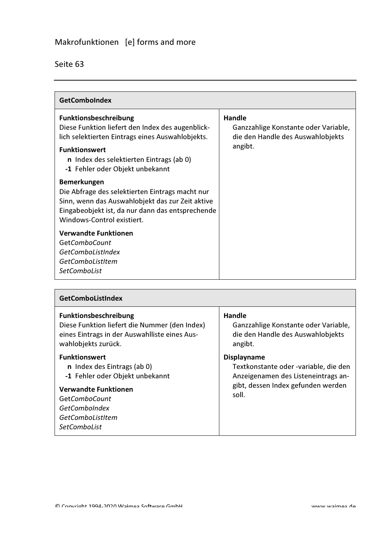| Seite 63 |
|----------|
|          |

| <b>GetComboIndex</b>                                                                                                                                                                                                                                                                                                                                                                                                                                                                                                                                                              |                                                                                                       |
|-----------------------------------------------------------------------------------------------------------------------------------------------------------------------------------------------------------------------------------------------------------------------------------------------------------------------------------------------------------------------------------------------------------------------------------------------------------------------------------------------------------------------------------------------------------------------------------|-------------------------------------------------------------------------------------------------------|
| <b>Funktionsbeschreibung</b><br>Diese Funktion liefert den Index des augenblick-<br>lich selektierten Eintrags eines Auswahlobjekts.<br><b>Funktionswert</b><br>n Index des selektierten Eintrags (ab 0)<br>-1 Fehler oder Objekt unbekannt<br><b>Bemerkungen</b><br>Die Abfrage des selektierten Eintrags macht nur<br>Sinn, wenn das Auswahlobjekt das zur Zeit aktive<br>Eingabeobjekt ist, da nur dann das entsprechende<br>Windows-Control existiert.<br><b>Verwandte Funktionen</b><br><b>GetComboCount</b><br>GetComboListIndex<br>GetComboListItem<br><b>SetComboList</b> | <b>Handle</b><br>Ganzzahlige Konstante oder Variable,<br>die den Handle des Auswahlobjekts<br>angibt. |

| <b>GetComboListIndex</b>                                                                                                                                                                                          |                                                                                                                                                   |
|-------------------------------------------------------------------------------------------------------------------------------------------------------------------------------------------------------------------|---------------------------------------------------------------------------------------------------------------------------------------------------|
| Funktionsbeschreibung<br>Diese Funktion liefert die Nummer (den Index)<br>eines Eintrags in der Auswahlliste eines Aus-<br>wahlobjekts zurück.                                                                    | <b>Handle</b><br>Ganzzahlige Konstante oder Variable,<br>die den Handle des Auswahlobjekts<br>angibt.                                             |
| <b>Funktionswert</b><br>n Index des Eintrags (ab 0)<br>-1 Fehler oder Objekt unbekannt<br><b>Verwandte Funktionen</b><br>Get <i>ComboCount</i><br><b>GetComboIndex</b><br>GetComboListItem<br><i>SetComboList</i> | <b>Displayname</b><br>Textkonstante oder -variable, die den<br>Anzeigenamen des Listeneintrags an-<br>gibt, dessen Index gefunden werden<br>soll. |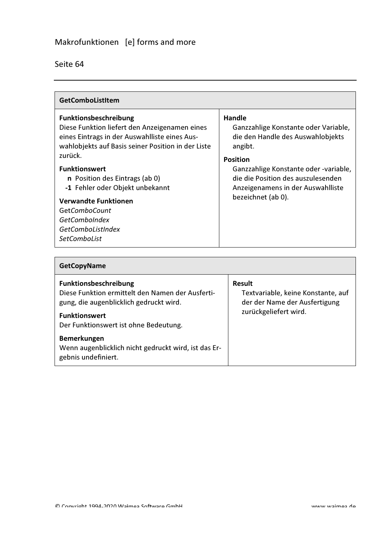| GetComboListItem                                                                                                                                                                                                                                                                                                                                                                                                                      |                                                                                                                                                                                                                                                             |
|---------------------------------------------------------------------------------------------------------------------------------------------------------------------------------------------------------------------------------------------------------------------------------------------------------------------------------------------------------------------------------------------------------------------------------------|-------------------------------------------------------------------------------------------------------------------------------------------------------------------------------------------------------------------------------------------------------------|
| <b>Funktionsbeschreibung</b><br>Diese Funktion liefert den Anzeigenamen eines<br>eines Eintrags in der Auswahlliste eines Aus-<br>wahlobjekts auf Basis seiner Position in der Liste<br>zurück.<br><b>Funktionswert</b><br><b>n</b> Position des Eintrags (ab 0)<br>-1 Fehler oder Objekt unbekannt<br><b>Verwandte Funktionen</b><br><b>GetComboCount</b><br><b>GetComboIndex</b><br><b>GetComboListIndex</b><br><b>SetComboList</b> | Handle<br>Ganzzahlige Konstante oder Variable,<br>die den Handle des Auswahlobjekts<br>angibt.<br><b>Position</b><br>Ganzzahlige Konstante oder -variable,<br>die die Position des auszulesenden<br>Anzeigenamens in der Auswahlliste<br>bezeichnet (ab 0). |

| <b>GetCopyName</b>                                                                                                                                                                    |                                                                                                               |
|---------------------------------------------------------------------------------------------------------------------------------------------------------------------------------------|---------------------------------------------------------------------------------------------------------------|
| Funktionsbeschreibung<br>Diese Funktion ermittelt den Namen der Ausferti-<br>gung, die augenblicklich gedruckt wird.<br><b>Funktionswert</b><br>Der Funktionswert ist ohne Bedeutung. | <b>Result</b><br>Textvariable, keine Konstante, auf<br>der der Name der Ausfertigung<br>zurückgeliefert wird. |
| Bemerkungen<br>Wenn augenblicklich nicht gedruckt wird, ist das Er-<br>gebnis undefiniert.                                                                                            |                                                                                                               |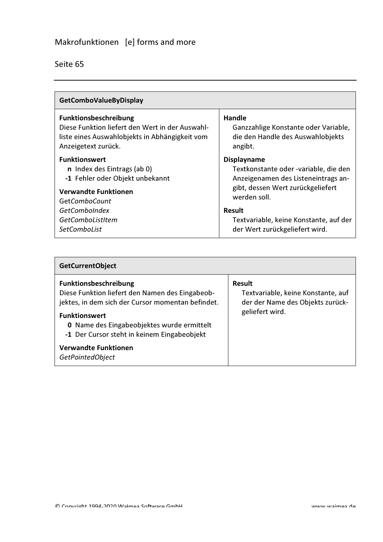| <b>GetComboValueByDisplay</b>                   |                                        |
|-------------------------------------------------|----------------------------------------|
| <b>Funktionsbeschreibung</b>                    | Handle                                 |
| Diese Funktion liefert den Wert in der Auswahl- | Ganzzahlige Konstante oder Variable,   |
| liste eines Auswahlobjekts in Abhängigkeit vom  | die den Handle des Auswahlobjekts      |
| Anzeigetext zurück.                             | angibt.                                |
| <b>Funktionswert</b>                            | <b>Displayname</b>                     |
| n Index des Eintrags (ab 0)                     | Textkonstante oder -variable, die den  |
| -1 Fehler oder Objekt unbekannt                 | Anzeigenamen des Listeneintrags an-    |
| <b>Verwandte Funktionen</b>                     | gibt, dessen Wert zurückgeliefert      |
| <b>GetComboCount</b>                            | werden soll.                           |
| <b>GetComboIndex</b>                            | Result                                 |
| GetComboListItem                                | Textvariable, keine Konstante, auf der |
| <b>SetComboList</b>                             | der Wert zurückgeliefert wird.         |

| <b>GetCurrentObject</b>                                                                                                                                                                                                                                          |                                                                                                            |
|------------------------------------------------------------------------------------------------------------------------------------------------------------------------------------------------------------------------------------------------------------------|------------------------------------------------------------------------------------------------------------|
| <b>Funktionsbeschreibung</b><br>Diese Funktion liefert den Namen des Eingabeob-<br>jektes, in dem sich der Cursor momentan befindet.<br><b>Funktionswert</b><br><b>0</b> Name des Eingabeobjektes wurde ermittelt<br>-1 Der Cursor steht in keinem Eingabeobjekt | <b>Result</b><br>Textvariable, keine Konstante, auf<br>der der Name des Objekts zurück-<br>geliefert wird. |
| <b>Verwandte Funktionen</b><br>GetPointedObject                                                                                                                                                                                                                  |                                                                                                            |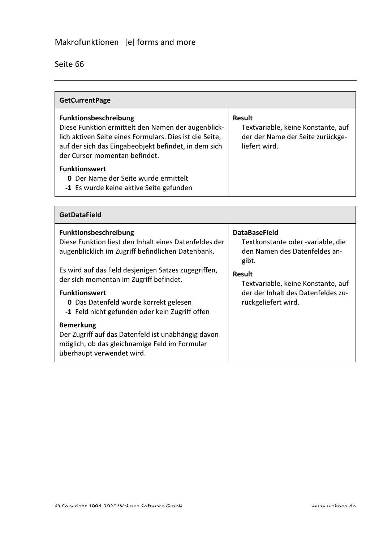| <b>GetCurrentPage</b>                                                                                                                                                                                                           |                                                                                                          |
|---------------------------------------------------------------------------------------------------------------------------------------------------------------------------------------------------------------------------------|----------------------------------------------------------------------------------------------------------|
| Funktionsbeschreibung<br>Diese Funktion ermittelt den Namen der augenblick-<br>lich aktiven Seite eines Formulars. Dies ist die Seite,<br>auf der sich das Eingabeobjekt befindet, in dem sich<br>der Cursor momentan befindet. | <b>Result</b><br>Textvariable, keine Konstante, auf<br>der der Name der Seite zurückge-<br>liefert wird. |
| <b>Funktionswert</b><br><b>0</b> Der Name der Seite wurde ermittelt<br>-1 Es wurde keine aktive Seite gefunden                                                                                                                  |                                                                                                          |

| <b>GetDataField</b>                                                                                                                                                                                                     |                                                                                                                  |
|-------------------------------------------------------------------------------------------------------------------------------------------------------------------------------------------------------------------------|------------------------------------------------------------------------------------------------------------------|
| <b>Funktionsbeschreibung</b><br>Diese Funktion liest den Inhalt eines Datenfeldes der<br>augenblicklich im Zugriff befindlichen Datenbank.                                                                              | <b>DataBaseField</b><br>Textkonstante oder -variable, die<br>den Namen des Datenfeldes an-<br>gibt.              |
| Es wird auf das Feld desjenigen Satzes zugegriffen,<br>der sich momentan im Zugriff befindet.<br><b>Funktionswert</b><br><b>0</b> Das Datenfeld wurde korrekt gelesen<br>-1 Feld nicht gefunden oder kein Zugriff offen | <b>Result</b><br>Textvariable, keine Konstante, auf<br>der der Inhalt des Datenfeldes zu-<br>rückgeliefert wird. |
| <b>Bemerkung</b><br>Der Zugriff auf das Datenfeld ist unabhängig davon<br>möglich, ob das gleichnamige Feld im Formular<br>überhaupt verwendet wird.                                                                    |                                                                                                                  |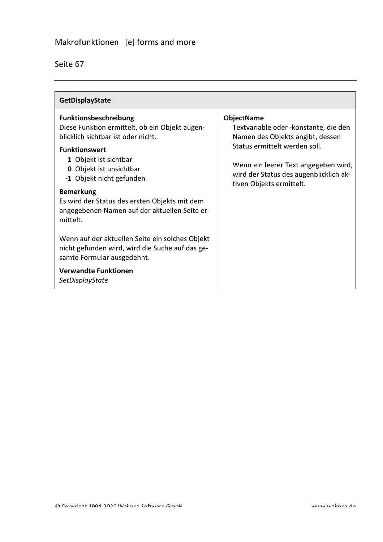| eite |
|------|
|      |

| <b>GetDisplayState</b>                                                                                                                                                                                                                                                                                                                                                                                                                                                                                                                               |                                                                                                                                                                                                                                               |
|------------------------------------------------------------------------------------------------------------------------------------------------------------------------------------------------------------------------------------------------------------------------------------------------------------------------------------------------------------------------------------------------------------------------------------------------------------------------------------------------------------------------------------------------------|-----------------------------------------------------------------------------------------------------------------------------------------------------------------------------------------------------------------------------------------------|
| <b>Funktionsbeschreibung</b><br>Diese Funktion ermittelt, ob ein Objekt augen-<br>blicklich sichtbar ist oder nicht.<br><b>Funktionswert</b><br>1 Objekt ist sichtbar<br>0 Objekt ist unsichtbar<br>-1 Objekt nicht gefunden<br><b>Bemerkung</b><br>Es wird der Status des ersten Objekts mit dem<br>angegebenen Namen auf der aktuellen Seite er-<br>mittelt.<br>Wenn auf der aktuellen Seite ein solches Objekt<br>nicht gefunden wird, wird die Suche auf das ge-<br>samte Formular ausgedehnt.<br><b>Verwandte Funktionen</b><br>SetDisplayState | <b>ObjectName</b><br>Textvariable oder -konstante, die den<br>Namen des Objekts angibt, dessen<br>Status ermittelt werden soll.<br>Wenn ein leerer Text angegeben wird,<br>wird der Status des augenblicklich ak-<br>tiven Objekts ermittelt. |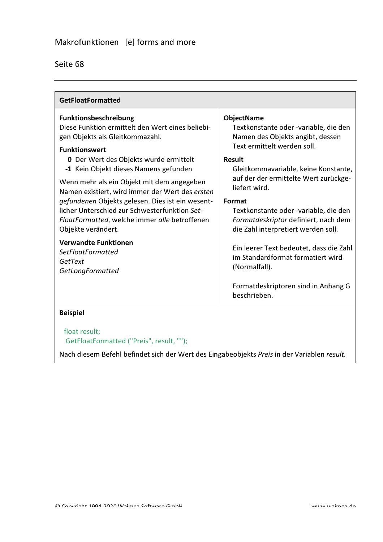| <b>GetFloatFormatted</b>                                                                                                                                                                                                                                                                                                                                                                                                                                                                                    |                                                                                                                                                                                                                                                                                                                                                                             |
|-------------------------------------------------------------------------------------------------------------------------------------------------------------------------------------------------------------------------------------------------------------------------------------------------------------------------------------------------------------------------------------------------------------------------------------------------------------------------------------------------------------|-----------------------------------------------------------------------------------------------------------------------------------------------------------------------------------------------------------------------------------------------------------------------------------------------------------------------------------------------------------------------------|
| Funktionsbeschreibung<br>Diese Funktion ermittelt den Wert eines beliebi-<br>gen Objekts als Gleitkommazahl.<br><b>Funktionswert</b><br><b>0</b> Der Wert des Objekts wurde ermittelt<br>-1 Kein Objekt dieses Namens gefunden<br>Wenn mehr als ein Objekt mit dem angegeben<br>Namen existiert, wird immer der Wert des ersten<br>gefundenen Objekts gelesen. Dies ist ein wesent-<br>licher Unterschied zur Schwesterfunktion Set-<br>FloatFormatted, welche immer alle betroffenen<br>Objekte verändert. | <b>ObjectName</b><br>Textkonstante oder -variable, die den<br>Namen des Objekts angibt, dessen<br>Text ermittelt werden soll.<br>Result<br>Gleitkommavariable, keine Konstante,<br>auf der der ermittelte Wert zurückge-<br>liefert wird.<br>Format<br>Textkonstante oder -variable, die den<br>Formatdeskriptor definiert, nach dem<br>die Zahl interpretiert werden soll. |
| <b>Verwandte Funktionen</b><br><b>SetFloatFormatted</b><br>GetText<br>GetLongFormatted                                                                                                                                                                                                                                                                                                                                                                                                                      | Ein leerer Text bedeutet, dass die Zahl<br>im Standardformat formatiert wird<br>(Normalfall).<br>Formatdeskriptoren sind in Anhang G<br>beschrieben.                                                                                                                                                                                                                        |

**Beispiel** 

float result; GetFloatFormatted ("Preis", result, "");

Nach diesem Befehl befindet sich der Wert des Eingabeobjekts Preis in der Variablen result.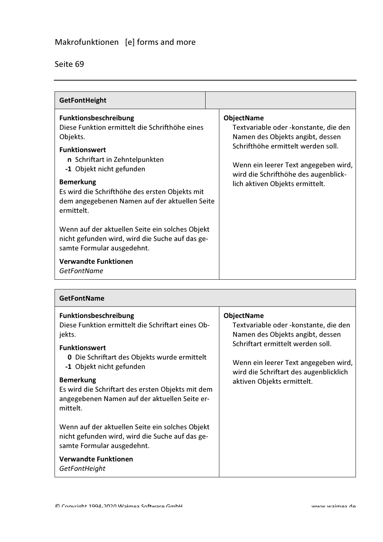## Makrofunktionen [e] forms and more

## Seite 69

 $\mathsf{L}$ 

| <b>GetFontHeight</b>                                                                                                                                                                                                                                                                                                                                                                                                                                                                                    |                                                                                                                                                                                                                                                          |
|---------------------------------------------------------------------------------------------------------------------------------------------------------------------------------------------------------------------------------------------------------------------------------------------------------------------------------------------------------------------------------------------------------------------------------------------------------------------------------------------------------|----------------------------------------------------------------------------------------------------------------------------------------------------------------------------------------------------------------------------------------------------------|
| Funktionsbeschreibung<br>Diese Funktion ermittelt die Schrifthöhe eines<br>Objekts.<br><b>Funktionswert</b><br>n Schriftart in Zehntelpunkten<br>-1 Objekt nicht gefunden<br><b>Bemerkung</b><br>Es wird die Schrifthöhe des ersten Objekts mit<br>dem angegebenen Namen auf der aktuellen Seite<br>ermittelt.<br>Wenn auf der aktuellen Seite ein solches Objekt<br>nicht gefunden wird, wird die Suche auf das ge-<br>samte Formular ausgedehnt.<br><b>Verwandte Funktionen</b><br><b>GetFontName</b> | <b>ObjectName</b><br>Textvariable oder - konstante, die den<br>Namen des Objekts angibt, dessen<br>Schrifthöhe ermittelt werden soll.<br>Wenn ein leerer Text angegeben wird,<br>wird die Schrifthöhe des augenblick-<br>lich aktiven Objekts ermittelt. |

| <b>GetFontName</b>                                                                                                                                                                                                                                                                                                                           |                                                                                                                                                                                                                                                      |
|----------------------------------------------------------------------------------------------------------------------------------------------------------------------------------------------------------------------------------------------------------------------------------------------------------------------------------------------|------------------------------------------------------------------------------------------------------------------------------------------------------------------------------------------------------------------------------------------------------|
| <b>Funktionsbeschreibung</b><br>Diese Funktion ermittelt die Schriftart eines Ob-<br>jekts.<br><b>Funktionswert</b><br><b>0</b> Die Schriftart des Objekts wurde ermittelt<br>-1 Objekt nicht gefunden<br><b>Bemerkung</b><br>Es wird die Schriftart des ersten Objekts mit dem<br>angegebenen Namen auf der aktuellen Seite er-<br>mittelt. | <b>ObjectName</b><br>Textvariable oder - konstante, die den<br>Namen des Objekts angibt, dessen<br>Schriftart ermittelt werden soll.<br>Wenn ein leerer Text angegeben wird,<br>wird die Schriftart des augenblicklich<br>aktiven Objekts ermittelt. |
| Wenn auf der aktuellen Seite ein solches Objekt<br>nicht gefunden wird, wird die Suche auf das ge-<br>samte Formular ausgedehnt.                                                                                                                                                                                                             |                                                                                                                                                                                                                                                      |
| <b>Verwandte Funktionen</b><br>GetFontHeight                                                                                                                                                                                                                                                                                                 |                                                                                                                                                                                                                                                      |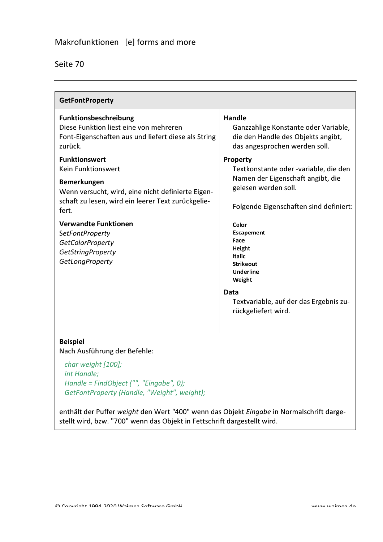| Seite | 70 |
|-------|----|
|       |    |

| <b>GetFontProperty</b>                                                                                                                                                                                                                                                                                                         |                                                                                                                                                                                                                                                                                                                                               |
|--------------------------------------------------------------------------------------------------------------------------------------------------------------------------------------------------------------------------------------------------------------------------------------------------------------------------------|-----------------------------------------------------------------------------------------------------------------------------------------------------------------------------------------------------------------------------------------------------------------------------------------------------------------------------------------------|
| Funktionsbeschreibung<br>Diese Funktion liest eine von mehreren<br>Font-Eigenschaften aus und liefert diese als String<br>zurück.                                                                                                                                                                                              | <b>Handle</b><br>Ganzzahlige Konstante oder Variable,<br>die den Handle des Objekts angibt,<br>das angesprochen werden soll.                                                                                                                                                                                                                  |
| <b>Funktionswert</b><br><b>Kein Funktionswert</b><br><b>Bemerkungen</b><br>Wenn versucht, wird, eine nicht definierte Eigen-<br>schaft zu lesen, wird ein leerer Text zurückgelie-<br>fert.<br><b>Verwandte Funktionen</b><br><b>SetFontProperty</b><br><b>GetColorProperty</b><br><b>GetStringProperty</b><br>GetLongProperty | <b>Property</b><br>Textkonstante oder -variable, die den<br>Namen der Eigenschaft angibt, die<br>gelesen werden soll.<br>Folgende Eigenschaften sind definiert:<br>Color<br><b>Escapement</b><br>Face<br>Height<br><b>Italic</b><br>Strikeout<br>Underline<br>Weight<br>Data<br>Textvariable, auf der das Ergebnis zu-<br>rückgeliefert wird. |
| <b>Beispiel</b><br>Nach Ausführung der Befehle:                                                                                                                                                                                                                                                                                |                                                                                                                                                                                                                                                                                                                                               |
| char weight [100];<br>int Handle;<br>Handle = FindObject ("", "Eingabe", 0);<br>GetFontProperty (Handle, "Weight", weight);                                                                                                                                                                                                    |                                                                                                                                                                                                                                                                                                                                               |

enthält der Puffer weight den Wert "400" wenn das Objekt Eingabe in Normalschrift dargestellt wird, bzw. "700" wenn das Objekt in Fettschrift dargestellt wird.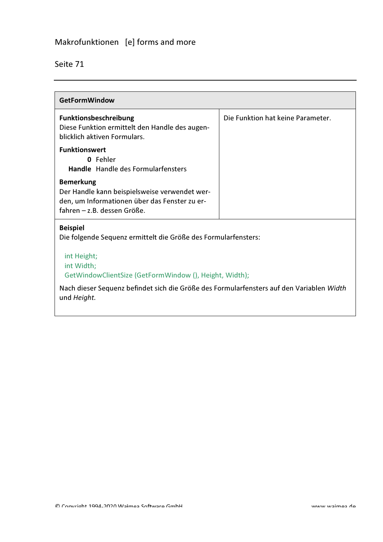## Makrofunktionen [e] forms and more

| <b>GetFormWindow</b>                                                                                                                              |                                   |  |
|---------------------------------------------------------------------------------------------------------------------------------------------------|-----------------------------------|--|
| Funktionsbeschreibung<br>Diese Funktion ermittelt den Handle des augen-<br>blicklich aktiven Formulars.                                           | Die Funktion hat keine Parameter. |  |
| <b>Funktionswert</b><br>0 Fehler<br>Handle Handle des Formularfensters                                                                            |                                   |  |
| <b>Bemerkung</b><br>Der Handle kann beispielsweise verwendet wer-<br>den, um Informationen über das Fenster zu er-<br>fahren - z.B. dessen Größe. |                                   |  |
| <b>Beispiel</b><br>Die folgende Sequenz ermittelt die Größe des Formularfensters:                                                                 |                                   |  |
| int Height;<br>int Width;<br>GetWindowClientSize (GetFormWindow (), Height, Width);                                                               |                                   |  |
| Nach dieser Sequenz befindet sich die Größe des Formularfensters auf den Variablen Width<br>und Height.                                           |                                   |  |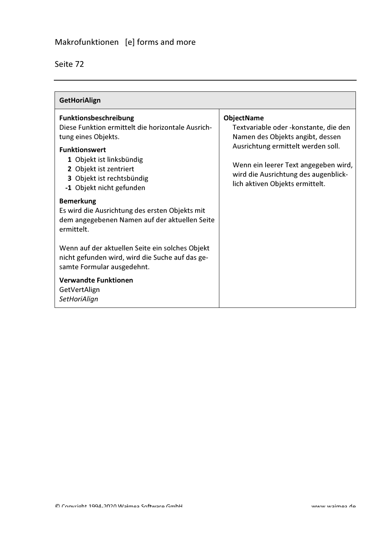| eιτ<br>▱ |  |
|----------|--|
|          |  |

| <b>GetHoriAlign</b>                                                                                                                                                                                                                             |                                                                                                                                                                                                                                                          |
|-------------------------------------------------------------------------------------------------------------------------------------------------------------------------------------------------------------------------------------------------|----------------------------------------------------------------------------------------------------------------------------------------------------------------------------------------------------------------------------------------------------------|
| <b>Funktionsbeschreibung</b><br>Diese Funktion ermittelt die horizontale Ausrich-<br>tung eines Objekts.<br><b>Funktionswert</b><br>1 Objekt ist linksbündig<br>2 Objekt ist zentriert<br>3 Objekt ist rechtsbündig<br>-1 Objekt nicht gefunden | <b>ObjectName</b><br>Textvariable oder - konstante, die den<br>Namen des Objekts angibt, dessen<br>Ausrichtung ermittelt werden soll.<br>Wenn ein leerer Text angegeben wird,<br>wird die Ausrichtung des augenblick-<br>lich aktiven Objekts ermittelt. |
| <b>Bemerkung</b><br>Es wird die Ausrichtung des ersten Objekts mit<br>dem angegebenen Namen auf der aktuellen Seite<br>ermittelt.                                                                                                               |                                                                                                                                                                                                                                                          |
| Wenn auf der aktuellen Seite ein solches Objekt<br>nicht gefunden wird, wird die Suche auf das ge-<br>samte Formular ausgedehnt.                                                                                                                |                                                                                                                                                                                                                                                          |
| <b>Verwandte Funktionen</b><br>GetVertAlign<br>SetHoriAlign                                                                                                                                                                                     |                                                                                                                                                                                                                                                          |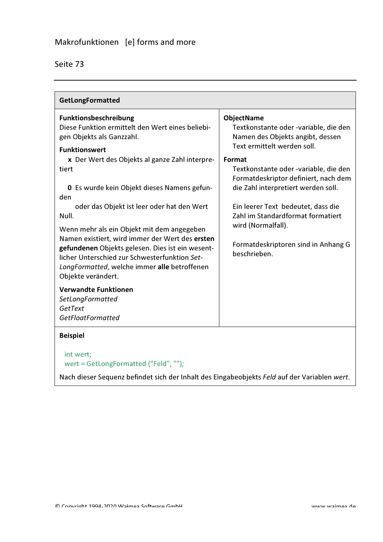| <b>GetLongFormatted</b>                                                                                                                                                                                                                                                                                                                                                                                                                                                                                                                                                                                                                                                      |                                                                                                                                                                                                                                                                                                                                                                                                                         |  |
|------------------------------------------------------------------------------------------------------------------------------------------------------------------------------------------------------------------------------------------------------------------------------------------------------------------------------------------------------------------------------------------------------------------------------------------------------------------------------------------------------------------------------------------------------------------------------------------------------------------------------------------------------------------------------|-------------------------------------------------------------------------------------------------------------------------------------------------------------------------------------------------------------------------------------------------------------------------------------------------------------------------------------------------------------------------------------------------------------------------|--|
| Funktionsbeschreibung<br>Diese Funktion ermittelt den Wert eines beliebi-<br>gen Objekts als Ganzzahl.<br><b>Funktionswert</b><br>x Der Wert des Objekts al ganze Zahl interpre-<br>tiert<br>0 Es wurde kein Objekt dieses Namens gefun-<br>den<br>oder das Objekt ist leer oder hat den Wert<br>Null.<br>Wenn mehr als ein Objekt mit dem angegeben<br>Namen existiert, wird immer der Wert des ersten<br>gefundenen Objekts gelesen. Dies ist ein wesent-<br>licher Unterschied zur Schwesterfunktion Set-<br>LongFormatted, welche immer alle betroffenen<br>Objekte verändert.<br><b>Verwandte Funktionen</b><br>SetLongFormatted<br>GetText<br><b>GetFloatFormatted</b> | <b>ObjectName</b><br>Textkonstante oder -variable, die den<br>Namen des Objekts angibt, dessen<br>Text ermittelt werden soll.<br>Format<br>Textkonstante oder -variable, die den<br>Formatdeskriptor definiert, nach dem<br>die Zahl interpretiert werden soll.<br>Ein leerer Text bedeutet, dass die<br>Zahl im Standardformat formatiert<br>wird (Normalfall).<br>Formatdeskriptoren sind in Anhang G<br>beschrieben. |  |
| <b>Beispiel</b><br>int wert;                                                                                                                                                                                                                                                                                                                                                                                                                                                                                                                                                                                                                                                 |                                                                                                                                                                                                                                                                                                                                                                                                                         |  |
| wert = GetLongFormatted ("Feld", "");<br>Nach dieser Sequenz befindet sich der Inhalt des Eingabeobjekts Feld auf der Variablen wert.                                                                                                                                                                                                                                                                                                                                                                                                                                                                                                                                        |                                                                                                                                                                                                                                                                                                                                                                                                                         |  |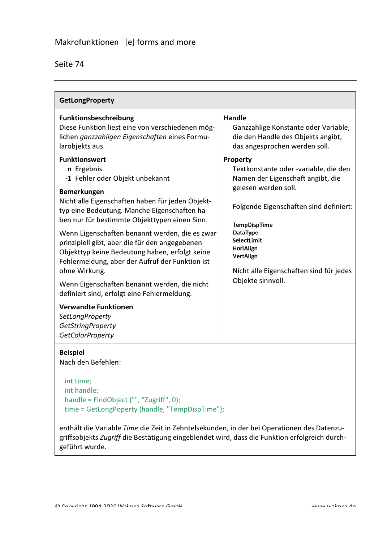| <b>GetLongProperty</b>                                                                                                                                                                                                                                                                                                                                                                                                                                                                                                                                                                                                                                                                                                                                                        |                                                                                                                                                                                                                                                                                                                                                                                                                                             |  |
|-------------------------------------------------------------------------------------------------------------------------------------------------------------------------------------------------------------------------------------------------------------------------------------------------------------------------------------------------------------------------------------------------------------------------------------------------------------------------------------------------------------------------------------------------------------------------------------------------------------------------------------------------------------------------------------------------------------------------------------------------------------------------------|---------------------------------------------------------------------------------------------------------------------------------------------------------------------------------------------------------------------------------------------------------------------------------------------------------------------------------------------------------------------------------------------------------------------------------------------|--|
| Funktionsbeschreibung<br>Diese Funktion liest eine von verschiedenen mög-<br>lichen ganzzahligen Eigenschaften eines Formu-<br>larobjekts aus.<br><b>Funktionswert</b><br>n Ergebnis<br>-1 Fehler oder Objekt unbekannt<br><b>Bemerkungen</b><br>Nicht alle Eigenschaften haben für jeden Objekt-<br>typ eine Bedeutung. Manche Eigenschaften ha-<br>ben nur für bestimmte Objekttypen einen Sinn.<br>Wenn Eigenschaften benannt werden, die es zwar<br>prinzipiell gibt, aber die für den angegebenen<br>Objekttyp keine Bedeutung haben, erfolgt keine<br>Fehlermeldung, aber der Aufruf der Funktion ist<br>ohne Wirkung.<br>Wenn Eigenschaften benannt werden, die nicht<br>definiert sind, erfolgt eine Fehlermeldung.<br><b>Verwandte Funktionen</b><br>SetLongProperty | <b>Handle</b><br>Ganzzahlige Konstante oder Variable,<br>die den Handle des Objekts angibt,<br>das angesprochen werden soll.<br>Property<br>Textkonstante oder -variable, die den<br>Namen der Eigenschaft angibt, die<br>gelesen werden soll.<br>Folgende Eigenschaften sind definiert:<br><b>TempDispTime</b><br>DataType<br>SelectLimit<br>HoriAlign<br><b>VertAlign</b><br>Nicht alle Eigenschaften sind für jedes<br>Objekte sinnvoll. |  |
| <b>GetStringProperty</b><br><b>GetColorProperty</b>                                                                                                                                                                                                                                                                                                                                                                                                                                                                                                                                                                                                                                                                                                                           |                                                                                                                                                                                                                                                                                                                                                                                                                                             |  |
| <b>Beispiel</b><br>Nach den Befehlen:<br>int time;                                                                                                                                                                                                                                                                                                                                                                                                                                                                                                                                                                                                                                                                                                                            |                                                                                                                                                                                                                                                                                                                                                                                                                                             |  |
| int handle;                                                                                                                                                                                                                                                                                                                                                                                                                                                                                                                                                                                                                                                                                                                                                                   |                                                                                                                                                                                                                                                                                                                                                                                                                                             |  |

handle = FindObject ("", "Zugriff", 0); time = GetLongPoperty (handle, "TempDispTime");

enthält die Variable Time die Zeit in Zehntelsekunden, in der bei Operationen des Datenzugriffsobjekts Zugriff die Bestätigung eingeblendet wird, dass die Funktion erfolgreich durchgeführt wurde.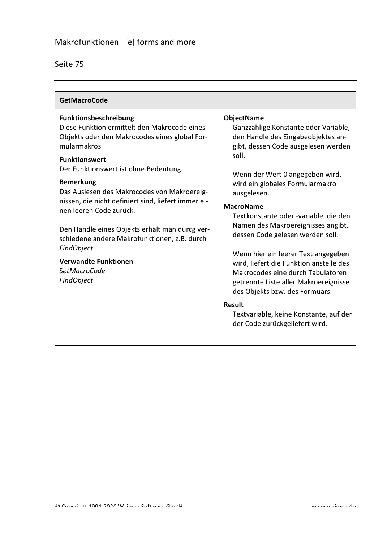| <b>GetMacroCode</b>                                                                                                                                                                                                                                                                                                                                                                                                                                                                                                                                     |                                                                                                                                                                                                                                                                                                                                                                                                                                                                                                                                                                                                                                                                            |
|---------------------------------------------------------------------------------------------------------------------------------------------------------------------------------------------------------------------------------------------------------------------------------------------------------------------------------------------------------------------------------------------------------------------------------------------------------------------------------------------------------------------------------------------------------|----------------------------------------------------------------------------------------------------------------------------------------------------------------------------------------------------------------------------------------------------------------------------------------------------------------------------------------------------------------------------------------------------------------------------------------------------------------------------------------------------------------------------------------------------------------------------------------------------------------------------------------------------------------------------|
| <b>Funktionsbeschreibung</b><br>Diese Funktion ermittelt den Makrocode eines<br>Objekts oder den Makrocodes eines global For-<br>mularmakros.<br><b>Funktionswert</b><br>Der Funktionswert ist ohne Bedeutung.<br><b>Bemerkung</b><br>Das Auslesen des Makrocodes von Makroereig-<br>nissen, die nicht definiert sind, liefert immer ei-<br>nen leeren Code zurück.<br>Den Handle eines Objekts erhält man durcg ver-<br>schiedene andere Makrofunktionen, z.B. durch<br>FindObject<br><b>Verwandte Funktionen</b><br><b>SetMacroCode</b><br>FindObject | <b>ObjectName</b><br>Ganzzahlige Konstante oder Variable,<br>den Handle des Eingabeobjektes an-<br>gibt, dessen Code ausgelesen werden<br>soll.<br>Wenn der Wert 0 angegeben wird,<br>wird ein globales Formularmakro<br>ausgelesen.<br><b>MacroName</b><br>Textkonstante oder -variable, die den<br>Namen des Makroereignisses angibt,<br>dessen Code gelesen werden soll.<br>Wenn hier ein leerer Text angegeben<br>wird, liefert die Funktion anstelle des<br>Makrocodes eine durch Tabulatoren<br>getrennte Liste aller Makroereignisse<br>des Objekts bzw. des Formuars.<br><b>Result</b><br>Textvariable, keine Konstante, auf der<br>der Code zurückgeliefert wird. |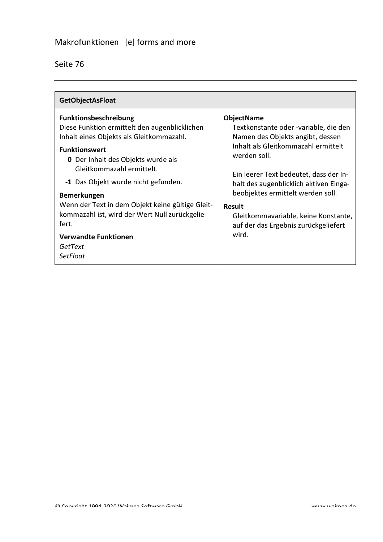| Seite |
|-------|
|-------|

| <b>GetObjectAsFloat</b>                                                                                                                                                                                                                                                                                                                                                                                                                                              |                                                                                                                                                                                                                                                                                                                                                                                   |
|----------------------------------------------------------------------------------------------------------------------------------------------------------------------------------------------------------------------------------------------------------------------------------------------------------------------------------------------------------------------------------------------------------------------------------------------------------------------|-----------------------------------------------------------------------------------------------------------------------------------------------------------------------------------------------------------------------------------------------------------------------------------------------------------------------------------------------------------------------------------|
| <b>Funktionsbeschreibung</b><br>Diese Funktion ermittelt den augenblicklichen<br>Inhalt eines Objekts als Gleitkommazahl.<br><b>Funktionswert</b><br><b>0</b> Der Inhalt des Objekts wurde als<br>Gleitkommazahl ermittelt.<br>-1 Das Objekt wurde nicht gefunden.<br><b>Bemerkungen</b><br>Wenn der Text in dem Objekt keine gültige Gleit-<br>kommazahl ist, wird der Wert Null zurückgelie-<br>fert.<br><b>Verwandte Funktionen</b><br>GetText<br><b>SetFloat</b> | <b>ObjectName</b><br>Textkonstante oder -variable, die den<br>Namen des Objekts angibt, dessen<br>Inhalt als Gleitkommazahl ermittelt<br>werden soll.<br>Ein leerer Text bedeutet, dass der In-<br>halt des augenblicklich aktiven Einga-<br>beobjektes ermittelt werden soll.<br>Result<br>Gleitkommavariable, keine Konstante,<br>auf der das Ergebnis zurückgeliefert<br>wird. |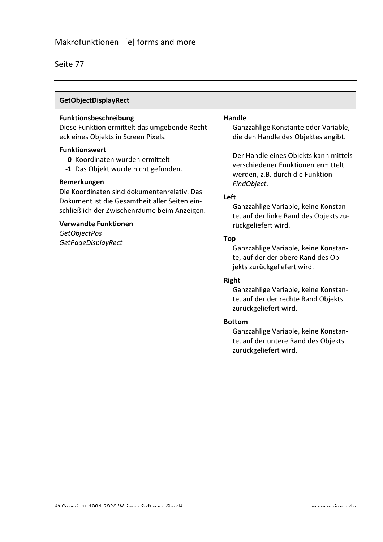| <b>GetObjectDisplayRect</b>                                                                                                                                                                                                                                                                                                                                                                                                                                                    |                                                                                                                                                                                                                                                                                                                                                                                                      |
|--------------------------------------------------------------------------------------------------------------------------------------------------------------------------------------------------------------------------------------------------------------------------------------------------------------------------------------------------------------------------------------------------------------------------------------------------------------------------------|------------------------------------------------------------------------------------------------------------------------------------------------------------------------------------------------------------------------------------------------------------------------------------------------------------------------------------------------------------------------------------------------------|
| Funktionsbeschreibung<br>Diese Funktion ermittelt das umgebende Recht-<br>eck eines Objekts in Screen Pixels.<br><b>Funktionswert</b><br><b>0</b> Koordinaten wurden ermittelt<br>-1 Das Objekt wurde nicht gefunden.<br><b>Bemerkungen</b><br>Die Koordinaten sind dokumentenrelativ. Das<br>Dokument ist die Gesamtheit aller Seiten ein-<br>schließlich der Zwischenräume beim Anzeigen.<br><b>Verwandte Funktionen</b><br><b>GetObjectPos</b><br><b>GetPageDisplayRect</b> | <b>Handle</b><br>Ganzzahlige Konstante oder Variable,<br>die den Handle des Objektes angibt.<br>Der Handle eines Objekts kann mittels<br>verschiedener Funktionen ermittelt<br>werden, z.B. durch die Funktion<br>FindObject.<br>Left<br>Ganzzahlige Variable, keine Konstan-<br>te, auf der linke Rand des Objekts zu-<br>rückgeliefert wird.<br><b>Top</b><br>Ganzzahlige Variable, keine Konstan- |
|                                                                                                                                                                                                                                                                                                                                                                                                                                                                                | te, auf der der obere Rand des Ob-<br>jekts zurückgeliefert wird.<br>Right<br>Ganzzahlige Variable, keine Konstan-<br>te, auf der der rechte Rand Objekts<br>zurückgeliefert wird.<br><b>Bottom</b><br>Ganzzahlige Variable, keine Konstan-<br>te, auf der untere Rand des Objekts<br>zurückgeliefert wird.                                                                                          |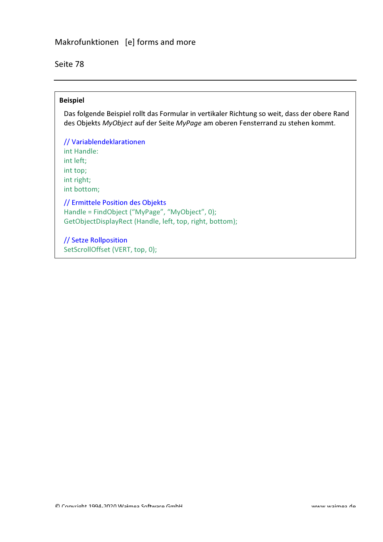Seite 78

#### **Beispiel**

Das folgende Beispiel rollt das Formular in vertikaler Richtung so weit, dass der obere Rand des Objekts MyObject auf der Seite MyPage am oberen Fensterrand zu stehen kommt.

// Variablendeklarationen int Handle: int left: int top; int right; int bottom;

// Ermittele Position des Objekts Handle = FindObject ("MyPage", "MyObject", 0); GetObjectDisplayRect (Handle, left, top, right, bottom);

// Setze Rollposition SetScrollOffset (VERT, top, 0);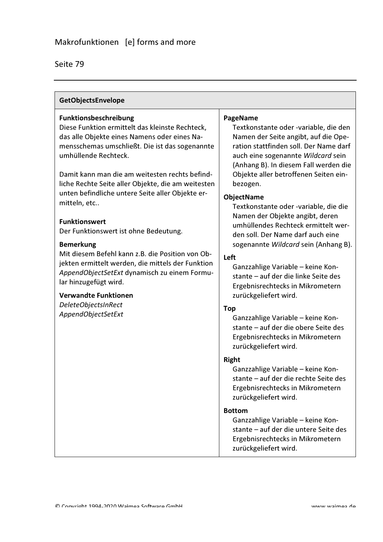| GetObjectsEnvelope                                                                                                                                                                                                                                                                                                                                                                                                                                                                                                                                                                                                                                                                                                                |                                                                                                                                                                                                                                                                                                                                                                                                                                                                                                                                                                                                                                                                                                                                                                                                                                                                                                                                                                                                                                                                                                                               |
|-----------------------------------------------------------------------------------------------------------------------------------------------------------------------------------------------------------------------------------------------------------------------------------------------------------------------------------------------------------------------------------------------------------------------------------------------------------------------------------------------------------------------------------------------------------------------------------------------------------------------------------------------------------------------------------------------------------------------------------|-------------------------------------------------------------------------------------------------------------------------------------------------------------------------------------------------------------------------------------------------------------------------------------------------------------------------------------------------------------------------------------------------------------------------------------------------------------------------------------------------------------------------------------------------------------------------------------------------------------------------------------------------------------------------------------------------------------------------------------------------------------------------------------------------------------------------------------------------------------------------------------------------------------------------------------------------------------------------------------------------------------------------------------------------------------------------------------------------------------------------------|
| Funktionsbeschreibung<br>Diese Funktion ermittelt das kleinste Rechteck,<br>das alle Objekte eines Namens oder eines Na-<br>mensschemas umschließt. Die ist das sogenannte<br>umhüllende Rechteck.<br>Damit kann man die am weitesten rechts befind-<br>liche Rechte Seite aller Objekte, die am weitesten<br>unten befindliche untere Seite aller Objekte er-<br>mitteln, etc<br><b>Funktionswert</b><br>Der Funktionswert ist ohne Bedeutung.<br><b>Bemerkung</b><br>Mit diesem Befehl kann z.B. die Position von Ob-<br>jekten ermittelt werden, die mittels der Funktion<br>AppendObjectSetExt dynamisch zu einem Formu-<br>lar hinzugefügt wird.<br><b>Verwandte Funktionen</b><br>DeleteObjectsInRect<br>AppendObjectSetExt | PageName<br>Textkonstante oder -variable, die den<br>Namen der Seite angibt, auf die Ope-<br>ration stattfinden soll. Der Name darf<br>auch eine sogenannte Wildcard sein<br>(Anhang B). In diesem Fall werden die<br>Objekte aller betroffenen Seiten ein-<br>bezogen.<br><b>ObjectName</b><br>Textkonstante oder -variable, die die<br>Namen der Objekte angibt, deren<br>umhüllendes Rechteck ermittelt wer-<br>den soll. Der Name darf auch eine<br>sogenannte Wildcard sein (Anhang B).<br>Left<br>Ganzzahlige Variable - keine Kon-<br>stante - auf der die linke Seite des<br>Ergebnisrechtecks in Mikrometern<br>zurückgeliefert wird.<br><b>Top</b><br>Ganzzahlige Variable - keine Kon-<br>stante - auf der die obere Seite des<br>Ergebnisrechtecks in Mikrometern<br>zurückgeliefert wird.<br><b>Right</b><br>Ganzzahlige Variable - keine Kon-<br>stante - auf der die rechte Seite des<br>Ergebnisrechtecks in Mikrometern<br>zurückgeliefert wird.<br><b>Bottom</b><br>Ganzzahlige Variable - keine Kon-<br>stante - auf der die untere Seite des<br>Ergebnisrechtecks in Mikrometern<br>zurückgeliefert wird. |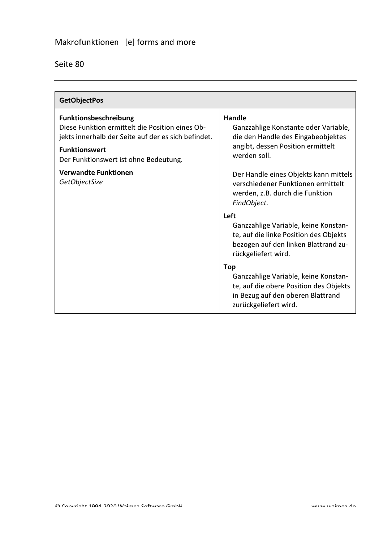| Seite 80 |
|----------|
|----------|

| <b>GetObjectPos</b>                                                                                                                                                                              |                                                                                                                                                            |
|--------------------------------------------------------------------------------------------------------------------------------------------------------------------------------------------------|------------------------------------------------------------------------------------------------------------------------------------------------------------|
| Funktionsbeschreibung<br>Diese Funktion ermittelt die Position eines Ob-<br>jekts innerhalb der Seite auf der es sich befindet.<br><b>Funktionswert</b><br>Der Funktionswert ist ohne Bedeutung. | Handle<br>Ganzzahlige Konstante oder Variable,<br>die den Handle des Eingabeobjektes<br>angibt, dessen Position ermittelt<br>werden soll.                  |
| <b>Verwandte Funktionen</b><br>GetObjectSize                                                                                                                                                     | Der Handle eines Objekts kann mittels<br>verschiedener Funktionen ermittelt<br>werden, z.B. durch die Funktion<br>FindObject.                              |
|                                                                                                                                                                                                  | Left<br>Ganzzahlige Variable, keine Konstan-<br>te, auf die linke Position des Objekts<br>bezogen auf den linken Blattrand zu-<br>rückgeliefert wird.      |
|                                                                                                                                                                                                  | <b>Top</b><br>Ganzzahlige Variable, keine Konstan-<br>te, auf die obere Position des Objekts<br>in Bezug auf den oberen Blattrand<br>zurückgeliefert wird. |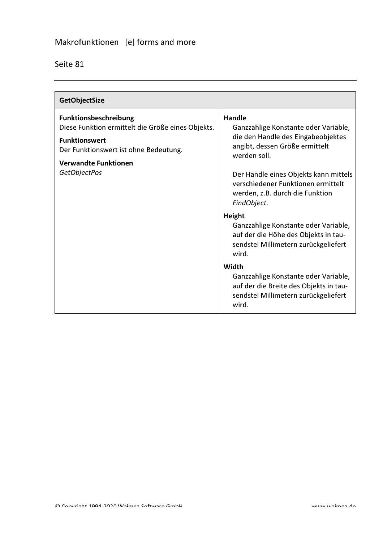| <b>GetObjectSize</b>                                                                                                                        |                                                                                                                                                |
|---------------------------------------------------------------------------------------------------------------------------------------------|------------------------------------------------------------------------------------------------------------------------------------------------|
| Funktionsbeschreibung<br>Diese Funktion ermittelt die Größe eines Objekts.<br><b>Funktionswert</b><br>Der Funktionswert ist ohne Bedeutung. | Handle<br>Ganzzahlige Konstante oder Variable,<br>die den Handle des Eingabeobjektes<br>angibt, dessen Größe ermittelt                         |
| <b>Verwandte Funktionen</b><br>GetObjectPos                                                                                                 | werden soll.<br>Der Handle eines Objekts kann mittels<br>verschiedener Funktionen ermittelt<br>werden, z.B. durch die Funktion<br>FindObject.  |
|                                                                                                                                             | <b>Height</b><br>Ganzzahlige Konstante oder Variable,<br>auf der die Höhe des Objekts in tau-<br>sendstel Millimetern zurückgeliefert<br>wird. |
|                                                                                                                                             | Width<br>Ganzzahlige Konstante oder Variable,<br>auf der die Breite des Objekts in tau-<br>sendstel Millimetern zurückgeliefert<br>wird.       |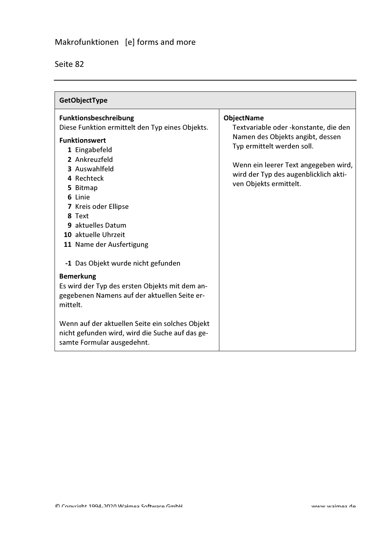| GetObjectType                                                                                                                                                                                                                                                                                                                                                                                                         |                                                                                                                                                                                                                                          |
|-----------------------------------------------------------------------------------------------------------------------------------------------------------------------------------------------------------------------------------------------------------------------------------------------------------------------------------------------------------------------------------------------------------------------|------------------------------------------------------------------------------------------------------------------------------------------------------------------------------------------------------------------------------------------|
| <b>Funktionsbeschreibung</b><br>Diese Funktion ermittelt den Typ eines Objekts.<br><b>Funktionswert</b><br>1 Eingabefeld<br>2 Ankreuzfeld<br>3 Auswahlfeld<br>4 Rechteck<br>5 Bitmap<br>6 Linie<br>7 Kreis oder Ellipse<br>8 Text<br>9 aktuelles Datum<br>10 aktuelle Uhrzeit<br>11 Name der Ausfertigung<br>-1 Das Objekt wurde nicht gefunden<br><b>Bemerkung</b><br>Es wird der Typ des ersten Objekts mit dem an- | <b>ObjectName</b><br>Textvariable oder - konstante, die den<br>Namen des Objekts angibt, dessen<br>Typ ermittelt werden soll.<br>Wenn ein leerer Text angegeben wird,<br>wird der Typ des augenblicklich akti-<br>ven Objekts ermittelt. |
| gegebenen Namens auf der aktuellen Seite er-<br>mittelt.<br>Wenn auf der aktuellen Seite ein solches Objekt<br>nicht gefunden wird, wird die Suche auf das ge-<br>samte Formular ausgedehnt.                                                                                                                                                                                                                          |                                                                                                                                                                                                                                          |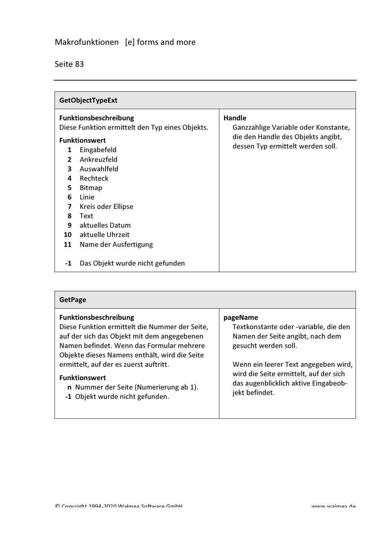| <b>GetObjectTypeExt</b>                                                                                                                                                                                                                                                           |                                                                                                             |                                                                                                                                  |
|-----------------------------------------------------------------------------------------------------------------------------------------------------------------------------------------------------------------------------------------------------------------------------------|-------------------------------------------------------------------------------------------------------------|----------------------------------------------------------------------------------------------------------------------------------|
| Funktionsbeschreibung<br><b>Funktionswert</b><br>Eingabefeld<br>1<br>Ankreuzfeld<br>$\overline{2}$<br>Auswahlfeld<br>3<br>Rechteck<br>4<br>5<br><b>Bitmap</b><br>6<br>Linie<br>Kreis oder Ellipse<br>7<br>8<br>Text<br>aktuelles Datum<br>9<br>aktuelle Uhrzeit<br>10<br>11<br>-1 | Diese Funktion ermittelt den Typ eines Objekts.<br>Name der Ausfertigung<br>Das Objekt wurde nicht gefunden | <b>Handle</b><br>Ganzzahlige Variable oder Konstante,<br>die den Handle des Objekts angibt,<br>dessen Typ ermittelt werden soll. |

| <b>GetPage</b>                                                                                                                                                                                                                                                                                                                                                             |                                                                                                                                                                                                                                                           |
|----------------------------------------------------------------------------------------------------------------------------------------------------------------------------------------------------------------------------------------------------------------------------------------------------------------------------------------------------------------------------|-----------------------------------------------------------------------------------------------------------------------------------------------------------------------------------------------------------------------------------------------------------|
| <b>Funktionsbeschreibung</b><br>Diese Funktion ermittelt die Nummer der Seite,<br>auf der sich das Objekt mit dem angegebenen<br>Namen befindet. Wenn das Formular mehrere<br>Objekte dieses Namens enthält, wird die Seite<br>ermittelt, auf der es zuerst auftritt.<br><b>Funktionswert</b><br>n Nummer der Seite (Numerierung ab 1).<br>-1 Objekt wurde nicht gefunden. | pageName<br>Textkonstante oder -variable, die den<br>Namen der Seite angibt, nach dem<br>gesucht werden soll.<br>Wenn ein leerer Text angegeben wird,<br>wird die Seite ermittelt, auf der sich<br>das augenblicklich aktive Eingabeob-<br>jekt befindet. |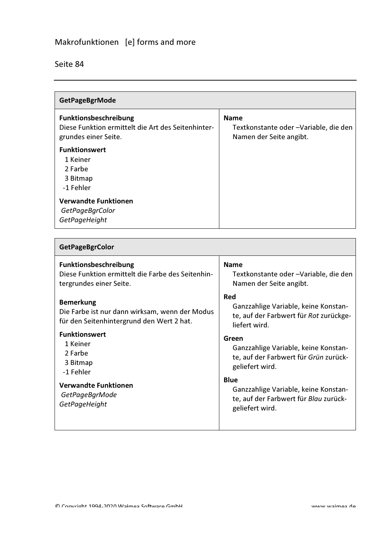| <b>GetPageBgrMode</b>                                                                                      |                                                                                 |
|------------------------------------------------------------------------------------------------------------|---------------------------------------------------------------------------------|
| <b>Funktionsbeschreibung</b><br>Diese Funktion ermittelt die Art des Seitenhinter-<br>grundes einer Seite. | <b>Name</b><br>Textkonstante oder -Variable, die den<br>Namen der Seite angibt. |
| <b>Funktionswert</b><br>1 Keiner<br>2 Farbe<br>3 Bitmap<br>-1 Fehler                                       |                                                                                 |
| <b>Verwandte Funktionen</b><br>GetPageBgrColor<br>GetPageHeight                                            |                                                                                 |

| <b>GetPageBgrColor</b>                                                                                          |                                                                                                        |
|-----------------------------------------------------------------------------------------------------------------|--------------------------------------------------------------------------------------------------------|
| Funktionsbeschreibung                                                                                           | <b>Name</b>                                                                                            |
| Diese Funktion ermittelt die Farbe des Seitenhin-                                                               | Textkonstante oder -Variable, die den                                                                  |
| tergrundes einer Seite.                                                                                         | Namen der Seite angibt.                                                                                |
| <b>Bemerkung</b><br>Die Farbe ist nur dann wirksam, wenn der Modus<br>für den Seitenhintergrund den Wert 2 hat. | Red<br>Ganzzahlige Variable, keine Konstan-<br>te, auf der Farbwert für Rot zurückge-<br>liefert wird. |
| <b>Funktionswert</b>                                                                                            | Green                                                                                                  |
| 1 Keiner                                                                                                        | Ganzzahlige Variable, keine Konstan-                                                                   |
| 2 Farbe                                                                                                         | te, auf der Farbwert für Grün zurück-                                                                  |
| 3 Bitmap                                                                                                        | geliefert wird.                                                                                        |
| -1 Fehler                                                                                                       | <b>Blue</b>                                                                                            |
| <b>Verwandte Funktionen</b>                                                                                     | Ganzzahlige Variable, keine Konstan-                                                                   |
| GetPageBgrMode                                                                                                  | te, auf der Farbwert für Blau zurück-                                                                  |
| GetPageHeight                                                                                                   | geliefert wird.                                                                                        |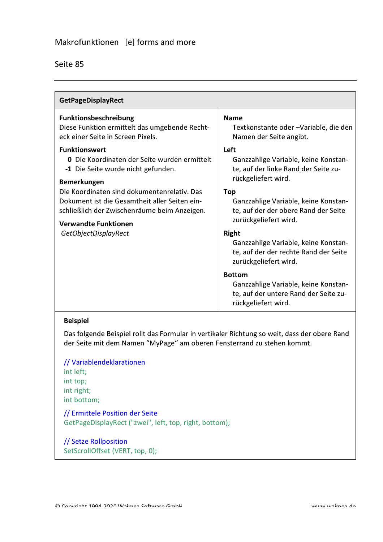| Funktionsbeschreibung                                                                         | <b>Name</b>                                                                                            |
|-----------------------------------------------------------------------------------------------|--------------------------------------------------------------------------------------------------------|
| Diese Funktion ermittelt das umgebende Recht-<br>eck einer Seite in Screen Pixels.            | Textkonstante oder -Variable, die den<br>Namen der Seite angibt.                                       |
| <b>Funktionswert</b>                                                                          | Left                                                                                                   |
| <b>0</b> Die Koordinaten der Seite wurden ermittelt<br>-1 Die Seite wurde nicht gefunden.     | Ganzzahlige Variable, keine Konstan-<br>te, auf der linke Rand der Seite zu-<br>rückgeliefert wird.    |
| <b>Bemerkungen</b>                                                                            |                                                                                                        |
| Die Koordinaten sind dokumentenrelativ. Das                                                   | <b>Top</b>                                                                                             |
| Dokument ist die Gesamtheit aller Seiten ein-<br>schließlich der Zwischenräume beim Anzeigen. | Ganzzahlige Variable, keine Konstan-<br>te, auf der der obere Rand der Seite                           |
| <b>Verwandte Funktionen</b>                                                                   | zurückgeliefert wird.                                                                                  |
| GetObjectDisplayRect                                                                          | <b>Right</b>                                                                                           |
|                                                                                               | Ganzzahlige Variable, keine Konstan-<br>te, auf der der rechte Rand der Seite<br>zurückgeliefert wird. |
|                                                                                               | <b>Bottom</b>                                                                                          |
|                                                                                               | Ganzzahlige Variable, keine Konstan-<br>te, auf der untere Rand der Seite zu-<br>rückgeliefert wird.   |

Das folgende Beispiel rollt das Formular in vertikaler Richtung so weit, dass der obere Rand der Seite mit dem Namen "MyPage" am oberen Fensterrand zu stehen kommt.

// Variablendeklarationen int left; int top; int right; int bottom;

// Ermittele Position der Seite GetPageDisplayRect ("zwei", left, top, right, bottom);

// Setze Rollposition SetScrollOffset (VERT, top, 0);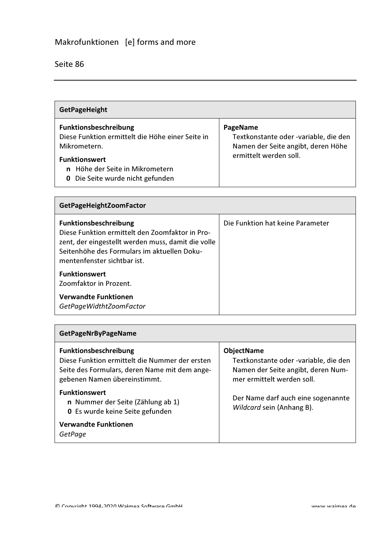$\blacksquare$ 

| <b>GetPageHeight</b>                                                                                                                                                                        |                                                                                                                   |
|---------------------------------------------------------------------------------------------------------------------------------------------------------------------------------------------|-------------------------------------------------------------------------------------------------------------------|
| Funktionsbeschreibung<br>Diese Funktion ermittelt die Höhe einer Seite in<br>Mikrometern.<br><b>Funktionswert</b><br>n Höhe der Seite in Mikrometern<br>Die Seite wurde nicht gefunden<br>0 | PageName<br>Textkonstante oder -variable, die den<br>Namen der Seite angibt, deren Höhe<br>ermittelt werden soll. |

| <b>GetPageHeightZoomFactor</b>                                                                                                                                                                                      |                                  |
|---------------------------------------------------------------------------------------------------------------------------------------------------------------------------------------------------------------------|----------------------------------|
| <b>Funktionsbeschreibung</b><br>Diese Funktion ermittelt den Zoomfaktor in Pro-<br>zent, der eingestellt werden muss, damit die volle<br>Seitenhöhe des Formulars im aktuellen Doku-<br>mentenfenster sichtbar ist. | Die Funktion hat keine Parameter |
| <b>Funktionswert</b><br>Zoomfaktor in Prozent.                                                                                                                                                                      |                                  |
| Verwandte Funktionen<br>GetPageWidthtZoomFactor                                                                                                                                                                     |                                  |

| <b>GetPageNrByPageName</b>                                                                                                                                      |                                                                                                                                |
|-----------------------------------------------------------------------------------------------------------------------------------------------------------------|--------------------------------------------------------------------------------------------------------------------------------|
| <b>Funktionsbeschreibung</b><br>Diese Funktion ermittelt die Nummer der ersten<br>Seite des Formulars, deren Name mit dem ange-<br>gebenen Namen übereinstimmt. | <b>ObjectName</b><br>Textkonstante oder -variable, die den<br>Namen der Seite angibt, deren Num-<br>mer ermittelt werden soll. |
| <b>Funktionswert</b><br>n Nummer der Seite (Zählung ab 1)<br><b>0</b> Es wurde keine Seite gefunden                                                             | Der Name darf auch eine sogenannte<br>Wildcard sein (Anhang B).                                                                |
| <b>Verwandte Funktionen</b><br>GetPage                                                                                                                          |                                                                                                                                |

 $\overline{\phantom{a}}$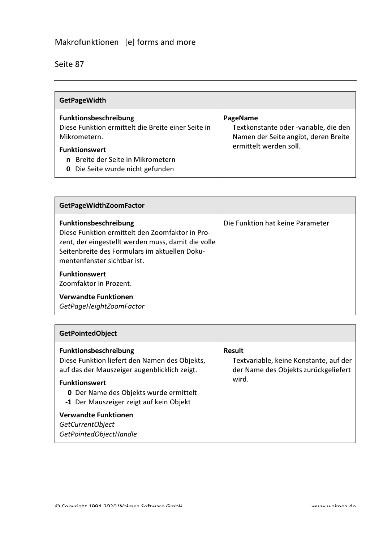| <b>GetPageWidth</b>                                                                                                                                                                                        |                                                                                                                     |
|------------------------------------------------------------------------------------------------------------------------------------------------------------------------------------------------------------|---------------------------------------------------------------------------------------------------------------------|
| Funktionsbeschreibung<br>Diese Funktion ermittelt die Breite einer Seite in<br>Mikrometern.<br><b>Funktionswert</b><br><b>n</b> Breite der Seite in Mikrometern<br><b>0</b> Die Seite wurde nicht gefunden | PageName<br>Textkonstante oder -variable, die den<br>Namen der Seite angibt, deren Breite<br>ermittelt werden soll. |

| <b>GetPageWidthZoomFactor</b>                                                                                                                                                                                         |                                  |
|-----------------------------------------------------------------------------------------------------------------------------------------------------------------------------------------------------------------------|----------------------------------|
| <b>Funktionsbeschreibung</b><br>Diese Funktion ermittelt den Zoomfaktor in Pro-<br>zent, der eingestellt werden muss, damit die volle<br>Seitenbreite des Formulars im aktuellen Doku-<br>mentenfenster sichtbar ist. | Die Funktion hat keine Parameter |
| <b>Funktionswert</b><br>Zoomfaktor in Prozent.                                                                                                                                                                        |                                  |
| <b>Verwandte Funktionen</b><br>GetPageHeightZoomFactor                                                                                                                                                                |                                  |

| <b>GetPointedObject</b>                                                                                                                                                                                                                                                                                                               |                                                                                                   |
|---------------------------------------------------------------------------------------------------------------------------------------------------------------------------------------------------------------------------------------------------------------------------------------------------------------------------------------|---------------------------------------------------------------------------------------------------|
| <b>Funktionsbeschreibung</b><br>Diese Funktion liefert den Namen des Objekts,<br>auf das der Mauszeiger augenblicklich zeigt.<br><b>Funktionswert</b><br><b>0</b> Der Name des Objekts wurde ermittelt<br>-1 Der Mauszeiger zeigt auf kein Objekt<br><b>Verwandte Funktionen</b><br><b>GetCurrentObject</b><br>GetPointedObjectHandle | Result<br>Textvariable, keine Konstante, auf der<br>der Name des Objekts zurückgeliefert<br>wird. |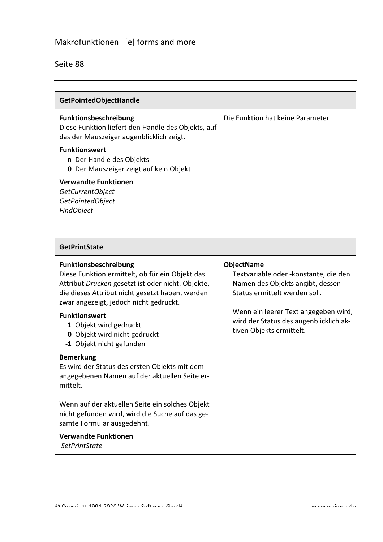$\blacksquare$ 

| <b>GetPointedObjectHandle</b>                                                                                                  |                                  |
|--------------------------------------------------------------------------------------------------------------------------------|----------------------------------|
| <b>Funktionsbeschreibung</b><br>Diese Funktion liefert den Handle des Objekts, auf<br>das der Mauszeiger augenblicklich zeigt. | Die Funktion hat keine Parameter |
| <b>Funktionswert</b><br>n Der Handle des Objekts<br><b>0</b> Der Mauszeiger zeigt auf kein Objekt                              |                                  |
| <b>Verwandte Funktionen</b><br><b>GetCurrentObject</b><br>GetPointedObject<br><b>FindObject</b>                                |                                  |

| <b>GetPrintState</b>                                                                      |                                                                    |
|-------------------------------------------------------------------------------------------|--------------------------------------------------------------------|
| <b>Funktionsbeschreibung</b>                                                              | <b>ObjectName</b>                                                  |
| Diese Funktion ermittelt, ob für ein Objekt das                                           | Textvariable oder -konstante, die den                              |
| Attribut Drucken gesetzt ist oder nicht. Objekte,                                         | Namen des Objekts angibt, dessen                                   |
| die dieses Attribut nicht gesetzt haben, werden<br>zwar angezeigt, jedoch nicht gedruckt. | Status ermittelt werden soll.                                      |
| <b>Funktionswert</b>                                                                      | Wenn ein leerer Text angegeben wird,                               |
| 1 Objekt wird gedruckt                                                                    | wird der Status des augenblicklich ak-<br>tiven Objekts ermittelt. |
| 0 Objekt wird nicht gedruckt                                                              |                                                                    |
| -1 Objekt nicht gefunden                                                                  |                                                                    |
| <b>Bemerkung</b>                                                                          |                                                                    |
| Es wird der Status des ersten Objekts mit dem                                             |                                                                    |
| angegebenen Namen auf der aktuellen Seite er-                                             |                                                                    |
| mittelt.                                                                                  |                                                                    |
| Wenn auf der aktuellen Seite ein solches Objekt                                           |                                                                    |
| nicht gefunden wird, wird die Suche auf das ge-                                           |                                                                    |
| samte Formular ausgedehnt.                                                                |                                                                    |
| <b>Verwandte Funktionen</b>                                                               |                                                                    |
| <b>SetPrintState</b>                                                                      |                                                                    |

 $\overline{\phantom{0}}$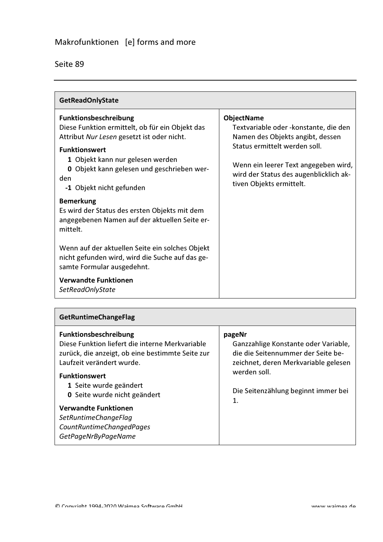| Seite 89 |
|----------|
|----------|

| <b>GetReadOnlyState</b>                                                                                                                                                                                                                                                    |                                                                                                                                                                                                                                                |  |
|----------------------------------------------------------------------------------------------------------------------------------------------------------------------------------------------------------------------------------------------------------------------------|------------------------------------------------------------------------------------------------------------------------------------------------------------------------------------------------------------------------------------------------|--|
| <b>Funktionsbeschreibung</b><br>Diese Funktion ermittelt, ob für ein Objekt das<br>Attribut Nur Lesen gesetzt ist oder nicht.<br><b>Funktionswert</b><br>1 Objekt kann nur gelesen werden<br>0 Objekt kann gelesen und geschrieben wer-<br>den<br>-1 Objekt nicht gefunden | <b>ObjectName</b><br>Textvariable oder - konstante, die den<br>Namen des Objekts angibt, dessen<br>Status ermittelt werden soll.<br>Wenn ein leerer Text angegeben wird,<br>wird der Status des augenblicklich ak-<br>tiven Objekts ermittelt. |  |
| <b>Bemerkung</b><br>Es wird der Status des ersten Objekts mit dem<br>angegebenen Namen auf der aktuellen Seite er-<br>mittelt.                                                                                                                                             |                                                                                                                                                                                                                                                |  |
| Wenn auf der aktuellen Seite ein solches Objekt<br>nicht gefunden wird, wird die Suche auf das ge-<br>samte Formular ausgedehnt.                                                                                                                                           |                                                                                                                                                                                                                                                |  |
| <b>Verwandte Funktionen</b><br>SetReadOnlyState                                                                                                                                                                                                                            |                                                                                                                                                                                                                                                |  |

| <b>GetRuntimeChangeFlag</b>                                                                                                                                                                                                                                                                                                                                                |                                                                                                                                                                                                    |
|----------------------------------------------------------------------------------------------------------------------------------------------------------------------------------------------------------------------------------------------------------------------------------------------------------------------------------------------------------------------------|----------------------------------------------------------------------------------------------------------------------------------------------------------------------------------------------------|
| <b>Funktionsbeschreibung</b><br>Diese Funktion liefert die interne Merkvariable<br>zurück, die anzeigt, ob eine bestimmte Seite zur<br>Laufzeit verändert wurde.<br><b>Funktionswert</b><br>1 Seite wurde geändert<br><b>0</b> Seite wurde nicht geändert<br><b>Verwandte Funktionen</b><br>SetRuntimeChangeFlag<br><b>CountRuntimeChangedPages</b><br>GetPageNrByPageName | pageNr<br>Ganzzahlige Konstante oder Variable,<br>die die Seitennummer der Seite be-<br>zeichnet, deren Merkvariable gelesen<br>werden soll.<br>Die Seitenzählung beginnt immer bei<br>$\mathbf 1$ |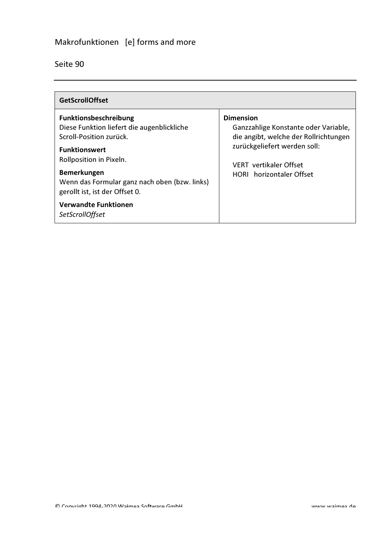| <b>GetScrollOffset</b>                                                                                                           |                                                                                                                                   |
|----------------------------------------------------------------------------------------------------------------------------------|-----------------------------------------------------------------------------------------------------------------------------------|
| <b>Funktionsbeschreibung</b><br>Diese Funktion liefert die augenblickliche<br>Scroll-Position zurück.<br><b>Funktionswert</b>    | <b>Dimension</b><br>Ganzzahlige Konstante oder Variable,<br>die angibt, welche der Rollrichtungen<br>zurückgeliefert werden soll: |
| Rollposition in Pixeln.<br><b>Bemerkungen</b><br>Wenn das Formular ganz nach oben (bzw. links)<br>gerollt ist, ist der Offset 0. | <b>VERT</b> vertikaler Offset<br>HORL horizontaler Offset                                                                         |
| <b>Verwandte Funktionen</b><br><b>SetScrollOffset</b>                                                                            |                                                                                                                                   |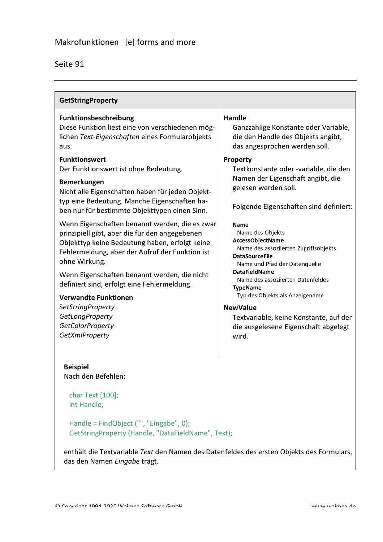| <b>GetStringProperty</b>                                                                                                                                                                                                                                                                                                                                                                                                                                                                                                                                                                                                                                                                                                                                                                                                             |                                                                                                                                                                                                                                                                                                                                                                                                                                                                                                                                                                                                                                                                               |  |
|--------------------------------------------------------------------------------------------------------------------------------------------------------------------------------------------------------------------------------------------------------------------------------------------------------------------------------------------------------------------------------------------------------------------------------------------------------------------------------------------------------------------------------------------------------------------------------------------------------------------------------------------------------------------------------------------------------------------------------------------------------------------------------------------------------------------------------------|-------------------------------------------------------------------------------------------------------------------------------------------------------------------------------------------------------------------------------------------------------------------------------------------------------------------------------------------------------------------------------------------------------------------------------------------------------------------------------------------------------------------------------------------------------------------------------------------------------------------------------------------------------------------------------|--|
| Funktionsbeschreibung<br>Diese Funktion liest eine von verschiedenen mög-<br>lichen Text-Eigenschaften eines Formularobjekts<br>aus.<br><b>Funktionswert</b><br>Der Funktionswert ist ohne Bedeutung.<br><b>Bemerkungen</b><br>Nicht alle Eigenschaften haben für jeden Objekt-<br>typ eine Bedeutung. Manche Eigenschaften ha-<br>ben nur für bestimmte Objekttypen einen Sinn.<br>Wenn Eigenschaften benannt werden, die es zwar<br>prinzipiell gibt, aber die für den angegebenen<br>Objekttyp keine Bedeutung haben, erfolgt keine<br>Fehlermeldung, aber der Aufruf der Funktion ist<br>ohne Wirkung.<br>Wenn Eigenschaften benannt werden, die nicht<br>definiert sind, erfolgt eine Fehlermeldung.<br><b>Verwandte Funktionen</b><br><b>SetStringProperty</b><br>GetLongProperty<br><b>GetColorProperty</b><br>GetXmlProperty | Handle<br>Ganzzahlige Konstante oder Variable,<br>die den Handle des Objekts angibt,<br>das angesprochen werden soll.<br>Property<br>Textkonstante oder -variable, die den<br>Namen der Eigenschaft angibt, die<br>gelesen werden soll.<br>Folgende Eigenschaften sind definiert:<br><b>Name</b><br>Name des Objekts<br>AccessObject Name<br>Name des assoziierten Zugriffsobjekts<br><b>DataSourceFile</b><br>Name und Pfad der Datenquelle<br><b>DataFieldName</b><br>Name des assozijerten Datenfeldes<br><b>TypeName</b><br>Typ des Objekts als Anzeigename<br><b>NewValue</b><br>Textvariable, keine Konstante, auf der<br>die ausgelesene Eigenschaft abgelegt<br>wird. |  |
|                                                                                                                                                                                                                                                                                                                                                                                                                                                                                                                                                                                                                                                                                                                                                                                                                                      |                                                                                                                                                                                                                                                                                                                                                                                                                                                                                                                                                                                                                                                                               |  |

#### **Beispiel** Nach den Befehlen:

char Text [100]; int Handle;

Handle = FindObject ("", "Eingabe", 0); GetStringProperty (Handle, "DataFieldName", Text);

enthält die Textvariable Text den Namen des Datenfeldes des ersten Objekts des Formulars, das den Namen Eingabe trägt.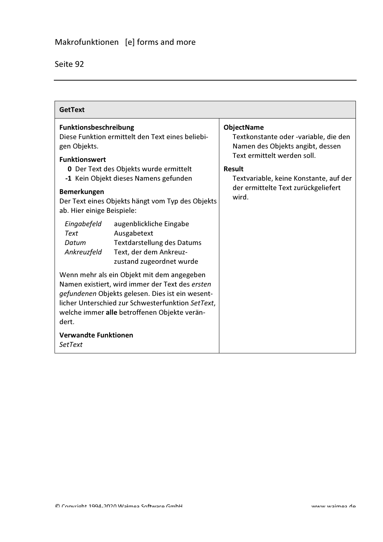| <b>GetText</b>                                                                                                                                                                                                                                                  |                                                                                                                                   |                                                                                                |
|-----------------------------------------------------------------------------------------------------------------------------------------------------------------------------------------------------------------------------------------------------------------|-----------------------------------------------------------------------------------------------------------------------------------|------------------------------------------------------------------------------------------------|
| <b>Funktionsbeschreibung</b><br>gen Objekts.                                                                                                                                                                                                                    | Diese Funktion ermittelt den Text eines beliebi-                                                                                  | <b>ObjectName</b><br>Textkonstante oder -variable, die den<br>Namen des Objekts angibt, dessen |
| <b>Funktionswert</b>                                                                                                                                                                                                                                            | <b>0</b> Der Text des Objekts wurde ermittelt<br>-1 Kein Objekt dieses Namens gefunden                                            | Text ermittelt werden soll.<br><b>Result</b><br>Textvariable, keine Konstante, auf der         |
| <b>Bemerkungen</b><br>ab. Hier einige Beispiele:                                                                                                                                                                                                                | Der Text eines Objekts hängt vom Typ des Objekts                                                                                  | der ermittelte Text zurückgeliefert<br>wird.                                                   |
| Eingabefeld<br><b>Text</b><br>Datum<br>Ankreuzfeld                                                                                                                                                                                                              | augenblickliche Eingabe<br>Ausgabetext<br><b>Textdarstellung des Datums</b><br>Text, der dem Ankreuz-<br>zustand zugeordnet wurde |                                                                                                |
| Wenn mehr als ein Objekt mit dem angegeben<br>Namen existiert, wird immer der Text des ersten<br>gefundenen Objekts gelesen. Dies ist ein wesent-<br>licher Unterschied zur Schwesterfunktion SetText,<br>welche immer alle betroffenen Objekte verän-<br>dert. |                                                                                                                                   |                                                                                                |
| <b>Verwandte Funktionen</b><br><b>SetText</b>                                                                                                                                                                                                                   |                                                                                                                                   |                                                                                                |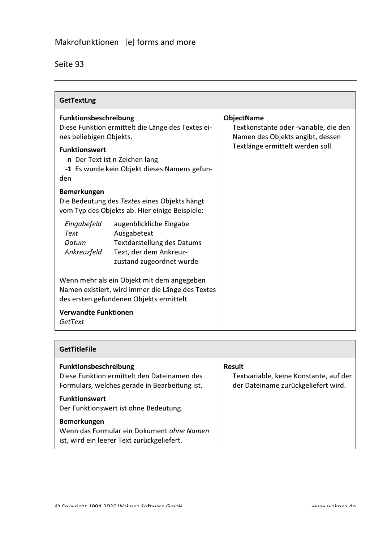| <b>GetTextLng</b>                                                                                                                                                                                                     |                                                                                                                                    |  |
|-----------------------------------------------------------------------------------------------------------------------------------------------------------------------------------------------------------------------|------------------------------------------------------------------------------------------------------------------------------------|--|
| Funktionsbeschreibung<br>Diese Funktion ermittelt die Länge des Textes ei-<br>nes beliebigen Objekts.<br><b>Funktionswert</b><br>n Der Text ist n Zeichen lang<br>-1 Es wurde kein Objekt dieses Namens gefun-<br>den | <b>ObjectName</b><br>Textkonstante oder -variable, die den<br>Namen des Objekts angibt, dessen<br>Textlänge ermittelt werden soll. |  |
| <b>Bemerkungen</b><br>Die Bedeutung des Textes eines Objekts hängt<br>vom Typ des Objekts ab. Hier einige Beispiele:                                                                                                  |                                                                                                                                    |  |
| Eingabefeld<br>augenblickliche Eingabe<br><b>Text</b><br>Ausgabetext<br><b>Textdarstellung des Datums</b><br>Datum<br>Text, der dem Ankreuz-<br>Ankreuzfeld<br>zustand zugeordnet wurde                               |                                                                                                                                    |  |
| Wenn mehr als ein Objekt mit dem angegeben<br>Namen existiert, wird immer die Länge des Textes<br>des ersten gefundenen Objekts ermittelt.                                                                            |                                                                                                                                    |  |
| <b>Verwandte Funktionen</b><br>GetText                                                                                                                                                                                |                                                                                                                                    |  |

| <b>GetTitleFile</b>                                                                                                          |                                                                                                |
|------------------------------------------------------------------------------------------------------------------------------|------------------------------------------------------------------------------------------------|
| <b>Funktionsbeschreibung</b><br>Diese Funktion ermittelt den Dateinamen des<br>Formulars, welches gerade in Bearbeitung ist. | <b>Result</b><br>Textvariable, keine Konstante, auf der<br>der Dateiname zurückgeliefert wird. |
| <b>Funktionswert</b><br>Der Funktionswert ist ohne Bedeutung.                                                                |                                                                                                |
| <b>Bemerkungen</b><br>Wenn das Formular ein Dokument ohne Namen<br>ist, wird ein leerer Text zurückgeliefert.                |                                                                                                |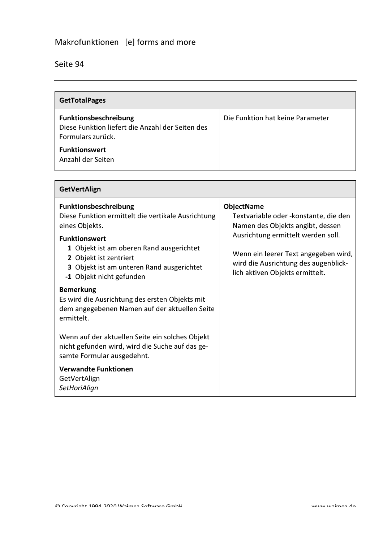### Seite 94

 $\mathcal{L}^{\text{max}}$ 

| <b>GetTotalPages</b>                                                                           |                                  |
|------------------------------------------------------------------------------------------------|----------------------------------|
| Funktionsbeschreibung<br>Diese Funktion liefert die Anzahl der Seiten des<br>Formulars zurück. | Die Funktion hat keine Parameter |
| <b>Funktionswert</b><br>Anzahl der Seiten                                                      |                                  |

| <b>GetVertAlign</b>                                                                                                                                                 |                                                                                                                                                       |  |
|---------------------------------------------------------------------------------------------------------------------------------------------------------------------|-------------------------------------------------------------------------------------------------------------------------------------------------------|--|
| <b>Funktionsbeschreibung</b><br>Diese Funktion ermittelt die vertikale Ausrichtung<br>eines Objekts.                                                                | <b>ObjectName</b><br>Textvariable oder -konstante, die den<br>Namen des Objekts angibt, dessen                                                        |  |
| <b>Funktionswert</b><br>1 Objekt ist am oberen Rand ausgerichtet<br>2 Objekt ist zentriert<br>3 Objekt ist am unteren Rand ausgerichtet<br>-1 Objekt nicht gefunden | Ausrichtung ermittelt werden soll.<br>Wenn ein leerer Text angegeben wird,<br>wird die Ausrichtung des augenblick-<br>lich aktiven Objekts ermittelt. |  |
| <b>Bemerkung</b><br>Es wird die Ausrichtung des ersten Objekts mit<br>dem angegebenen Namen auf der aktuellen Seite<br>ermittelt.                                   |                                                                                                                                                       |  |
| Wenn auf der aktuellen Seite ein solches Objekt<br>nicht gefunden wird, wird die Suche auf das ge-<br>samte Formular ausgedehnt.                                    |                                                                                                                                                       |  |
| <b>Verwandte Funktionen</b><br>GetVertAlign<br>SetHoriAlign                                                                                                         |                                                                                                                                                       |  |

 $\overline{\phantom{0}}$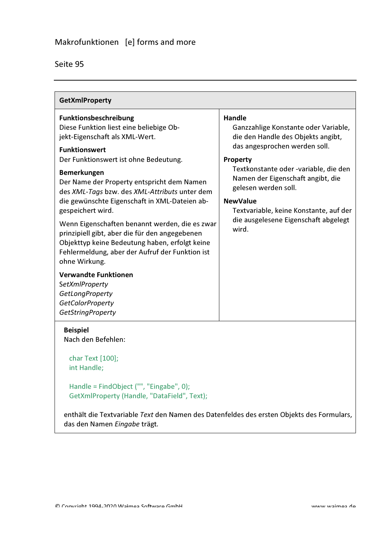|         | 95 |
|---------|----|
| seite s |    |

| <b>GetXmlProperty</b>                                                                                                                                                                                                                                                                                                                                                                                                                                                                                                                                                                                                                                                                                                             |                                                                                                                                                                                                                                                                                                                                                              |  |
|-----------------------------------------------------------------------------------------------------------------------------------------------------------------------------------------------------------------------------------------------------------------------------------------------------------------------------------------------------------------------------------------------------------------------------------------------------------------------------------------------------------------------------------------------------------------------------------------------------------------------------------------------------------------------------------------------------------------------------------|--------------------------------------------------------------------------------------------------------------------------------------------------------------------------------------------------------------------------------------------------------------------------------------------------------------------------------------------------------------|--|
| Funktionsbeschreibung<br>Diese Funktion liest eine beliebige Ob-<br>jekt-Eigenschaft als XML-Wert.<br><b>Funktionswert</b><br>Der Funktionswert ist ohne Bedeutung.<br><b>Bemerkungen</b><br>Der Name der Property entspricht dem Namen<br>des XML-Tags bzw. des XML-Attributs unter dem<br>die gewünschte Eigenschaft in XML-Dateien ab-<br>gespeichert wird.<br>Wenn Eigenschaften benannt werden, die es zwar<br>prinzipiell gibt, aber die für den angegebenen<br>Objekttyp keine Bedeutung haben, erfolgt keine<br>Fehlermeldung, aber der Aufruf der Funktion ist<br>ohne Wirkung.<br><b>Verwandte Funktionen</b><br><b>SetXmlProperty</b><br><b>GetLongProperty</b><br><b>GetColorProperty</b><br><b>GetStringProperty</b> | <b>Handle</b><br>Ganzzahlige Konstante oder Variable,<br>die den Handle des Objekts angibt,<br>das angesprochen werden soll.<br>Property<br>Textkonstante oder -variable, die den<br>Namen der Eigenschaft angibt, die<br>gelesen werden soll.<br><b>NewValue</b><br>Textvariable, keine Konstante, auf der<br>die ausgelesene Eigenschaft abgelegt<br>wird. |  |
| <b>Beispiel</b><br>Nach den Befehlen:<br>char Text [100];<br>int Handle;                                                                                                                                                                                                                                                                                                                                                                                                                                                                                                                                                                                                                                                          |                                                                                                                                                                                                                                                                                                                                                              |  |
| Handle = FindObject ("", "Eingabe", 0);<br>GetXmlProperty (Handle, "DataField", Text);<br>enthält die Textvariable Text den Namen des Datenfeldes des ersten Objekts des Formulars,                                                                                                                                                                                                                                                                                                                                                                                                                                                                                                                                               |                                                                                                                                                                                                                                                                                                                                                              |  |

das den Namen Eingabe trägt.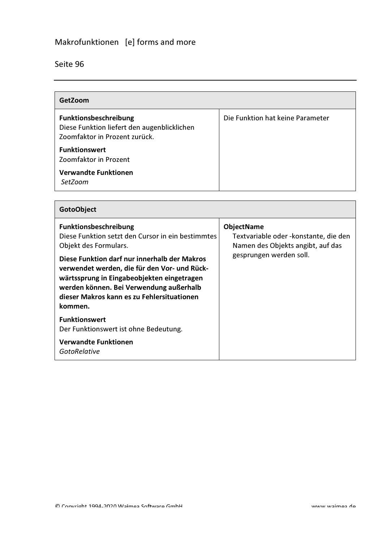| GetZoom                                                                                                      |                                  |
|--------------------------------------------------------------------------------------------------------------|----------------------------------|
| <b>Funktionsbeschreibung</b><br>Diese Funktion liefert den augenblicklichen<br>Zoomfaktor in Prozent zurück. | Die Funktion hat keine Parameter |
| <b>Funktionswert</b><br>Zoomfaktor in Prozent                                                                |                                  |
| <b>Verwandte Funktionen</b><br>SetZoom                                                                       |                                  |

| <b>GotoObject</b>                                                                                                                                                                                                                                                                                                                                            |                                                                                                                             |
|--------------------------------------------------------------------------------------------------------------------------------------------------------------------------------------------------------------------------------------------------------------------------------------------------------------------------------------------------------------|-----------------------------------------------------------------------------------------------------------------------------|
| <b>Funktionsbeschreibung</b><br>Diese Funktion setzt den Cursor in ein bestimmtes<br>Objekt des Formulars.<br>Diese Funktion darf nur innerhalb der Makros<br>verwendet werden, die für den Vor- und Rück-<br>wärtssprung in Eingabeobjekten eingetragen<br>werden können. Bei Verwendung außerhalb<br>dieser Makros kann es zu Fehlersituationen<br>kommen. | <b>ObjectName</b><br>Textvariable oder - konstante, die den<br>Namen des Objekts angibt, auf das<br>gesprungen werden soll. |
| <b>Funktionswert</b><br>Der Funktionswert ist ohne Bedeutung.                                                                                                                                                                                                                                                                                                |                                                                                                                             |
| <b>Verwandte Funktionen</b><br><b>GotoRelative</b>                                                                                                                                                                                                                                                                                                           |                                                                                                                             |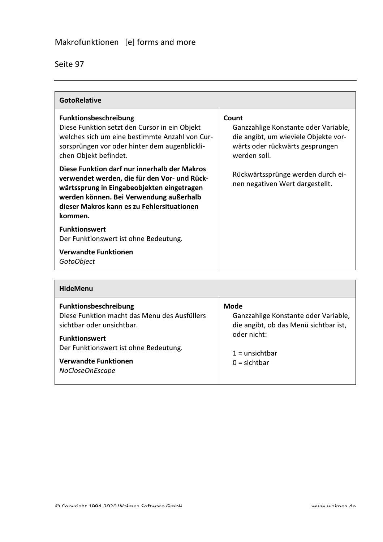| eite |  |
|------|--|

| <b>GotoRelative</b>                                                                                                                                                                                                                            |                                                                                                                                          |
|------------------------------------------------------------------------------------------------------------------------------------------------------------------------------------------------------------------------------------------------|------------------------------------------------------------------------------------------------------------------------------------------|
| Funktionsbeschreibung<br>Diese Funktion setzt den Cursor in ein Objekt<br>welches sich um eine bestimmte Anzahl von Cur-<br>sorsprüngen vor oder hinter dem augenblickli-<br>chen Objekt befindet.                                             | Count<br>Ganzzahlige Konstante oder Variable,<br>die angibt, um wieviele Objekte vor-<br>wärts oder rückwärts gesprungen<br>werden soll. |
| Diese Funktion darf nur innerhalb der Makros<br>verwendet werden, die für den Vor- und Rück-<br>wärtssprung in Eingabeobjekten eingetragen<br>werden können. Bei Verwendung außerhalb<br>dieser Makros kann es zu Fehlersituationen<br>kommen. | Rückwärtssprünge werden durch ei-<br>nen negativen Wert dargestellt.                                                                     |
| <b>Funktionswert</b><br>Der Funktionswert ist ohne Bedeutung.                                                                                                                                                                                  |                                                                                                                                          |
| <b>Verwandte Funktionen</b><br><b>GotoObject</b>                                                                                                                                                                                               |                                                                                                                                          |

| <b>HideMenu</b>                                                                                                                                                                                                                     |                                                                                                                                                   |
|-------------------------------------------------------------------------------------------------------------------------------------------------------------------------------------------------------------------------------------|---------------------------------------------------------------------------------------------------------------------------------------------------|
| <b>Funktionsbeschreibung</b><br>Diese Funktion macht das Menu des Ausfüllers<br>sichtbar oder unsichtbar.<br><b>Funktionswert</b><br>Der Funktionswert ist ohne Bedeutung.<br><b>Verwandte Funktionen</b><br><b>NoCloseOnEscape</b> | <b>Mode</b><br>Ganzzahlige Konstante oder Variable,<br>die angibt, ob das Menü sichtbar ist,<br>oder nicht:<br>$1 =$ unsichtbar<br>$0 =$ sichtbar |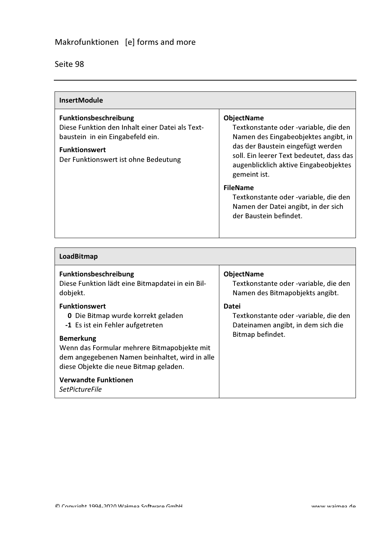| <b>InsertModule</b>                                                                                                                                                          |                                                                                                                                                                                                                                                                                                                                                                           |
|------------------------------------------------------------------------------------------------------------------------------------------------------------------------------|---------------------------------------------------------------------------------------------------------------------------------------------------------------------------------------------------------------------------------------------------------------------------------------------------------------------------------------------------------------------------|
| Funktionsbeschreibung<br>Diese Funktion den Inhalt einer Datei als Text-<br>baustein in ein Eingabefeld ein.<br><b>Funktionswert</b><br>Der Funktionswert ist ohne Bedeutung | <b>ObjectName</b><br>Textkonstante oder -variable, die den<br>Namen des Eingabeobjektes angibt, in<br>das der Baustein eingefügt werden<br>soll. Ein leerer Text bedeutet, dass das<br>augenblicklich aktive Eingabeobjektes<br>gemeint ist.<br><b>FileName</b><br>Textkonstante oder -variable, die den<br>Namen der Datei angibt, in der sich<br>der Baustein befindet. |

| LoadBitmap                                                                                                                                                                                                                                                                                                                   |                                                                                                                 |
|------------------------------------------------------------------------------------------------------------------------------------------------------------------------------------------------------------------------------------------------------------------------------------------------------------------------------|-----------------------------------------------------------------------------------------------------------------|
| <b>Funktionsbeschreibung</b><br>Diese Funktion lädt eine Bitmapdatei in ein Bil-<br>dobjekt.                                                                                                                                                                                                                                 | <b>ObjectName</b><br>Textkonstante oder -variable, die den<br>Namen des Bitmapobjekts angibt.                   |
| <b>Funktionswert</b><br><b>0</b> Die Bitmap wurde korrekt geladen<br>-1 Es ist ein Fehler aufgetreten<br><b>Bemerkung</b><br>Wenn das Formular mehrere Bitmapobjekte mit<br>dem angegebenen Namen beinhaltet, wird in alle<br>diese Objekte die neue Bitmap geladen.<br><b>Verwandte Funktionen</b><br><b>SetPictureFile</b> | <b>Datei</b><br>Textkonstante oder -variable, die den<br>Dateinamen angibt, in dem sich die<br>Bitmap befindet. |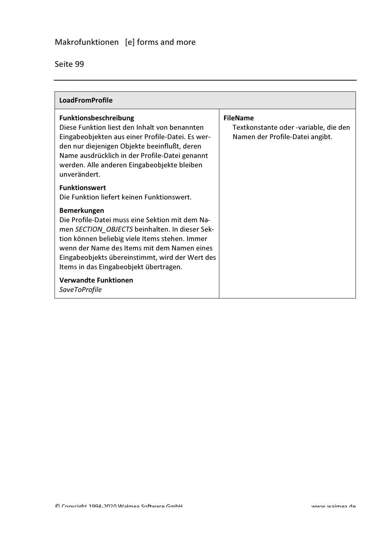| <b>LoadFromProfile</b>                                                                                                                                                                                                                                                                                                |                                                                                             |
|-----------------------------------------------------------------------------------------------------------------------------------------------------------------------------------------------------------------------------------------------------------------------------------------------------------------------|---------------------------------------------------------------------------------------------|
| Funktionsbeschreibung<br>Diese Funktion liest den Inhalt von benannten<br>Eingabeobjekten aus einer Profile-Datei. Es wer-<br>den nur diejenigen Objekte beeinflußt, deren<br>Name ausdrücklich in der Profile-Datei genannt<br>werden. Alle anderen Eingabeobjekte bleiben<br>unverändert.                           | <b>FileName</b><br>Textkonstante oder -variable, die den<br>Namen der Profile-Datei angibt. |
| <b>Funktionswert</b><br>Die Funktion liefert keinen Funktionswert.                                                                                                                                                                                                                                                    |                                                                                             |
| <b>Bemerkungen</b><br>Die Profile-Datei muss eine Sektion mit dem Na-<br>men SECTION OBJECTS beinhalten. In dieser Sek-<br>tion können beliebig viele Items stehen. Immer<br>wenn der Name des Items mit dem Namen eines<br>Eingabeobjekts übereinstimmt, wird der Wert des<br>Items in das Eingabeobjekt übertragen. |                                                                                             |
| <b>Verwandte Funktionen</b><br><b>SaveToProfile</b>                                                                                                                                                                                                                                                                   |                                                                                             |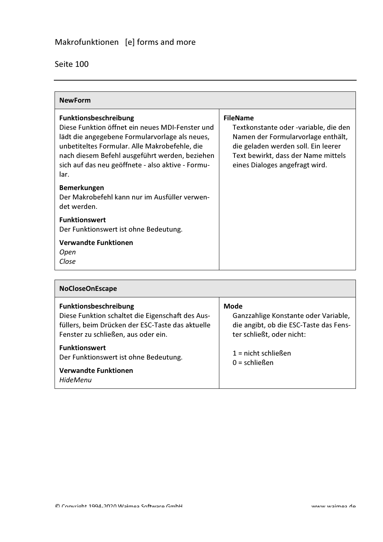| <b>NewForm</b>                                                                                                                                                                                                                                                                                    |                                                                                                                                                                                                                |
|---------------------------------------------------------------------------------------------------------------------------------------------------------------------------------------------------------------------------------------------------------------------------------------------------|----------------------------------------------------------------------------------------------------------------------------------------------------------------------------------------------------------------|
| <b>Funktionsbeschreibung</b><br>Diese Funktion öffnet ein neues MDI-Fenster und<br>lädt die angegebene Formularvorlage als neues,<br>unbetiteltes Formular. Alle Makrobefehle, die<br>nach diesem Befehl ausgeführt werden, beziehen<br>sich auf das neu geöffnete - also aktive - Formu-<br>lar. | <b>FileName</b><br>Textkonstante oder -variable, die den<br>Namen der Formularvorlage enthält,<br>die geladen werden soll. Ein leerer<br>Text bewirkt, dass der Name mittels<br>eines Dialoges angefragt wird. |
| <b>Bemerkungen</b><br>Der Makrobefehl kann nur im Ausfüller verwen-<br>det werden.                                                                                                                                                                                                                |                                                                                                                                                                                                                |
| <b>Funktionswert</b><br>Der Funktionswert ist ohne Bedeutung.                                                                                                                                                                                                                                     |                                                                                                                                                                                                                |
| <b>Verwandte Funktionen</b><br>Open<br>Close                                                                                                                                                                                                                                                      |                                                                                                                                                                                                                |

| <b>NoCloseOnEscape</b>                                                                                                                                                      |                                                                                                                     |
|-----------------------------------------------------------------------------------------------------------------------------------------------------------------------------|---------------------------------------------------------------------------------------------------------------------|
| <b>Funktionsbeschreibung</b><br>Diese Funktion schaltet die Eigenschaft des Aus-<br>füllers, beim Drücken der ESC-Taste das aktuelle<br>Fenster zu schließen, aus oder ein. | Mode<br>Ganzzahlige Konstante oder Variable,<br>die angibt, ob die ESC-Taste das Fens-<br>ter schließt, oder nicht: |
| <b>Funktionswert</b><br>Der Funktionswert ist ohne Bedeutung.<br><b>Verwandte Funktionen</b><br><b>HideMenu</b>                                                             | $1 =$ nicht schließen<br>$0 =$ schließen                                                                            |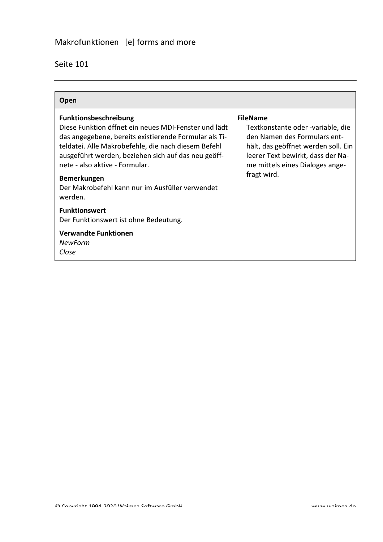| Open                                                                                                                                                                                                                                                                                                                                                                              |                                                                                                                                                                                                                    |
|-----------------------------------------------------------------------------------------------------------------------------------------------------------------------------------------------------------------------------------------------------------------------------------------------------------------------------------------------------------------------------------|--------------------------------------------------------------------------------------------------------------------------------------------------------------------------------------------------------------------|
| <b>Funktionsbeschreibung</b><br>Diese Funktion öffnet ein neues MDI-Fenster und lädt<br>das angegebene, bereits existierende Formular als Ti-<br>teldatei. Alle Makrobefehle, die nach diesem Befehl<br>ausgeführt werden, beziehen sich auf das neu geöff-<br>nete - also aktive - Formular.<br><b>Bemerkungen</b><br>Der Makrobefehl kann nur im Ausfüller verwendet<br>werden. | <b>FileName</b><br>Textkonstante oder -variable, die<br>den Namen des Formulars ent-<br>hält, das geöffnet werden soll. Ein<br>leerer Text bewirkt, dass der Na-<br>me mittels eines Dialoges ange-<br>fragt wird. |
| <b>Funktionswert</b><br>Der Funktionswert ist ohne Bedeutung.<br><b>Verwandte Funktionen</b><br>NewForm<br>Close                                                                                                                                                                                                                                                                  |                                                                                                                                                                                                                    |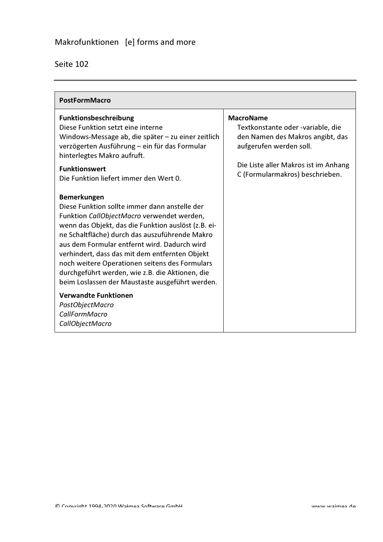| <b>PostFormMacro</b>                                                                                                                                                                                                                                                                                                                                                                                                                                                                                                           |                                                                                                                                                              |
|--------------------------------------------------------------------------------------------------------------------------------------------------------------------------------------------------------------------------------------------------------------------------------------------------------------------------------------------------------------------------------------------------------------------------------------------------------------------------------------------------------------------------------|--------------------------------------------------------------------------------------------------------------------------------------------------------------|
| <b>Funktionsbeschreibung</b><br>Diese Funktion setzt eine interne<br>Windows-Message ab, die später - zu einer zeitlich<br>verzögerten Ausführung - ein für das Formular<br>hinterlegtes Makro aufruft.<br><b>Funktionswert</b>                                                                                                                                                                                                                                                                                                | <b>MacroName</b><br>Textkonstante oder -variable, die<br>den Namen des Makros angibt, das<br>aufgerufen werden soll.<br>Die Liste aller Makros ist im Anhang |
| Die Funktion liefert immer den Wert 0.<br><b>Bemerkungen</b><br>Diese Funktion sollte immer dann anstelle der<br>Funktion CallObjectMacro verwendet werden,<br>wenn das Objekt, das die Funktion auslöst (z.B. ei-<br>ne Schaltfläche) durch das auszuführende Makro<br>aus dem Formular entfernt wird. Dadurch wird<br>verhindert, dass das mit dem entfernten Objekt<br>noch weitere Operationen seitens des Formulars<br>durchgeführt werden, wie z.B. die Aktionen, die<br>beim Loslassen der Maustaste ausgeführt werden. | C (Formularmakros) beschrieben.                                                                                                                              |
| <b>Verwandte Funktionen</b><br>PostObjectMacro<br>CallFormMacro<br>CallObjectMacro                                                                                                                                                                                                                                                                                                                                                                                                                                             |                                                                                                                                                              |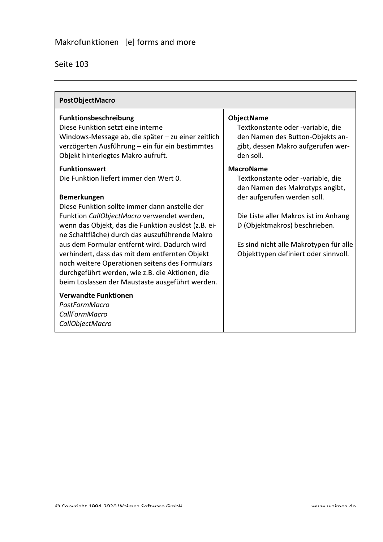| PostObjectMacro                                                                                                                                                                                                                                                                                                                                                                                                                                                                                                                                        |                                                                                                                                                                                                                                                                                    |
|--------------------------------------------------------------------------------------------------------------------------------------------------------------------------------------------------------------------------------------------------------------------------------------------------------------------------------------------------------------------------------------------------------------------------------------------------------------------------------------------------------------------------------------------------------|------------------------------------------------------------------------------------------------------------------------------------------------------------------------------------------------------------------------------------------------------------------------------------|
| Funktionsbeschreibung<br>Diese Funktion setzt eine interne<br>Windows-Message ab, die später - zu einer zeitlich<br>verzögerten Ausführung - ein für ein bestimmtes<br>Objekt hinterlegtes Makro aufruft.                                                                                                                                                                                                                                                                                                                                              | <b>ObjectName</b><br>Textkonstante oder -variable, die<br>den Namen des Button-Objekts an-<br>gibt, dessen Makro aufgerufen wer-<br>den soll.                                                                                                                                      |
| <b>Funktionswert</b><br>Die Funktion liefert immer den Wert 0.<br><b>Bemerkungen</b><br>Diese Funktion sollte immer dann anstelle der<br>Funktion CallObjectMacro verwendet werden,<br>wenn das Objekt, das die Funktion auslöst (z.B. ei-<br>ne Schaltfläche) durch das auszuführende Makro<br>aus dem Formular entfernt wird. Dadurch wird<br>verhindert, dass das mit dem entfernten Objekt<br>noch weitere Operationen seitens des Formulars<br>durchgeführt werden, wie z.B. die Aktionen, die<br>beim Loslassen der Maustaste ausgeführt werden. | <b>MacroName</b><br>Textkonstante oder -variable, die<br>den Namen des Makrotyps angibt,<br>der aufgerufen werden soll.<br>Die Liste aller Makros ist im Anhang<br>D (Objektmakros) beschrieben.<br>Es sind nicht alle Makrotypen für alle<br>Objekttypen definiert oder sinnvoll. |
| <b>Verwandte Funktionen</b><br>PostFormMacro<br>CallFormMacro<br>CallObjectMacro                                                                                                                                                                                                                                                                                                                                                                                                                                                                       |                                                                                                                                                                                                                                                                                    |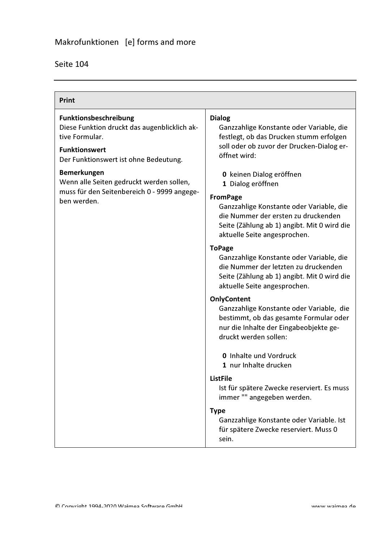| Print                                                                                                                                                    |                                                                                                                                                                                                                                    |
|----------------------------------------------------------------------------------------------------------------------------------------------------------|------------------------------------------------------------------------------------------------------------------------------------------------------------------------------------------------------------------------------------|
| Funktionsbeschreibung<br>Diese Funktion druckt das augenblicklich ak-<br>tive Formular.<br><b>Funktionswert</b><br>Der Funktionswert ist ohne Bedeutung. | <b>Dialog</b><br>Ganzzahlige Konstante oder Variable, die<br>festlegt, ob das Drucken stumm erfolgen<br>soll oder ob zuvor der Drucken-Dialog er-<br>öffnet wird:                                                                  |
| <b>Bemerkungen</b><br>Wenn alle Seiten gedruckt werden sollen,<br>muss für den Seitenbereich 0 - 9999 angege-<br>ben werden.                             | 0 keinen Dialog eröffnen<br>1 Dialog eröffnen<br><b>FromPage</b><br>Ganzzahlige Konstante oder Variable, die<br>die Nummer der ersten zu druckenden<br>Seite (Zählung ab 1) angibt. Mit 0 wird die<br>aktuelle Seite angesprochen. |
|                                                                                                                                                          | <b>ToPage</b><br>Ganzzahlige Konstante oder Variable, die<br>die Nummer der letzten zu druckenden<br>Seite (Zählung ab 1) angibt. Mit 0 wird die<br>aktuelle Seite angesprochen.                                                   |
|                                                                                                                                                          | <b>OnlyContent</b><br>Ganzzahlige Konstante oder Variable, die<br>bestimmt, ob das gesamte Formular oder<br>nur die Inhalte der Eingabeobjekte ge-<br>druckt werden sollen:                                                        |
|                                                                                                                                                          | <b>0</b> Inhalte und Vordruck<br>1 nur Inhalte drucken                                                                                                                                                                             |
|                                                                                                                                                          | <b>ListFile</b><br>Ist für spätere Zwecke reserviert. Es muss<br>immer "" angegeben werden.                                                                                                                                        |
|                                                                                                                                                          | <b>Type</b><br>Ganzzahlige Konstante oder Variable. Ist<br>für spätere Zwecke reserviert. Muss 0<br>sein.                                                                                                                          |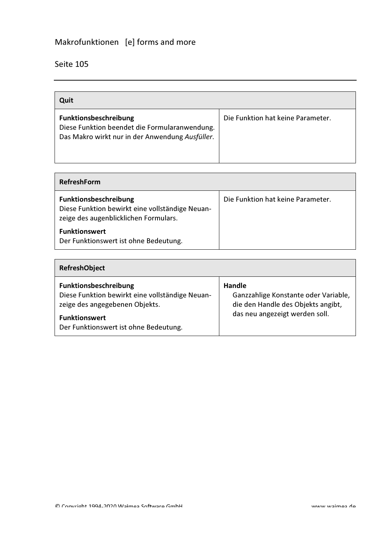| Quit                                                                                                                      |                                   |
|---------------------------------------------------------------------------------------------------------------------------|-----------------------------------|
| Funktionsbeschreibung<br>Diese Funktion beendet die Formularanwendung.<br>Das Makro wirkt nur in der Anwendung Ausfüller. | Die Funktion hat keine Parameter. |

| <b>RefreshForm</b>                                                                                                |                                   |  |
|-------------------------------------------------------------------------------------------------------------------|-----------------------------------|--|
| Funktionsbeschreibung<br>Diese Funktion bewirkt eine vollständige Neuan-<br>zeige des augenblicklichen Formulars. | Die Funktion hat keine Parameter. |  |
| <b>Funktionswert</b><br>Der Funktionswert ist ohne Bedeutung.                                                     |                                   |  |

| <b>RefreshObject</b>                                                                                                                                                        |                                                                                                                               |
|-----------------------------------------------------------------------------------------------------------------------------------------------------------------------------|-------------------------------------------------------------------------------------------------------------------------------|
| Funktionsbeschreibung<br>Diese Funktion bewirkt eine vollständige Neuan-<br>zeige des angegebenen Objekts.<br><b>Funktionswert</b><br>Der Funktionswert ist ohne Bedeutung. | <b>Handle</b><br>Ganzzahlige Konstante oder Variable,<br>die den Handle des Objekts angibt,<br>das neu angezeigt werden soll. |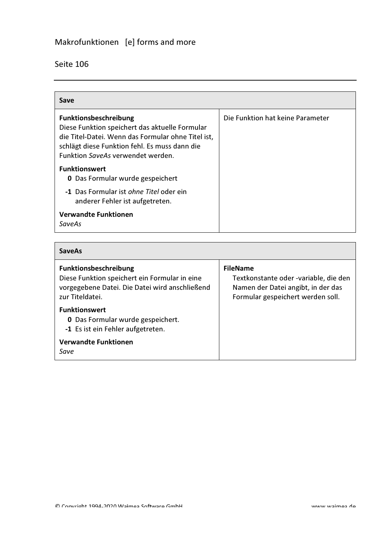| Save                                                                                                                                                                                                                       |                                  |
|----------------------------------------------------------------------------------------------------------------------------------------------------------------------------------------------------------------------------|----------------------------------|
| <b>Funktionsbeschreibung</b><br>Diese Funktion speichert das aktuelle Formular<br>die Titel-Datei. Wenn das Formular ohne Titel ist,<br>schlägt diese Funktion fehl. Es muss dann die<br>Funktion SaveAs verwendet werden. | Die Funktion hat keine Parameter |
| <b>Funktionswert</b><br><b>0</b> Das Formular wurde gespeichert                                                                                                                                                            |                                  |
| -1 Das Formular ist ohne Titel oder ein<br>anderer Fehler ist aufgetreten.                                                                                                                                                 |                                  |
| <b>Verwandte Funktionen</b><br>SaveAs                                                                                                                                                                                      |                                  |

| <b>SaveAs</b>                                                                                                                                      |                                                                                                                                     |
|----------------------------------------------------------------------------------------------------------------------------------------------------|-------------------------------------------------------------------------------------------------------------------------------------|
| <b>Funktionsbeschreibung</b><br>Diese Funktion speichert ein Formular in eine<br>vorgegebene Datei. Die Datei wird anschließend<br>zur Titeldatei. | <b>FileName</b><br>Textkonstante oder -variable, die den<br>Namen der Datei angibt, in der das<br>Formular gespeichert werden soll. |
| <b>Funktionswert</b><br><b>0</b> Das Formular wurde gespeichert.<br>-1 Es ist ein Fehler aufgetreten.                                              |                                                                                                                                     |
| <b>Verwandte Funktionen</b><br>Save                                                                                                                |                                                                                                                                     |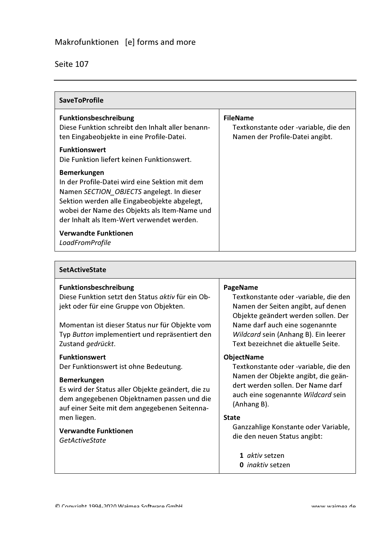$\Gamma$ 

| <b>SaveToProfile</b>                                                                                                                                                                                                                                            |                                                                                             |
|-----------------------------------------------------------------------------------------------------------------------------------------------------------------------------------------------------------------------------------------------------------------|---------------------------------------------------------------------------------------------|
| <b>Funktionsbeschreibung</b><br>Diese Funktion schreibt den Inhalt aller benann-<br>ten Eingabeobjekte in eine Profile-Datei.                                                                                                                                   | <b>FileName</b><br>Textkonstante oder -variable, die den<br>Namen der Profile-Datei angibt. |
| <b>Funktionswert</b><br>Die Funktion liefert keinen Funktionswert.                                                                                                                                                                                              |                                                                                             |
| <b>Bemerkungen</b><br>In der Profile-Datei wird eine Sektion mit dem<br>Namen SECTION OBJECTS angelegt. In dieser<br>Sektion werden alle Eingabeobjekte abgelegt,<br>wobei der Name des Objekts als Item-Name und<br>der Inhalt als Item-Wert verwendet werden. |                                                                                             |
| <b>Verwandte Funktionen</b><br>LoadFromProfile                                                                                                                                                                                                                  |                                                                                             |

| <b>SetActiveState</b>                                                                                                                                                                                                                                 |                                                                                                                                                                                                                                                 |
|-------------------------------------------------------------------------------------------------------------------------------------------------------------------------------------------------------------------------------------------------------|-------------------------------------------------------------------------------------------------------------------------------------------------------------------------------------------------------------------------------------------------|
| <b>Funktionsbeschreibung</b><br>Diese Funktion setzt den Status aktiv für ein Ob-<br>jekt oder für eine Gruppe von Objekten.<br>Momentan ist dieser Status nur für Objekte vom<br>Typ Button implementiert und repräsentiert den<br>Zustand gedrückt. | PageName<br>Textkonstante oder -variable, die den<br>Namen der Seiten angibt, auf denen<br>Objekte geändert werden sollen. Der<br>Name darf auch eine sogenannte<br>Wildcard sein (Anhang B). Ein leerer<br>Text bezeichnet die aktuelle Seite. |
| <b>Funktionswert</b><br>Der Funktionswert ist ohne Bedeutung.<br><b>Bemerkungen</b><br>Es wird der Status aller Objekte geändert, die zu<br>dem angegebenen Objektnamen passen und die<br>auf einer Seite mit dem angegebenen Seitenna-               | <b>ObjectName</b><br>Textkonstante oder -variable, die den<br>Namen der Objekte angibt, die geän-<br>dert werden sollen. Der Name darf<br>auch eine sogenannte Wildcard sein<br>(Anhang B).                                                     |
| men liegen.<br><b>Verwandte Funktionen</b><br><b>GetActiveState</b>                                                                                                                                                                                   | <b>State</b><br>Ganzzahlige Konstante oder Variable,<br>die den neuen Status angibt:<br>1 <i>aktiv</i> setzen<br><b>0</b> <i>inaktiv</i> setzen                                                                                                 |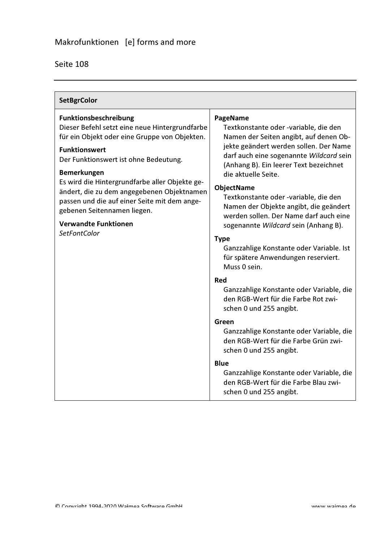| <b>SetBgrColor</b>                                                                                                                                                                                                                                                                                                                                                                                                                                   |                                                                                                                                                                                                                                                                                                                                                                                                     |
|------------------------------------------------------------------------------------------------------------------------------------------------------------------------------------------------------------------------------------------------------------------------------------------------------------------------------------------------------------------------------------------------------------------------------------------------------|-----------------------------------------------------------------------------------------------------------------------------------------------------------------------------------------------------------------------------------------------------------------------------------------------------------------------------------------------------------------------------------------------------|
| Funktionsbeschreibung<br>Dieser Befehl setzt eine neue Hintergrundfarbe<br>für ein Objekt oder eine Gruppe von Objekten.<br><b>Funktionswert</b><br>Der Funktionswert ist ohne Bedeutung.<br><b>Bemerkungen</b><br>Es wird die Hintergrundfarbe aller Objekte ge-<br>ändert, die zu dem angegebenen Objektnamen<br>passen und die auf einer Seite mit dem ange-<br>gebenen Seitennamen liegen.<br><b>Verwandte Funktionen</b><br><b>SetFontColor</b> | PageName<br>Textkonstante oder -variable, die den<br>Namen der Seiten angibt, auf denen Ob-<br>jekte geändert werden sollen. Der Name<br>darf auch eine sogenannte Wildcard sein<br>(Anhang B). Ein leerer Text bezeichnet<br>die aktuelle Seite.<br><b>ObjectName</b><br>Textkonstante oder -variable, die den<br>Namen der Objekte angibt, die geändert<br>werden sollen. Der Name darf auch eine |
|                                                                                                                                                                                                                                                                                                                                                                                                                                                      | sogenannte Wildcard sein (Anhang B).<br><b>Type</b><br>Ganzzahlige Konstante oder Variable. Ist<br>für spätere Anwendungen reserviert.<br>Muss 0 sein.<br>Red                                                                                                                                                                                                                                       |
|                                                                                                                                                                                                                                                                                                                                                                                                                                                      | Ganzzahlige Konstante oder Variable, die<br>den RGB-Wert für die Farbe Rot zwi-<br>schen 0 und 255 angibt.                                                                                                                                                                                                                                                                                          |
|                                                                                                                                                                                                                                                                                                                                                                                                                                                      | Green<br>Ganzzahlige Konstante oder Variable, die<br>den RGB-Wert für die Farbe Grün zwi-<br>schen 0 und 255 angibt.                                                                                                                                                                                                                                                                                |
|                                                                                                                                                                                                                                                                                                                                                                                                                                                      | <b>Blue</b><br>Ganzzahlige Konstante oder Variable, die<br>den RGB-Wert für die Farbe Blau zwi-<br>schen 0 und 255 angibt.                                                                                                                                                                                                                                                                          |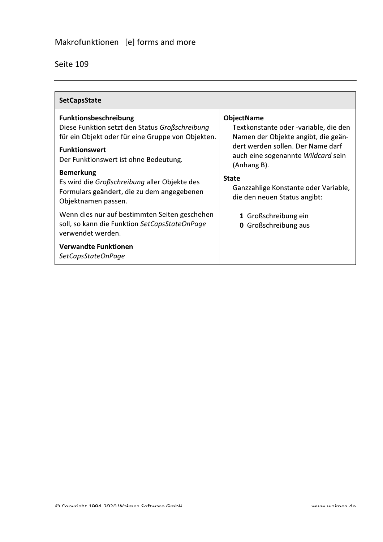| <b>SetCapsState</b>                                                                                                                   |                                                                                                   |
|---------------------------------------------------------------------------------------------------------------------------------------|---------------------------------------------------------------------------------------------------|
| <b>Funktionsbeschreibung</b><br>Diese Funktion setzt den Status Großschreibung<br>für ein Objekt oder für eine Gruppe von Objekten.   | <b>ObjectName</b><br>Textkonstante oder -variable, die den<br>Namen der Objekte angibt, die geän- |
| <b>Funktionswert</b><br>Der Funktionswert ist ohne Bedeutung.                                                                         | dert werden sollen. Der Name darf<br>auch eine sogenannte Wildcard sein<br>(Anhang B).            |
| <b>Bemerkung</b><br>Es wird die Großschreibung aller Objekte des<br>Formulars geändert, die zu dem angegebenen<br>Objektnamen passen. | <b>State</b><br>Ganzzahlige Konstante oder Variable,<br>die den neuen Status angibt:              |
| Wenn dies nur auf bestimmten Seiten geschehen<br>soll, so kann die Funktion SetCapsStateOnPage<br>verwendet werden.                   | 1 Großschreibung ein<br><b>0</b> Großschreibung aus                                               |
| <b>Verwandte Funktionen</b><br>SetCapsStateOnPage                                                                                     |                                                                                                   |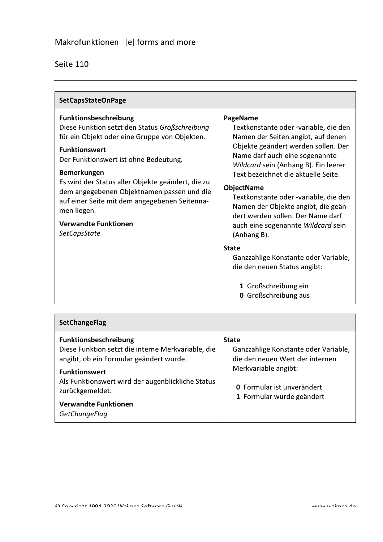| <b>SetCapsStateOnPage</b>                                                                                                                                                                                                                                                                                                                                                                                                                       |                                                                                                                                                                                                                                                                                                                                                                                                                                                |
|-------------------------------------------------------------------------------------------------------------------------------------------------------------------------------------------------------------------------------------------------------------------------------------------------------------------------------------------------------------------------------------------------------------------------------------------------|------------------------------------------------------------------------------------------------------------------------------------------------------------------------------------------------------------------------------------------------------------------------------------------------------------------------------------------------------------------------------------------------------------------------------------------------|
| <b>Funktionsbeschreibung</b><br>Diese Funktion setzt den Status Großschreibung<br>für ein Objekt oder eine Gruppe von Objekten.<br><b>Funktionswert</b><br>Der Funktionswert ist ohne Bedeutung.<br><b>Bemerkungen</b><br>Es wird der Status aller Objekte geändert, die zu<br>dem angegebenen Objektnamen passen und die<br>auf einer Seite mit dem angegebenen Seitenna-<br>men liegen.<br><b>Verwandte Funktionen</b><br><b>SetCapsState</b> | PageName<br>Textkonstante oder -variable, die den<br>Namen der Seiten angibt, auf denen<br>Objekte geändert werden sollen. Der<br>Name darf auch eine sogenannte<br>Wildcard sein (Anhang B). Ein leerer<br>Text bezeichnet die aktuelle Seite.<br><b>ObjectName</b><br>Textkonstante oder -variable, die den<br>Namen der Objekte angibt, die geän-<br>dert werden sollen. Der Name darf<br>auch eine sogenannte Wildcard sein<br>(Anhang B). |
|                                                                                                                                                                                                                                                                                                                                                                                                                                                 | <b>State</b><br>Ganzzahlige Konstante oder Variable,<br>die den neuen Status angibt:<br>1 Großschreibung ein<br><b>0</b> Großschreibung aus                                                                                                                                                                                                                                                                                                    |

| <b>SetChangeFlag</b>                                                                                                                                                                                                                                                   |                                                                                                                                                                                   |
|------------------------------------------------------------------------------------------------------------------------------------------------------------------------------------------------------------------------------------------------------------------------|-----------------------------------------------------------------------------------------------------------------------------------------------------------------------------------|
| Funktionsbeschreibung<br>Diese Funktion setzt die interne Merkvariable, die<br>angibt, ob ein Formular geändert wurde.<br><b>Funktionswert</b><br>Als Funktionswert wird der augenblickliche Status<br>zurückgemeldet.<br><b>Verwandte Funktionen</b><br>GetChangeFlag | <b>State</b><br>Ganzzahlige Konstante oder Variable,<br>die den neuen Wert der internen<br>Merkvariable angibt:<br><b>0</b> Formular ist unverändert<br>1 Formular wurde geändert |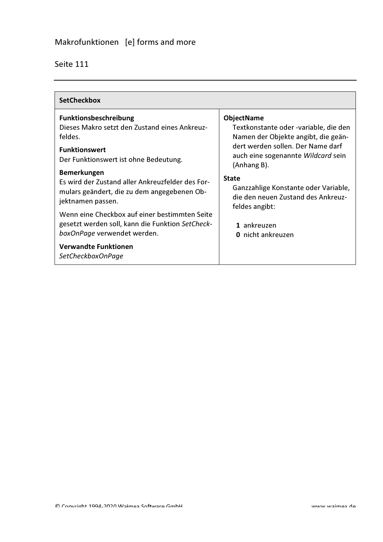| <b>SetCheckbox</b>                                                                                                                                                                                                                                                                 |                                                                                                                                                                                                                                                     |
|------------------------------------------------------------------------------------------------------------------------------------------------------------------------------------------------------------------------------------------------------------------------------------|-----------------------------------------------------------------------------------------------------------------------------------------------------------------------------------------------------------------------------------------------------|
| <b>Funktionsbeschreibung</b><br>Dieses Makro setzt den Zustand eines Ankreuz-<br>feldes.<br><b>Funktionswert</b><br>Der Funktionswert ist ohne Bedeutung.<br><b>Bemerkungen</b><br>Es wird der Zustand aller Ankreuzfelder des For-<br>mulars geändert, die zu dem angegebenen Ob- | <b>ObjectName</b><br>Textkonstante oder -variable, die den<br>Namen der Objekte angibt, die geän-<br>dert werden sollen. Der Name darf<br>auch eine sogenannte Wildcard sein<br>(Anhang B).<br><b>State</b><br>Ganzzahlige Konstante oder Variable, |
| jektnamen passen.<br>Wenn eine Checkbox auf einer bestimmten Seite<br>gesetzt werden soll, kann die Funktion SetCheck-<br>boxOnPage verwendet werden.<br><b>Verwandte Funktionen</b><br>SetCheckboxOnPage                                                                          | die den neuen Zustand des Ankreuz-<br>feldes angibt:<br>1 ankreuzen<br>0 nicht ankreuzen                                                                                                                                                            |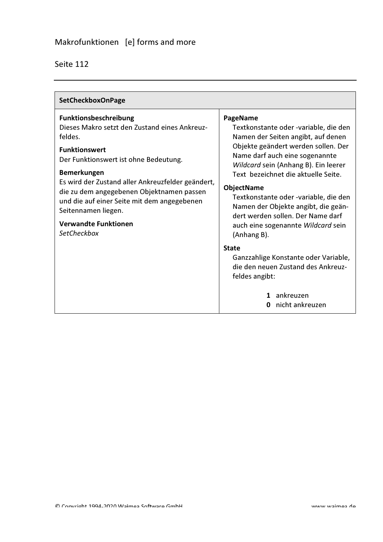| SetCheckboxOnPage                                                                                                                                                                                                                                                                                                                                                                                     |                                                                                                                                                                                                                                                                                                                                                                                                                                                |
|-------------------------------------------------------------------------------------------------------------------------------------------------------------------------------------------------------------------------------------------------------------------------------------------------------------------------------------------------------------------------------------------------------|------------------------------------------------------------------------------------------------------------------------------------------------------------------------------------------------------------------------------------------------------------------------------------------------------------------------------------------------------------------------------------------------------------------------------------------------|
| Funktionsbeschreibung<br>Dieses Makro setzt den Zustand eines Ankreuz-<br>feldes.<br><b>Funktionswert</b><br>Der Funktionswert ist ohne Bedeutung.<br><b>Bemerkungen</b><br>Es wird der Zustand aller Ankreuzfelder geändert,<br>die zu dem angegebenen Objektnamen passen<br>und die auf einer Seite mit dem angegebenen<br>Seitennamen liegen.<br><b>Verwandte Funktionen</b><br><b>SetCheckbox</b> | PageName<br>Textkonstante oder -variable, die den<br>Namen der Seiten angibt, auf denen<br>Objekte geändert werden sollen. Der<br>Name darf auch eine sogenannte<br>Wildcard sein (Anhang B). Ein leerer<br>Text bezeichnet die aktuelle Seite.<br><b>ObjectName</b><br>Textkonstante oder -variable, die den<br>Namen der Objekte angibt, die geän-<br>dert werden sollen. Der Name darf<br>auch eine sogenannte Wildcard sein<br>(Anhang B). |
|                                                                                                                                                                                                                                                                                                                                                                                                       | <b>State</b><br>Ganzzahlige Konstante oder Variable,<br>die den neuen Zustand des Ankreuz-<br>feldes angibt:<br>ankreuzen<br>1<br>nicht ankreuzen                                                                                                                                                                                                                                                                                              |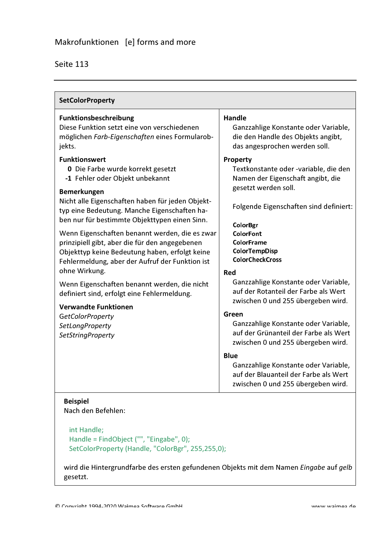| <b>SetColorProperty</b>                                                                                                                                                                                                                                                                                                                                                                                                                                                                                                                                                                                                                                                                                          |                                                                                                                                                                                                                                                                                                                                                                                                                                                                                                                                                                                                                                               |
|------------------------------------------------------------------------------------------------------------------------------------------------------------------------------------------------------------------------------------------------------------------------------------------------------------------------------------------------------------------------------------------------------------------------------------------------------------------------------------------------------------------------------------------------------------------------------------------------------------------------------------------------------------------------------------------------------------------|-----------------------------------------------------------------------------------------------------------------------------------------------------------------------------------------------------------------------------------------------------------------------------------------------------------------------------------------------------------------------------------------------------------------------------------------------------------------------------------------------------------------------------------------------------------------------------------------------------------------------------------------------|
| <b>Funktionsbeschreibung</b><br>Diese Funktion setzt eine von verschiedenen<br>möglichen Farb-Eigenschaften eines Formularob-<br>jekts.                                                                                                                                                                                                                                                                                                                                                                                                                                                                                                                                                                          | <b>Handle</b><br>Ganzzahlige Konstante oder Variable,<br>die den Handle des Objekts angibt,<br>das angesprochen werden soll.                                                                                                                                                                                                                                                                                                                                                                                                                                                                                                                  |
| <b>Funktionswert</b><br><b>0</b> Die Farbe wurde korrekt gesetzt<br>-1 Fehler oder Objekt unbekannt<br><b>Bemerkungen</b><br>Nicht alle Eigenschaften haben für jeden Objekt-<br>typ eine Bedeutung. Manche Eigenschaften ha-<br>ben nur für bestimmte Objekttypen einen Sinn.<br>Wenn Eigenschaften benannt werden, die es zwar<br>prinzipiell gibt, aber die für den angegebenen<br>Objekttyp keine Bedeutung haben, erfolgt keine<br>Fehlermeldung, aber der Aufruf der Funktion ist<br>ohne Wirkung.<br>Wenn Eigenschaften benannt werden, die nicht<br>definiert sind, erfolgt eine Fehlermeldung.<br><b>Verwandte Funktionen</b><br><b>GetColorProperty</b><br>SetLongProperty<br><b>SetStringProperty</b> | Property<br>Textkonstante oder -variable, die den<br>Namen der Eigenschaft angibt, die<br>gesetzt werden soll.<br>Folgende Eigenschaften sind definiert:<br>ColorBgr<br>ColorFont<br><b>ColorFrame</b><br>ColorTempDisp<br><b>ColorCheckCross</b><br>Red<br>Ganzzahlige Konstante oder Variable,<br>auf der Rotanteil der Farbe als Wert<br>zwischen 0 und 255 übergeben wird.<br>Green<br>Ganzzahlige Konstante oder Variable,<br>auf der Grünanteil der Farbe als Wert<br>zwischen 0 und 255 übergeben wird.<br>Blue<br>Ganzzahlige Konstante oder Variable,<br>auf der Blauanteil der Farbe als Wert<br>zwischen 0 und 255 übergeben wird. |
| <b>Beispiel</b><br>Nach den Befehlen:                                                                                                                                                                                                                                                                                                                                                                                                                                                                                                                                                                                                                                                                            |                                                                                                                                                                                                                                                                                                                                                                                                                                                                                                                                                                                                                                               |

int Handle; Handle = FindObject ("", "Eingabe", 0); SetColorProperty (Handle, "ColorBgr", 255,255,0);

wird die Hintergrundfarbe des ersten gefundenen Objekts mit dem Namen Eingabe auf gelb gesetzt.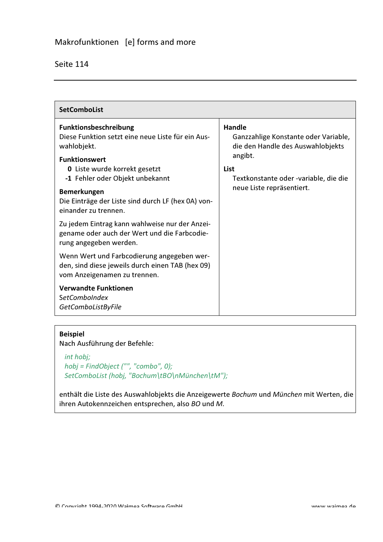| <b>SetComboList</b>                                                                                                                                                                                                                                                                                                                                                                                                                 |                                                                                                                                                                                     |
|-------------------------------------------------------------------------------------------------------------------------------------------------------------------------------------------------------------------------------------------------------------------------------------------------------------------------------------------------------------------------------------------------------------------------------------|-------------------------------------------------------------------------------------------------------------------------------------------------------------------------------------|
| <b>Funktionsbeschreibung</b><br>Diese Funktion setzt eine neue Liste für ein Aus-<br>wahlobjekt.<br><b>Funktionswert</b><br><b>0</b> Liste wurde korrekt gesetzt<br>-1 Fehler oder Objekt unbekannt<br><b>Bemerkungen</b><br>Die Einträge der Liste sind durch LF (hex 0A) von-<br>einander zu trennen.<br>Zu jedem Eintrag kann wahlweise nur der Anzei-<br>gename oder auch der Wert und die Farbcodie-<br>rung angegeben werden. | <b>Handle</b><br>Ganzzahlige Konstante oder Variable,<br>die den Handle des Auswahlobjekts<br>angibt.<br>List<br>Textkonstante oder -variable, die die<br>neue Liste repräsentiert. |
| Wenn Wert und Farbcodierung angegeben wer-<br>den, sind diese jeweils durch einen TAB (hex 09)<br>vom Anzeigenamen zu trennen.<br><b>Verwandte Funktionen</b>                                                                                                                                                                                                                                                                       |                                                                                                                                                                                     |
| <b>SetComboIndex</b><br>GetComboListByFile                                                                                                                                                                                                                                                                                                                                                                                          |                                                                                                                                                                                     |

#### **Beispiel**

Nach Ausführung der Befehle:

#### int hobj; hobj = FindObject ("", "combo", 0); SetComboList (hobj, "Bochum\tBO\nMünchen\tM");

enthält die Liste des Auswahlobjekts die Anzeigewerte Bochum und München mit Werten, die ihren Autokennzeichen entsprechen, also BO und M.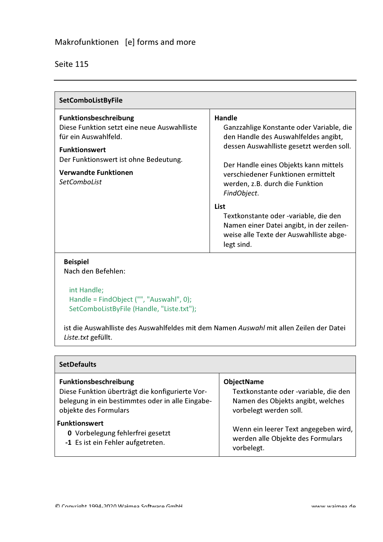| SetComboListByFile                                                                                                                                                                                                  |                                                                                                                                                                                                                                                                                |
|---------------------------------------------------------------------------------------------------------------------------------------------------------------------------------------------------------------------|--------------------------------------------------------------------------------------------------------------------------------------------------------------------------------------------------------------------------------------------------------------------------------|
| Funktionsbeschreibung<br>Diese Funktion setzt eine neue Auswahlliste<br>für ein Auswahlfeld.<br><b>Funktionswert</b><br>Der Funktionswert ist ohne Bedeutung.<br><b>Verwandte Funktionen</b><br><b>SetComboList</b> | <b>Handle</b><br>Ganzzahlige Konstante oder Variable, die<br>den Handle des Auswahlfeldes angibt,<br>dessen Auswahlliste gesetzt werden soll.<br>Der Handle eines Objekts kann mittels<br>verschiedener Funktionen ermittelt<br>werden, z.B. durch die Funktion<br>FindObject. |
| <b>Beispiel</b>                                                                                                                                                                                                     | List<br>Textkonstante oder -variable, die den<br>Namen einer Datei angibt, in der zeilen-<br>weise alle Texte der Auswahlliste abge-<br>legt sind.                                                                                                                             |

# Nach den Befehlen:

int Handle; Handle = FindObject ("", "Auswahl", 0); SetComboListByFile (Handle, "Liste.txt");

ist die Auswahlliste des Auswahlfeldes mit dem Namen Auswahl mit allen Zeilen der Datei Liste.txt gefüllt.

| <b>SetDefaults</b>                               |                                       |
|--------------------------------------------------|---------------------------------------|
| <b>Funktionsbeschreibung</b>                     | <b>ObjectName</b>                     |
| Diese Funktion überträgt die konfigurierte Vor-  | Textkonstante oder -variable, die den |
| belegung in ein bestimmtes oder in alle Eingabe- | Namen des Objekts angibt, welches     |
| objekte des Formulars                            | vorbelegt werden soll.                |
| <b>Funktionswert</b>                             | Wenn ein leerer Text angegeben wird,  |
| <b>0</b> Vorbelegung fehlerfrei gesetzt          | werden alle Objekte des Formulars     |
| -1 Es ist ein Fehler aufgetreten.                | vorbelegt.                            |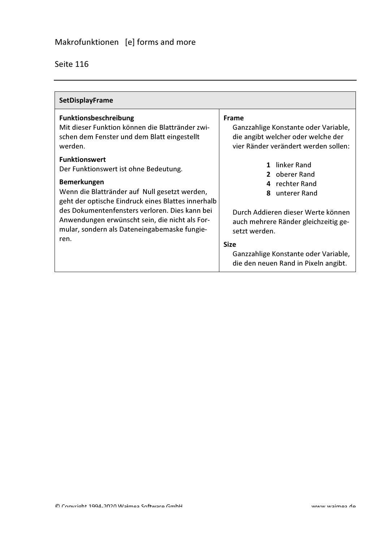| <b>SetDisplayFrame</b>                                                                                                                                                                                                                                                                                                                                 |                                                                                                                                                                       |
|--------------------------------------------------------------------------------------------------------------------------------------------------------------------------------------------------------------------------------------------------------------------------------------------------------------------------------------------------------|-----------------------------------------------------------------------------------------------------------------------------------------------------------------------|
| <b>Funktionsbeschreibung</b><br>Mit dieser Funktion können die Blattränder zwi-<br>schen dem Fenster und dem Blatt eingestellt<br>werden.                                                                                                                                                                                                              | Frame<br>Ganzzahlige Konstante oder Variable,<br>die angibt welcher oder welche der<br>vier Ränder verändert werden sollen:                                           |
| <b>Funktionswert</b><br>Der Funktionswert ist ohne Bedeutung.<br><b>Bemerkungen</b><br>Wenn die Blattränder auf Null gesetzt werden,<br>geht der optische Eindruck eines Blattes innerhalb<br>des Dokumentenfensters verloren. Dies kann bei<br>Anwendungen erwünscht sein, die nicht als For-<br>mular, sondern als Dateneingabemaske fungie-<br>ren. | 1 linker Rand<br>2 oberer Rand<br>4 rechter Rand<br>unterer Rand<br>8<br>Durch Addieren dieser Werte können.<br>auch mehrere Ränder gleichzeitig ge-<br>setzt werden. |
|                                                                                                                                                                                                                                                                                                                                                        | <b>Size</b><br>Ganzzahlige Konstante oder Variable,<br>die den neuen Rand in Pixeln angibt.                                                                           |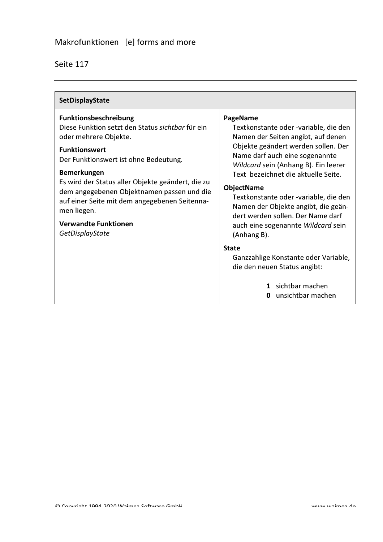| SetDisplayState                                                                                                                                                                                                                                                                                                                                                                                                |                                                                                                                                                                                                                                                                                                                                                                                                                                                |
|----------------------------------------------------------------------------------------------------------------------------------------------------------------------------------------------------------------------------------------------------------------------------------------------------------------------------------------------------------------------------------------------------------------|------------------------------------------------------------------------------------------------------------------------------------------------------------------------------------------------------------------------------------------------------------------------------------------------------------------------------------------------------------------------------------------------------------------------------------------------|
| Funktionsbeschreibung<br>Diese Funktion setzt den Status sichtbar für ein<br>oder mehrere Objekte.<br><b>Funktionswert</b><br>Der Funktionswert ist ohne Bedeutung.<br><b>Bemerkungen</b><br>Es wird der Status aller Objekte geändert, die zu<br>dem angegebenen Objektnamen passen und die<br>auf einer Seite mit dem angegebenen Seitenna-<br>men liegen.<br><b>Verwandte Funktionen</b><br>GetDisplayState | PageName<br>Textkonstante oder -variable, die den<br>Namen der Seiten angibt, auf denen<br>Objekte geändert werden sollen. Der<br>Name darf auch eine sogenannte<br>Wildcard sein (Anhang B). Ein leerer<br>Text bezeichnet die aktuelle Seite.<br><b>ObjectName</b><br>Textkonstante oder -variable, die den<br>Namen der Objekte angibt, die geän-<br>dert werden sollen. Der Name darf<br>auch eine sogenannte Wildcard sein<br>(Anhang B). |
|                                                                                                                                                                                                                                                                                                                                                                                                                | <b>State</b><br>Ganzzahlige Konstante oder Variable,<br>die den neuen Status angibt:<br>1 sichtbar machen<br>unsichtbar machen                                                                                                                                                                                                                                                                                                                 |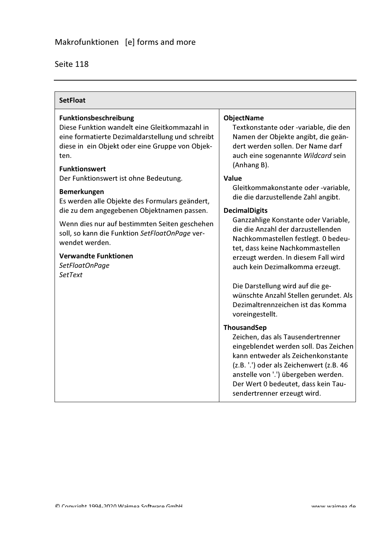| <b>SetFloat</b>                                                                                                                                                                                                                    |                                                                                                                                                                                                                                                                                                                                                                                              |
|------------------------------------------------------------------------------------------------------------------------------------------------------------------------------------------------------------------------------------|----------------------------------------------------------------------------------------------------------------------------------------------------------------------------------------------------------------------------------------------------------------------------------------------------------------------------------------------------------------------------------------------|
| Funktionsbeschreibung<br>Diese Funktion wandelt eine Gleitkommazahl in<br>eine formatierte Dezimaldarstellung und schreibt<br>diese in ein Objekt oder eine Gruppe von Objek-<br>ten.<br><b>Funktionswert</b>                      | <b>ObjectName</b><br>Textkonstante oder -variable, die den<br>Namen der Objekte angibt, die geän-<br>dert werden sollen. Der Name darf<br>auch eine sogenannte Wildcard sein<br>(Anhang B).                                                                                                                                                                                                  |
| Der Funktionswert ist ohne Bedeutung.<br><b>Bemerkungen</b><br>Es werden alle Objekte des Formulars geändert,                                                                                                                      | Value<br>Gleitkommakonstante oder -variable,<br>die die darzustellende Zahl angibt.                                                                                                                                                                                                                                                                                                          |
| die zu dem angegebenen Objektnamen passen.<br>Wenn dies nur auf bestimmten Seiten geschehen<br>soll, so kann die Funktion SetFloatOnPage ver-<br>wendet werden.<br><b>Verwandte Funktionen</b><br>SetFloatOnPage<br><b>SetText</b> | <b>DecimalDigits</b><br>Ganzzahlige Konstante oder Variable,<br>die die Anzahl der darzustellenden<br>Nachkommastellen festlegt. 0 bedeu-<br>tet, dass keine Nachkommastellen<br>erzeugt werden. In diesem Fall wird<br>auch kein Dezimalkomma erzeugt.<br>Die Darstellung wird auf die ge-<br>wünschte Anzahl Stellen gerundet. Als<br>Dezimaltrennzeichen ist das Komma<br>voreingestellt. |
|                                                                                                                                                                                                                                    | ThousandSep<br>Zeichen, das als Tausendertrenner<br>eingeblendet werden soll. Das Zeichen<br>kann entweder als Zeichenkonstante<br>(z.B. '.') oder als Zeichenwert (z.B. 46<br>anstelle von '.') übergeben werden.<br>Der Wert 0 bedeutet, dass kein Tau-<br>sendertrenner erzeugt wird.                                                                                                     |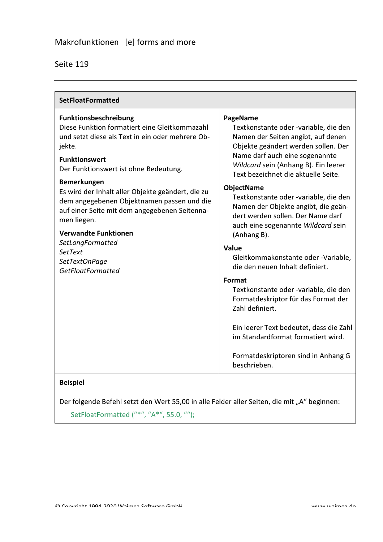| <b>SetFloatFormatted</b>                                                                                                                                                                                                                                                                                                                                                                                                                                                                                         |                                                                                                                                                                                                                                                                                                                                                                                                                                                                                                                                                                                                                                                                                                                                                                                        |  |
|------------------------------------------------------------------------------------------------------------------------------------------------------------------------------------------------------------------------------------------------------------------------------------------------------------------------------------------------------------------------------------------------------------------------------------------------------------------------------------------------------------------|----------------------------------------------------------------------------------------------------------------------------------------------------------------------------------------------------------------------------------------------------------------------------------------------------------------------------------------------------------------------------------------------------------------------------------------------------------------------------------------------------------------------------------------------------------------------------------------------------------------------------------------------------------------------------------------------------------------------------------------------------------------------------------------|--|
| Funktionsbeschreibung<br>Diese Funktion formatiert eine Gleitkommazahl<br>und setzt diese als Text in ein oder mehrere Ob-<br>jekte.<br><b>Funktionswert</b><br>Der Funktionswert ist ohne Bedeutung.<br><b>Bemerkungen</b><br>Es wird der Inhalt aller Objekte geändert, die zu<br>dem angegebenen Objektnamen passen und die<br>auf einer Seite mit dem angegebenen Seitenna-<br>men liegen.<br><b>Verwandte Funktionen</b><br>SetLongFormatted<br><b>SetText</b><br>SetTextOnPage<br><b>GetFloatFormatted</b> | PageName<br>Textkonstante oder -variable, die den<br>Namen der Seiten angibt, auf denen<br>Objekte geändert werden sollen. Der<br>Name darf auch eine sogenannte<br>Wildcard sein (Anhang B). Ein leerer<br>Text bezeichnet die aktuelle Seite.<br><b>ObjectName</b><br>Textkonstante oder -variable, die den<br>Namen der Objekte angibt, die geän-<br>dert werden sollen. Der Name darf<br>auch eine sogenannte Wildcard sein<br>(Anhang B).<br>Value<br>Gleitkommakonstante oder -Variable,<br>die den neuen Inhalt definiert.<br>Format<br>Textkonstante oder -variable, die den<br>Formatdeskriptor für das Format der<br>Zahl definiert.<br>Ein leerer Text bedeutet, dass die Zahl<br>im Standardformat formatiert wird.<br>Formatdeskriptoren sind in Anhang G<br>beschrieben. |  |

#### **Beispiel**

Der folgende Befehl setzt den Wert 55,00 in alle Felder aller Seiten, die mit "A" beginnen:

SetFloatFormatted ("\*", "A\*", 55.0, "");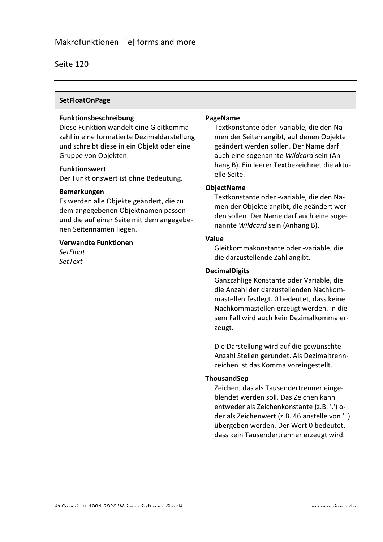#### **SetFloatOnPage**

#### Funktionsbeschreibung

Diese Funktion wandelt eine Gleitkommazahl in eine formatierte Dezimaldarstellung und schreibt diese in ein Objekt oder eine Gruppe von Objekten.

#### **Funktionswert**

Der Funktionswert ist ohne Bedeutung.

#### Bemerkungen

Es werden alle Objekte geändert, die zu dem angegebenen Objektnamen passen und die auf einer Seite mit dem angegebenen Seitennamen liegen.

#### **Verwandte Funktionen**

SetFloat **SetText** 

#### **PageName**

Textkonstante oder -variable, die den Namen der Seiten angibt, auf denen Objekte geändert werden sollen. Der Name darf auch eine sogenannte Wildcard sein (Anhang B). Ein leerer Textbezeichnet die aktuelle Seite.

#### **ObjectName**

Textkonstante oder -variable, die den Namen der Objekte angibt, die geändert werden sollen. Der Name darf auch eine sogenannte Wildcard sein (Anhang B).

#### Value

Gleitkommakonstante oder -variable, die die darzustellende Zahl angibt.

#### **DecimalDigits**

Ganzzahlige Konstante oder Variable, die die Anzahl der darzustellenden Nachkommastellen festlegt. 0 bedeutet, dass keine Nachkommastellen erzeugt werden. In diesem Fall wird auch kein Dezimalkomma erzeugt.

Die Darstellung wird auf die gewünschte Anzahl Stellen gerundet. Als Dezimaltrennzeichen ist das Komma voreingestellt.

#### **ThousandSep**

Zeichen, das als Tausendertrenner eingeblendet werden soll. Das Zeichen kann entweder als Zeichenkonstante (z.B. '.') oder als Zeichenwert (z.B. 46 anstelle von '.') übergeben werden. Der Wert 0 bedeutet, dass kein Tausendertrenner erzeugt wird.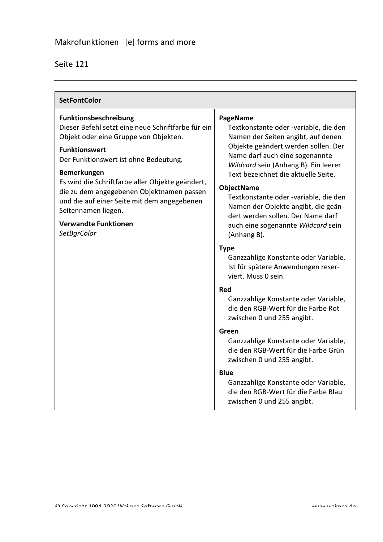| <b>Funktionsbeschreibung</b><br>PageName<br>Dieser Befehl setzt eine neue Schriftfarbe für ein<br>Objekt oder eine Gruppe von Objekten.<br><b>Funktionswert</b><br>Der Funktionswert ist ohne Bedeutung.<br><b>Bemerkungen</b><br>Es wird die Schriftfarbe aller Objekte geändert,<br><b>ObjectName</b><br>die zu dem angegebenen Objektnamen passen<br>und die auf einer Seite mit dem angegebenen | <b>SetFontColor</b> |                                                                                                                                                                                                                                                                                                                                                                                                                                                                                                                                                                                                                                                                                                                          |  |
|-----------------------------------------------------------------------------------------------------------------------------------------------------------------------------------------------------------------------------------------------------------------------------------------------------------------------------------------------------------------------------------------------------|---------------------|--------------------------------------------------------------------------------------------------------------------------------------------------------------------------------------------------------------------------------------------------------------------------------------------------------------------------------------------------------------------------------------------------------------------------------------------------------------------------------------------------------------------------------------------------------------------------------------------------------------------------------------------------------------------------------------------------------------------------|--|
| <b>Verwandte Funktionen</b><br>SetBgrColor<br>(Anhang B).<br><b>Type</b><br>viert. Muss 0 sein.<br><b>Red</b><br>zwischen 0 und 255 angibt.<br>Green<br>zwischen 0 und 255 angibt.<br><b>Blue</b>                                                                                                                                                                                                   | Seitennamen liegen. | Textkonstante oder -variable, die den<br>Namen der Seiten angibt, auf denen<br>Objekte geändert werden sollen. Der<br>Name darf auch eine sogenannte<br>Wildcard sein (Anhang B). Ein leerer<br>Text bezeichnet die aktuelle Seite.<br>Textkonstante oder -variable, die den<br>Namen der Objekte angibt, die geän-<br>dert werden sollen. Der Name darf<br>auch eine sogenannte Wildcard sein<br>Ganzzahlige Konstante oder Variable.<br>Ist für spätere Anwendungen reser-<br>Ganzzahlige Konstante oder Variable,<br>die den RGB-Wert für die Farbe Rot<br>Ganzzahlige Konstante oder Variable,<br>die den RGB-Wert für die Farbe Grün<br>Ganzzahlige Konstante oder Variable,<br>die den RGB-Wert für die Farbe Blau |  |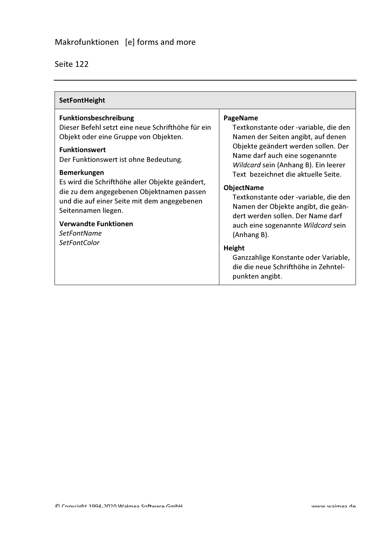| SetFontHeight                                                                                                                                                                                                                                                                                                                                                                                                                                                |                                                                                                                                                                                                                                                                                                                                                                                                                                                                                                                                                             |
|--------------------------------------------------------------------------------------------------------------------------------------------------------------------------------------------------------------------------------------------------------------------------------------------------------------------------------------------------------------------------------------------------------------------------------------------------------------|-------------------------------------------------------------------------------------------------------------------------------------------------------------------------------------------------------------------------------------------------------------------------------------------------------------------------------------------------------------------------------------------------------------------------------------------------------------------------------------------------------------------------------------------------------------|
| Funktionsbeschreibung<br>Dieser Befehl setzt eine neue Schrifthöhe für ein<br>Objekt oder eine Gruppe von Objekten.<br><b>Funktionswert</b><br>Der Funktionswert ist ohne Bedeutung.<br><b>Bemerkungen</b><br>Es wird die Schrifthöhe aller Objekte geändert,<br>die zu dem angegebenen Objektnamen passen<br>und die auf einer Seite mit dem angegebenen<br>Seitennamen liegen.<br><b>Verwandte Funktionen</b><br><b>SetFontName</b><br><i>SetFontColor</i> | PageName<br>Textkonstante oder -variable, die den<br>Namen der Seiten angibt, auf denen<br>Objekte geändert werden sollen. Der<br>Name darf auch eine sogenannte<br>Wildcard sein (Anhang B). Ein leerer<br>Text bezeichnet die aktuelle Seite.<br><b>ObjectName</b><br>Textkonstante oder -variable, die den<br>Namen der Objekte angibt, die geän-<br>dert werden sollen. Der Name darf<br>auch eine sogenannte Wildcard sein<br>(Anhang B).<br>Height<br>Ganzzahlige Konstante oder Variable,<br>die die neue Schrifthöhe in Zehntel-<br>punkten angibt. |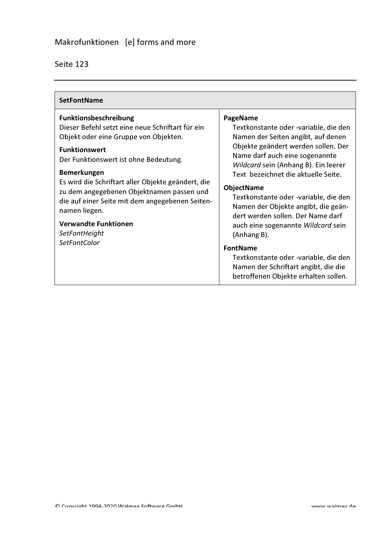| <b>SetFontName</b>                                                                                                                                                                                                                                                                                                                                                                                                                                      |                                                                                                                                                                                                                                                                                                                                                                                                                                                                                                                                                                                            |
|---------------------------------------------------------------------------------------------------------------------------------------------------------------------------------------------------------------------------------------------------------------------------------------------------------------------------------------------------------------------------------------------------------------------------------------------------------|--------------------------------------------------------------------------------------------------------------------------------------------------------------------------------------------------------------------------------------------------------------------------------------------------------------------------------------------------------------------------------------------------------------------------------------------------------------------------------------------------------------------------------------------------------------------------------------------|
| <b>Funktionsbeschreibung</b><br>Dieser Befehl setzt eine neue Schriftart für ein<br>Objekt oder eine Gruppe von Objekten.<br><b>Funktionswert</b><br>Der Funktionswert ist ohne Bedeutung.<br><b>Bemerkungen</b><br>Es wird die Schriftart aller Objekte geändert, die<br>zu dem angegebenen Objektnamen passen und<br>die auf einer Seite mit dem angegebenen Seiten-<br>namen liegen.<br><b>Verwandte Funktionen</b><br>SetFontHeight<br>SetFontColor | PageName<br>Textkonstante oder -variable, die den<br>Namen der Seiten angibt, auf denen<br>Objekte geändert werden sollen. Der<br>Name darf auch eine sogenannte<br>Wildcard sein (Anhang B). Ein leerer<br>Text bezeichnet die aktuelle Seite.<br><b>ObjectName</b><br>Textkonstante oder -variable, die den<br>Namen der Objekte angibt, die geän-<br>dert werden sollen. Der Name darf<br>auch eine sogenannte Wildcard sein<br>(Anhang B).<br><b>FontName</b><br>Textkonstante oder -variable, die den<br>Namen der Schriftart angibt, die die<br>betroffenen Objekte erhalten sollen. |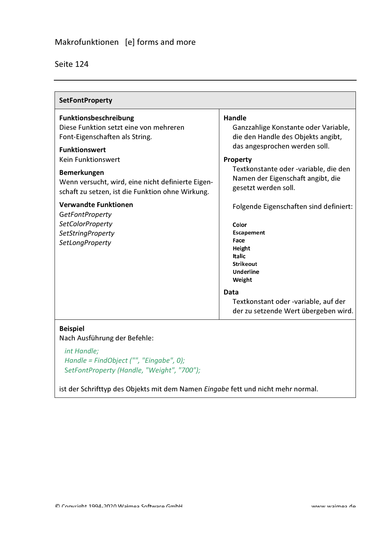| Seite 124 |  |
|-----------|--|
|           |  |

| <b>SetFontProperty</b>                                                                                                                                                                                                            |                                                                                                                                                                                                                                         |
|-----------------------------------------------------------------------------------------------------------------------------------------------------------------------------------------------------------------------------------|-----------------------------------------------------------------------------------------------------------------------------------------------------------------------------------------------------------------------------------------|
| <b>Funktionsbeschreibung</b><br>Diese Funktion setzt eine von mehreren<br>Font-Eigenschaften als String.<br><b>Funktionswert</b><br><b>Kein Funktionswert</b><br>Bemerkungen<br>Wenn versucht, wird, eine nicht definierte Eigen- | Handle<br>Ganzzahlige Konstante oder Variable,<br>die den Handle des Objekts angibt,<br>das angesprochen werden soll.<br>Property<br>Textkonstante oder -variable, die den<br>Namen der Eigenschaft angibt, die<br>gesetzt werden soll. |
| schaft zu setzen, ist die Funktion ohne Wirkung.<br><b>Verwandte Funktionen</b><br><b>GetFontProperty</b><br><b>SetColorProperty</b><br><b>SetStringProperty</b>                                                                  | Folgende Eigenschaften sind definiert:<br>Color<br>Escapement                                                                                                                                                                           |
| SetLongProperty                                                                                                                                                                                                                   | Face<br>Height<br><b>Italic</b><br><b>Strikeout</b><br>Underline<br>Weight                                                                                                                                                              |
|                                                                                                                                                                                                                                   | Data<br>Textkonstant oder -variable, auf der<br>der zu setzende Wert übergeben wird.                                                                                                                                                    |

Nach Ausführung der Befehle:

int Handle; Handle = FindObject ("", "Eingabe", 0); SetFontProperty (Handle, "Weight", "700");

ist der Schrifttyp des Objekts mit dem Namen Eingabe fett und nicht mehr normal.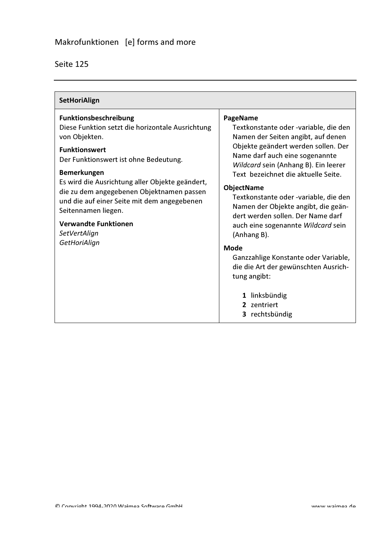| SetHoriAlign                                                                                                                                                                                                                                                                                                                                                                                                           |                                                                                                                                                                                                                                                                                                                                                                                                                                                                                                                                                                                                        |
|------------------------------------------------------------------------------------------------------------------------------------------------------------------------------------------------------------------------------------------------------------------------------------------------------------------------------------------------------------------------------------------------------------------------|--------------------------------------------------------------------------------------------------------------------------------------------------------------------------------------------------------------------------------------------------------------------------------------------------------------------------------------------------------------------------------------------------------------------------------------------------------------------------------------------------------------------------------------------------------------------------------------------------------|
| Funktionsbeschreibung<br>Diese Funktion setzt die horizontale Ausrichtung<br>von Objekten.<br><b>Funktionswert</b><br>Der Funktionswert ist ohne Bedeutung.<br><b>Bemerkungen</b><br>Es wird die Ausrichtung aller Objekte geändert,<br>die zu dem angegebenen Objektnamen passen<br>und die auf einer Seite mit dem angegebenen<br>Seitennamen liegen.<br><b>Verwandte Funktionen</b><br>SetVertAlign<br>GetHoriAlign | PageName<br>Textkonstante oder -variable, die den<br>Namen der Seiten angibt, auf denen<br>Objekte geändert werden sollen. Der<br>Name darf auch eine sogenannte<br>Wildcard sein (Anhang B). Ein leerer<br>Text bezeichnet die aktuelle Seite.<br><b>ObjectName</b><br>Textkonstante oder -variable, die den<br>Namen der Objekte angibt, die geän-<br>dert werden sollen. Der Name darf<br>auch eine sogenannte Wildcard sein<br>(Anhang B).<br>Mode<br>Ganzzahlige Konstante oder Variable,<br>die die Art der gewünschten Ausrich-<br>tung angibt:<br>linksbündig<br>2 zentriert<br>3 rechtsbündig |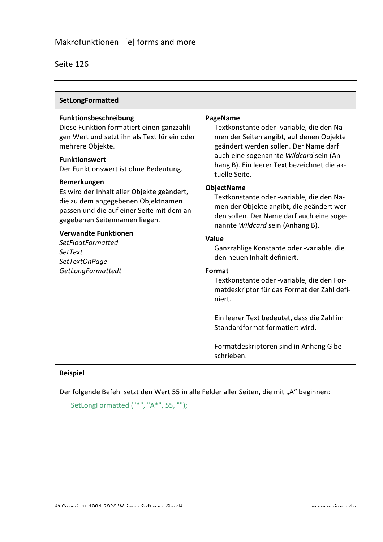|  | Seite 126 |  |
|--|-----------|--|
|  |           |  |
|  |           |  |

| SetLongFormatted                                                                                                                                                                                                                                                                                                                                                                                                                                                                                                            |                                                                                                                                                                                                                                                                                                                                                                                                                                                                                                                                                                                                                                                                                                                                                                                                |
|-----------------------------------------------------------------------------------------------------------------------------------------------------------------------------------------------------------------------------------------------------------------------------------------------------------------------------------------------------------------------------------------------------------------------------------------------------------------------------------------------------------------------------|------------------------------------------------------------------------------------------------------------------------------------------------------------------------------------------------------------------------------------------------------------------------------------------------------------------------------------------------------------------------------------------------------------------------------------------------------------------------------------------------------------------------------------------------------------------------------------------------------------------------------------------------------------------------------------------------------------------------------------------------------------------------------------------------|
| <b>Funktionsbeschreibung</b><br>Diese Funktion formatiert einen ganzzahli-<br>gen Wert und setzt ihn als Text für ein oder<br>mehrere Objekte.<br><b>Funktionswert</b><br>Der Funktionswert ist ohne Bedeutung.<br><b>Bemerkungen</b><br>Es wird der Inhalt aller Objekte geändert,<br>die zu dem angegebenen Objektnamen<br>passen und die auf einer Seite mit dem an-<br>gegebenen Seitennamen liegen.<br><b>Verwandte Funktionen</b><br><b>SetFloatFormatted</b><br><b>SetText</b><br>SetTextOnPage<br>GetLongFormattedt | PageName<br>Textkonstante oder -variable, die den Na-<br>men der Seiten angibt, auf denen Objekte<br>geändert werden sollen. Der Name darf<br>auch eine sogenannte Wildcard sein (An-<br>hang B). Ein leerer Text bezeichnet die ak-<br>tuelle Seite.<br><b>ObjectName</b><br>Textkonstante oder -variable, die den Na-<br>men der Objekte angibt, die geändert wer-<br>den sollen. Der Name darf auch eine soge-<br>nannte Wildcard sein (Anhang B).<br><b>Value</b><br>Ganzzahlige Konstante oder -variable, die<br>den neuen Inhalt definiert.<br>Format<br>Textkonstante oder -variable, die den For-<br>matdeskriptor für das Format der Zahl defi-<br>niert.<br>Ein leerer Text bedeutet, dass die Zahl im<br>Standardformat formatiert wird.<br>Formatdeskriptoren sind in Anhang G be- |
|                                                                                                                                                                                                                                                                                                                                                                                                                                                                                                                             | schrieben.                                                                                                                                                                                                                                                                                                                                                                                                                                                                                                                                                                                                                                                                                                                                                                                     |

#### **Beispiel**

Der folgende Befehl setzt den Wert 55 in alle Felder aller Seiten, die mit "A" beginnen:

SetLongFormatted ("\*", "A\*", 55, "");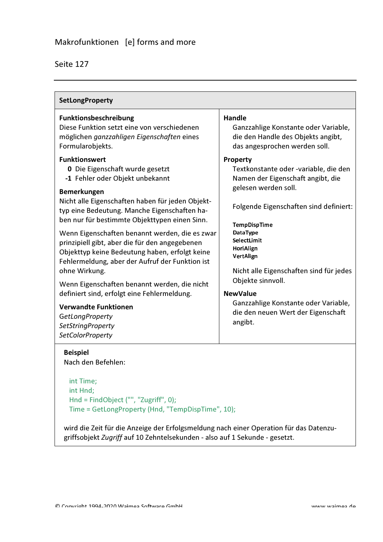| <b>SetLongProperty</b>                                                                                                                                                                                                                                                                                                                                                                                                 |                                                                                                                                                                                                                                                                                                                 |  |
|------------------------------------------------------------------------------------------------------------------------------------------------------------------------------------------------------------------------------------------------------------------------------------------------------------------------------------------------------------------------------------------------------------------------|-----------------------------------------------------------------------------------------------------------------------------------------------------------------------------------------------------------------------------------------------------------------------------------------------------------------|--|
| Funktionsbeschreibung<br>Diese Funktion setzt eine von verschiedenen<br>möglichen ganzzahligen Eigenschaften eines<br>Formularobjekts.<br><b>Funktionswert</b><br><b>0</b> Die Eigenschaft wurde gesetzt<br>-1 Fehler oder Objekt unbekannt<br><b>Bemerkungen</b><br>Nicht alle Eigenschaften haben für jeden Objekt-<br>typ eine Bedeutung. Manche Eigenschaften ha-<br>ben nur für bestimmte Objekttypen einen Sinn. | <b>Handle</b><br>Ganzzahlige Konstante oder Variable,<br>die den Handle des Objekts angibt,<br>das angesprochen werden soll.<br>Property<br>Textkonstante oder -variable, die den<br>Namen der Eigenschaft angibt, die<br>gelesen werden soll.<br>Folgende Eigenschaften sind definiert:<br><b>TempDispTime</b> |  |
| Wenn Eigenschaften benannt werden, die es zwar<br>prinzipiell gibt, aber die für den angegebenen<br>Objekttyp keine Bedeutung haben, erfolgt keine<br>Fehlermeldung, aber der Aufruf der Funktion ist<br>ohne Wirkung.<br>Wenn Eigenschaften benannt werden, die nicht                                                                                                                                                 | DataType<br>SelectLimit<br>HoriAlign<br><b>VertAlign</b><br>Nicht alle Eigenschaften sind für jedes<br>Objekte sinnvoll.                                                                                                                                                                                        |  |
| definiert sind, erfolgt eine Fehlermeldung.<br><b>Verwandte Funktionen</b>                                                                                                                                                                                                                                                                                                                                             | <b>NewValue</b><br>Ganzzahlige Konstante oder Variable,                                                                                                                                                                                                                                                         |  |
| GetLongProperty<br><b>SetStringProperty</b><br><b>SetColorProperty</b>                                                                                                                                                                                                                                                                                                                                                 | die den neuen Wert der Eigenschaft<br>angibt.                                                                                                                                                                                                                                                                   |  |
| <b>Beispiel</b><br>Nach den Befehlen:                                                                                                                                                                                                                                                                                                                                                                                  |                                                                                                                                                                                                                                                                                                                 |  |

int Time; int Hnd; Hnd = FindObject ("", "Zugriff", 0); Time = GetLongProperty (Hnd, "TempDispTime", 10);

wird die Zeit für die Anzeige der Erfolgsmeldung nach einer Operation für das Datenzugriffsobjekt Zugriff auf 10 Zehntelsekunden - also auf 1 Sekunde - gesetzt.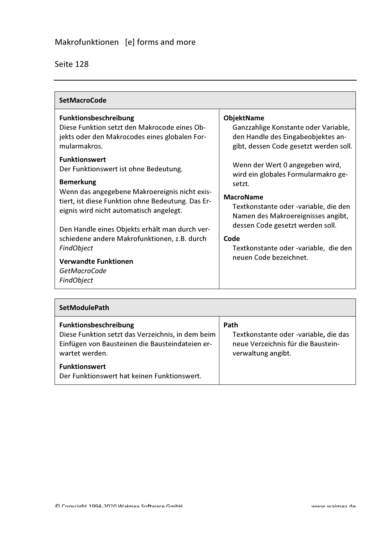| <b>SetMacroCode</b>                                                                                                                                                                                                                                                                                                                                                                                                                  |                                                                                                                                                                                                                                                                                                    |  |
|--------------------------------------------------------------------------------------------------------------------------------------------------------------------------------------------------------------------------------------------------------------------------------------------------------------------------------------------------------------------------------------------------------------------------------------|----------------------------------------------------------------------------------------------------------------------------------------------------------------------------------------------------------------------------------------------------------------------------------------------------|--|
| <b>Funktionsbeschreibung</b><br>Diese Funktion setzt den Makrocode eines Ob-<br>jekts oder den Makrocodes eines globalen For-<br>mularmakros.                                                                                                                                                                                                                                                                                        | <b>ObjektName</b><br>Ganzzahlige Konstante oder Variable,<br>den Handle des Eingabeobjektes an-<br>gibt, dessen Code gesetzt werden soll.                                                                                                                                                          |  |
| <b>Funktionswert</b><br>Der Funktionswert ist ohne Bedeutung.<br><b>Bemerkung</b><br>Wenn das angegebene Makroereignis nicht exis-<br>tiert, ist diese Funktion ohne Bedeutung. Das Er-<br>eignis wird nicht automatisch angelegt.<br>Den Handle eines Objekts erhält man durch ver-<br>schiedene andere Makrofunktionen, z.B. durch<br><b>FindObject</b><br><b>Verwandte Funktionen</b><br><b>GetMacroCode</b><br><b>FindObject</b> | Wenn der Wert 0 angegeben wird,<br>wird ein globales Formularmakro ge-<br>setzt.<br><b>MacroName</b><br>Textkonstante oder -variable, die den<br>Namen des Makroereignisses angibt,<br>dessen Code gesetzt werden soll.<br>Code<br>Textkonstante oder -variable, die den<br>neuen Code bezeichnet. |  |

| <b>SetModulePath</b>                                                                                                                                   |                                                                                                           |
|--------------------------------------------------------------------------------------------------------------------------------------------------------|-----------------------------------------------------------------------------------------------------------|
| <b>Funktionsbeschreibung</b><br>Diese Funktion setzt das Verzeichnis, in dem beim<br>Einfügen von Bausteinen die Bausteindateien er-<br>wartet werden. | Path<br>Textkonstante oder -variable, die das<br>neue Verzeichnis für die Baustein-<br>verwaltung angibt. |
| <b>Funktionswert</b><br>Der Funktionswert hat keinen Funktionswert.                                                                                    |                                                                                                           |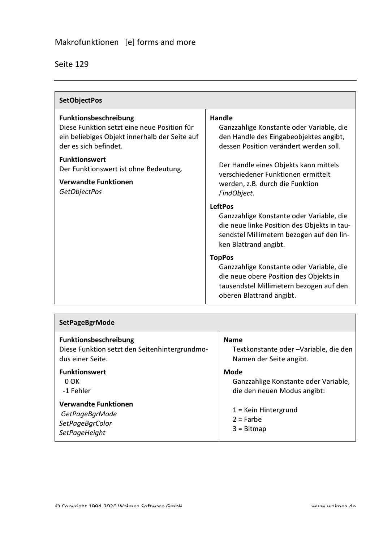| Seite 129 |  |
|-----------|--|
|-----------|--|

| <b>SetObjectPos</b>                                                                                                                                   |                                                                                                                                                                                 |
|-------------------------------------------------------------------------------------------------------------------------------------------------------|---------------------------------------------------------------------------------------------------------------------------------------------------------------------------------|
| <b>Funktionsbeschreibung</b><br>Diese Funktion setzt eine neue Position für<br>ein beliebiges Objekt innerhalb der Seite auf<br>der es sich befindet. | Handle<br>Ganzzahlige Konstante oder Variable, die<br>den Handle des Eingabeobjektes angibt,<br>dessen Position verändert werden soll.                                          |
| <b>Funktionswert</b><br>Der Funktionswert ist ohne Bedeutung.<br><b>Verwandte Funktionen</b><br><b>GetObjectPos</b>                                   | Der Handle eines Objekts kann mittels<br>verschiedener Funktionen ermittelt<br>werden, z.B. durch die Funktion<br>FindObject.                                                   |
|                                                                                                                                                       | <b>LeftPos</b><br>Ganzzahlige Konstante oder Variable, die<br>die neue linke Position des Objekts in tau-<br>sendstel Millimetern bezogen auf den lin-<br>ken Blattrand angibt. |
|                                                                                                                                                       | <b>TopPos</b><br>Ganzzahlige Konstante oder Variable, die<br>die neue obere Position des Objekts in<br>tausendstel Millimetern bezogen auf den<br>oberen Blattrand angibt.      |

| <b>SetPageBgrMode</b>                                                             |                                                              |
|-----------------------------------------------------------------------------------|--------------------------------------------------------------|
| <b>Funktionsbeschreibung</b>                                                      | <b>Name</b>                                                  |
| Diese Funktion setzt den Seitenhintergrundmo-                                     | Textkonstante oder -Variable, die den                        |
| dus einer Seite.                                                                  | Namen der Seite angibt.                                      |
| <b>Funktionswert</b>                                                              | Mode                                                         |
| $0$ OK                                                                            | Ganzzahlige Konstante oder Variable,                         |
| -1 Fehler                                                                         | die den neuen Modus angibt:                                  |
| <b>Verwandte Funktionen</b><br>GetPageBgrMode<br>SetPageBgrColor<br>SetPageHeight | $1$ = Kein Hintergrund<br>$2 =$ Farbe<br>$3 = \text{Bitmap}$ |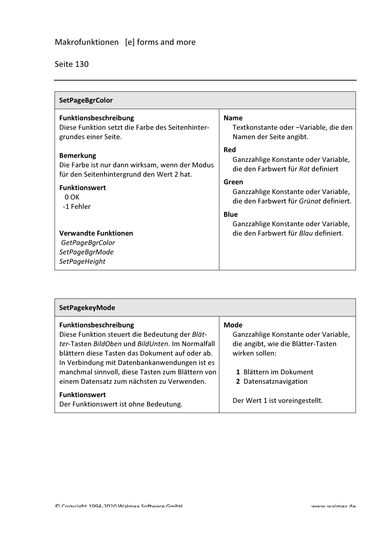| <b>SetPageBgrColor</b>                                                                                                                                                                                                                              |                                                                                                                                                                                                                                                                             |
|-----------------------------------------------------------------------------------------------------------------------------------------------------------------------------------------------------------------------------------------------------|-----------------------------------------------------------------------------------------------------------------------------------------------------------------------------------------------------------------------------------------------------------------------------|
| <b>Funktionsbeschreibung</b><br>Diese Funktion setzt die Farbe des Seitenhinter-<br>grundes einer Seite.                                                                                                                                            | <b>Name</b><br>Textkonstante oder -Variable, die den<br>Namen der Seite angibt.                                                                                                                                                                                             |
| <b>Bemerkung</b><br>Die Farbe ist nur dann wirksam, wenn der Modus<br>für den Seitenhintergrund den Wert 2 hat.<br><b>Funktionswert</b><br>$0$ OK<br>-1 Fehler<br><b>Verwandte Funktionen</b><br>GetPageBgrColor<br>SetPageBgrMode<br>SetPageHeight | Red<br>Ganzzahlige Konstante oder Variable,<br>die den Farbwert für Rot definiert<br>Green<br>Ganzzahlige Konstante oder Variable,<br>die den Farbwert für Grünot definiert.<br><b>Blue</b><br>Ganzzahlige Konstante oder Variable,<br>die den Farbwert für Blau definiert. |

| <b>SetPagekeyMode</b>                                                                                                                                                                 |                                                                                                             |
|---------------------------------------------------------------------------------------------------------------------------------------------------------------------------------------|-------------------------------------------------------------------------------------------------------------|
| <b>Funktionsbeschreibung</b><br>Diese Funktion steuert die Bedeutung der Blät-<br>ter-Tasten BildOben und BildUnten. Im Normalfall<br>blättern diese Tasten das Dokument auf oder ab. | <b>Mode</b><br>Ganzzahlige Konstante oder Variable,<br>die angibt, wie die Blätter-Tasten<br>wirken sollen: |
| In Verbindung mit Datenbankanwendungen ist es<br>manchmal sinnvoll, diese Tasten zum Blättern von<br>einem Datensatz zum nächsten zu Verwenden.                                       | 1 Blättern im Dokument<br>2 Datensatznavigation                                                             |
| <b>Funktionswert</b><br>Der Funktionswert ist ohne Bedeutung.                                                                                                                         | Der Wert 1 ist voreingestellt.                                                                              |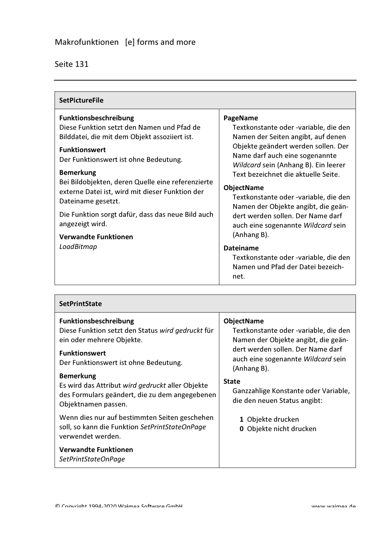| <b>SetPictureFile</b>                                                                                                                                                                                                                                                                                                                                                                                                                                        |                                                                                                                                                                                                                                                                                                                                                                                                                                                |
|--------------------------------------------------------------------------------------------------------------------------------------------------------------------------------------------------------------------------------------------------------------------------------------------------------------------------------------------------------------------------------------------------------------------------------------------------------------|------------------------------------------------------------------------------------------------------------------------------------------------------------------------------------------------------------------------------------------------------------------------------------------------------------------------------------------------------------------------------------------------------------------------------------------------|
| Funktionsbeschreibung<br>Diese Funktion setzt den Namen und Pfad de<br>Bilddatei, die mit dem Objekt assoziiert ist.<br><b>Funktionswert</b><br>Der Funktionswert ist ohne Bedeutung.<br><b>Bemerkung</b><br>Bei Bildobjekten, deren Quelle eine referenzierte<br>externe Datei ist, wird mit dieser Funktion der<br>Dateiname gesetzt.<br>Die Funktion sorgt dafür, dass das neue Bild auch<br>angezeigt wird.<br><b>Verwandte Funktionen</b><br>LoadBitmap | PageName<br>Textkonstante oder -variable, die den<br>Namen der Seiten angibt, auf denen<br>Objekte geändert werden sollen. Der<br>Name darf auch eine sogenannte<br>Wildcard sein (Anhang B). Ein leerer<br>Text bezeichnet die aktuelle Seite.<br><b>ObjectName</b><br>Textkonstante oder -variable, die den<br>Namen der Objekte angibt, die geän-<br>dert werden sollen. Der Name darf<br>auch eine sogenannte Wildcard sein<br>(Anhang B). |
|                                                                                                                                                                                                                                                                                                                                                                                                                                                              | <b>Dateiname</b><br>Textkonstante oder -variable, die den<br>Namen und Pfad der Datei bezeich-<br>net.                                                                                                                                                                                                                                                                                                                                         |

| <b>SetPrintState</b>                                                                                                                                                            |                                                                                                                                                                                             |
|---------------------------------------------------------------------------------------------------------------------------------------------------------------------------------|---------------------------------------------------------------------------------------------------------------------------------------------------------------------------------------------|
| <b>Funktionsbeschreibung</b><br>Diese Funktion setzt den Status wird gedruckt für<br>ein oder mehrere Objekte.<br><b>Funktionswert</b><br>Der Funktionswert ist ohne Bedeutung. | <b>ObjectName</b><br>Textkonstante oder -variable, die den<br>Namen der Objekte angibt, die geän-<br>dert werden sollen. Der Name darf<br>auch eine sogenannte Wildcard sein<br>(Anhang B). |
| <b>Bemerkung</b><br>Es wird das Attribut wird gedruckt aller Objekte<br>des Formulars geändert, die zu dem angegebenen<br>Objektnamen passen.                                   | <b>State</b><br>Ganzzahlige Konstante oder Variable,<br>die den neuen Status angibt:                                                                                                        |
| Wenn dies nur auf bestimmten Seiten geschehen<br>soll, so kann die Funktion SetPrintStateOnPage<br>verwendet werden.                                                            | 1 Objekte drucken<br><b>0</b> Objekte nicht drucken                                                                                                                                         |
| <b>Verwandte Funktionen</b><br>SetPrintStateOnPage                                                                                                                              |                                                                                                                                                                                             |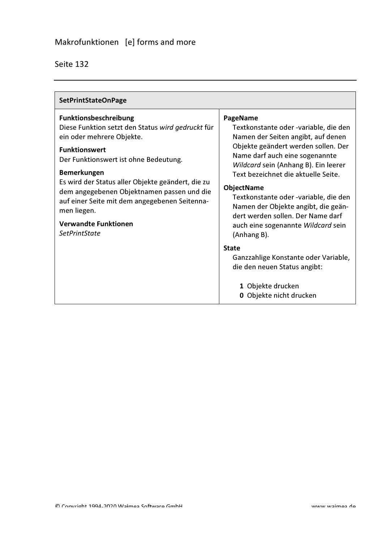| <b>SetPrintStateOnPage</b>                                                                                                                                                                                                                                                                                                                                                                                                      |                                                                                                                                                                                                                                                                                                                                                                                                                                                |
|---------------------------------------------------------------------------------------------------------------------------------------------------------------------------------------------------------------------------------------------------------------------------------------------------------------------------------------------------------------------------------------------------------------------------------|------------------------------------------------------------------------------------------------------------------------------------------------------------------------------------------------------------------------------------------------------------------------------------------------------------------------------------------------------------------------------------------------------------------------------------------------|
| <b>Funktionsbeschreibung</b><br>Diese Funktion setzt den Status wird gedruckt für<br>ein oder mehrere Objekte.<br><b>Funktionswert</b><br>Der Funktionswert ist ohne Bedeutung.<br><b>Bemerkungen</b><br>Es wird der Status aller Objekte geändert, die zu<br>dem angegebenen Objektnamen passen und die<br>auf einer Seite mit dem angegebenen Seitenna-<br>men liegen.<br><b>Verwandte Funktionen</b><br><b>SetPrintState</b> | PageName<br>Textkonstante oder -variable, die den<br>Namen der Seiten angibt, auf denen<br>Objekte geändert werden sollen. Der<br>Name darf auch eine sogenannte<br>Wildcard sein (Anhang B). Ein leerer<br>Text bezeichnet die aktuelle Seite.<br><b>ObjectName</b><br>Textkonstante oder -variable, die den<br>Namen der Objekte angibt, die geän-<br>dert werden sollen. Der Name darf<br>auch eine sogenannte Wildcard sein<br>(Anhang B). |
|                                                                                                                                                                                                                                                                                                                                                                                                                                 | <b>State</b><br>Ganzzahlige Konstante oder Variable,<br>die den neuen Status angibt:<br>1 Objekte drucken<br>0 Objekte nicht drucken                                                                                                                                                                                                                                                                                                           |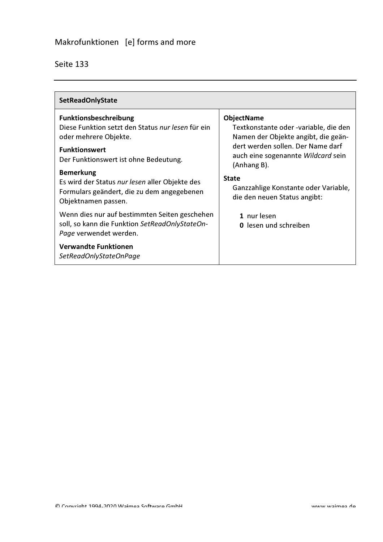| <b>SetReadOnlyState</b>                                                                                                                                                     |                                                                                                                                                                                             |
|-----------------------------------------------------------------------------------------------------------------------------------------------------------------------------|---------------------------------------------------------------------------------------------------------------------------------------------------------------------------------------------|
| <b>Funktionsbeschreibung</b><br>Diese Funktion setzt den Status nur lesen für ein<br>oder mehrere Objekte.<br><b>Funktionswert</b><br>Der Funktionswert ist ohne Bedeutung. | <b>ObjectName</b><br>Textkonstante oder -variable, die den<br>Namen der Objekte angibt, die geän-<br>dert werden sollen. Der Name darf<br>auch eine sogenannte Wildcard sein<br>(Anhang B). |
| <b>Bemerkung</b><br>Es wird der Status nur lesen aller Objekte des<br>Formulars geändert, die zu dem angegebenen<br>Objektnamen passen.                                     | <b>State</b><br>Ganzzahlige Konstante oder Variable,<br>die den neuen Status angibt:                                                                                                        |
| Wenn dies nur auf bestimmten Seiten geschehen<br>soll, so kann die Funktion SetReadOnlyStateOn-<br>Page verwendet werden.                                                   | 1 nur lesen<br><b>0</b> lesen und schreiben                                                                                                                                                 |
| <b>Verwandte Funktionen</b><br>SetReadOnlyStateOnPage                                                                                                                       |                                                                                                                                                                                             |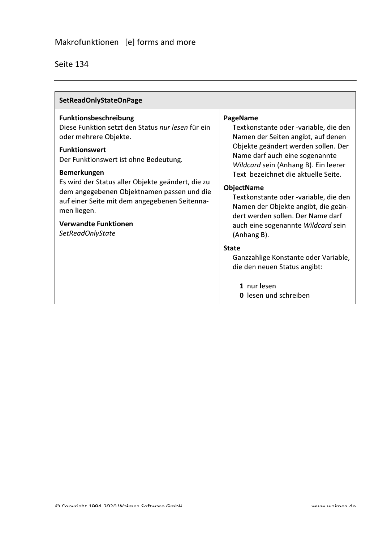| <b>SetReadOnlyStateOnPage</b>                                                                                                                                                                                                                                                                                                                                                                                    |                                                                                                                                                                                                                                                                                                                                                                                                                                                |
|------------------------------------------------------------------------------------------------------------------------------------------------------------------------------------------------------------------------------------------------------------------------------------------------------------------------------------------------------------------------------------------------------------------|------------------------------------------------------------------------------------------------------------------------------------------------------------------------------------------------------------------------------------------------------------------------------------------------------------------------------------------------------------------------------------------------------------------------------------------------|
| Funktionsbeschreibung<br>Diese Funktion setzt den Status nur lesen für ein<br>oder mehrere Objekte.<br><b>Funktionswert</b><br>Der Funktionswert ist ohne Bedeutung.<br><b>Bemerkungen</b><br>Es wird der Status aller Objekte geändert, die zu<br>dem angegebenen Objektnamen passen und die<br>auf einer Seite mit dem angegebenen Seitenna-<br>men liegen.<br><b>Verwandte Funktionen</b><br>SetReadOnlyState | PageName<br>Textkonstante oder -variable, die den<br>Namen der Seiten angibt, auf denen<br>Objekte geändert werden sollen. Der<br>Name darf auch eine sogenannte<br>Wildcard sein (Anhang B). Ein leerer<br>Text bezeichnet die aktuelle Seite.<br><b>ObjectName</b><br>Textkonstante oder -variable, die den<br>Namen der Objekte angibt, die geän-<br>dert werden sollen. Der Name darf<br>auch eine sogenannte Wildcard sein<br>(Anhang B). |
|                                                                                                                                                                                                                                                                                                                                                                                                                  | <b>State</b><br>Ganzzahlige Konstante oder Variable,<br>die den neuen Status angibt:<br>1 nur lesen<br><b>0</b> lesen und schreiben                                                                                                                                                                                                                                                                                                            |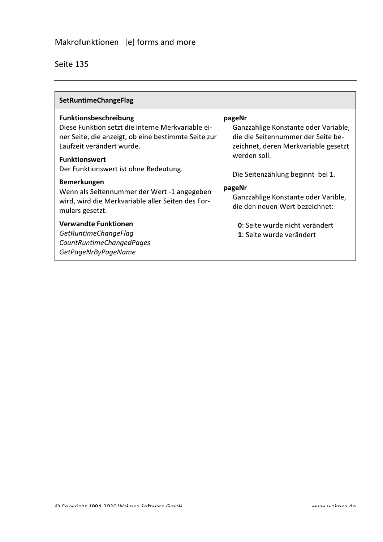| <b>SetRuntimeChangeFlag</b>                                                                                                                                                                                                                                                                                                                                                         |                                                                                                                                                                                                                                                                     |
|-------------------------------------------------------------------------------------------------------------------------------------------------------------------------------------------------------------------------------------------------------------------------------------------------------------------------------------------------------------------------------------|---------------------------------------------------------------------------------------------------------------------------------------------------------------------------------------------------------------------------------------------------------------------|
| <b>Funktionsbeschreibung</b><br>Diese Funktion setzt die interne Merkvariable ei-<br>ner Seite, die anzeigt, ob eine bestimmte Seite zur<br>Laufzeit verändert wurde.<br><b>Funktionswert</b><br>Der Funktionswert ist ohne Bedeutung.<br><b>Bemerkungen</b><br>Wenn als Seitennummer der Wert -1 angegeben<br>wird, wird die Merkvariable aller Seiten des For-<br>mulars gesetzt. | pageNr<br>Ganzzahlige Konstante oder Variable,<br>die die Seitennummer der Seite be-<br>zeichnet, deren Merkvariable gesetzt<br>werden soll.<br>Die Seitenzählung beginnt bei 1.<br>pageNr<br>Ganzzahlige Konstante oder Varible,<br>die den neuen Wert bezeichnet: |
| <b>Verwandte Funktionen</b><br>GetRuntimeChangeFlag<br>CountRuntimeChangedPages<br>GetPageNrByPageName                                                                                                                                                                                                                                                                              | 0: Seite wurde nicht verändert<br>1: Seite wurde verändert                                                                                                                                                                                                          |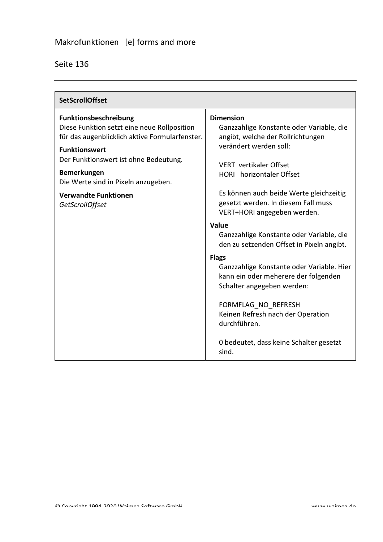| <b>SetScrollOffset</b>                                                                                                                                |                                                                                                                                                        |
|-------------------------------------------------------------------------------------------------------------------------------------------------------|--------------------------------------------------------------------------------------------------------------------------------------------------------|
| <b>Funktionsbeschreibung</b><br>Diese Funktion setzt eine neue Rollposition<br>für das augenblicklich aktive Formularfenster.<br><b>Funktionswert</b> | <b>Dimension</b><br>Ganzzahlige Konstante oder Variable, die<br>angibt, welche der Rollrichtungen<br>verändert werden soll:                            |
| Der Funktionswert ist ohne Bedeutung.<br>Bemerkungen<br>Die Werte sind in Pixeln anzugeben.                                                           | <b>VERT</b> vertikaler Offset<br><b>HORI</b> horizontaler Offset                                                                                       |
| <b>Verwandte Funktionen</b><br>GetScrollOffset                                                                                                        | Es können auch beide Werte gleichzeitig<br>gesetzt werden. In diesem Fall muss<br>VERT+HORI angegeben werden.                                          |
|                                                                                                                                                       | Value<br>Ganzzahlige Konstante oder Variable, die<br>den zu setzenden Offset in Pixeln angibt.                                                         |
|                                                                                                                                                       | <b>Flags</b><br>Ganzzahlige Konstante oder Variable. Hier<br>kann ein oder meherere der folgenden<br>Schalter angegeben werden:<br>FORMFLAG_NO_REFRESH |
|                                                                                                                                                       | Keinen Refresh nach der Operation<br>durchführen.                                                                                                      |
|                                                                                                                                                       | 0 bedeutet, dass keine Schalter gesetzt<br>sind.                                                                                                       |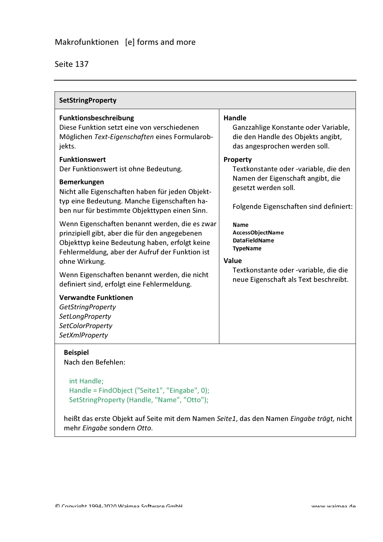| <b>SetStringProperty</b>                                                                                                                                                                                                                                                                                                                                                                                                                                                                                                                                                                                                                                                                     |                                                                                                                                                                                                                                                                                                                             |  |
|----------------------------------------------------------------------------------------------------------------------------------------------------------------------------------------------------------------------------------------------------------------------------------------------------------------------------------------------------------------------------------------------------------------------------------------------------------------------------------------------------------------------------------------------------------------------------------------------------------------------------------------------------------------------------------------------|-----------------------------------------------------------------------------------------------------------------------------------------------------------------------------------------------------------------------------------------------------------------------------------------------------------------------------|--|
| Funktionsbeschreibung<br>Diese Funktion setzt eine von verschiedenen<br>Möglichen Text-Eigenschaften eines Formularob-<br>jekts.                                                                                                                                                                                                                                                                                                                                                                                                                                                                                                                                                             | <b>Handle</b><br>Ganzzahlige Konstante oder Variable,<br>die den Handle des Objekts angibt,<br>das angesprochen werden soll.                                                                                                                                                                                                |  |
| <b>Funktionswert</b><br>Der Funktionswert ist ohne Bedeutung.<br><b>Bemerkungen</b><br>Nicht alle Eigenschaften haben für jeden Objekt-<br>typ eine Bedeutung. Manche Eigenschaften ha-<br>ben nur für bestimmte Objekttypen einen Sinn.<br>Wenn Eigenschaften benannt werden, die es zwar<br>prinzipiell gibt, aber die für den angegebenen<br>Objekttyp keine Bedeutung haben, erfolgt keine<br>Fehlermeldung, aber der Aufruf der Funktion ist<br>ohne Wirkung.<br>Wenn Eigenschaften benannt werden, die nicht<br>definiert sind, erfolgt eine Fehlermeldung.<br><b>Verwandte Funktionen</b><br><b>GetStringProperty</b><br>SetLongProperty<br><b>SetColorProperty</b><br>SetXmlProperty | Property<br>Textkonstante oder -variable, die den<br>Namen der Eigenschaft angibt, die<br>gesetzt werden soll.<br>Folgende Eigenschaften sind definiert:<br>Name<br>AccessObject Name<br><b>DataFieldName</b><br><b>TypeName</b><br>Value<br>Textkonstante oder -variable, die die<br>neue Eigenschaft als Text beschreibt. |  |
| <b>Beispiel</b><br>Nach den Befehlen:<br>int Handle;<br>Handle = FindObject ("Seite1", "Eingabe", 0);<br>SetStringProperty (Handle, "Name", "Otto");                                                                                                                                                                                                                                                                                                                                                                                                                                                                                                                                         |                                                                                                                                                                                                                                                                                                                             |  |
| heißt das erste Objekt auf Seite mit dem Namen Seite1, das den Namen Eingabe trägt, nicht                                                                                                                                                                                                                                                                                                                                                                                                                                                                                                                                                                                                    |                                                                                                                                                                                                                                                                                                                             |  |

ıy ine ti iyi, i mehr Eingabe sondern Otto.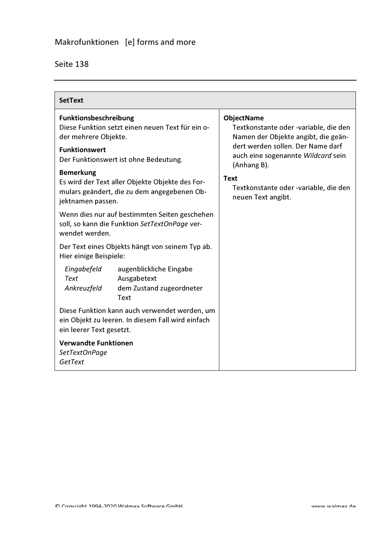| Seite 138 |
|-----------|
|-----------|

| <b>SetText</b>                                          |                                                                                                    |                                                                                                   |
|---------------------------------------------------------|----------------------------------------------------------------------------------------------------|---------------------------------------------------------------------------------------------------|
| Funktionsbeschreibung<br>der mehrere Objekte.           | Diese Funktion setzt einen neuen Text für ein o-                                                   | <b>ObjectName</b><br>Textkonstante oder -variable, die den<br>Namen der Objekte angibt, die geän- |
| <b>Funktionswert</b>                                    | Der Funktionswert ist ohne Bedeutung.                                                              | dert werden sollen. Der Name darf<br>auch eine sogenannte Wildcard sein<br>(Anhang B).            |
| <b>Bemerkung</b><br>jektnamen passen.                   | Es wird der Text aller Objekte Objekte des For-<br>mulars geändert, die zu dem angegebenen Ob-     | <b>Text</b><br>Textkonstante oder -variable, die den<br>neuen Text angibt.                        |
| wendet werden.                                          | Wenn dies nur auf bestimmten Seiten geschehen<br>soll, so kann die Funktion SetTextOnPage ver-     |                                                                                                   |
| Hier einige Beispiele:                                  | Der Text eines Objekts hängt von seinem Typ ab.                                                    |                                                                                                   |
| Eingabefeld<br><b>Text</b><br>Ankreuzfeld               | augenblickliche Eingabe<br>Ausgabetext<br>dem Zustand zugeordneter<br>Text                         |                                                                                                   |
| ein leerer Text gesetzt.                                | Diese Funktion kann auch verwendet werden, um<br>ein Objekt zu leeren. In diesem Fall wird einfach |                                                                                                   |
| <b>Verwandte Funktionen</b><br>SetTextOnPage<br>GetText |                                                                                                    |                                                                                                   |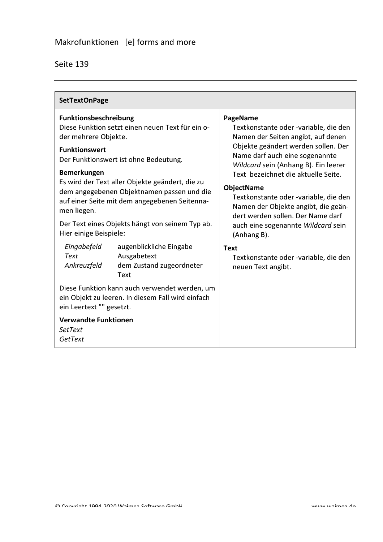| Seite 139 |  |
|-----------|--|
|-----------|--|

| <b>SetTextOnPage</b>                                                                                                                                                                                                                                                                                                                                                                                                                                                                                                                                                                                                                                                                                                                                                   |                                                                                                                                                                                                                                                                                                                                                                                                                                                                                                                              |
|------------------------------------------------------------------------------------------------------------------------------------------------------------------------------------------------------------------------------------------------------------------------------------------------------------------------------------------------------------------------------------------------------------------------------------------------------------------------------------------------------------------------------------------------------------------------------------------------------------------------------------------------------------------------------------------------------------------------------------------------------------------------|------------------------------------------------------------------------------------------------------------------------------------------------------------------------------------------------------------------------------------------------------------------------------------------------------------------------------------------------------------------------------------------------------------------------------------------------------------------------------------------------------------------------------|
| <b>Funktionsbeschreibung</b><br>Diese Funktion setzt einen neuen Text für ein o-<br>der mehrere Objekte.<br><b>Funktionswert</b><br>Der Funktionswert ist ohne Bedeutung.<br><b>Bemerkungen</b><br>Es wird der Text aller Objekte geändert, die zu<br>dem angegebenen Objektnamen passen und die<br>auf einer Seite mit dem angegebenen Seitenna-<br>men liegen.<br>Der Text eines Objekts hängt von seinem Typ ab.<br>Hier einige Beispiele:<br>Eingabefeld<br>augenblickliche Eingabe<br>Ausgabetext<br>Text<br>Ankreuzfeld<br>dem Zustand zugeordneter<br><b>Text</b><br>Diese Funktion kann auch verwendet werden, um<br>ein Objekt zu leeren. In diesem Fall wird einfach<br>ein Leertext "" gesetzt.<br><b>Verwandte Funktionen</b><br><b>SetText</b><br>GetText | PageName<br>Textkonstante oder -variable, die den<br>Namen der Seiten angibt, auf denen<br>Objekte geändert werden sollen. Der<br>Name darf auch eine sogenannte<br>Wildcard sein (Anhang B). Ein leerer<br>Text bezeichnet die aktuelle Seite.<br><b>ObjectName</b><br>Textkonstante oder -variable, die den<br>Namen der Objekte angibt, die geän-<br>dert werden sollen. Der Name darf<br>auch eine sogenannte Wildcard sein<br>(Anhang B).<br><b>Text</b><br>Textkonstante oder -variable, die den<br>neuen Text angibt. |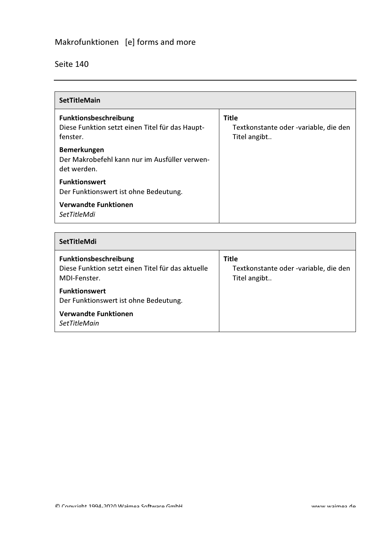# Makrofunktionen [e] forms and more

#### Seite 140

| <b>SetTitleMain</b>                                                                         |                                                                       |  |
|---------------------------------------------------------------------------------------------|-----------------------------------------------------------------------|--|
| <b>Funktionsbeschreibung</b><br>Diese Funktion setzt einen Titel für das Haupt-<br>fenster. | <b>Title</b><br>Textkonstante oder -variable, die den<br>Titel angibt |  |
| Bemerkungen<br>Der Makrobefehl kann nur im Ausfüller verwen-<br>det werden.                 |                                                                       |  |
| <b>Funktionswert</b><br>Der Funktionswert ist ohne Bedeutung.                               |                                                                       |  |
| <b>Verwandte Funktionen</b><br>SetTitleMdi                                                  |                                                                       |  |

#### SetTitleMdi

| <b>Funktionsbeschreibung</b><br>Diese Funktion setzt einen Titel für das aktuelle<br>MDI-Fenster. | Title<br>Textkonstante oder -variable, die den<br>Titel angibt |
|---------------------------------------------------------------------------------------------------|----------------------------------------------------------------|
| <b>Funktionswert</b><br>Der Funktionswert ist ohne Bedeutung.                                     |                                                                |
| <b>Verwandte Funktionen</b><br><b>SetTitleMain</b>                                                |                                                                |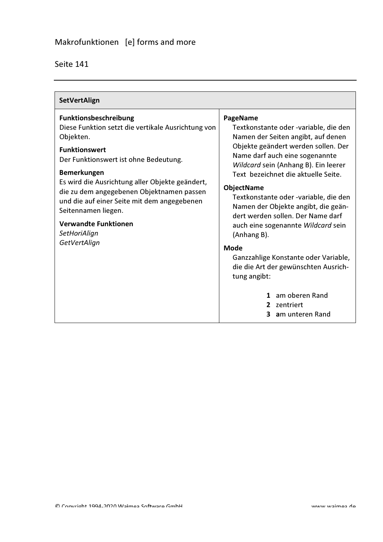| <b>SetVertAlign</b>                                                                                                                                                                                                                                                                                                                                                                                                  |                                                                                                                                                                                                                                                                                                                                                                                                                                                                                                                                                                                                                          |
|----------------------------------------------------------------------------------------------------------------------------------------------------------------------------------------------------------------------------------------------------------------------------------------------------------------------------------------------------------------------------------------------------------------------|--------------------------------------------------------------------------------------------------------------------------------------------------------------------------------------------------------------------------------------------------------------------------------------------------------------------------------------------------------------------------------------------------------------------------------------------------------------------------------------------------------------------------------------------------------------------------------------------------------------------------|
| Funktionsbeschreibung<br>Diese Funktion setzt die vertikale Ausrichtung von<br>Objekten.<br><b>Funktionswert</b><br>Der Funktionswert ist ohne Bedeutung.<br><b>Bemerkungen</b><br>Es wird die Ausrichtung aller Objekte geändert,<br>die zu dem angegebenen Objektnamen passen<br>und die auf einer Seite mit dem angegebenen<br>Seitennamen liegen.<br><b>Verwandte Funktionen</b><br>SetHoriAlign<br>GetVertAlign | PageName<br>Textkonstante oder -variable, die den<br>Namen der Seiten angibt, auf denen<br>Objekte geändert werden sollen. Der<br>Name darf auch eine sogenannte<br>Wildcard sein (Anhang B). Ein leerer<br>Text bezeichnet die aktuelle Seite.<br><b>ObjectName</b><br>Textkonstante oder -variable, die den<br>Namen der Objekte angibt, die geän-<br>dert werden sollen. Der Name darf<br>auch eine sogenannte Wildcard sein<br>(Anhang B).<br><b>Mode</b><br>Ganzzahlige Konstante oder Variable,<br>die die Art der gewünschten Ausrich-<br>tung angibt:<br>1 am oberen Rand<br>2 zentriert<br>am unteren Rand<br>3 |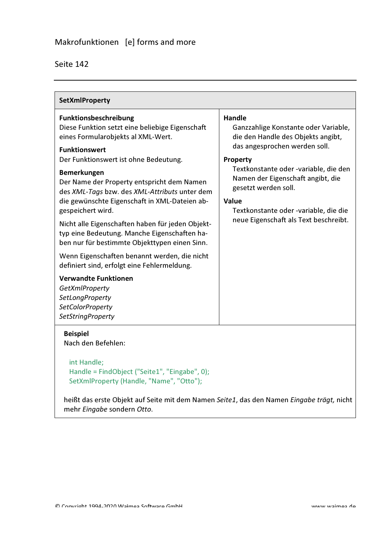| <b>SetXmlProperty</b>                                                                                                                                                                                                                                                                                                                                                                                                                                                                                                                                                                                                                                                                                                                              |                                                                                                                                                                                                                                                                                                                                                         |  |
|----------------------------------------------------------------------------------------------------------------------------------------------------------------------------------------------------------------------------------------------------------------------------------------------------------------------------------------------------------------------------------------------------------------------------------------------------------------------------------------------------------------------------------------------------------------------------------------------------------------------------------------------------------------------------------------------------------------------------------------------------|---------------------------------------------------------------------------------------------------------------------------------------------------------------------------------------------------------------------------------------------------------------------------------------------------------------------------------------------------------|--|
| Funktionsbeschreibung<br>Diese Funktion setzt eine beliebige Eigenschaft<br>eines Formularobjekts al XML-Wert.<br><b>Funktionswert</b><br>Der Funktionswert ist ohne Bedeutung.<br><b>Bemerkungen</b><br>Der Name der Property entspricht dem Namen<br>des XML-Tags bzw. des XML-Attributs unter dem<br>die gewünschte Eigenschaft in XML-Dateien ab-<br>gespeichert wird.<br>Nicht alle Eigenschaften haben für jeden Objekt-<br>typ eine Bedeutung. Manche Eigenschaften ha-<br>ben nur für bestimmte Objekttypen einen Sinn.<br>Wenn Eigenschaften benannt werden, die nicht<br>definiert sind, erfolgt eine Fehlermeldung.<br><b>Verwandte Funktionen</b><br>GetXmlProperty<br>SetLongProperty<br>SetColorProperty<br><b>SetStringProperty</b> | <b>Handle</b><br>Ganzzahlige Konstante oder Variable,<br>die den Handle des Objekts angibt,<br>das angesprochen werden soll.<br><b>Property</b><br>Textkonstante oder -variable, die den<br>Namen der Eigenschaft angibt, die<br>gesetzt werden soll.<br><b>Value</b><br>Textkonstante oder -variable, die die<br>neue Eigenschaft als Text beschreibt. |  |
| <b>Beispiel</b><br>Nach den Befehlen:<br>int Handle;<br>Handle = FindObject ("Seite1", "Eingabe", 0);<br>SetXmlProperty (Handle, "Name", "Otto");                                                                                                                                                                                                                                                                                                                                                                                                                                                                                                                                                                                                  |                                                                                                                                                                                                                                                                                                                                                         |  |

heißt das erste Objekt auf Seite mit dem Namen Seite1, das den Namen Eingabe trägt, nicht mehr Eingabe sondern Otto.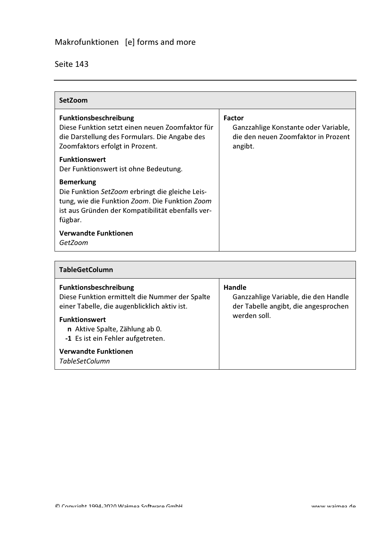| SetZoom                                                                                                                                                                               |                                                                                                         |
|---------------------------------------------------------------------------------------------------------------------------------------------------------------------------------------|---------------------------------------------------------------------------------------------------------|
| <b>Funktionsbeschreibung</b><br>Diese Funktion setzt einen neuen Zoomfaktor für<br>die Darstellung des Formulars. Die Angabe des<br>Zoomfaktors erfolgt in Prozent.                   | <b>Factor</b><br>Ganzzahlige Konstante oder Variable,<br>die den neuen Zoomfaktor in Prozent<br>angibt. |
| <b>Funktionswert</b><br>Der Funktionswert ist ohne Bedeutung.                                                                                                                         |                                                                                                         |
| <b>Bemerkung</b><br>Die Funktion SetZoom erbringt die gleiche Leis-<br>tung, wie die Funktion Zoom. Die Funktion Zoom<br>ist aus Gründen der Kompatibilität ebenfalls ver-<br>fügbar. |                                                                                                         |
| <b>Verwandte Funktionen</b><br>GetZoom                                                                                                                                                |                                                                                                         |

| <b>TableGetColumn</b>                                                                                                                                                                                                  |                                                                                                        |  |
|------------------------------------------------------------------------------------------------------------------------------------------------------------------------------------------------------------------------|--------------------------------------------------------------------------------------------------------|--|
| Funktionsbeschreibung<br>Diese Funktion ermittelt die Nummer der Spalte<br>einer Tabelle, die augenblicklich aktiv ist.<br><b>Funktionswert</b><br>n Aktive Spalte, Zählung ab 0.<br>-1 Es ist ein Fehler aufgetreten. | Handle<br>Ganzzahlige Variable, die den Handle<br>der Tabelle angibt, die angesprochen<br>werden soll. |  |
| <b>Verwandte Funktionen</b><br><b>TableSetColumn</b>                                                                                                                                                                   |                                                                                                        |  |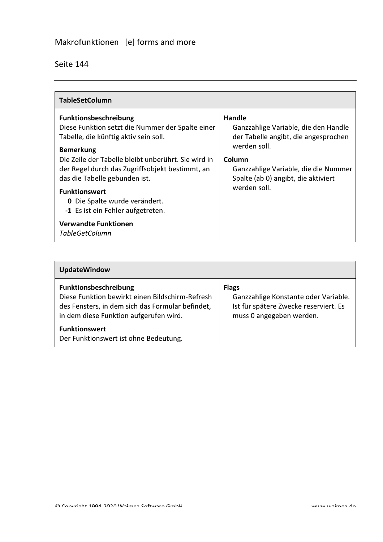| <b>TableSetColumn</b>                                                                                                                                       |                                                                                                       |
|-------------------------------------------------------------------------------------------------------------------------------------------------------------|-------------------------------------------------------------------------------------------------------|
| <b>Funktionsbeschreibung</b><br>Diese Funktion setzt die Nummer der Spalte einer<br>Tabelle, die künftig aktiv sein soll.                                   | <b>Handle</b><br>Ganzzahlige Variable, die den Handle<br>der Tabelle angibt, die angesprochen         |
| <b>Bemerkung</b><br>Die Zeile der Tabelle bleibt unberührt. Sie wird in<br>der Regel durch das Zugriffsobjekt bestimmt, an<br>das die Tabelle gebunden ist. | werden soll.<br>Column<br>Ganzzahlige Variable, die die Nummer<br>Spalte (ab 0) angibt, die aktiviert |
| <b>Funktionswert</b><br><b>0</b> Die Spalte wurde verändert.<br>-1 Es ist ein Fehler aufgetreten.                                                           | werden soll.                                                                                          |
| <b>Verwandte Funktionen</b><br><b>TableGetColumn</b>                                                                                                        |                                                                                                       |

| <b>UpdateWindow</b>                                                                                                                                                    |                                                                                                                           |
|------------------------------------------------------------------------------------------------------------------------------------------------------------------------|---------------------------------------------------------------------------------------------------------------------------|
| Funktionsbeschreibung<br>Diese Funktion bewirkt einen Bildschirm-Refresh<br>des Fensters, in dem sich das Formular befindet,<br>in dem diese Funktion aufgerufen wird. | <b>Flags</b><br>Ganzzahlige Konstante oder Variable.<br>Ist für spätere Zwecke reserviert. Es<br>muss 0 angegeben werden. |
| <b>Funktionswert</b><br>Der Funktionswert ist ohne Bedeutung.                                                                                                          |                                                                                                                           |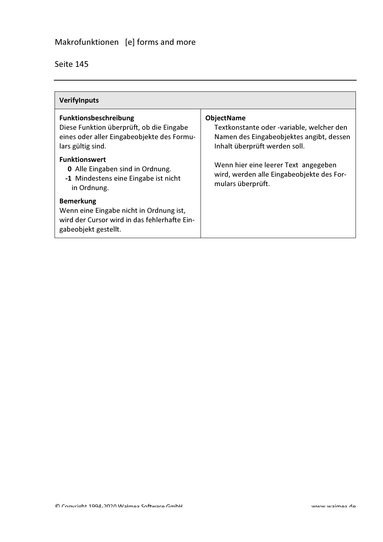| <b>Verifylnputs</b>                                                                                                                         |                                                                                                                                             |
|---------------------------------------------------------------------------------------------------------------------------------------------|---------------------------------------------------------------------------------------------------------------------------------------------|
| <b>Funktionsbeschreibung</b><br>Diese Funktion überprüft, ob die Eingabe<br>eines oder aller Eingabeobjekte des Formu-<br>lars gültig sind. | <b>ObjectName</b><br>Textkonstante oder -variable, welcher den<br>Namen des Eingabeobjektes angibt, dessen<br>Inhalt überprüft werden soll. |
| <b>Funktionswert</b><br><b>0</b> Alle Eingaben sind in Ordnung.<br>-1 Mindestens eine Eingabe ist nicht<br>in Ordnung.                      | Wenn hier eine leerer Text angegeben<br>wird, werden alle Eingabeobjekte des For-<br>mulars überprüft.                                      |
| <b>Bemerkung</b><br>Wenn eine Eingabe nicht in Ordnung ist,<br>wird der Cursor wird in das fehlerhafte Ein-<br>gabeobjekt gestellt.         |                                                                                                                                             |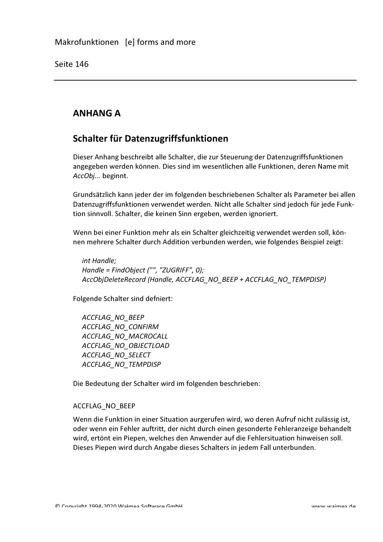## **ANHANG A**

### Schalter für Datenzugriffsfunktionen

Dieser Anhang beschreibt alle Schalter, die zur Steuerung der Datenzugriffsfunktionen angegeben werden können. Dies sind im wesentlichen alle Funktionen, deren Name mit AccObj... beginnt.

Grundsätzlich kann jeder der im folgenden beschriebenen Schalter als Parameter bei allen Datenzugriffsfunktionen verwendet werden. Nicht alle Schalter sind jedoch für jede Funktion sinnvoll. Schalter, die keinen Sinn ergeben, werden ignoriert.

Wenn bei einer Funktion mehr als ein Schalter gleichzeitig verwendet werden soll, können mehrere Schalter durch Addition verbunden werden, wie folgendes Beispiel zeigt:

int Handle; Handle = FindObject ("", "ZUGRIFF", 0); AccObjDeleteRecord (Handle, ACCFLAG\_NO\_BEEP + ACCFLAG\_NO\_TEMPDISP)

Folgende Schalter sind defniert:

**ACCFLAG NO BEEP** ACCFLAG NO CONFIRM ACCFLAG NO MACROCALL ACCFLAG NO OBJECTLOAD ACCFLAG NO SELECT **ACCFLAG NO TEMPDISP** 

Die Bedeutung der Schalter wird im folgenden beschrieben:

#### ACCFLAG NO BEEP

Wenn die Funktion in einer Situation aurgerufen wird, wo deren Aufruf nicht zulässig ist, oder wenn ein Fehler auftritt, der nicht durch einen gesonderte Fehleranzeige behandelt wird, ertönt ein Piepen, welches den Anwender auf die Fehlersituation hinweisen soll. Dieses Piepen wird durch Angabe dieses Schalters in jedem Fall unterbunden.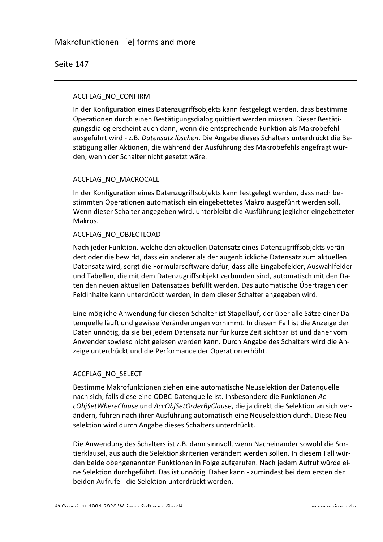#### ACCFLAG\_NO\_CONFIRM

In der Konfiguration eines Datenzugriffsobjekts kann festgelegt werden, dass bestimme Operationen durch einen Bestätigungsdialog quittiert werden müssen. Dieser Bestätigungsdialog erscheint auch dann, wenn die entsprechende Funktion als Makrobefehl ausgeführt wird - z.B. Datensatz löschen. Die Angabe dieses Schalters unterdrückt die Bestätigung aller Aktionen, die während der Ausführung des Makrobefehls angefragt würden, wenn der Schalter nicht gesetzt wäre.

#### ACCFLAG NO MACROCALL

In der Konfiguration eines Datenzugriffsobjekts kann festgelegt werden, dass nach bestimmten Operationen automatisch ein eingebettetes Makro ausgeführt werden soll. Wenn dieser Schalter angegeben wird, unterbleibt die Ausführung jeglicher eingebetteter Makros.

#### ACCFLAG\_NO\_OBJECTLOAD

Nach jeder Funktion, welche den aktuellen Datensatz eines Datenzugriffsobjekts verändert oder die bewirkt, dass ein anderer als der augenblickliche Datensatz zum aktuellen Datensatz wird, sorgt die Formularsoftware dafür, dass alle Eingabefelder, Auswahlfelder und Tabellen, die mit dem Datenzugriffsobjekt verbunden sind, automatisch mit den Daten den neuen aktuellen Datensatzes befüllt werden. Das automatische Übertragen der Feldinhalte kann unterdrückt werden, in dem dieser Schalter angegeben wird.

Eine mögliche Anwendung für diesen Schalter ist Stapellauf, der über alle Sätze einer Datenguelle läuft und gewisse Veränderungen vornimmt. In diesem Fall ist die Anzeige der Daten unnötig, da sie bei jedem Datensatz nur für kurze Zeit sichtbar ist und daher vom Anwender sowieso nicht gelesen werden kann. Durch Angabe des Schalters wird die Anzeige unterdrückt und die Performance der Operation erhöht.

#### ACCFLAG\_NO\_SELECT

Bestimme Makrofunktionen ziehen eine automatische Neuselektion der Datenquelle nach sich, falls diese eine ODBC-Datenquelle ist. Insbesondere die Funktionen AccObjSetWhereClause und AccObjSetOrderByClause, die ja direkt die Selektion an sich verändern, führen nach ihrer Ausführung automatisch eine Neuselektion durch. Diese Neuselektion wird durch Angabe dieses Schalters unterdrückt.

Die Anwendung des Schalters ist z.B. dann sinnvoll, wenn Nacheinander sowohl die Sortierklausel, aus auch die Selektionskriterien verändert werden sollen. In diesem Fall würden beide obengenannten Funktionen in Folge aufgerufen. Nach jedem Aufruf würde eine Selektion durchgeführt. Das ist unnötig. Daher kann - zumindest bei dem ersten der beiden Aufrufe - die Selektion unterdrückt werden.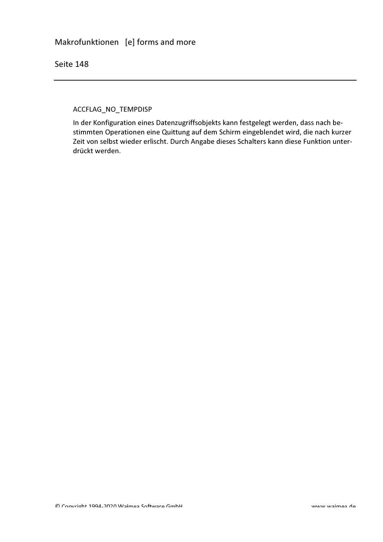ACCFLAG\_NO\_TEMPDISP

In der Konfiguration eines Datenzugriffsobjekts kann festgelegt werden, dass nach bestimmten Operationen eine Quittung auf dem Schirm eingeblendet wird, die nach kurzer Zeit von selbst wieder erlischt. Durch Angabe dieses Schalters kann diese Funktion unterdrückt werden.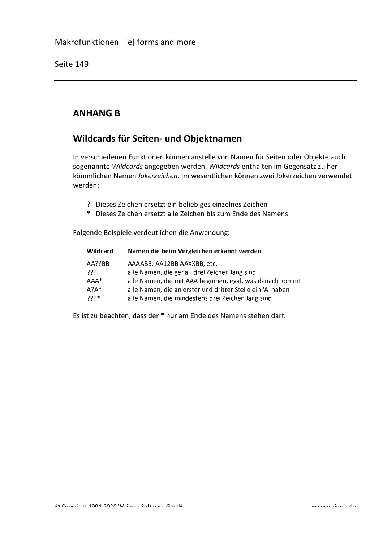# **ANHANG B**

# Wildcards für Seiten- und Objektnamen

In verschiedenen Funktionen können anstelle von Namen für Seiten oder Objekte auch sogenannte Wildcards angegeben werden. Wildcards enthalten im Gegensatz zu herkömmlichen Namen Jokerzeichen. Im wesentlichen können zwei Jokerzeichen verwendet werden:

- ? Dieses Zeichen ersetzt ein beliebiges einzelnes Zeichen
- \* Dieses Zeichen ersetzt alle Zeichen bis zum Ende des Namens

Folgende Beispiele verdeutlichen die Anwendung:

| Wildcard | Namen die beim Vergleichen erkannt werden                  |
|----------|------------------------------------------------------------|
| AA??BB   | AAAABB, AA12BB AAXXBB, etc.                                |
| -222     | alle Namen, die genau drei Zeichen lang sind               |
| $AAA^*$  | alle Namen, die mit AAA beginnen, egal, was danach kommt   |
| $A?A*$   | alle Namen, die an erster und dritter Stelle ein 'A' haben |
| ∗יִי?ִי  | alle Namen, die mindestens drei Zeichen lang sind.         |

Es ist zu beachten, dass der \* nur am Ende des Namens stehen darf.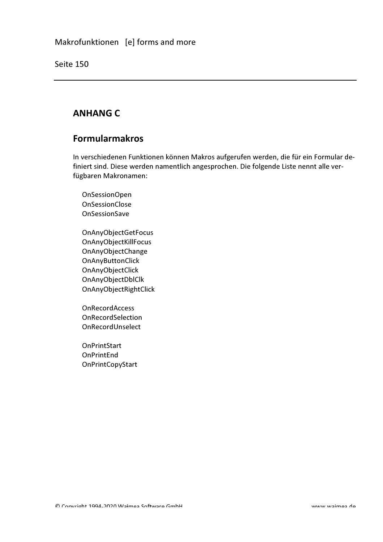# **ANHANG C**

### **Formularmakros**

In verschiedenen Funktionen können Makros aufgerufen werden, die für ein Formular definiert sind. Diese werden namentlich angesprochen. Die folgende Liste nennt alle verfügbaren Makronamen:

- OnSessionOpen **OnSessionClose** OnSessionSave
- OnAnyObjectGetFocus OnAnyObjectKillFocus OnAnyObjectChange OnAnyButtonClick OnAnyObjectClick OnAnyObjectDblClk OnAnyObjectRightClick
- **OnRecordAccess** OnRecordSelection OnRecordUnselect
- **OnPrintStart** OnPrintEnd **OnPrintCopyStart**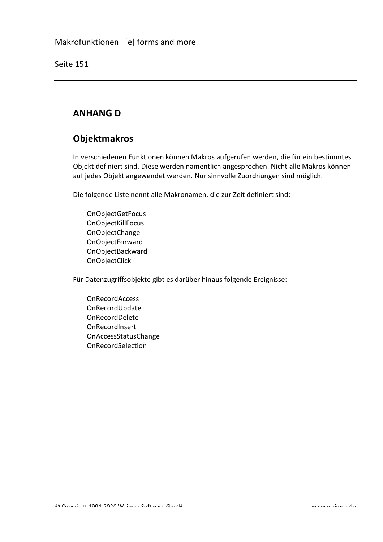# **ANHANG D**

## **Objektmakros**

In verschiedenen Funktionen können Makros aufgerufen werden, die für ein bestimmtes Objekt definiert sind. Diese werden namentlich angesprochen. Nicht alle Makros können auf jedes Objekt angewendet werden. Nur sinnvolle Zuordnungen sind möglich.

Die folgende Liste nennt alle Makronamen, die zur Zeit definiert sind:

OnObjectGetFocus OnObjectKillFocus OnObjectChange OnObjectForward OnObjectBackward OnObjectClick

Für Datenzugriffsobjekte gibt es darüber hinaus folgende Ereignisse:

OnRecordAccess OnRecordUpdate OnRecordDelete OnRecordInsert OnAccessStatusChange OnRecordSelection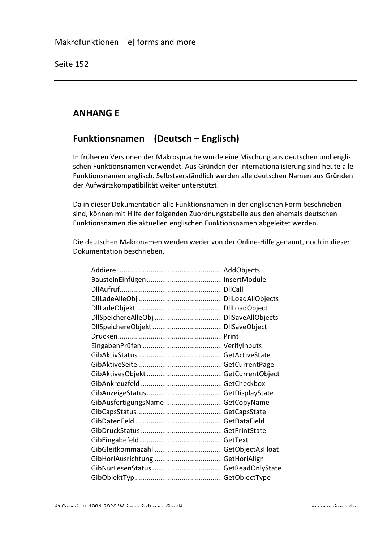# **ANHANGE**

# Funktionsnamen (Deutsch - Englisch)

In früheren Versionen der Makrosprache wurde eine Mischung aus deutschen und englischen Funktionsnamen verwendet. Aus Gründen der Internationalisierung sind heute alle Funktionsnamen englisch. Selbstverständlich werden alle deutschen Namen aus Gründen der Aufwärtskompatibilität weiter unterstützt.

Da in dieser Dokumentation alle Funktionsnamen in der englischen Form beschrieben sind, können mit Hilfe der folgenden Zuordnungstabelle aus den ehemals deutschen Funktionsnamen die aktuellen englischen Funktionsnamen abgeleitet werden.

Die deutschen Makronamen werden weder von der Online-Hilfe genannt, noch in dieser Dokumentation beschrieben.

| GibAusfertigungsName GetCopyName |  |
|----------------------------------|--|
|                                  |  |
|                                  |  |
|                                  |  |
|                                  |  |
|                                  |  |
|                                  |  |
|                                  |  |
|                                  |  |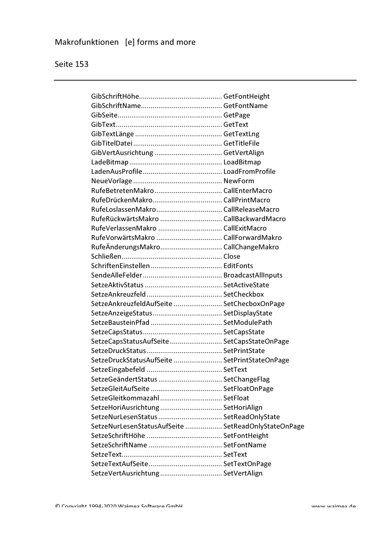| RufeLoslassenMakro CallReleaseMacro                 |  |
|-----------------------------------------------------|--|
| RufeRückwärtsMakro  CallBackwardMacro               |  |
| RufeVerlassenMakro  CallExitMacro                   |  |
| RufeVorwärtsMakro  CallForwardMakro                 |  |
| RufeÄnderungsMakro CallChangeMakro                  |  |
|                                                     |  |
|                                                     |  |
|                                                     |  |
|                                                     |  |
|                                                     |  |
| SetzeAnkreuzfeldAufSeite  SetChecboxOnPage          |  |
|                                                     |  |
|                                                     |  |
|                                                     |  |
| SetzeCapsStatusAufSeite  SetCapsStateOnPage         |  |
|                                                     |  |
| SetzeDruckStatusAufSeite  SetPrintStateOnPage       |  |
|                                                     |  |
| SetzeGeändertStatus  SetChangeFlag                  |  |
|                                                     |  |
| SetzeGleitkommazahl  SetFloat                       |  |
| SetzeHoriAusrichtung  SetHoriAlign                  |  |
| SetzeNurLesenStatus SetReadOnlyState                |  |
| SetzeNurLesenStatusAufSeite  SetReadOnlyStateOnPage |  |
|                                                     |  |
|                                                     |  |
|                                                     |  |
|                                                     |  |
| SetzeVertAusrichtung SetVertAlign                   |  |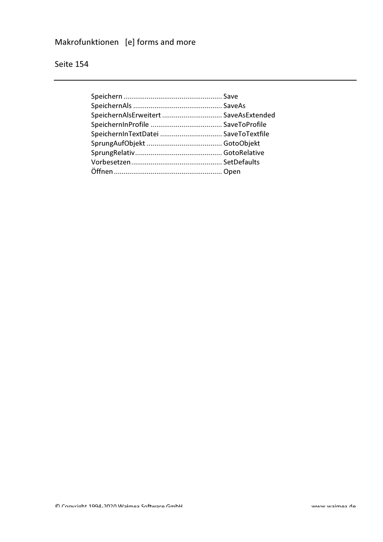# Makrofunktionen [e] forms and more

| SpeichernAlsErweitert  SaveAsExtended |  |
|---------------------------------------|--|
|                                       |  |
| SpeichernInTextDatei  SaveToTextfile  |  |
|                                       |  |
|                                       |  |
|                                       |  |
|                                       |  |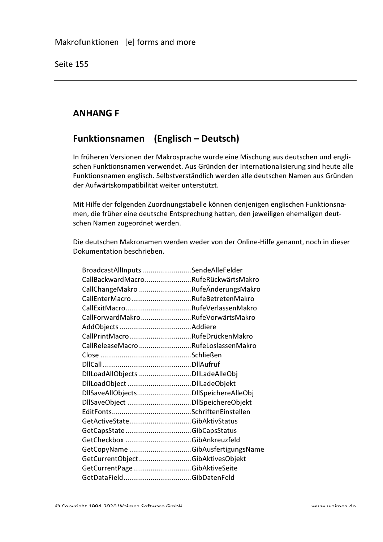# **ANHANG F**

# Funktionsnamen (Englisch - Deutsch)

In früheren Versionen der Makrosprache wurde eine Mischung aus deutschen und englischen Funktionsnamen verwendet. Aus Gründen der Internationalisierung sind heute alle Funktionsnamen englisch. Selbstverständlich werden alle deutschen Namen aus Gründen der Aufwärtskompatibilität weiter unterstützt.

Mit Hilfe der folgenden Zuordnungstabelle können denjenigen englischen Funktionsnamen, die früher eine deutsche Entsprechung hatten, den jeweiligen ehemaligen deutschen Namen zugeordnet werden.

Die deutschen Makronamen werden weder von der Online-Hilfe genannt, noch in dieser Dokumentation beschrieben.

| BroadcastAllInputs SendeAlleFelder   |                                     |
|--------------------------------------|-------------------------------------|
|                                      | CallBackwardMacroRufeRückwärtsMakro |
|                                      | CallChangeMakro RufeÄnderungsMakro  |
|                                      | CallEnterMacroRufeBetretenMakro     |
|                                      | CallExitMacroRufeVerlassenMakro     |
|                                      | CallForwardMakroRufeVorwärtsMakro   |
|                                      |                                     |
| CallPrintMacroRufeDrückenMakro       |                                     |
|                                      | CallReleaseMacro RufeLoslassenMakro |
|                                      |                                     |
|                                      |                                     |
| DIILoadAllObjects DIILadeAlleObj     |                                     |
|                                      |                                     |
| DIISaveAlIObjectsDIISpeichereAlleObj |                                     |
|                                      |                                     |
|                                      |                                     |
|                                      |                                     |
|                                      |                                     |
|                                      |                                     |
|                                      | GetCopyName GibAusfertigungsName    |
| GetCurrentObjectGibAktivesObjekt     |                                     |
| GetCurrentPageGibAktiveSeite         |                                     |
|                                      |                                     |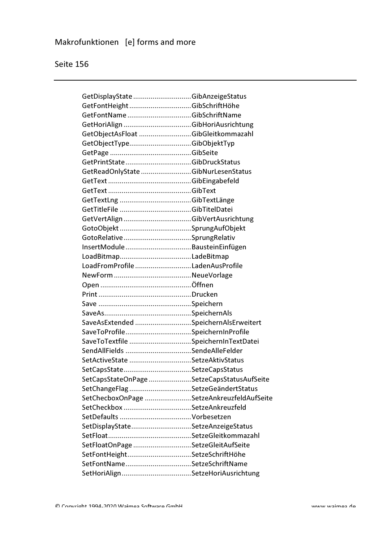| GetDisplayState GibAnzeigeStatus           |  |
|--------------------------------------------|--|
| GetFontHeight  GibSchriftHöhe              |  |
| GetFontNameGibSchriftName                  |  |
|                                            |  |
| GetObjectAsFloat GibGleitkommazahl         |  |
| GetObjectTypeGibObjektTyp                  |  |
|                                            |  |
|                                            |  |
| GetReadOnlyState  GibNurLesenStatus        |  |
|                                            |  |
|                                            |  |
|                                            |  |
|                                            |  |
|                                            |  |
|                                            |  |
| GotoRelativeSprungRelativ                  |  |
| InsertModuleBausteinEinfügen               |  |
|                                            |  |
| LoadFromProfile LadenAusProfile            |  |
|                                            |  |
|                                            |  |
|                                            |  |
|                                            |  |
|                                            |  |
| SaveAsExtended SpeichernAlsErweitert       |  |
| SaveToProfileSpeichernInProfile            |  |
| SaveToTextfile SpeichernInTextDatei        |  |
| SendAllFields SendeAlleFelder              |  |
| SetActiveState SetzeAktivStatus            |  |
|                                            |  |
| SetCapsStateOnPage SetzeCapsStatusAufSeite |  |
| SetChangeFlag SetzeGeändertStatus          |  |
| SetChecboxOnPage SetzeAnkreuzfeldAufSeite  |  |
| SetCheckbox SetzeAnkreuzfeld               |  |
|                                            |  |
| SetDisplayStateSetzeAnzeigeStatus          |  |
|                                            |  |
| SetFloatOnPage SetzeGleitAufSeite          |  |
|                                            |  |
| SetFontHeightSetzeSchriftHöhe              |  |
| SetFontNameSetzeSchriftName                |  |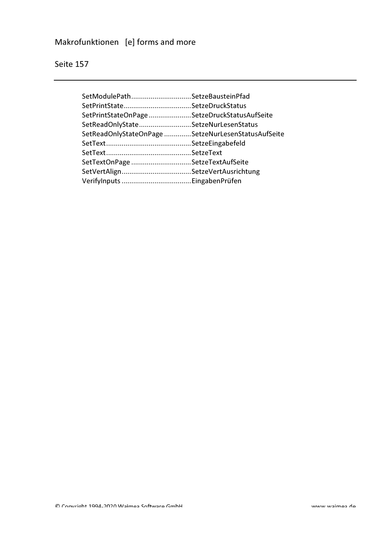# Makrofunktionen [e] forms and more

| SetModulePathSetzeBausteinPfad                     |  |
|----------------------------------------------------|--|
|                                                    |  |
| SetPrintStateOnPageSetzeDruckStatusAufSeite        |  |
| SetReadOnlyStateSetzeNurLesenStatus                |  |
| SetReadOnlyStateOnPage SetzeNurLesenStatusAufSeite |  |
|                                                    |  |
|                                                    |  |
| SetTextOnPage SetzeTextAufSeite                    |  |
|                                                    |  |
|                                                    |  |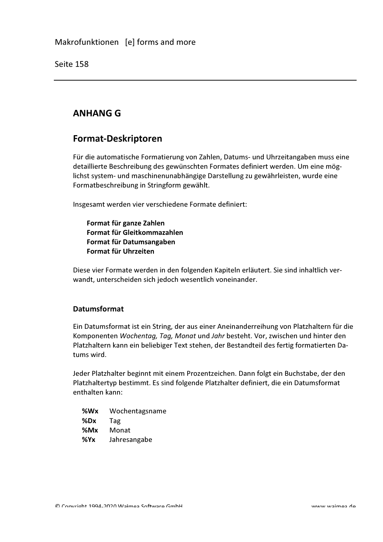# **ANHANG G**

### **Format-Deskriptoren**

Für die automatische Formatierung von Zahlen, Datums- und Uhrzeitangaben muss eine detaillierte Beschreibung des gewünschten Formates definiert werden. Um eine möglichst system- und maschinenunabhängige Darstellung zu gewährleisten, wurde eine Formatbeschreibung in Stringform gewählt.

Insgesamt werden vier verschiedene Formate definiert:

Format für ganze Zahlen Format für Gleitkommazahlen Format für Datumsangaben Format für Uhrzeiten

Diese vier Formate werden in den folgenden Kapiteln erläutert. Sie sind inhaltlich verwandt, unterscheiden sich jedoch wesentlich voneinander.

### **Datumsformat**

Ein Datumsformat ist ein String, der aus einer Aneinanderreihung von Platzhaltern für die Komponenten Wochentag, Tag, Monat und Jahr besteht. Vor, zwischen und hinter den Platzhaltern kann ein beliebiger Text stehen, der Bestandteil des fertig formatierten Datums wird.

Jeder Platzhalter beginnt mit einem Prozentzeichen. Dann folgt ein Buchstabe, der den Platzhaltertyp bestimmt. Es sind folgende Platzhalter definiert, die ein Datumsformat enthalten kann:

%Wx Wochentagsname  $%$ Dx Tag  $%$ Mx Monat  $%Yx$ Jahresangabe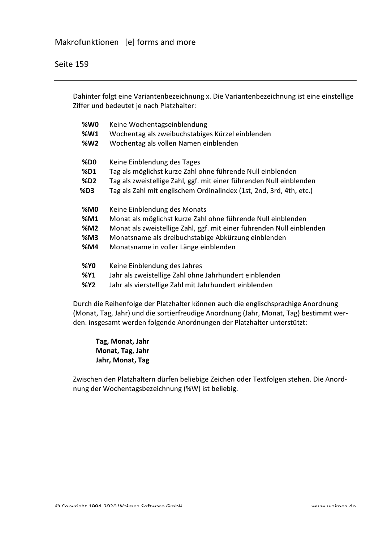Dahinter folgt eine Variantenbezeichnung x. Die Variantenbezeichnung ist eine einstellige Ziffer und bedeutet je nach Platzhalter:

| %W0        | Keine Wochentagseinblendung                                           |
|------------|-----------------------------------------------------------------------|
| <b>%W1</b> | Wochentag als zweibuchstabiges Kürzel einblenden                      |
| <b>%W2</b> | Wochentag als vollen Namen einblenden                                 |
| <b>%D0</b> | Keine Einblendung des Tages                                           |
| %D1        | Tag als möglichst kurze Zahl ohne führende Null einblenden            |
| <b>%D2</b> | Tag als zweistellige Zahl, ggf. mit einer führenden Null einblenden   |
| %D3        | Tag als Zahl mit englischem Ordinalindex (1st, 2nd, 3rd, 4th, etc.)   |
| <b>%M0</b> |                                                                       |
|            | Keine Einblendung des Monats                                          |
| %M1        | Monat als möglichst kurze Zahl ohne führende Null einblenden          |
| %M2        | Monat als zweistellige Zahl, ggf. mit einer führenden Null einblenden |
| %M3        | Monatsname als dreibuchstabige Abkürzung einblenden                   |
| %M4        | Monatsname in voller Länge einblenden                                 |
| <b>%YO</b> | Keine Einblendung des Jahres                                          |
| <b>%Y1</b> | Jahr als zweistellige Zahl ohne Jahrhundert einblenden                |
|            |                                                                       |
| %Y2        | Jahr als vierstellige Zahl mit Jahrhundert einblenden                 |

Durch die Reihenfolge der Platzhalter können auch die englischsprachige Anordnung (Monat, Tag, Jahr) und die sortierfreudige Anordnung (Jahr, Monat, Tag) bestimmt werden. insgesamt werden folgende Anordnungen der Platzhalter unterstützt:

Tag, Monat, Jahr Monat, Tag, Jahr Jahr, Monat, Tag

Zwischen den Platzhaltern dürfen beliebige Zeichen oder Textfolgen stehen. Die Anordnung der Wochentagsbezeichnung (%W) ist beliebig.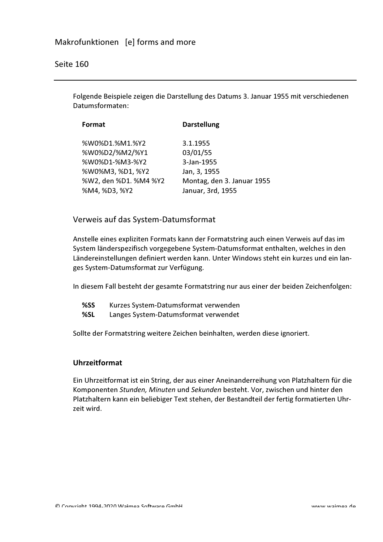Folgende Beispiele zeigen die Darstellung des Datums 3. Januar 1955 mit verschiedenen Datumsformaten:

| Format                | <b>Darstellung</b>         |
|-----------------------|----------------------------|
| %W0%D1.%M1.%Y2        | 3.1.1955                   |
| %W0%D2/%M2/%Y1        | 03/01/55                   |
| %W0%D1-%M3-%Y2        | 3-Jan-1955                 |
| %W0%M3, %D1, %Y2      | Jan, 3, 1955               |
| %W2, den %D1. %M4 %Y2 | Montag, den 3. Januar 1955 |
| %M4, %D3, %Y2         | Januar, 3rd, 1955          |

### Verweis auf das System-Datumsformat

Anstelle eines expliziten Formats kann der Formatstring auch einen Verweis auf das im System länderspezifisch vorgegebene System-Datumsformat enthalten, welches in den Ländereinstellungen definiert werden kann. Unter Windows steht ein kurzes und ein langes System-Datumsformat zur Verfügung.

In diesem Fall besteht der gesamte Formatstring nur aus einer der beiden Zeichenfolgen:

- %SS Kurzes System-Datumsformat verwenden
- %SL Langes System-Datumsformat verwendet

Sollte der Formatstring weitere Zeichen beinhalten, werden diese ignoriert.

#### **Uhrzeitformat**

Ein Uhrzeitformat ist ein String, der aus einer Aneinanderreihung von Platzhaltern für die Komponenten Stunden, Minuten und Sekunden besteht. Vor, zwischen und hinter den Platzhaltern kann ein beliebiger Text stehen, der Bestandteil der fertig formatierten Uhrzeit wird.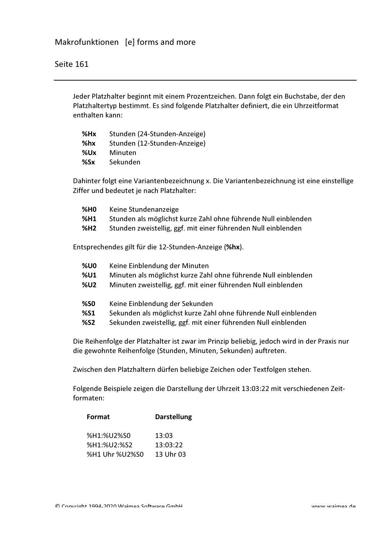Jeder Platzhalter beginnt mit einem Prozentzeichen. Dann folgt ein Buchstabe, der den Platzhaltertyp bestimmt. Es sind folgende Platzhalter definiert, die ein Uhrzeitformat enthalten kann:

| %Hx | Stunden (24-Stunden-Anzeige) |
|-----|------------------------------|
| %hx | Stunden (12-Stunden-Anzeige) |
| %Ux | Minuten                      |
| %Sx | Sekunden                     |

Dahinter folgt eine Variantenbezeichnung x. Die Variantenbezeichnung ist eine einstellige Ziffer und bedeutet je nach Platzhalter:

| <b>%HO</b> | Keine Stundenanzeige                                           |
|------------|----------------------------------------------------------------|
| %H1        | Stunden als möglichst kurze Zahl ohne führende Null einblenden |
| %H2        | Stunden zweistellig, ggf. mit einer führenden Null einblenden  |

Entsprechendes gilt für die 12-Stunden-Anzeige (%hx).

| <b>%U0</b> | Keine Einblendung der Minuten                                   |
|------------|-----------------------------------------------------------------|
| <b>%U1</b> | Minuten als möglichst kurze Zahl ohne führende Null einblenden  |
| <b>%U2</b> | Minuten zweistellig, ggf. mit einer führenden Null einblenden   |
| <b>%SO</b> | Keine Einblendung der Sekunden                                  |
| %51        | Sekunden als möglichst kurze Zahl ohne führende Null einblenden |
| <b>%S2</b> | Sekunden zweistellig, ggf. mit einer führenden Null einblenden  |

Die Reihenfolge der Platzhalter ist zwar im Prinzip beliebig, jedoch wird in der Praxis nur die gewohnte Reihenfolge (Stunden, Minuten, Sekunden) auftreten.

Zwischen den Platzhaltern dürfen beliebige Zeichen oder Textfolgen stehen.

Folgende Beispiele zeigen die Darstellung der Uhrzeit 13:03:22 mit verschiedenen Zeitformaten:

| Format         | <b>Darstellung</b> |
|----------------|--------------------|
| %H1:%U2%S0     | 13:03              |
| %H1:%U2:%S2    | 13:03:22           |
| %H1 Uhr %U2%S0 | 13 Uhr 03          |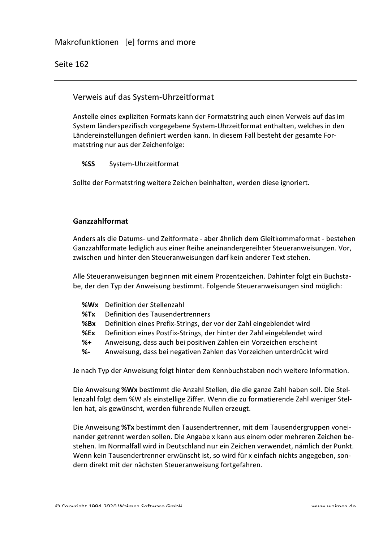### Verweis auf das System-Uhrzeitformat

Anstelle eines expliziten Formats kann der Formatstring auch einen Verweis auf das im System länderspezifisch vorgegebene System-Uhrzeitformat enthalten, welches in den Ländereinstellungen definiert werden kann. In diesem Fall besteht der gesamte Formatstring nur aus der Zeichenfolge:

#### %SS System-Uhrzeitformat

Sollte der Formatstring weitere Zeichen beinhalten, werden diese ignoriert.

#### Ganzzahlformat

Anders als die Datums- und Zeitformate - aber ähnlich dem Gleitkommaformat - bestehen Ganzzahlformate lediglich aus einer Reihe aneinandergereihter Steueranweisungen. Vor, zwischen und hinter den Steueranweisungen darf kein anderer Text stehen.

Alle Steueranweisungen beginnen mit einem Prozentzeichen. Dahinter folgt ein Buchstabe, der den Typ der Anweisung bestimmt. Folgende Steueranweisungen sind möglich:

- **%Wx** Definition der Stellenzahl
- $%Tx$ **Definition des Tausendertrenners**
- $%Bx$ Definition eines Prefix-Strings, der vor der Zahl eingeblendet wird
- $%Ex$ Definition eines Postfix-Strings, der hinter der Zahl eingeblendet wird
- $%+$ Anweisung, dass auch bei positiven Zahlen ein Vorzeichen erscheint
- %− Anweisung, dass bei negativen Zahlen das Vorzeichen unterdrückt wird

Je nach Typ der Anweisung folgt hinter dem Kennbuchstaben noch weitere Information.

Die Anweisung %Wx bestimmt die Anzahl Stellen, die die ganze Zahl haben soll. Die Stellenzahl folgt dem %W als einstellige Ziffer. Wenn die zu formatierende Zahl weniger Stellen hat, als gewünscht, werden führende Nullen erzeugt.

Die Anweisung %Tx bestimmt den Tausendertrenner, mit dem Tausendergruppen voneinander getrennt werden sollen. Die Angabe x kann aus einem oder mehreren Zeichen bestehen. Im Normalfall wird in Deutschland nur ein Zeichen verwendet, nämlich der Punkt. Wenn kein Tausendertrenner erwünscht ist, so wird für x einfach nichts angegeben, sondern direkt mit der nächsten Steueranweisung fortgefahren.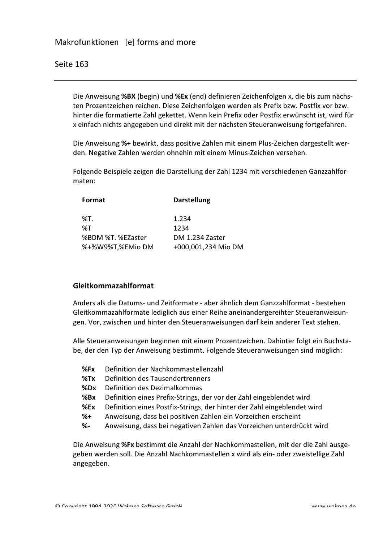Die Anweisung %BX (begin) und %Ex (end) definieren Zeichenfolgen x, die bis zum nächsten Prozentzeichen reichen. Diese Zeichenfolgen werden als Prefix bzw. Postfix vor bzw. hinter die formatierte Zahl gekettet. Wenn kein Prefix oder Postfix erwünscht ist, wird für x einfach nichts angegeben und direkt mit der nächsten Steueranweisung fortgefahren.

Die Anweisung %+ bewirkt, dass positive Zahlen mit einem Plus-Zeichen dargestellt werden. Negative Zahlen werden ohnehin mit einem Minus-Zeichen versehen.

Folgende Beispiele zeigen die Darstellung der Zahl 1234 mit verschiedenen Ganzzahlfor $maten'$ 

| Format            | <b>Darstellung</b>  |  |
|-------------------|---------------------|--|
| %T.               | 1.234               |  |
| %T                | 1234                |  |
| %BDM %T. %EZaster | DM 1.234 Zaster     |  |
| %+%W9%T,%EMio DM  | +000,001,234 Mio DM |  |

#### Gleitkommazahlformat

Anders als die Datums- und Zeitformate - aber ähnlich dem Ganzzahlformat - bestehen Gleitkommazahlformate lediglich aus einer Reihe aneinandergereihter Steueranweisungen. Vor, zwischen und hinter den Steueranweisungen darf kein anderer Text stehen.

Alle Steueranweisungen beginnen mit einem Prozentzeichen. Dahinter folgt ein Buchstabe, der den Typ der Anweisung bestimmt. Folgende Steueranweisungen sind möglich:

- $%Fx$ Definition der Nachkommastellenzahl
- Definition des Tausendertrenners  $%Tx$
- Definition des Dezimalkommas  $%$ Dx
- $%Bx$ Definition eines Prefix-Strings, der vor der Zahl eingeblendet wird
- Definition eines Postfix-Strings, der hinter der Zahl eingeblendet wird  $%Ex$
- Anweisung, dass bei positiven Zahlen ein Vorzeichen erscheint  $%+$
- $% -$ Anweisung, dass bei negativen Zahlen das Vorzeichen unterdrückt wird

Die Anweisung %Fx bestimmt die Anzahl der Nachkommastellen, mit der die Zahl ausgegeben werden soll. Die Anzahl Nachkommastellen x wird als ein- oder zweistellige Zahl angegeben.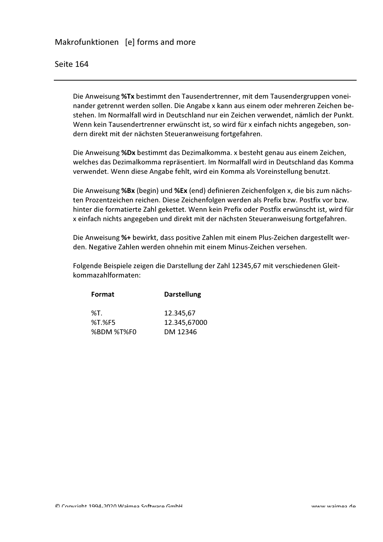Die Anweisung %Tx bestimmt den Tausendertrenner, mit dem Tausendergruppen voneinander getrennt werden sollen. Die Angabe x kann aus einem oder mehreren Zeichen bestehen. Im Normalfall wird in Deutschland nur ein Zeichen verwendet, nämlich der Punkt. Wenn kein Tausendertrenner erwünscht ist, so wird für x einfach nichts angegeben, sondern direkt mit der nächsten Steueranweisung fortgefahren.

Die Anweisung %Dx bestimmt das Dezimalkomma. x besteht genau aus einem Zeichen, welches das Dezimalkomma repräsentiert. Im Normalfall wird in Deutschland das Komma verwendet. Wenn diese Angabe fehlt, wird ein Komma als Voreinstellung benutzt.

Die Anweisung %Bx (begin) und %Ex (end) definieren Zeichenfolgen x, die bis zum nächsten Prozentzeichen reichen. Diese Zeichenfolgen werden als Prefix bzw. Postfix vor bzw. hinter die formatierte Zahl gekettet. Wenn kein Prefix oder Postfix erwünscht ist, wird für x einfach nichts angegeben und direkt mit der nächsten Steueranweisung fortgefahren.

Die Anweisung %+ bewirkt, dass positive Zahlen mit einem Plus-Zeichen dargestellt werden. Negative Zahlen werden ohnehin mit einem Minus-Zeichen versehen.

Folgende Beispiele zeigen die Darstellung der Zahl 12345,67 mit verschiedenen Gleitkommazahlformaten:

| <b>Darstellung</b> |  |
|--------------------|--|
| 12.345,67          |  |
| 12.345,67000       |  |
| DM 12346           |  |
|                    |  |